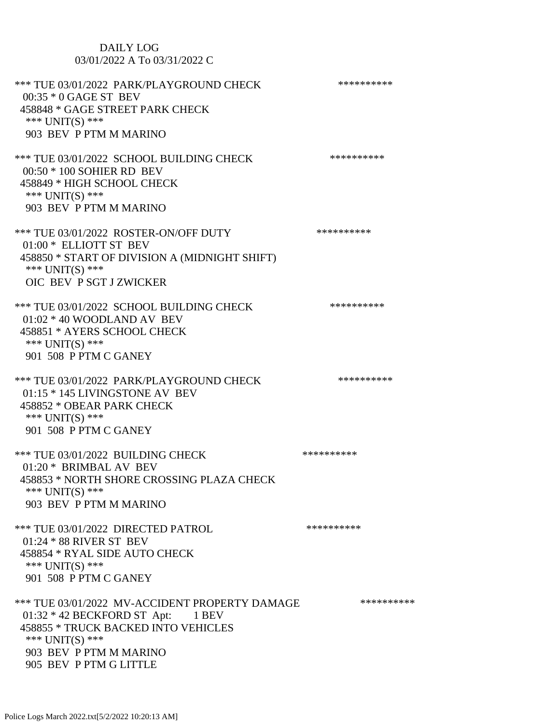| <b>DAILY LOG</b><br>03/01/2022 A To 03/31/2022 C                                                                                                                                                      |            |
|-------------------------------------------------------------------------------------------------------------------------------------------------------------------------------------------------------|------------|
| *** TUE 03/01/2022 PARK/PLAYGROUND CHECK<br>00:35 * 0 GAGE ST BEV<br>458848 * GAGE STREET PARK CHECK<br>*** UNIT(S) ***<br>903 BEV P PTM M MARINO                                                     | ********** |
| *** TUE 03/01/2022 SCHOOL BUILDING CHECK<br>00:50 * 100 SOHIER RD BEV<br>458849 * HIGH SCHOOL CHECK<br>*** UNIT(S) ***<br>903 BEV P PTM M MARINO                                                      | ********** |
| *** TUE 03/01/2022 ROSTER-ON/OFF DUTY<br>01:00 * ELLIOTT ST BEV<br>458850 * START OF DIVISION A (MIDNIGHT SHIFT)<br>*** $UNIT(S)$ ***<br>OIC BEV P SGT J ZWICKER                                      | ********** |
| *** TUE 03/01/2022 SCHOOL BUILDING CHECK<br>$01:02 * 40$ WOODLAND AV BEV<br>458851 * AYERS SCHOOL CHECK<br>*** $UNIT(S)$ ***<br>901 508 P PTM C GANEY                                                 | ********** |
| *** TUE 03/01/2022 PARK/PLAYGROUND CHECK<br>01:15 * 145 LIVINGSTONE AV BEV<br>458852 * OBEAR PARK CHECK<br>*** UNIT(S) ***<br>901 508 P PTM C GANEY                                                   | ********** |
| *** TUE 03/01/2022 BUILDING CHECK<br>01:20 * BRIMBAL AV BEV<br>458853 * NORTH SHORE CROSSING PLAZA CHECK<br>*** $UNIT(S)$ ***<br>903 BEV P PTM M MARINO                                               | ********** |
| *** TUE 03/01/2022 DIRECTED PATROL<br>01:24 * 88 RIVER ST BEV<br>458854 * RYAL SIDE AUTO CHECK<br>*** $UNIT(S)$ ***<br>901 508 P PTM C GANEY                                                          | ********** |
| *** TUE 03/01/2022 MV-ACCIDENT PROPERTY DAMAGE<br>$01:32 * 42$ BECKFORD ST Apt: 1 BEV<br>458855 * TRUCK BACKED INTO VEHICLES<br>*** $UNIT(S)$ ***<br>903 BEV P PTM M MARINO<br>905 BEV P PTM G LITTLE | ********** |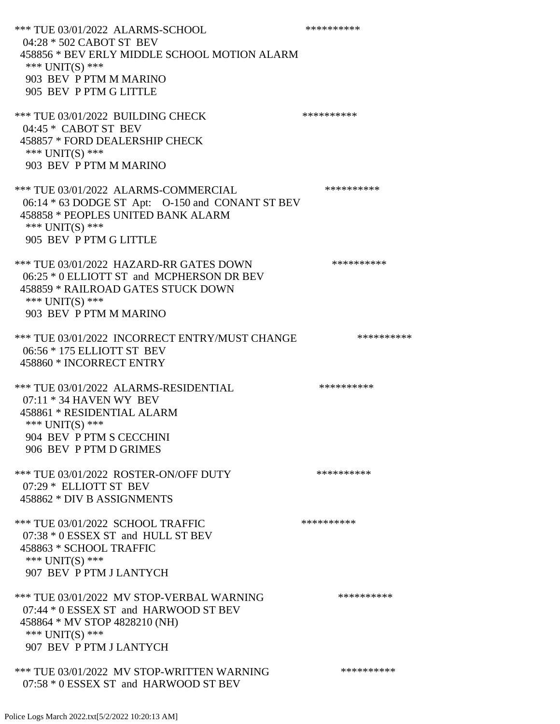\*\*\* TUE 03/01/2022 ALARMS-SCHOOL \*\*\*\*\*\*\*\*\*\* 04:28 \* 502 CABOT ST BEV 458856 \* BEV ERLY MIDDLE SCHOOL MOTION ALARM \*\*\* UNIT(S) \*\*\* 903 BEV P PTM M MARINO 905 BEV P PTM G LITTLE \*\*\* TUE 03/01/2022 BUILDING CHECK \*\*\*\*\*\*\*\*\*\* 04:45 \* CABOT ST BEV 458857 \* FORD DEALERSHIP CHECK \*\*\* UNIT(S) \*\*\* 903 BEV P PTM M MARINO \*\*\* TUE 03/01/2022 ALARMS-COMMERCIAL \*\*\*\*\*\*\*\*\*\* 06:14 \* 63 DODGE ST Apt: O-150 and CONANT ST BEV 458858 \* PEOPLES UNITED BANK ALARM \*\*\* UNIT(S) \*\*\* 905 BEV P PTM G LITTLE \*\*\* TUE 03/01/2022 HAZARD-RR GATES DOWN \*\*\*\*\*\*\*\*\*\* 06:25 \* 0 ELLIOTT ST and MCPHERSON DR BEV 458859 \* RAILROAD GATES STUCK DOWN \*\*\* UNIT(S) \*\*\* 903 BEV P PTM M MARINO \*\*\* TUE 03/01/2022 INCORRECT ENTRY/MUST CHANGE \*\*\*\*\*\*\*\*\*\* 06:56 \* 175 ELLIOTT ST BEV 458860 \* INCORRECT ENTRY \*\*\* TUE 03/01/2022 ALARMS-RESIDENTIAL \*\*\*\*\*\*\*\*\*\* 07:11 \* 34 HAVEN WY BEV 458861 \* RESIDENTIAL ALARM \*\*\*  $UNIT(S)$  \*\*\* 904 BEV P PTM S CECCHINI 906 BEV P PTM D GRIMES \*\*\* TUE 03/01/2022 ROSTER-ON/OFF DUTY \*\*\*\*\*\*\*\*\*\* 07:29 \* ELLIOTT ST BEV 458862 \* DIV B ASSIGNMENTS \*\*\* TUE 03/01/2022 SCHOOL TRAFFIC \*\*\*\*\*\*\*\*\*\*\*\*\* 07:38 \* 0 ESSEX ST and HULL ST BEV 458863 \* SCHOOL TRAFFIC \*\*\* UNIT(S) \*\*\* 907 BEV P PTM J LANTYCH \*\*\* TUE 03/01/2022 MV STOP-VERBAL WARNING \*\*\*\*\*\*\*\*\*\*\*\*\* 07:44 \* 0 ESSEX ST and HARWOOD ST BEV 458864 \* MV STOP 4828210 (NH) \*\*\* UNIT(S) \*\*\* 907 BEV P PTM J LANTYCH \*\*\* TUE 03/01/2022 MV STOP-WRITTEN WARNING \*\*\*\*\*\*\*\*\*\*\*\* 07:58 \* 0 ESSEX ST and HARWOOD ST BEV

Police Logs March 2022.txt[5/2/2022 10:20:13 AM]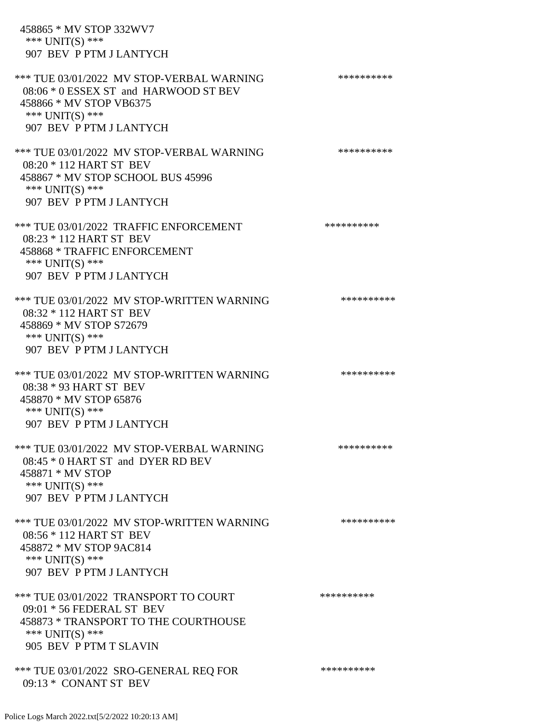| 458865 * MV STOP 332WV7<br>*** $UNIT(S)$ ***<br>907 BEV P PTM J LANTYCH                                                                                     |            |
|-------------------------------------------------------------------------------------------------------------------------------------------------------------|------------|
| *** TUE 03/01/2022 MV STOP-VERBAL WARNING<br>08:06 * 0 ESSEX ST and HARWOOD ST BEV<br>458866 * MV STOP VB6375<br>*** UNIT(S) ***<br>907 BEV P PTM J LANTYCH | ********** |
| *** TUE 03/01/2022 MV STOP-VERBAL WARNING<br>08:20 * 112 HART ST BEV<br>458867 * MV STOP SCHOOL BUS 45996<br>*** UNIT(S) ***<br>907 BEV P PTM J LANTYCH     | ********** |
| *** TUE 03/01/2022 TRAFFIC ENFORCEMENT<br>08:23 * 112 HART ST BEV<br>458868 * TRAFFIC ENFORCEMENT<br>*** UNIT(S) ***<br>907 BEV P PTM J LANTYCH             | ********** |
| *** TUE 03/01/2022 MV STOP-WRITTEN WARNING<br>08:32 * 112 HART ST BEV<br>458869 * MV STOP S72679<br>*** $UNIT(S)$ ***<br>907 BEV P PTM J LANTYCH            | ********** |
| *** TUE 03/01/2022 MV STOP-WRITTEN WARNING<br>08:38 * 93 HART ST BEV<br>458870 * MV STOP 65876<br>*** UNIT(S) ***<br>907 BEV P PTM J LANTYCH                | ********** |
| *** TUE 03/01/2022 MV STOP-VERBAL WARNING<br>08:45 * 0 HART ST and DYER RD BEV<br>458871 * MV STOP<br>*** UNIT(S) ***<br>907 BEV P PTM J LANTYCH            | ********** |
| *** TUE 03/01/2022 MV STOP-WRITTEN WARNING<br>08:56 * 112 HART ST BEV<br>458872 * MV STOP 9AC814<br>*** UNIT(S) ***<br>907 BEV P PTM J LANTYCH              | ********** |
| *** TUE 03/01/2022 TRANSPORT TO COURT<br>09:01 * 56 FEDERAL ST BEV<br>458873 * TRANSPORT TO THE COURTHOUSE<br>*** UNIT(S) ***<br>905 BEV P PTM T SLAVIN     | ********** |
| *** TUE 03/01/2022 SRO-GENERAL REQ FOR<br>09:13 * CONANT ST BEV                                                                                             | ********** |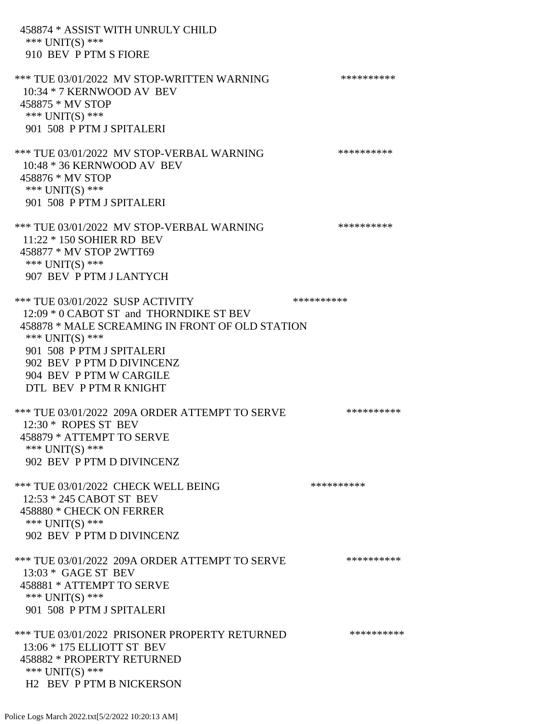458874 \* ASSIST WITH UNRULY CHILD \*\*\* UNIT(S) \*\*\* 910 BEV P PTM S FIORE \*\*\* TUE 03/01/2022 MV STOP-WRITTEN WARNING \*\*\*\*\*\*\*\*\*\*\*\*\* 10:34 \* 7 KERNWOOD AV BEV 458875 \* MV STOP \*\*\* UNIT(S) \*\*\* 901 508 P PTM J SPITALERI \*\*\* TUE 03/01/2022 MV STOP-VERBAL WARNING \*\*\*\*\*\*\*\*\*\*\*\*\* 10:48 \* 36 KERNWOOD AV BEV 458876 \* MV STOP \*\*\* UNIT(S) \*\*\* 901 508 P PTM J SPITALERI \*\*\* TUE 03/01/2022 MV STOP-VERBAL WARNING \*\*\*\*\*\*\*\*\*\*\*\*\* 11:22 \* 150 SOHIER RD BEV 458877 \* MV STOP 2WTT69 \*\*\* UNIT(S) \*\*\* 907 BEV P PTM J LANTYCH \*\*\* TUE 03/01/2022 SUSP ACTIVITY \*\*\*\*\*\*\*\*\*\*\*\* 12:09 \* 0 CABOT ST and THORNDIKE ST BEV 458878 \* MALE SCREAMING IN FRONT OF OLD STATION \*\*\* UNIT(S) \*\*\* 901 508 P PTM J SPITALERI 902 BEV P PTM D DIVINCENZ 904 BEV P PTM W CARGILE DTL BEV P PTM R KNIGHT \*\*\* TUE 03/01/2022 209A ORDER ATTEMPT TO SERVE \*\*\*\*\*\*\*\*\*\* 12:30 \* ROPES ST BEV 458879 \* ATTEMPT TO SERVE \*\*\* UNIT(S) \*\*\* 902 BEV P PTM D DIVINCENZ \*\*\* TUE 03/01/2022 CHECK WELL BEING \*\*\*\*\*\*\*\*\*\* 12:53 \* 245 CABOT ST BEV 458880 \* CHECK ON FERRER \*\*\* UNIT(S) \*\*\* 902 BEV P PTM D DIVINCENZ \*\*\* TUE 03/01/2022 209A ORDER ATTEMPT TO SERVE \*\*\*\*\*\*\*\*\*\* 13:03 \* GAGE ST BEV 458881 \* ATTEMPT TO SERVE \*\*\* UNIT(S) \*\*\* 901 508 P PTM J SPITALERI \*\*\* TUE 03/01/2022 PRISONER PROPERTY RETURNED \*\*\*\*\*\*\*\*\*\* 13:06 \* 175 ELLIOTT ST BEV 458882 \* PROPERTY RETURNED \*\*\* UNIT(S) \*\*\* H2 BEV P PTM B NICKERSON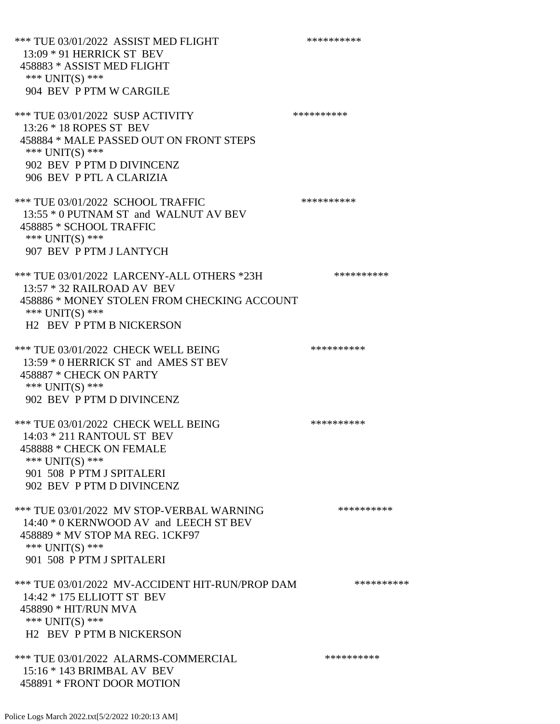\*\*\* TUE 03/01/2022 ASSIST MED FLIGHT \*\*\*\*\*\*\*\*\*\*\*\*\*\* 13:09 \* 91 HERRICK ST BEV 458883 \* ASSIST MED FLIGHT \*\*\* UNIT(S) \*\*\* 904 BEV P PTM W CARGILE \*\*\* TUE 03/01/2022 SUSP ACTIVITY \*\*\*\*\*\*\*\*\*\*\*\* 13:26 \* 18 ROPES ST BEV 458884 \* MALE PASSED OUT ON FRONT STEPS \*\*\* UNIT(S) \*\*\* 902 BEV P PTM D DIVINCENZ 906 BEV P PTL A CLARIZIA \*\*\* TUE 03/01/2022 SCHOOL TRAFFIC \*\*\*\*\*\*\*\*\*\*\*\*\* 13:55 \* 0 PUTNAM ST and WALNUT AV BEV 458885 \* SCHOOL TRAFFIC \*\*\* UNIT(S) \*\*\* 907 BEV P PTM J LANTYCH \*\*\* TUE 03/01/2022 LARCENY-ALL OTHERS \*23H \*\*\*\*\*\*\*\*\*\*\* 13:57 \* 32 RAILROAD AV BEV 458886 \* MONEY STOLEN FROM CHECKING ACCOUNT \*\*\* UNIT(S) \*\*\* H2 BEV P PTM B NICKERSON \*\*\* TUE 03/01/2022 CHECK WELL BEING \*\*\*\*\*\*\*\*\*\* 13:59 \* 0 HERRICK ST and AMES ST BEV 458887 \* CHECK ON PARTY \*\*\* UNIT(S) \*\*\* 902 BEV P PTM D DIVINCENZ \*\*\* TUE 03/01/2022 CHECK WELL BEING \*\*\*\*\*\*\*\*\*\* 14:03 \* 211 RANTOUL ST BEV 458888 \* CHECK ON FEMALE \*\*\* UNIT(S) \*\*\* 901 508 P PTM J SPITALERI 902 BEV P PTM D DIVINCENZ \*\*\* TUE 03/01/2022 MV STOP-VERBAL WARNING \*\*\*\*\*\*\*\*\*\*\*\*\* 14:40 \* 0 KERNWOOD AV and LEECH ST BEV 458889 \* MV STOP MA REG. 1CKF97 \*\*\* UNIT(S) \*\*\* 901 508 P PTM J SPITALERI \*\*\* TUE 03/01/2022 MV-ACCIDENT HIT-RUN/PROP DAM \*\*\*\*\*\*\*\*\*\* 14:42 \* 175 ELLIOTT ST BEV 458890 \* HIT/RUN MVA \*\*\* UNIT(S) \*\*\* H2 BEV P PTM B NICKERSON \*\*\* TUE 03/01/2022 ALARMS-COMMERCIAL \*\*\*\*\*\*\*\*\*\* 15:16 \* 143 BRIMBAL AV BEV 458891 \* FRONT DOOR MOTION

Police Logs March 2022.txt[5/2/2022 10:20:13 AM]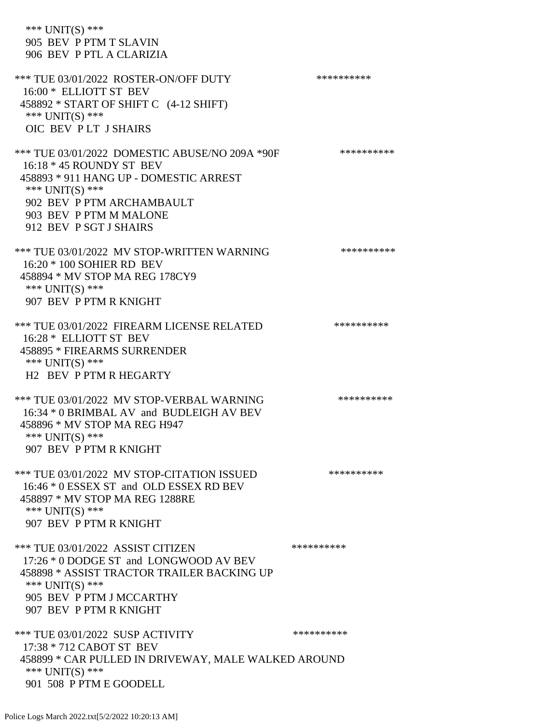\*\*\* UNIT(S) \*\*\* 905 BEV P PTM T SLAVIN 906 BEV P PTL A CLARIZIA \*\*\* TUE 03/01/2022 ROSTER-ON/OFF DUTY \*\*\*\*\*\*\*\*\*\* 16:00 \* ELLIOTT ST BEV 458892 \* START OF SHIFT C (4-12 SHIFT) \*\*\* UNIT(S) \*\*\* OIC BEV P LT J SHAIRS \*\*\* TUE 03/01/2022 DOMESTIC ABUSE/NO 209A \*90F \*\*\*\*\*\*\*\*\*\*\*\* 16:18 \* 45 ROUNDY ST BEV 458893 \* 911 HANG UP - DOMESTIC ARREST \*\*\* UNIT(S) \*\*\* 902 BEV P PTM ARCHAMBAULT 903 BEV P PTM M MALONE 912 BEV P SGT J SHAIRS \*\*\* TUE 03/01/2022 MV STOP-WRITTEN WARNING \*\*\*\*\*\*\*\*\*\*\*\* 16:20 \* 100 SOHIER RD BEV 458894 \* MV STOP MA REG 178CY9 \*\*\* UNIT(S) \*\*\* 907 BEV P PTM R KNIGHT \*\*\* TUE 03/01/2022 FIREARM LICENSE RELATED \*\*\*\*\*\*\*\*\*\*\* 16:28 \* ELLIOTT ST BEV 458895 \* FIREARMS SURRENDER \*\*\* UNIT(S) \*\*\* H2 BEV P PTM R HEGARTY \*\*\* TUE 03/01/2022 MV STOP-VERBAL WARNING \*\*\*\*\*\*\*\*\*\*\*\*\* 16:34 \* 0 BRIMBAL AV and BUDLEIGH AV BEV 458896 \* MV STOP MA REG H947 \*\*\* UNIT(S) \*\*\* 907 BEV P PTM R KNIGHT \*\*\* TUE 03/01/2022 MV STOP-CITATION ISSUED \*\*\*\*\*\*\*\*\*\* 16:46 \* 0 ESSEX ST and OLD ESSEX RD BEV 458897 \* MV STOP MA REG 1288RE \*\*\* UNIT(S) \*\*\* 907 BEV P PTM R KNIGHT \*\*\* TUE 03/01/2022 ASSIST CITIZEN \*\*\*\*\*\*\*\*\*\* 17:26 \* 0 DODGE ST and LONGWOOD AV BEV 458898 \* ASSIST TRACTOR TRAILER BACKING UP \*\*\* UNIT(S) \*\*\* 905 BEV P PTM J MCCARTHY 907 BEV P PTM R KNIGHT \*\*\* TUE 03/01/2022 SUSP ACTIVITY \*\*\*\*\*\*\*\*\*\*\*\* 17:38 \* 712 CABOT ST BEV 458899 \* CAR PULLED IN DRIVEWAY, MALE WALKED AROUND \*\*\* UNIT(S) \*\*\* 901 508 P PTM E GOODELL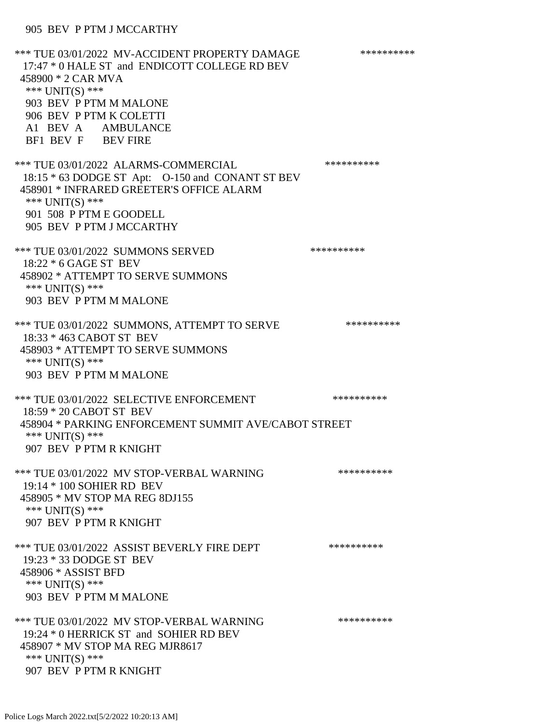\*\*\* TUE 03/01/2022 MV-ACCIDENT PROPERTY DAMAGE \*\*\*\*\*\*\*\*\*\*\*\* 17:47 \* 0 HALE ST and ENDICOTT COLLEGE RD BEV 458900 \* 2 CAR MVA \*\*\* UNIT(S) \*\*\* 903 BEV P PTM M MALONE 906 BEV P PTM K COLETTI A1 BEV A AMBULANCE BF1 BEV F BEV FIRE \*\*\* TUE 03/01/2022 ALARMS-COMMERCIAL \*\*\*\*\*\*\*\*\*\* 18:15 \* 63 DODGE ST Apt: O-150 and CONANT ST BEV 458901 \* INFRARED GREETER'S OFFICE ALARM \*\*\* UNIT(S) \*\*\* 901 508 P PTM E GOODELL 905 BEV P PTM J MCCARTHY \*\*\* TUE 03/01/2022 SUMMONS SERVED \*\*\*\*\*\*\*\*\*\* 18:22 \* 6 GAGE ST BEV 458902 \* ATTEMPT TO SERVE SUMMONS \*\*\* UNIT(S) \*\*\* 903 BEV P PTM M MALONE \*\*\* TUE 03/01/2022 SUMMONS, ATTEMPT TO SERVE \*\*\*\*\*\*\*\*\*\* 18:33 \* 463 CABOT ST BEV 458903 \* ATTEMPT TO SERVE SUMMONS \*\*\* UNIT(S) \*\*\* 903 BEV P PTM M MALONE \*\*\* TUE 03/01/2022 SELECTIVE ENFORCEMENT \*\*\*\*\*\*\*\*\*\*\*\*\* 18:59 \* 20 CABOT ST BEV 458904 \* PARKING ENFORCEMENT SUMMIT AVE/CABOT STREET \*\*\* UNIT(S) \*\*\* 907 BEV P PTM R KNIGHT \*\*\* TUE 03/01/2022 MV STOP-VERBAL WARNING \*\*\*\*\*\*\*\*\*\*\*\*\* 19:14 \* 100 SOHIER RD BEV 458905 \* MV STOP MA REG 8DJ155 \*\*\* UNIT(S) \*\*\* 907 BEV P PTM R KNIGHT \*\*\* TUE 03/01/2022 ASSIST BEVERLY FIRE DEPT \*\*\*\*\*\*\*\*\*\*\*\* 19:23 \* 33 DODGE ST BEV 458906 \* ASSIST BFD \*\*\* UNIT(S) \*\*\* 903 BEV P PTM M MALONE \*\*\* TUE 03/01/2022 MV STOP-VERBAL WARNING \*\*\*\*\*\*\*\*\*\*\*\*\* 19:24 \* 0 HERRICK ST and SOHIER RD BEV 458907 \* MV STOP MA REG MJR8617 \*\*\* UNIT(S) \*\*\* 907 BEV P PTM R KNIGHT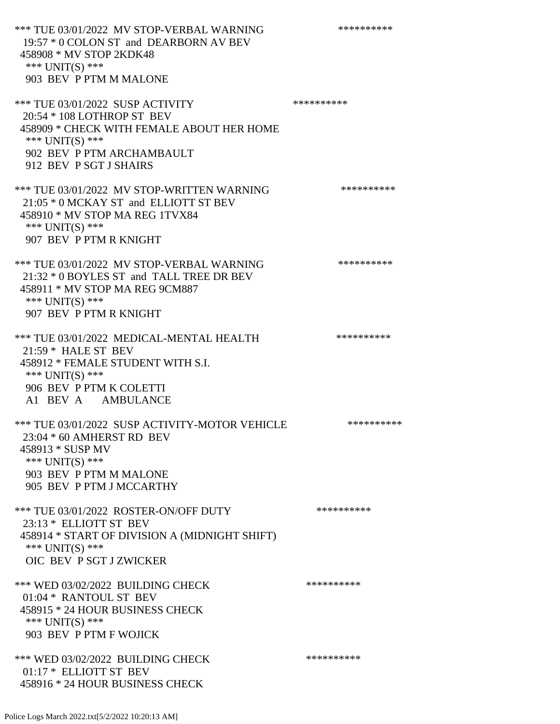\*\*\* TUE 03/01/2022 MV STOP-VERBAL WARNING \*\*\*\*\*\*\*\*\*\*\*\*\* 19:57 \* 0 COLON ST and DEARBORN AV BEV 458908 \* MV STOP 2KDK48 \*\*\* UNIT(S) \*\*\* 903 BEV P PTM M MALONE \*\*\* TUE 03/01/2022 SUSP ACTIVITY \*\*\*\*\*\*\*\*\*\*\*\*\* 20:54 \* 108 LOTHROP ST BEV 458909 \* CHECK WITH FEMALE ABOUT HER HOME \*\*\* UNIT(S) \*\*\* 902 BEV P PTM ARCHAMBAULT 912 BEV P SGT J SHAIRS \*\*\* TUE 03/01/2022 MV STOP-WRITTEN WARNING \*\*\*\*\*\*\*\*\*\*\*\*\* 21:05 \* 0 MCKAY ST and ELLIOTT ST BEV 458910 \* MV STOP MA REG 1TVX84 \*\*\* UNIT(S) \*\*\* 907 BEV P PTM R KNIGHT \*\*\* TUE 03/01/2022 MV STOP-VERBAL WARNING \*\*\*\*\*\*\*\*\*\*\*\*\* 21:32 \* 0 BOYLES ST and TALL TREE DR BEV 458911 \* MV STOP MA REG 9CM887 \*\*\* UNIT(S) \*\*\* 907 BEV P PTM R KNIGHT \*\*\* TUE 03/01/2022 MEDICAL-MENTAL HEALTH \*\*\*\*\*\*\*\*\*\* 21:59 \* HALE ST BEV 458912 \* FEMALE STUDENT WITH S.I. \*\*\* UNIT(S) \*\*\* 906 BEV P PTM K COLETTI A1 BEV A AMBULANCE \*\*\* TUE 03/01/2022 SUSP ACTIVITY-MOTOR VEHICLE \*\*\*\*\*\*\*\*\*\* 23:04 \* 60 AMHERST RD BEV 458913 \* SUSP MV \*\*\* UNIT(S) \*\*\* 903 BEV P PTM M MALONE 905 BEV P PTM J MCCARTHY \*\*\* TUE 03/01/2022 ROSTER-ON/OFF DUTY \*\*\*\*\*\*\*\*\*\* 23:13 \* ELLIOTT ST BEV 458914 \* START OF DIVISION A (MIDNIGHT SHIFT) \*\*\* UNIT(S) \*\*\* OIC BEV P SGT J ZWICKER \*\*\* WED 03/02/2022 BUILDING CHECK \*\*\*\*\*\*\*\*\*\* 01:04 \* RANTOUL ST BEV 458915 \* 24 HOUR BUSINESS CHECK \*\*\* UNIT(S) \*\*\* 903 BEV P PTM F WOJICK \*\*\* WED 03/02/2022 BUILDING CHECK \*\*\*\*\*\*\*\*\*\*\*\* 01:17 \* ELLIOTT ST BEV 458916 \* 24 HOUR BUSINESS CHECK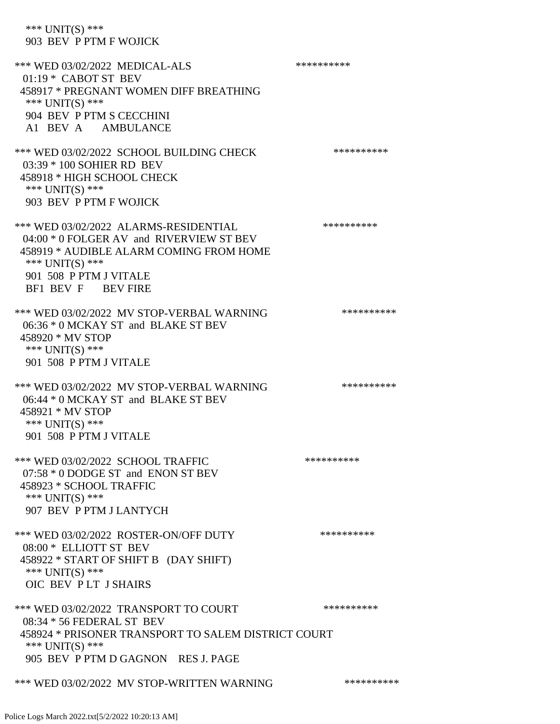\*\*\* UNIT(S) \*\*\* 903 BEV P PTM F WOJICK \*\*\* WED 03/02/2022 MEDICAL-ALS \*\*\*\*\*\*\*\*\*\*\*\* 01:19 \* CABOT ST BEV 458917 \* PREGNANT WOMEN DIFF BREATHING \*\*\* UNIT(S) \*\*\* 904 BEV P PTM S CECCHINI A1 BEV A AMBULANCE \*\*\* WED 03/02/2022 SCHOOL BUILDING CHECK \*\*\*\*\*\*\*\*\*\*\*\* 03:39 \* 100 SOHIER RD BEV 458918 \* HIGH SCHOOL CHECK \*\*\* UNIT(S) \*\*\* 903 BEV P PTM F WOJICK \*\*\* WED 03/02/2022 ALARMS-RESIDENTIAL \*\*\*\*\*\*\*\*\*\* 04:00 \* 0 FOLGER AV and RIVERVIEW ST BEV 458919 \* AUDIBLE ALARM COMING FROM HOME \*\*\* UNIT(S) \*\*\* 901 508 P PTM J VITALE BF1 BEV F BEV FIRE \*\*\* WED 03/02/2022 MV STOP-VERBAL WARNING \*\*\*\*\*\*\*\*\*\*\*\* 06:36 \* 0 MCKAY ST and BLAKE ST BEV 458920 \* MV STOP \*\*\* UNIT(S) \*\*\* 901 508 P PTM J VITALE \*\*\* WED 03/02/2022 MV STOP-VERBAL WARNING \*\*\*\*\*\*\*\*\*\*\*\* 06:44 \* 0 MCKAY ST and BLAKE ST BEV 458921 \* MV STOP \*\*\* UNIT(S) \*\*\* 901 508 P PTM J VITALE \*\*\* WED 03/02/2022 SCHOOL TRAFFIC \*\*\*\*\*\*\*\*\*\*\*\*\*\* 07:58 \* 0 DODGE ST and ENON ST BEV 458923 \* SCHOOL TRAFFIC \*\*\* UNIT(S) \*\*\* 907 BEV P PTM J LANTYCH \*\*\* WED 03/02/2022 ROSTER-ON/OFF DUTY \*\*\*\*\*\*\*\*\*\* 08:00 \* ELLIOTT ST BEV 458922 \* START OF SHIFT B (DAY SHIFT) \*\*\* UNIT(S) \*\*\* OIC BEV P LT J SHAIRS \*\*\* WED 03/02/2022 TRANSPORT TO COURT \*\*\*\*\*\*\*\*\*\*\*\* 08:34 \* 56 FEDERAL ST BEV 458924 \* PRISONER TRANSPORT TO SALEM DISTRICT COURT \*\*\* UNIT(S) \*\*\* 905 BEV P PTM D GAGNON RES J. PAGE \*\*\* WED 03/02/2022 MV STOP-WRITTEN WARNING \*\*\*\*\*\*\*\*\*\*\*\*\*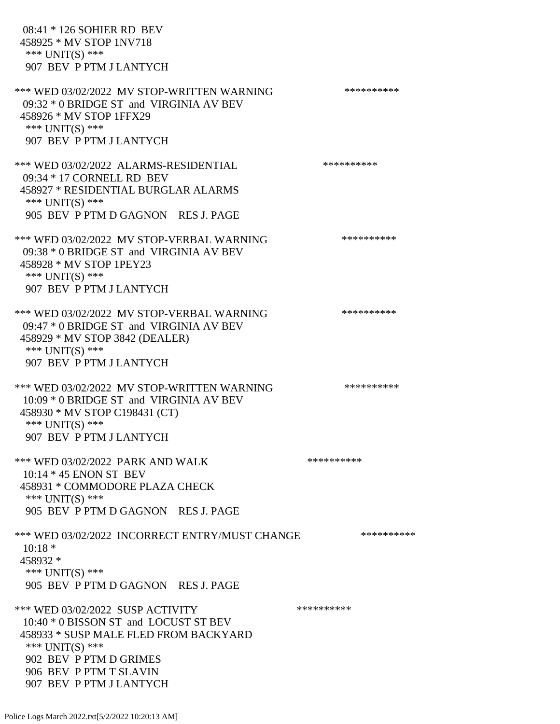08:41 \* 126 SOHIER RD BEV 458925 \* MV STOP 1NV718 \*\*\* UNIT(S) \*\*\* 907 BEV P PTM J LANTYCH \*\*\* WED 03/02/2022 MV STOP-WRITTEN WARNING \*\*\*\*\*\*\*\*\*\*\*\* 09:32 \* 0 BRIDGE ST and VIRGINIA AV BEV 458926 \* MV STOP 1FFX29 \*\*\* UNIT(S) \*\*\* 907 BEV P PTM J LANTYCH \*\*\* WED 03/02/2022 ALARMS-RESIDENTIAL \*\*\*\*\*\*\*\*\*\* 09:34 \* 17 CORNELL RD BEV 458927 \* RESIDENTIAL BURGLAR ALARMS \*\*\* UNIT(S) \*\*\* 905 BEV P PTM D GAGNON RES J. PAGE \*\*\* WED 03/02/2022 MV STOP-VERBAL WARNING \*\*\*\*\*\*\*\*\*\*\*\* 09:38 \* 0 BRIDGE ST and VIRGINIA AV BEV 458928 \* MV STOP 1PEY23 \*\*\* UNIT(S) \*\*\* 907 BEV P PTM J LANTYCH \*\*\* WED 03/02/2022 MV STOP-VERBAL WARNING \*\*\*\*\*\*\*\*\*\*\*\*\* 09:47 \* 0 BRIDGE ST and VIRGINIA AV BEV 458929 \* MV STOP 3842 (DEALER) \*\*\* UNIT(S) \*\*\* 907 BEV P PTM J LANTYCH \*\*\* WED 03/02/2022 MV STOP-WRITTEN WARNING \*\*\*\*\*\*\*\*\*\*\*\* 10:09 \* 0 BRIDGE ST and VIRGINIA AV BEV 458930 \* MV STOP C198431 (CT) \*\*\* UNIT(S) \*\*\* 907 BEV P PTM J LANTYCH \*\*\* WED 03/02/2022 PARK AND WALK \*\*\*\*\*\*\*\*\*\*\*\* 10:14 \* 45 ENON ST BEV 458931 \* COMMODORE PLAZA CHECK \*\*\* UNIT(S) \*\*\* 905 BEV P PTM D GAGNON RES J. PAGE \*\*\* WED 03/02/2022 INCORRECT ENTRY/MUST CHANGE \*\*\*\*\*\*\*\*\*\*\*\* 10:18 \* 458932 \* \*\*\* UNIT(S) \*\*\* 905 BEV P PTM D GAGNON RES J. PAGE \*\*\* WED 03/02/2022 SUSP ACTIVITY \*\*\*\*\*\*\*\*\*\*\*\* 10:40 \* 0 BISSON ST and LOCUST ST BEV 458933 \* SUSP MALE FLED FROM BACKYARD \*\*\* UNIT(S) \*\*\* 902 BEV P PTM D GRIMES 906 BEV P PTM T SLAVIN 907 BEV P PTM J LANTYCH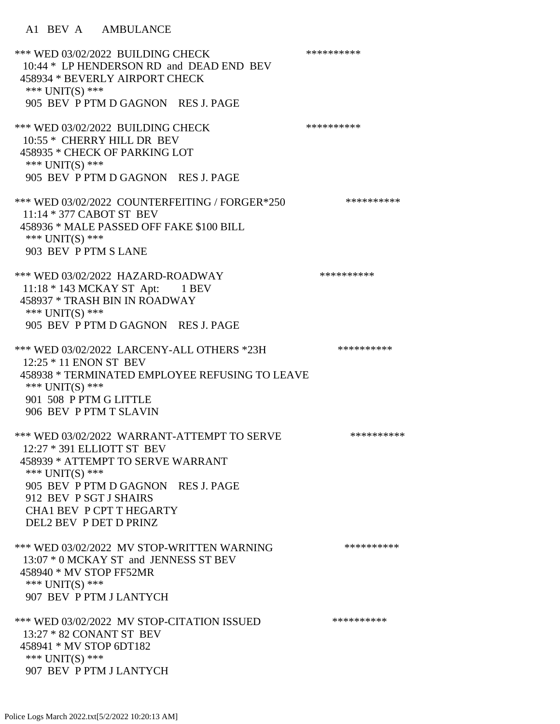\*\*\* WED 03/02/2022 BUILDING CHECK \*\*\*\*\*\*\*\*\*\*\*\* 10:44 \* LP HENDERSON RD and DEAD END BEV 458934 \* BEVERLY AIRPORT CHECK \*\*\* UNIT(S) \*\*\* 905 BEV P PTM D GAGNON RES J. PAGE \*\*\* WED 03/02/2022 BUILDING CHECK \*\*\*\*\*\*\*\*\*\* 10:55 \* CHERRY HILL DR BEV 458935 \* CHECK OF PARKING LOT \*\*\* UNIT(S) \*\*\* 905 BEV P PTM D GAGNON RES J. PAGE \*\*\* WED 03/02/2022 COUNTERFEITING / FORGER\*250 \*\*\*\*\*\*\*\*\*\* 11:14 \* 377 CABOT ST BEV 458936 \* MALE PASSED OFF FAKE \$100 BILL \*\*\* UNIT(S) \*\*\* 903 BEV P PTM S LANE \*\*\* WED 03/02/2022 HAZARD-ROADWAY \*\*\*\*\*\*\*\*\*\* 11:18 \* 143 MCKAY ST Apt: 1 BEV 458937 \* TRASH BIN IN ROADWAY \*\*\* UNIT(S) \*\*\* 905 BEV P PTM D GAGNON RES J. PAGE \*\*\* WED 03/02/2022 LARCENY-ALL OTHERS \*23H \*\*\*\*\*\*\*\*\*\*\* 12:25 \* 11 ENON ST BEV 458938 \* TERMINATED EMPLOYEE REFUSING TO LEAVE \*\*\* UNIT(S) \*\*\* 901 508 P PTM G LITTLE 906 BEV P PTM T SLAVIN \*\*\* WED 03/02/2022 WARRANT-ATTEMPT TO SERVE \*\*\*\*\*\*\*\*\*\* 12:27 \* 391 ELLIOTT ST BEV 458939 \* ATTEMPT TO SERVE WARRANT \*\*\* UNIT(S) \*\*\* 905 BEV P PTM D GAGNON RES J. PAGE 912 BEV P SGT J SHAIRS CHA1 BEV P CPT T HEGARTY DEL2 BEV P DET D PRINZ \*\*\* WED 03/02/2022 MV STOP-WRITTEN WARNING \*\*\*\*\*\*\*\*\*\*\*\* 13:07 \* 0 MCKAY ST and JENNESS ST BEV 458940 \* MV STOP FF52MR \*\*\* UNIT(S) \*\*\* 907 BEV P PTM J LANTYCH \*\*\* WED 03/02/2022 MV STOP-CITATION ISSUED \*\*\*\*\*\*\*\*\*\* 13:27 \* 82 CONANT ST BEV 458941 \* MV STOP 6DT182 \*\*\* UNIT(S) \*\*\* 907 BEV P PTM J LANTYCH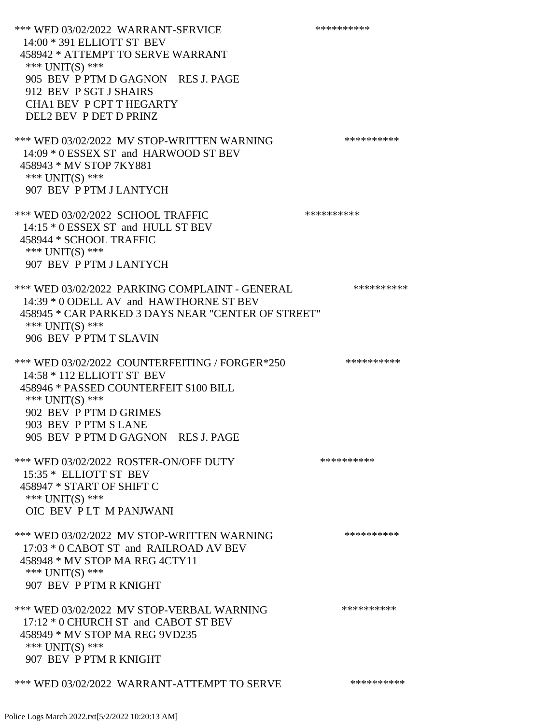\*\*\* WED 03/02/2022 WARRANT-SERVICE \*\*\*\*\*\*\*\*\*\*\*\*\* 14:00 \* 391 ELLIOTT ST BEV 458942 \* ATTEMPT TO SERVE WARRANT \*\*\* UNIT(S) \*\*\* 905 BEV P PTM D GAGNON RES J. PAGE 912 BEV P SGT J SHAIRS CHA1 BEV P CPT T HEGARTY DEL2 BEV P DET D PRINZ \*\*\* WED 03/02/2022 MV STOP-WRITTEN WARNING \*\*\*\*\*\*\*\*\*\*\*\* 14:09 \* 0 ESSEX ST and HARWOOD ST BEV 458943 \* MV STOP 7KY881 \*\*\* UNIT(S) \*\*\* 907 BEV P PTM J LANTYCH \*\*\* WED 03/02/2022 SCHOOL TRAFFIC \*\*\*\*\*\*\*\*\*\*\*\*\*\* 14:15 \* 0 ESSEX ST and HULL ST BEV 458944 \* SCHOOL TRAFFIC \*\*\* UNIT(S) \*\*\* 907 BEV P PTM J LANTYCH \*\*\* WED 03/02/2022 PARKING COMPLAINT - GENERAL \*\*\*\*\*\*\*\*\*\*\*\* 14:39 \* 0 ODELL AV and HAWTHORNE ST BEV 458945 \* CAR PARKED 3 DAYS NEAR "CENTER OF STREET" \*\*\* UNIT(S) \*\*\* 906 BEV P PTM T SLAVIN \*\*\* WED 03/02/2022 COUNTERFEITING / FORGER\*250 \*\*\*\*\*\*\*\*\*\* 14:58 \* 112 ELLIOTT ST BEV 458946 \* PASSED COUNTERFEIT \$100 BILL \*\*\* UNIT(S) \*\*\* 902 BEV P PTM D GRIMES 903 BEV P PTM S LANE 905 BEV P PTM D GAGNON RES J. PAGE \*\*\* WED 03/02/2022 ROSTER-ON/OFF DUTY \*\*\*\*\*\*\*\*\*\* 15:35 \* ELLIOTT ST BEV 458947 \* START OF SHIFT C \*\*\* UNIT(S) \*\*\* OIC BEV P LT M PANJWANI \*\*\* WED 03/02/2022 MV STOP-WRITTEN WARNING \*\*\*\*\*\*\*\*\*\*\*\*\* 17:03 \* 0 CABOT ST and RAILROAD AV BEV 458948 \* MV STOP MA REG 4CTY11 \*\*\* UNIT(S) \*\*\* 907 BEV P PTM R KNIGHT \*\*\* WED 03/02/2022 MV STOP-VERBAL WARNING \*\*\*\*\*\*\*\*\*\*\*\* 17:12 \* 0 CHURCH ST and CABOT ST BEV 458949 \* MV STOP MA REG 9VD235 \*\*\* UNIT(S) \*\*\* 907 BEV P PTM R KNIGHT \*\*\* WED 03/02/2022 WARRANT-ATTEMPT TO SERVE \*\*\*\*\*\*\*\*\*\*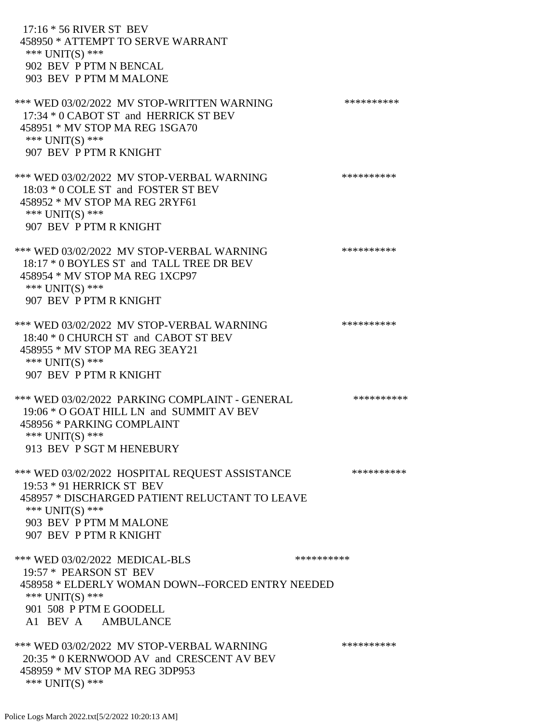17:16 \* 56 RIVER ST BEV 458950 \* ATTEMPT TO SERVE WARRANT \*\*\* UNIT(S) \*\*\* 902 BEV P PTM N BENCAL 903 BEV P PTM M MALONE \*\*\* WED 03/02/2022 MV STOP-WRITTEN WARNING \*\*\*\*\*\*\*\*\*\*\*\* 17:34 \* 0 CABOT ST and HERRICK ST BEV 458951 \* MV STOP MA REG 1SGA70 \*\*\* UNIT(S) \*\*\* 907 BEV P PTM R KNIGHT \*\*\* WED 03/02/2022 MV STOP-VERBAL WARNING \*\*\*\*\*\*\*\*\*\*\*\* 18:03 \* 0 COLE ST and FOSTER ST BEV 458952 \* MV STOP MA REG 2RYF61 \*\*\* UNIT(S) \*\*\* 907 BEV P PTM R KNIGHT \*\*\* WED 03/02/2022 MV STOP-VERBAL WARNING \*\*\*\*\*\*\*\*\*\*\*\* 18:17 \* 0 BOYLES ST and TALL TREE DR BEV 458954 \* MV STOP MA REG 1XCP97 \*\*\* UNIT(S) \*\*\* 907 BEV P PTM R KNIGHT \*\*\* WED 03/02/2022 MV STOP-VERBAL WARNING \*\*\*\*\*\*\*\*\*\*\*\* 18:40 \* 0 CHURCH ST and CABOT ST BEV 458955 \* MV STOP MA REG 3EAY21 \*\*\* UNIT(S) \*\*\* 907 BEV P PTM R KNIGHT \*\*\* WED 03/02/2022 PARKING COMPLAINT - GENERAL \*\*\*\*\*\*\*\*\*\*\*\* 19:06 \* O GOAT HILL LN and SUMMIT AV BEV 458956 \* PARKING COMPLAINT \*\*\* UNIT(S) \*\*\* 913 BEV P SGT M HENEBURY \*\*\* WED 03/02/2022 HOSPITAL REQUEST ASSISTANCE \*\*\*\*\*\*\*\*\*\* 19:53 \* 91 HERRICK ST BEV 458957 \* DISCHARGED PATIENT RELUCTANT TO LEAVE \*\*\* UNIT(S) \*\*\* 903 BEV P PTM M MALONE 907 BEV P PTM R KNIGHT \*\*\* WED 03/02/2022 MEDICAL-BLS \*\*\*\*\*\*\*\*\*\*\*\*\* 19:57 \* PEARSON ST BEV 458958 \* ELDERLY WOMAN DOWN--FORCED ENTRY NEEDED \*\*\* UNIT(S) \*\*\* 901 508 P PTM E GOODELL A1 BEV A AMBULANCE \*\*\* WED 03/02/2022 MV STOP-VERBAL WARNING \*\*\*\*\*\*\*\*\*\*\*\* 20:35 \* 0 KERNWOOD AV and CRESCENT AV BEV 458959 \* MV STOP MA REG 3DP953

\*\*\* UNIT(S) \*\*\*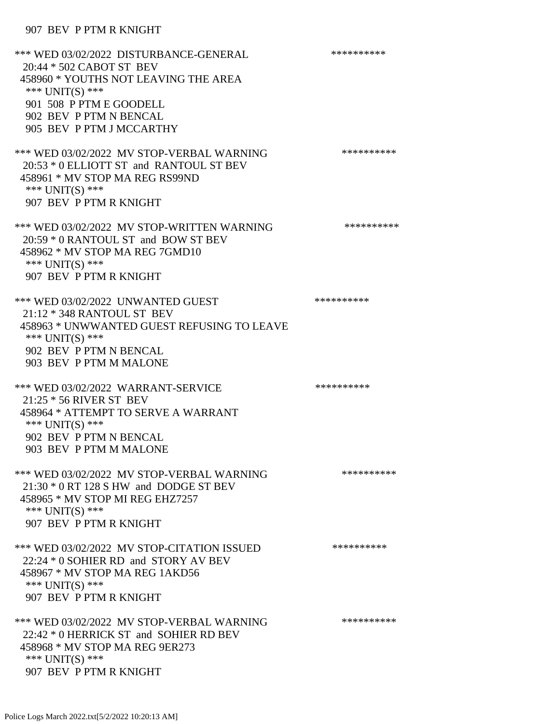## 907 BEV P PTM R KNIGHT

| *** WED 03/02/2022 DISTURBANCE-GENERAL<br>20:44 * 502 CABOT ST BEV<br>458960 * YOUTHS NOT LEAVING THE AREA<br>*** UNIT(S) ***<br>901 508 P PTM E GOODELL<br>902 BEV P PTM N BENCAL<br>905 BEV P PTM J MCCARTHY | ********** |
|----------------------------------------------------------------------------------------------------------------------------------------------------------------------------------------------------------------|------------|
| *** WED 03/02/2022 MV STOP-VERBAL WARNING<br>20:53 * 0 ELLIOTT ST and RANTOUL ST BEV<br>458961 * MV STOP MA REG RS99ND<br>*** UNIT(S) ***<br>907 BEV P PTM R KNIGHT                                            | ********** |
| *** WED 03/02/2022 MV STOP-WRITTEN WARNING<br>20:59 * 0 RANTOUL ST and BOW ST BEV<br>458962 * MV STOP MA REG 7GMD10<br>*** $UNIT(S)$ ***<br>907 BEV P PTM R KNIGHT                                             | ********** |
| *** WED 03/02/2022 UNWANTED GUEST<br>21:12 * 348 RANTOUL ST BEV<br>458963 * UNWWANTED GUEST REFUSING TO LEAVE<br>*** $UNIT(S)$ ***<br>902 BEV P PTM N BENCAL<br>903 BEV P PTM M MALONE                         | ********** |
| *** WED 03/02/2022 WARRANT-SERVICE<br>21:25 * 56 RIVER ST BEV<br>458964 * ATTEMPT TO SERVE A WARRANT<br>*** UNIT(S) ***<br>902 BEV P PTM N BENCAL<br>903 BEV P PTM M MALONE                                    | ********** |
| *** WED 03/02/2022 MV STOP-VERBAL WARNING<br>21:30 * 0 RT 128 S HW and DODGE ST BEV<br>458965 * MV STOP MI REG EHZ7257<br>*** $UNIT(S)$ ***<br>907 BEV P PTM R KNIGHT                                          | ********** |
| *** WED 03/02/2022 MV STOP-CITATION ISSUED<br>22:24 * 0 SOHIER RD and STORY AV BEV<br>458967 * MV STOP MA REG 1AKD56<br>*** $UNIT(S)$ ***<br>907 BEV P PTM R KNIGHT                                            | ********** |
| *** WED 03/02/2022 MV STOP-VERBAL WARNING<br>22:42 * 0 HERRICK ST and SOHIER RD BEV<br>458968 * MV STOP MA REG 9ER273<br>*** $UNIT(S)$ ***<br>907 BEV P PTM R KNIGHT                                           | ********** |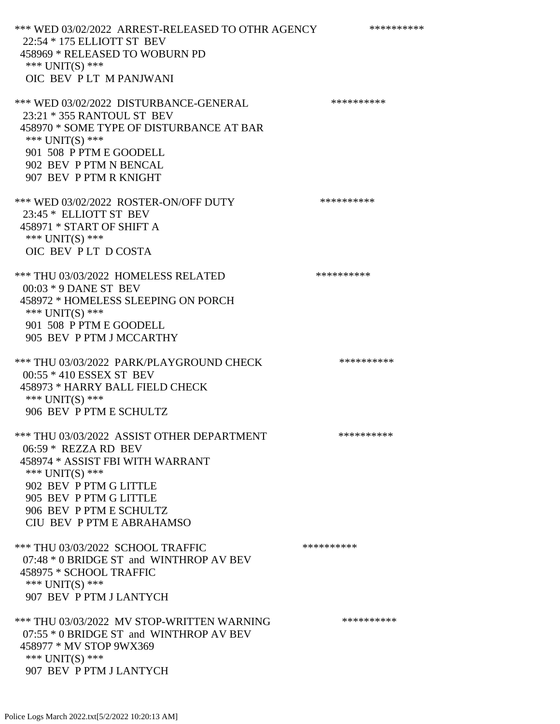\*\*\* WED 03/02/2022 ARREST-RELEASED TO OTHR AGENCY \*\*\*\*\*\*\*\*\*\*\*\* 22:54 \* 175 ELLIOTT ST BEV 458969 \* RELEASED TO WOBURN PD \*\*\* UNIT(S) \*\*\* OIC BEV P LT M PANJWANI \*\*\* WED 03/02/2022 DISTURBANCE-GENERAL \*\*\*\*\*\*\*\*\*\* 23:21 \* 355 RANTOUL ST BEV 458970 \* SOME TYPE OF DISTURBANCE AT BAR \*\*\* UNIT(S) \*\*\* 901 508 P PTM E GOODELL 902 BEV P PTM N BENCAL 907 BEV P PTM R KNIGHT \*\*\* WED 03/02/2022 ROSTER-ON/OFF DUTY \*\*\*\*\*\*\*\*\*\* 23:45 \* ELLIOTT ST BEV 458971 \* START OF SHIFT A \*\*\* UNIT(S) \*\*\* OIC BEV P LT D COSTA \*\*\* THU 03/03/2022 HOMELESS RELATED \*\*\*\*\*\*\*\*\*\* 00:03 \* 9 DANE ST BEV 458972 \* HOMELESS SLEEPING ON PORCH \*\*\* UNIT(S) \*\*\* 901 508 P PTM E GOODELL 905 BEV P PTM J MCCARTHY \*\*\* THU 03/03/2022 PARK/PLAYGROUND CHECK \*\*\*\*\*\*\*\*\*\*\*\* 00:55 \* 410 ESSEX ST BEV 458973 \* HARRY BALL FIELD CHECK \*\*\* UNIT(S) \*\*\* 906 BEV P PTM E SCHULTZ \*\*\* THU 03/03/2022 ASSIST OTHER DEPARTMENT \*\*\*\*\*\*\*\*\*\*\*\* 06:59 \* REZZA RD BEV 458974 \* ASSIST FBI WITH WARRANT \*\*\* UNIT(S) \*\*\* 902 BEV P PTM G LITTLE 905 BEV P PTM G LITTLE 906 BEV P PTM E SCHULTZ CIU BEV P PTM E ABRAHAMSO \*\*\* THU 03/03/2022 SCHOOL TRAFFIC \*\*\*\*\*\*\*\*\*\*\*\*\*\*\* 07:48 \* 0 BRIDGE ST and WINTHROP AV BEV 458975 \* SCHOOL TRAFFIC \*\*\* UNIT(S) \*\*\* 907 BEV P PTM J LANTYCH \*\*\* THU 03/03/2022 MV STOP-WRITTEN WARNING \*\*\*\*\*\*\*\*\*\*\*\*\*\* 07:55 \* 0 BRIDGE ST and WINTHROP AV BEV 458977 \* MV STOP 9WX369 \*\*\* UNIT(S) \*\*\* 907 BEV P PTM J LANTYCH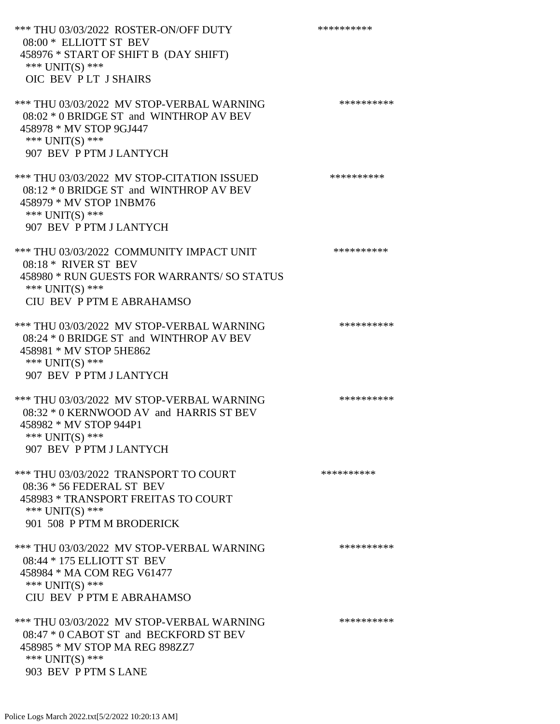\*\*\* THU 03/03/2022 ROSTER-ON/OFF DUTY \*\*\*\*\*\*\*\*\*\* 08:00 \* ELLIOTT ST BEV 458976 \* START OF SHIFT B (DAY SHIFT) \*\*\* UNIT(S) \*\*\* OIC BEV P LT J SHAIRS \*\*\* THU 03/03/2022 MV STOP-VERBAL WARNING \*\*\*\*\*\*\*\*\*\*\*\*\*\* 08:02 \* 0 BRIDGE ST and WINTHROP AV BEV 458978 \* MV STOP 9GJ447 \*\*\* UNIT(S) \*\*\* 907 BEV P PTM J LANTYCH \*\*\* THU 03/03/2022 MV STOP-CITATION ISSUED \*\*\*\*\*\*\*\*\*\* 08:12 \* 0 BRIDGE ST and WINTHROP AV BEV 458979 \* MV STOP 1NBM76 \*\*\* UNIT(S) \*\*\* 907 BEV P PTM J LANTYCH \*\*\* THU 03/03/2022 COMMUNITY IMPACT UNIT \*\*\*\*\*\*\*\*\*\*\*\*\* 08:18 \* RIVER ST BEV 458980 \* RUN GUESTS FOR WARRANTS/ SO STATUS \*\*\* UNIT(S) \*\*\* CIU BEV P PTM E ABRAHAMSO \*\*\* THU 03/03/2022 MV STOP-VERBAL WARNING \*\*\*\*\*\*\*\*\*\*\*\*\*\* 08:24 \* 0 BRIDGE ST and WINTHROP AV BEV 458981 \* MV STOP 5HE862 \*\*\* UNIT(S) \*\*\* 907 BEV P PTM J LANTYCH \*\*\* THU 03/03/2022 MV STOP-VERBAL WARNING \*\*\*\*\*\*\*\*\*\*\*\*\* 08:32 \* 0 KERNWOOD AV and HARRIS ST BEV 458982 \* MV STOP 944P1 \*\*\* UNIT(S) \*\*\* 907 BEV P PTM J LANTYCH \*\*\* THU 03/03/2022 TRANSPORT TO COURT \*\*\*\*\*\*\*\*\*\*\*\*\*\* 08:36 \* 56 FEDERAL ST BEV 458983 \* TRANSPORT FREITAS TO COURT \*\*\* UNIT(S) \*\*\* 901 508 P PTM M BRODERICK \*\*\* THU 03/03/2022 MV STOP-VERBAL WARNING \*\*\*\*\*\*\*\*\*\*\*\*\*\* 08:44 \* 175 ELLIOTT ST BEV 458984 \* MA COM REG V61477 \*\*\* UNIT(S) \*\*\* CIU BEV P PTM E ABRAHAMSO \*\*\* THU 03/03/2022 MV STOP-VERBAL WARNING \*\*\*\*\*\*\*\*\*\*\*\*\* 08:47 \* 0 CABOT ST and BECKFORD ST BEV 458985 \* MV STOP MA REG 898ZZ7 \*\*\* UNIT(S) \*\*\* 903 BEV P PTM S LANE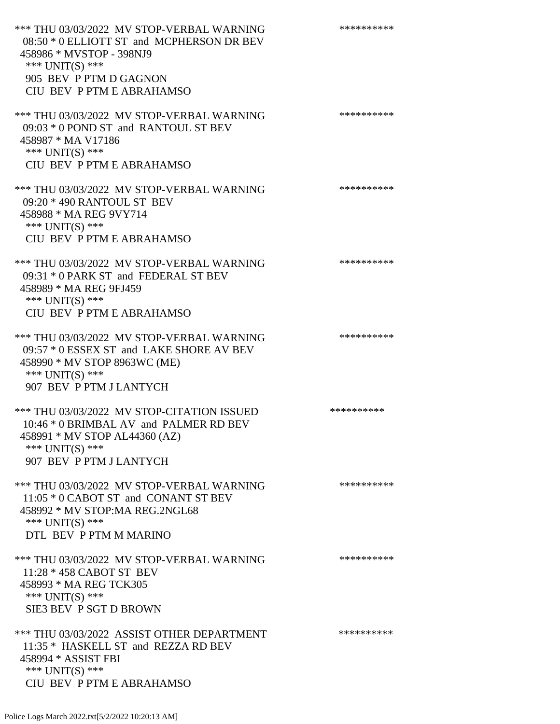\*\*\* THU 03/03/2022 MV STOP-VERBAL WARNING \*\*\*\*\*\*\*\*\*\*\*\*\* 08:50 \* 0 ELLIOTT ST and MCPHERSON DR BEV 458986 \* MVSTOP - 398NJ9 \*\*\* UNIT(S) \*\*\* 905 BEV P PTM D GAGNON CIU BEV P PTM E ABRAHAMSO \*\*\* THU 03/03/2022 MV STOP-VERBAL WARNING \*\*\*\*\*\*\*\*\*\*\*\*\* 09:03 \* 0 POND ST and RANTOUL ST BEV 458987 \* MA V17186 \*\*\* UNIT(S) \*\*\* CIU BEV P PTM E ABRAHAMSO \*\*\* THU 03/03/2022 MV STOP-VERBAL WARNING \*\*\*\*\*\*\*\*\*\*\*\*\* 09:20 \* 490 RANTOUL ST BEV 458988 \* MA REG 9VY714 \*\*\* UNIT(S) \*\*\* CIU BEV P PTM E ABRAHAMSO \*\*\* THU 03/03/2022 MV STOP-VERBAL WARNING \*\*\*\*\*\*\*\*\*\*\*\*\*\* 09:31 \* 0 PARK ST and FEDERAL ST BEV 458989 \* MA REG 9FJ459 \*\*\* UNIT(S) \*\*\* CIU BEV P PTM E ABRAHAMSO \*\*\* THU 03/03/2022 MV STOP-VERBAL WARNING \*\*\*\*\*\*\*\*\*\*\*\*\* 09:57 \* 0 ESSEX ST and LAKE SHORE AV BEV 458990 \* MV STOP 8963WC (ME) \*\*\* UNIT(S) \*\*\* 907 BEV P PTM J LANTYCH \*\*\* THU 03/03/2022 MV STOP-CITATION ISSUED \*\*\*\*\*\*\*\*\*\* 10:46 \* 0 BRIMBAL AV and PALMER RD BEV 458991 \* MV STOP AL44360 (AZ) \*\*\* UNIT(S) \*\*\* 907 BEV P PTM J LANTYCH \*\*\* THU 03/03/2022 MV STOP-VERBAL WARNING \*\*\*\*\*\*\*\*\*\*\*\*\*\* 11:05 \* 0 CABOT ST and CONANT ST BEV 458992 \* MV STOP:MA REG.2NGL68 \*\*\* UNIT(S) \*\*\* DTL BEV P PTM M MARINO \*\*\* THU 03/03/2022 MV STOP-VERBAL WARNING \*\*\*\*\*\*\*\*\*\* 11:28 \* 458 CABOT ST BEV 458993 \* MA REG TCK305 \*\*\* UNIT(S) \*\*\* SIE3 BEV P SGT D BROWN \*\*\* THU 03/03/2022 ASSIST OTHER DEPARTMENT \*\*\*\*\*\*\*\*\*\*\*\*\* 11:35 \* HASKELL ST and REZZA RD BEV 458994 \* ASSIST FBI \*\*\* UNIT(S) \*\*\* CIU BEV P PTM E ABRAHAMSO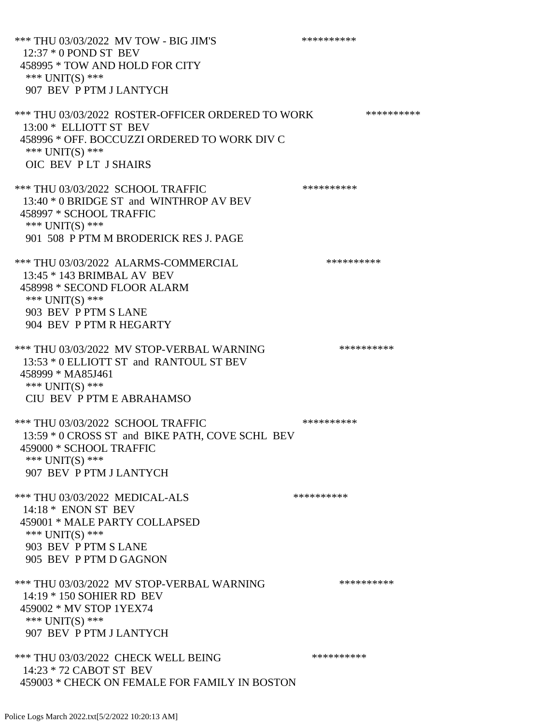\*\*\* THU 03/03/2022 MV TOW - BIG JIM'S \*\*\*\*\*\*\*\*\*\*\*\*\* 12:37 \* 0 POND ST BEV 458995 \* TOW AND HOLD FOR CITY \*\*\* UNIT(S) \*\*\* 907 BEV P PTM J LANTYCH \*\*\* THU 03/03/2022 ROSTER-OFFICER ORDERED TO WORK \*\*\*\*\*\*\*\*\*\*\* 13:00 \* ELLIOTT ST BEV 458996 \* OFF. BOCCUZZI ORDERED TO WORK DIV C \*\*\* UNIT(S) \*\*\* OIC BEV P LT J SHAIRS \*\*\* THU 03/03/2022 SCHOOL TRAFFIC \*\*\*\*\*\*\*\*\*\*\*\*\*\* 13:40 \* 0 BRIDGE ST and WINTHROP AV BEV 458997 \* SCHOOL TRAFFIC \*\*\* UNIT(S) \*\*\* 901 508 P PTM M BRODERICK RES J. PAGE \*\*\* THU 03/03/2022 ALARMS-COMMERCIAL \*\*\*\*\*\*\*\*\*\* 13:45 \* 143 BRIMBAL AV BEV 458998 \* SECOND FLOOR ALARM \*\*\* UNIT(S) \*\*\* 903 BEV P PTM S LANE 904 BEV P PTM R HEGARTY \*\*\* THU 03/03/2022 MV STOP-VERBAL WARNING \*\*\*\*\*\*\*\*\*\*\*\*\* 13:53 \* 0 ELLIOTT ST and RANTOUL ST BEV 458999 \* MA85J461 \*\*\* UNIT(S) \*\*\* CIU BEV P PTM E ABRAHAMSO \*\*\* THU 03/03/2022 SCHOOL TRAFFIC \*\*\*\*\*\*\*\*\*\* 13:59 \* 0 CROSS ST and BIKE PATH, COVE SCHL BEV 459000 \* SCHOOL TRAFFIC \*\*\* UNIT(S) \*\*\* 907 BEV P PTM J LANTYCH \*\*\* THU 03/03/2022 MEDICAL-ALS \*\*\*\*\*\*\*\*\*\* 14:18 \* ENON ST BEV 459001 \* MALE PARTY COLLAPSED \*\*\* UNIT(S) \*\*\* 903 BEV P PTM S LANE 905 BEV P PTM D GAGNON \*\*\* THU 03/03/2022 MV STOP-VERBAL WARNING \*\*\*\*\*\*\*\*\*\*\*\*\* 14:19 \* 150 SOHIER RD BEV 459002 \* MV STOP 1YEX74 \*\*\* UNIT(S) \*\*\* 907 BEV P PTM J LANTYCH \*\*\* THU 03/03/2022 CHECK WELL BEING \*\*\*\*\*\*\*\*\*\* 14:23 \* 72 CABOT ST BEV 459003 \* CHECK ON FEMALE FOR FAMILY IN BOSTON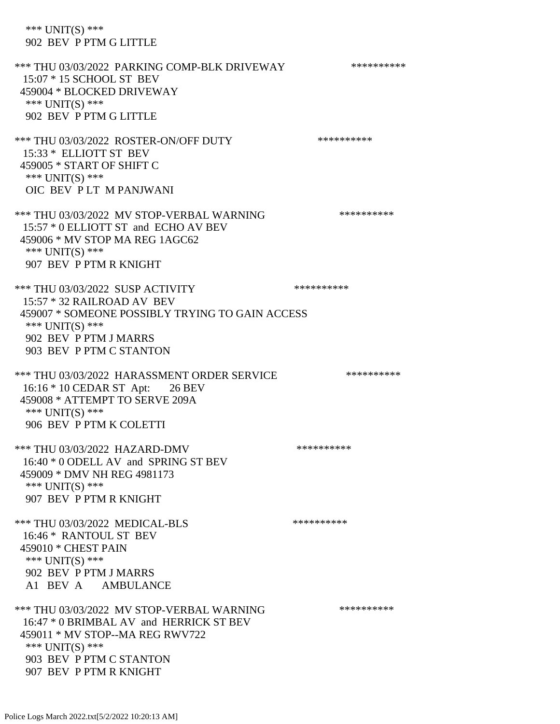\*\*\* UNIT(S) \*\*\* 902 BEV P PTM G LITTLE

\*\*\* THU 03/03/2022 PARKING COMP-BLK DRIVEWAY \*\*\*\*\*\*\*\*\*\*\*\* 15:07 \* 15 SCHOOL ST BEV 459004 \* BLOCKED DRIVEWAY \*\*\* UNIT(S) \*\*\* 902 BEV P PTM G LITTLE \*\*\* THU 03/03/2022 ROSTER-ON/OFF DUTY \*\*\*\*\*\*\*\*\*\* 15:33 \* ELLIOTT ST BEV 459005 \* START OF SHIFT C \*\*\* UNIT(S) \*\*\* OIC BEV P LT M PANJWANI \*\*\* THU 03/03/2022 MV STOP-VERBAL WARNING \*\*\*\*\*\*\*\*\*\* 15:57 \* 0 ELLIOTT ST and ECHO AV BEV 459006 \* MV STOP MA REG 1AGC62 \*\*\* UNIT(S) \*\*\* 907 BEV P PTM R KNIGHT \*\*\* THU 03/03/2022 SUSP ACTIVITY \*\*\*\*\*\*\*\*\*\*\*\* 15:57 \* 32 RAILROAD AV BEV 459007 \* SOMEONE POSSIBLY TRYING TO GAIN ACCESS \*\*\* UNIT(S) \*\*\* 902 BEV P PTM J MARRS 903 BEV P PTM C STANTON \*\*\* THU 03/03/2022 HARASSMENT ORDER SERVICE \*\*\*\*\*\*\*\*\*\*\*\* 16:16 \* 10 CEDAR ST Apt: 26 BEV 459008 \* ATTEMPT TO SERVE 209A \*\*\* UNIT(S) \*\*\* 906 BEV P PTM K COLETTI \*\*\* THU 03/03/2022 HAZARD-DMV \*\*\*\*\*\*\*\*\*\* 16:40 \* 0 ODELL AV and SPRING ST BEV 459009 \* DMV NH REG 4981173 \*\*\* UNIT(S) \*\*\* 907 BEV P PTM R KNIGHT \*\*\* THU 03/03/2022 MEDICAL-BLS \*\*\*\*\*\*\*\*\*\* 16:46 \* RANTOUL ST BEV 459010 \* CHEST PAIN \*\*\*  $UNIT(S)$  \*\*\* 902 BEV P PTM J MARRS A1 BEV A AMBULANCE \*\*\* THU 03/03/2022 MV STOP-VERBAL WARNING \*\*\*\*\*\*\*\*\*\*\*\*\* 16:47 \* 0 BRIMBAL AV and HERRICK ST BEV 459011 \* MV STOP--MA REG RWV722 \*\*\* UNIT(S) \*\*\* 903 BEV P PTM C STANTON 907 BEV P PTM R KNIGHT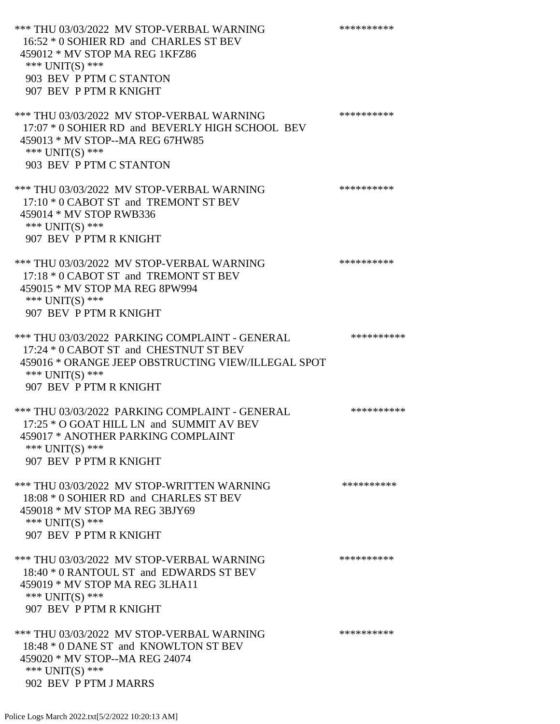\*\*\* THU 03/03/2022 MV STOP-VERBAL WARNING \*\*\*\*\*\*\*\*\*\*\*\* 16:52 \* 0 SOHIER RD and CHARLES ST BEV 459012 \* MV STOP MA REG 1KFZ86 \*\*\* UNIT(S) \*\*\* 903 BEV P PTM C STANTON 907 BEV P PTM R KNIGHT \*\*\* THU 03/03/2022 MV STOP-VERBAL WARNING \*\*\*\*\*\*\*\*\*\*\*\*\* 17:07 \* 0 SOHIER RD and BEVERLY HIGH SCHOOL BEV 459013 \* MV STOP--MA REG 67HW85 \*\*\* UNIT(S) \*\*\* 903 BEV P PTM C STANTON \*\*\* THU 03/03/2022 MV STOP-VERBAL WARNING \*\*\*\*\*\*\*\*\*\*\*\*\* 17:10 \* 0 CABOT ST and TREMONT ST BEV 459014 \* MV STOP RWB336 \*\*\* UNIT(S) \*\*\* 907 BEV P PTM R KNIGHT \*\*\* THU 03/03/2022 MV STOP-VERBAL WARNING \*\*\*\*\*\*\*\*\*\*\*\*\*\* 17:18 \* 0 CABOT ST and TREMONT ST BEV 459015 \* MV STOP MA REG 8PW994 \*\*\* UNIT(S) \*\*\* 907 BEV P PTM R KNIGHT \*\*\* THU 03/03/2022 PARKING COMPLAINT - GENERAL \*\*\*\*\*\*\*\*\*\* 17:24 \* 0 CABOT ST and CHESTNUT ST BEV 459016 \* ORANGE JEEP OBSTRUCTING VIEW/ILLEGAL SPOT \*\*\* UNIT(S) \*\*\* 907 BEV P PTM R KNIGHT \*\*\* THU 03/03/2022 PARKING COMPLAINT - GENERAL \*\*\*\*\*\*\*\*\*\* 17:25 \* O GOAT HILL LN and SUMMIT AV BEV 459017 \* ANOTHER PARKING COMPLAINT \*\*\* UNIT(S) \*\*\* 907 BEV P PTM R KNIGHT \*\*\* THU 03/03/2022 MV STOP-WRITTEN WARNING \*\*\*\*\*\*\*\*\*\*\*\*\* 18:08 \* 0 SOHIER RD and CHARLES ST BEV 459018 \* MV STOP MA REG 3BJY69 \*\*\* UNIT(S) \*\*\* 907 BEV P PTM R KNIGHT \*\*\* THU 03/03/2022 MV STOP-VERBAL WARNING \*\*\*\*\*\*\*\*\*\* 18:40 \* 0 RANTOUL ST and EDWARDS ST BEV 459019 \* MV STOP MA REG 3LHA11 \*\*\* UNIT(S) \*\*\* 907 BEV P PTM R KNIGHT \*\*\* THU 03/03/2022 MV STOP-VERBAL WARNING \*\*\*\*\*\*\*\*\*\*\*\*\* 18:48 \* 0 DANE ST and KNOWLTON ST BEV 459020 \* MV STOP--MA REG 24074 \*\*\* UNIT(S) \*\*\* 902 BEV P PTM J MARRS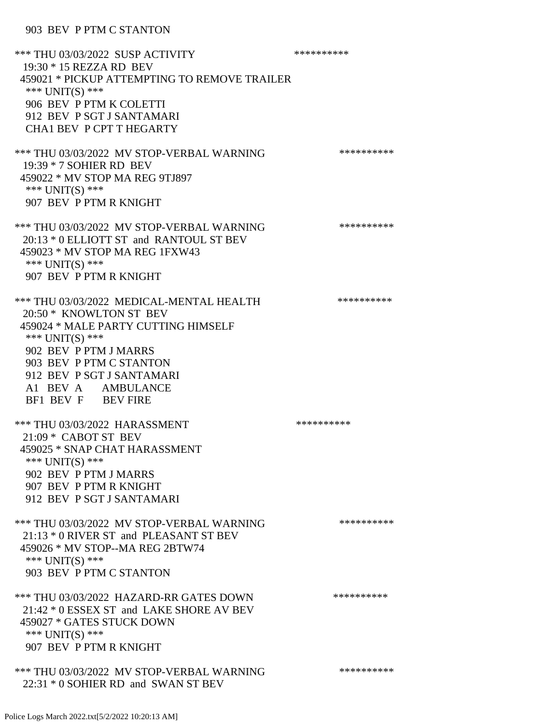903 BEV P PTM C STANTON

\*\*\* THU 03/03/2022 SUSP ACTIVITY \*\*\*\*\*\*\*\*\*\*\*\*\*\*\*\* 19:30 \* 15 REZZA RD BEV 459021 \* PICKUP ATTEMPTING TO REMOVE TRAILER \*\*\* UNIT(S) \*\*\* 906 BEV P PTM K COLETTI 912 BEV P SGT J SANTAMARI CHA1 BEV P CPT T HEGARTY \*\*\* THU 03/03/2022 MV STOP-VERBAL WARNING \*\*\*\*\*\*\*\*\*\*\*\*\* 19:39 \* 7 SOHIER RD BEV 459022 \* MV STOP MA REG 9TJ897 \*\*\* UNIT(S) \*\*\* 907 BEV P PTM R KNIGHT \*\*\* THU 03/03/2022 MV STOP-VERBAL WARNING \*\*\*\*\*\*\*\*\*\*\*\* 20:13 \* 0 ELLIOTT ST and RANTOUL ST BEV 459023 \* MV STOP MA REG 1FXW43 \*\*\* UNIT(S) \*\*\* 907 BEV P PTM R KNIGHT \*\*\* THU 03/03/2022 MEDICAL-MENTAL HEALTH \*\*\*\*\*\*\*\*\*\*\*\* 20:50 \* KNOWLTON ST BEV 459024 \* MALE PARTY CUTTING HIMSELF \*\*\* UNIT(S) \*\*\* 902 BEV P PTM J MARRS 903 BEV P PTM C STANTON 912 BEV P SGT J SANTAMARI A1 BEV A AMBULANCE BF1 BEV F BEV FIRE \*\*\* THU 03/03/2022 HARASSMENT \*\*\*\*\*\*\*\*\*\* 21:09 \* CABOT ST BEV 459025 \* SNAP CHAT HARASSMENT \*\*\* UNIT(S) \*\*\* 902 BEV P PTM J MARRS 907 BEV P PTM R KNIGHT 912 BEV P SGT J SANTAMARI \*\*\* THU 03/03/2022 MV STOP-VERBAL WARNING \*\*\*\*\*\*\*\*\*\*\*\*\* 21:13 \* 0 RIVER ST and PLEASANT ST BEV 459026 \* MV STOP--MA REG 2BTW74 \*\*\* UNIT(S) \*\*\* 903 BEV P PTM C STANTON \*\*\* THU 03/03/2022 HAZARD-RR GATES DOWN \*\*\*\*\*\*\*\*\*\* 21:42 \* 0 ESSEX ST and LAKE SHORE AV BEV 459027 \* GATES STUCK DOWN \*\*\* UNIT(S) \*\*\* 907 BEV P PTM R KNIGHT \*\*\* THU 03/03/2022 MV STOP-VERBAL WARNING \*\*\*\*\*\*\*\*\*\*\*\* 22:31 \* 0 SOHIER RD and SWAN ST BEV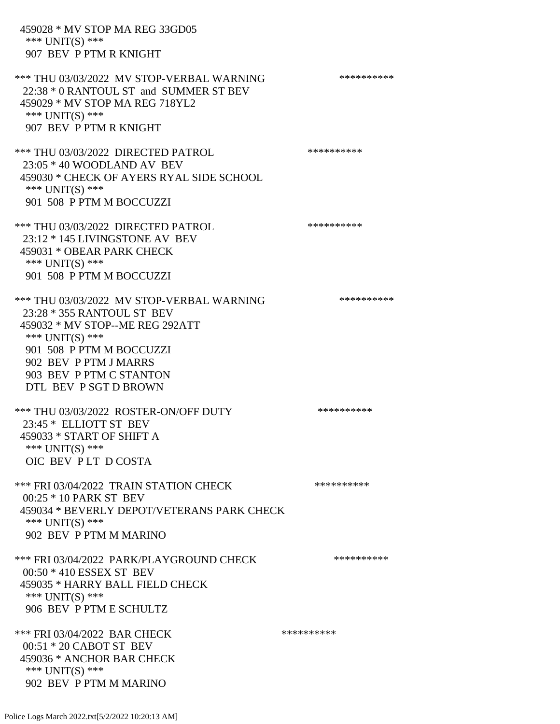459028 \* MV STOP MA REG 33GD05 \*\*\* UNIT(S) \*\*\* 907 BEV P PTM R KNIGHT \*\*\* THU 03/03/2022 MV STOP-VERBAL WARNING \*\*\*\*\*\*\*\*\*\*\*\*\* 22:38 \* 0 RANTOUL ST and SUMMER ST BEV 459029 \* MV STOP MA REG 718YL2 \*\*\* UNIT(S) \*\*\* 907 BEV P PTM R KNIGHT \*\*\* THU 03/03/2022 DIRECTED PATROL 23:05 \* 40 WOODLAND AV BEV 459030 \* CHECK OF AYERS RYAL SIDE SCHOOL \*\*\* UNIT(S) \*\*\* 901 508 P PTM M BOCCUZZI \*\*\* THU 03/03/2022 DIRECTED PATROL \*\*\*\*\*\*\*\*\*\* 23:12 \* 145 LIVINGSTONE AV BEV 459031 \* OBEAR PARK CHECK \*\*\* UNIT(S) \*\*\* 901 508 P PTM M BOCCUZZI \*\*\* THU 03/03/2022 MV STOP-VERBAL WARNING \*\*\*\*\*\*\*\*\*\*\*\* 23:28 \* 355 RANTOUL ST BEV 459032 \* MV STOP--ME REG 292ATT \*\*\* UNIT(S) \*\*\* 901 508 P PTM M BOCCUZZI 902 BEV P PTM J MARRS 903 BEV P PTM C STANTON DTL BEV P SGT D BROWN \*\*\* THU 03/03/2022 ROSTER-ON/OFF DUTY \*\*\*\*\*\*\*\*\*\* 23:45 \* ELLIOTT ST BEV 459033 \* START OF SHIFT A \*\*\* UNIT(S) \*\*\* OIC BEV P LT D COSTA \*\*\* FRI 03/04/2022 TRAIN STATION CHECK \*\*\*\*\*\*\*\*\*\* 00:25 \* 10 PARK ST BEV 459034 \* BEVERLY DEPOT/VETERANS PARK CHECK \*\*\* UNIT(S) \*\*\* 902 BEV P PTM M MARINO \*\*\* FRI 03/04/2022 PARK/PLAYGROUND CHECK \*\*\*\*\*\*\*\*\*\* 00:50 \* 410 ESSEX ST BEV 459035 \* HARRY BALL FIELD CHECK \*\*\* UNIT(S) \*\*\* 906 BEV P PTM E SCHULTZ \*\*\* FRI 03/04/2022 BAR CHECK \*\*\*\*\*\*\*\*\*\*\*\* 00:51 \* 20 CABOT ST BEV 459036 \* ANCHOR BAR CHECK \*\*\* UNIT(S) \*\*\* 902 BEV P PTM M MARINO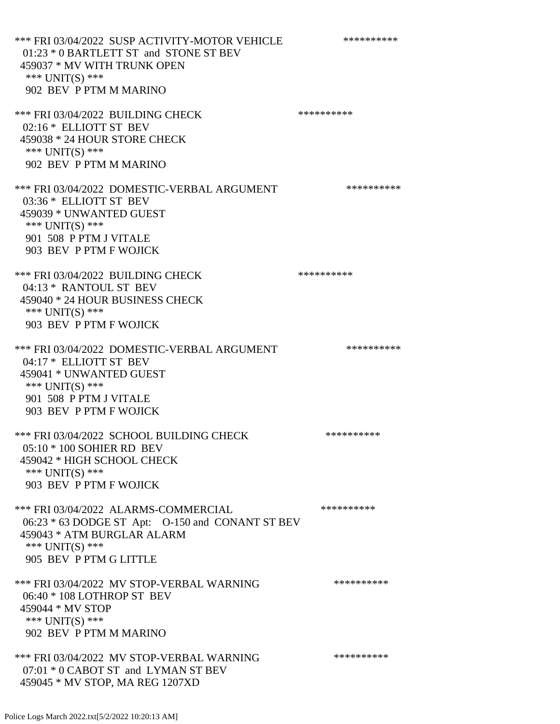\*\*\* FRI 03/04/2022 SUSP ACTIVITY-MOTOR VEHICLE \*\*\*\*\*\*\*\*\*\*\*\* 01:23 \* 0 BARTLETT ST and STONE ST BEV 459037 \* MV WITH TRUNK OPEN \*\*\* UNIT(S) \*\*\* 902 BEV P PTM M MARINO \*\*\* FRI 03/04/2022 BUILDING CHECK \*\*\*\*\*\*\*\*\*\* 02:16 \* ELLIOTT ST BEV 459038 \* 24 HOUR STORE CHECK \*\*\* UNIT(S) \*\*\* 902 BEV P PTM M MARINO \*\*\* FRI 03/04/2022 DOMESTIC-VERBAL ARGUMENT \*\*\*\*\*\*\*\*\*\*\*\* 03:36 \* ELLIOTT ST BEV 459039 \* UNWANTED GUEST \*\*\* UNIT(S) \*\*\* 901 508 P PTM J VITALE 903 BEV P PTM F WOJICK \*\*\* FRI 03/04/2022 BUILDING CHECK \*\*\*\*\*\*\*\*\*\* 04:13 \* RANTOUL ST BEV 459040 \* 24 HOUR BUSINESS CHECK \*\*\* UNIT(S) \*\*\* 903 BEV P PTM F WOJICK \*\*\* FRI 03/04/2022 DOMESTIC-VERBAL ARGUMENT \*\*\*\*\*\*\*\*\*\*\*\* 04:17 \* ELLIOTT ST BEV 459041 \* UNWANTED GUEST \*\*\* UNIT(S) \*\*\* 901 508 P PTM J VITALE 903 BEV P PTM F WOJICK \*\*\* FRI 03/04/2022 SCHOOL BUILDING CHECK \*\*\*\*\*\*\*\*\*\* 05:10 \* 100 SOHIER RD BEV 459042 \* HIGH SCHOOL CHECK \*\*\* UNIT(S) \*\*\* 903 BEV P PTM F WOJICK \*\*\* FRI 03/04/2022 ALARMS-COMMERCIAL \*\*\*\*\*\*\*\*\*\* 06:23 \* 63 DODGE ST Apt: O-150 and CONANT ST BEV 459043 \* ATM BURGLAR ALARM \*\*\* UNIT(S) \*\*\* 905 BEV P PTM G LITTLE \*\*\* FRI 03/04/2022 MV STOP-VERBAL WARNING \*\*\*\*\*\*\*\*\*\*\*\*\* 06:40 \* 108 LOTHROP ST BEV 459044 \* MV STOP \*\*\* UNIT(S) \*\*\* 902 BEV P PTM M MARINO \*\*\* FRI 03/04/2022 MV STOP-VERBAL WARNING \*\*\*\*\*\*\*\*\*\*\*\* 07:01 \* 0 CABOT ST and LYMAN ST BEV

459045 \* MV STOP, MA REG 1207XD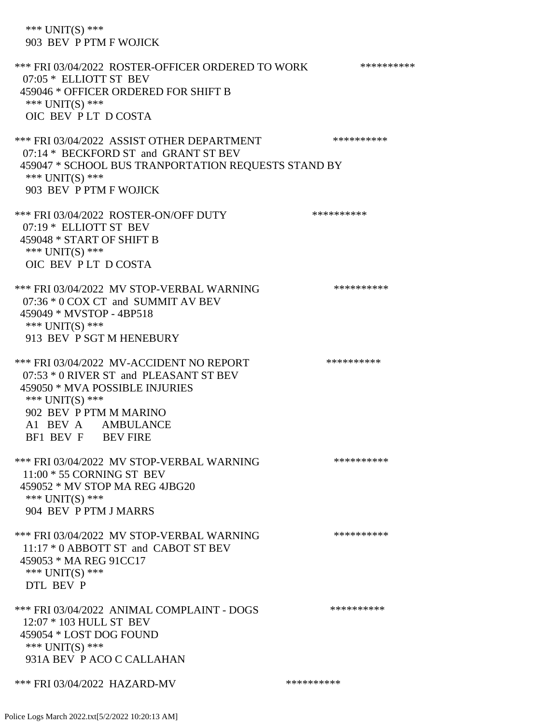\*\*\* UNIT(S) \*\*\* 903 BEV P PTM F WOJICK \*\*\* FRI 03/04/2022 ROSTER-OFFICER ORDERED TO WORK \*\*\*\*\*\*\*\*\*\*\* 07:05 \* ELLIOTT ST BEV 459046 \* OFFICER ORDERED FOR SHIFT B \*\*\* UNIT(S) \*\*\* OIC BEV P LT D COSTA \*\*\* FRI 03/04/2022 ASSIST OTHER DEPARTMENT \*\*\*\*\*\*\*\*\*\*\*\*\* 07:14 \* BECKFORD ST and GRANT ST BEV 459047 \* SCHOOL BUS TRANPORTATION REQUESTS STAND BY \*\*\* UNIT(S) \*\*\* 903 BEV P PTM F WOJICK \*\*\* FRI 03/04/2022 ROSTER-ON/OFF DUTY \*\*\*\*\*\*\*\*\*\*\*\*\* 07:19 \* ELLIOTT ST BEV 459048 \* START OF SHIFT B \*\*\* UNIT(S) \*\*\* OIC BEV P LT D COSTA \*\*\* FRI 03/04/2022 MV STOP-VERBAL WARNING \*\*\*\*\*\*\*\*\*\*\*\*\* 07:36 \* 0 COX CT and SUMMIT AV BEV 459049 \* MVSTOP - 4BP518 \*\*\* UNIT(S) \*\*\* 913 BEV P SGT M HENEBURY \*\*\* FRI 03/04/2022 MV-ACCIDENT NO REPORT \*\*\*\*\*\*\*\*\*\*\*\* 07:53 \* 0 RIVER ST and PLEASANT ST BEV 459050 \* MVA POSSIBLE INJURIES \*\*\* UNIT(S) \*\*\* 902 BEV P PTM M MARINO A1 BEV A AMBULANCE BF1 BEV F BEV FIRE \*\*\* FRI 03/04/2022 MV STOP-VERBAL WARNING \*\*\*\*\*\*\*\*\*\*\*\* 11:00 \* 55 CORNING ST BEV 459052 \* MV STOP MA REG 4JBG20 \*\*\* UNIT(S) \*\*\* 904 BEV P PTM J MARRS \*\*\* FRI 03/04/2022 MV STOP-VERBAL WARNING \*\*\*\*\*\*\*\*\*\*\*\*\*\* 11:17 \* 0 ABBOTT ST and CABOT ST BEV 459053 \* MA REG 91CC17 \*\*\* UNIT(S) \*\*\* DTL BEV P \*\*\* FRI 03/04/2022 ANIMAL COMPLAINT - DOGS \*\*\*\*\*\*\*\*\*\*\* 12:07 \* 103 HULL ST BEV 459054 \* LOST DOG FOUND \*\*\* UNIT(S) \*\*\* 931A BEV P ACO C CALLAHAN

\*\*\* FRI 03/04/2022 HAZARD-MV \*\*\*\*\*\*\*\*\*\*\*\*\*\*

Police Logs March 2022.txt[5/2/2022 10:20:13 AM]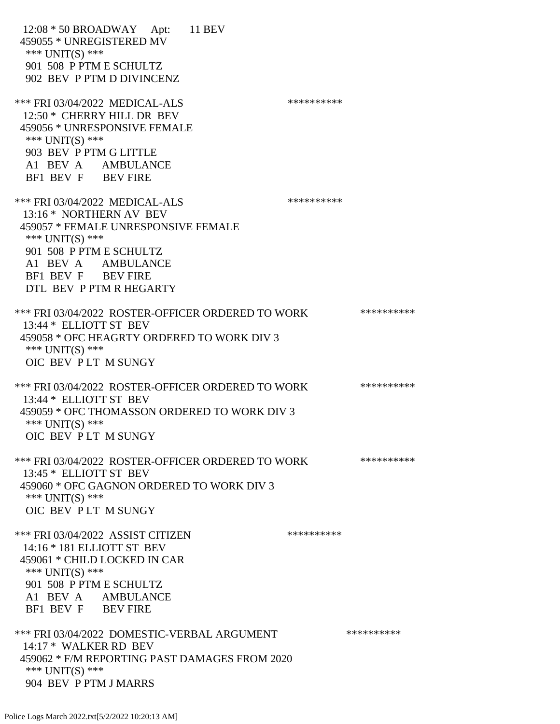12:08 \* 50 BROADWAY Apt: 11 BEV 459055 \* UNREGISTERED MV \*\*\* UNIT(S) \*\*\* 901 508 P PTM E SCHULTZ 902 BEV P PTM D DIVINCENZ \*\*\* FRI 03/04/2022 MEDICAL-ALS \*\*\*\*\*\*\*\*\*\*\*\*\*\* 12:50 \* CHERRY HILL DR BEV 459056 \* UNRESPONSIVE FEMALE \*\*\* UNIT(S) \*\*\* 903 BEV P PTM G LITTLE A1 BEV A AMBULANCE BF1 BEV F BEV FIRE \*\*\* FRI 03/04/2022 MEDICAL-ALS \*\*\*\*\*\*\*\*\*\*\*\*\* 13:16 \* NORTHERN AV BEV 459057 \* FEMALE UNRESPONSIVE FEMALE \*\*\* UNIT(S) \*\*\* 901 508 P PTM E SCHULTZ A1 BEV A AMBULANCE BF1 BEV F BEV FIRE DTL BEV P PTM R HEGARTY \*\*\* FRI 03/04/2022 ROSTER-OFFICER ORDERED TO WORK \*\*\*\*\*\*\*\*\*\*\* 13:44 \* ELLIOTT ST BEV 459058 \* OFC HEAGRTY ORDERED TO WORK DIV 3 \*\*\* UNIT(S) \*\*\* OIC BEV P LT M SUNGY \*\*\* FRI 03/04/2022 ROSTER-OFFICER ORDERED TO WORK \*\*\*\*\*\*\*\*\*\*\* 13:44 \* ELLIOTT ST BEV 459059 \* OFC THOMASSON ORDERED TO WORK DIV 3 \*\*\* UNIT(S) \*\*\* OIC BEV P LT M SUNGY \*\*\* FRI 03/04/2022 ROSTER-OFFICER ORDERED TO WORK \*\*\*\*\*\*\*\*\*\*\*\* 13:45 \* ELLIOTT ST BEV 459060 \* OFC GAGNON ORDERED TO WORK DIV 3 \*\*\* UNIT(S) \*\*\* OIC BEV P LT M SUNGY \*\*\* FRI 03/04/2022 ASSIST CITIZEN \*\*\*\*\*\*\*\*\*\*\*\* 14:16 \* 181 ELLIOTT ST BEV 459061 \* CHILD LOCKED IN CAR \*\*\* UNIT(S) \*\*\* 901 508 P PTM E SCHULTZ A1 BEV A AMBULANCE BF1 BEV F BEV FIRE \*\*\* FRI 03/04/2022 DOMESTIC-VERBAL ARGUMENT \*\*\*\*\*\*\*\*\*\*\*\* 14:17 \* WALKER RD BEV 459062 \* F/M REPORTING PAST DAMAGES FROM 2020 \*\*\* UNIT(S) \*\*\* 904 BEV P PTM J MARRS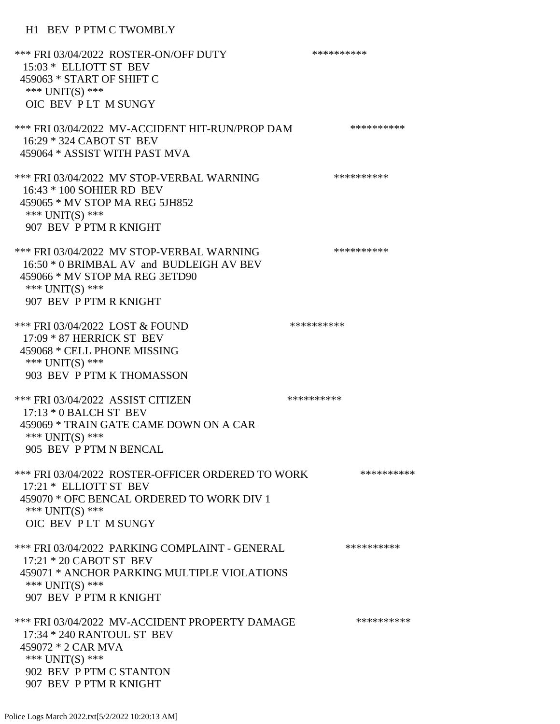## H1 BEV P PTM C TWOMBLY

| *** FRI 03/04/2022 ROSTER-ON/OFF DUTY<br>15:03 * ELLIOTT ST BEV<br>459063 * START OF SHIFT C<br>*** UNIT(S) ***<br>OIC BEV PLT M SUNGY                                     | ********** |
|----------------------------------------------------------------------------------------------------------------------------------------------------------------------------|------------|
| *** FRI 03/04/2022 MV-ACCIDENT HIT-RUN/PROP DAM<br>16:29 * 324 CABOT ST BEV<br>459064 * ASSIST WITH PAST MVA                                                               | ********** |
| *** FRI 03/04/2022 MV STOP-VERBAL WARNING<br>16:43 * 100 SOHIER RD BEV<br>459065 * MV STOP MA REG 5JH852<br>*** UNIT(S) ***<br>907 BEV P PTM R KNIGHT                      | ********** |
| *** FRI 03/04/2022 MV STOP-VERBAL WARNING<br>16:50 * 0 BRIMBAL AV and BUDLEIGH AV BEV<br>459066 * MV STOP MA REG 3ETD90<br>*** UNIT(S) ***<br>907 BEV P PTM R KNIGHT       | ********** |
| *** FRI 03/04/2022 LOST & FOUND<br>17:09 * 87 HERRICK ST BEV<br>459068 * CELL PHONE MISSING<br>*** UNIT(S) ***<br>903 BEV P PTM K THOMASSON                                | ********** |
| *** FRI 03/04/2022 ASSIST CITIZEN<br>$17:13 * 0$ BALCH ST BEV<br>459069 * TRAIN GATE CAME DOWN ON A CAR<br>*** UNIT(S) ***<br>905 BEV P PTM N BENCAL                       | ********** |
| *** FRI 03/04/2022 ROSTER-OFFICER ORDERED TO WORK<br>17:21 * ELLIOTT ST BEV<br>459070 * OFC BENCAL ORDERED TO WORK DIV 1<br>*** UNIT(S) ***<br>OIC BEV PLT M SUNGY         | ********** |
| *** FRI 03/04/2022 PARKING COMPLAINT - GENERAL<br>17:21 * 20 CABOT ST BEV<br>459071 * ANCHOR PARKING MULTIPLE VIOLATIONS<br>*** UNIT(S) ***<br>907 BEV P PTM R KNIGHT      | ********** |
| *** FRI 03/04/2022 MV-ACCIDENT PROPERTY DAMAGE<br>17:34 * 240 RANTOUL ST BEV<br>459072 * 2 CAR MVA<br>*** UNIT(S) ***<br>902 BEV P PTM C STANTON<br>907 BEV P PTM R KNIGHT | ********** |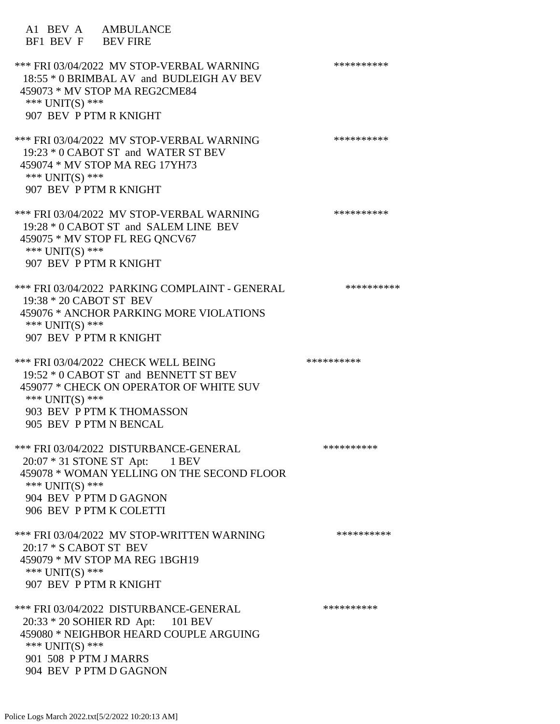A1 BEV A AMBULANCE BF1 BEV F BEV FIRE \*\*\* FRI 03/04/2022 MV STOP-VERBAL WARNING \*\*\*\*\*\*\*\*\*\*\*\*\* 18:55 \* 0 BRIMBAL AV and BUDLEIGH AV BEV 459073 \* MV STOP MA REG2CME84 \*\*\* UNIT(S) \*\*\* 907 BEV P PTM R KNIGHT \*\*\* FRI 03/04/2022 MV STOP-VERBAL WARNING \*\*\*\*\*\*\*\*\*\*\*\*\* 19:23 \* 0 CABOT ST and WATER ST BEV 459074 \* MV STOP MA REG 17YH73 \*\*\* UNIT(S) \*\*\* 907 BEV P PTM R KNIGHT \*\*\* FRI 03/04/2022 MV STOP-VERBAL WARNING \*\*\*\*\*\*\*\*\*\*\*\* 19:28 \* 0 CABOT ST and SALEM LINE BEV 459075 \* MV STOP FL REG QNCV67 \*\*\* UNIT(S) \*\*\* 907 BEV P PTM R KNIGHT \*\*\* FRI 03/04/2022 PARKING COMPLAINT - GENERAL \*\*\*\*\*\*\*\*\*\* 19:38 \* 20 CABOT ST BEV 459076 \* ANCHOR PARKING MORE VIOLATIONS \*\*\* UNIT(S) \*\*\* 907 BEV P PTM R KNIGHT \*\*\* FRI 03/04/2022 CHECK WELL BEING \*\*\*\*\*\*\*\*\*\* 19:52 \* 0 CABOT ST and BENNETT ST BEV 459077 \* CHECK ON OPERATOR OF WHITE SUV \*\*\* UNIT(S) \*\*\* 903 BEV P PTM K THOMASSON 905 BEV P PTM N BENCAL \*\*\* FRI 03/04/2022 DISTURBANCE-GENERAL \*\*\*\*\*\*\*\*\*\* 20:07 \* 31 STONE ST Apt: 1 BEV 459078 \* WOMAN YELLING ON THE SECOND FLOOR \*\*\* UNIT(S) \*\*\* 904 BEV P PTM D GAGNON 906 BEV P PTM K COLETTI \*\*\* FRI 03/04/2022 MV STOP-WRITTEN WARNING \*\*\*\*\*\*\*\*\*\*\*\* 20:17 \* S CABOT ST BEV 459079 \* MV STOP MA REG 1BGH19 \*\*\* UNIT(S) \*\*\* 907 BEV P PTM R KNIGHT \*\*\* FRI 03/04/2022 DISTURBANCE-GENERAL \*\*\*\*\*\*\*\*\*\* 20:33 \* 20 SOHIER RD Apt: 101 BEV 459080 \* NEIGHBOR HEARD COUPLE ARGUING \*\*\* UNIT(S) \*\*\* 901 508 P PTM J MARRS 904 BEV P PTM D GAGNON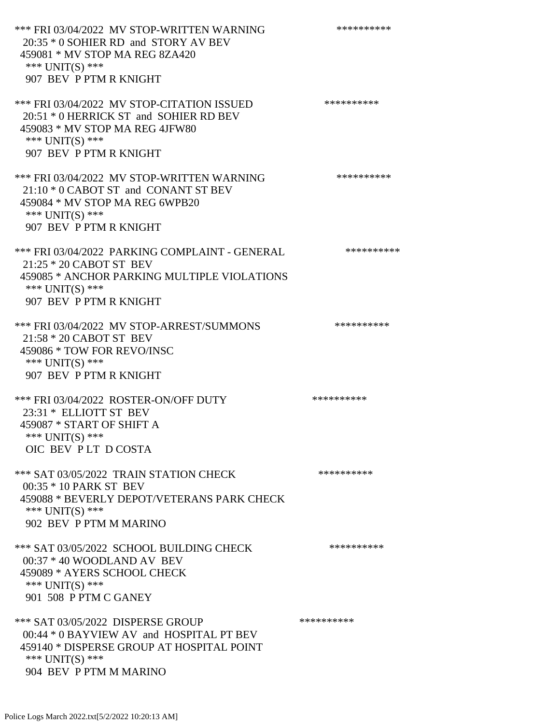\*\*\* FRI 03/04/2022 MV STOP-WRITTEN WARNING \*\*\*\*\*\*\*\*\*\*\*\* 20:35 \* 0 SOHIER RD and STORY AV BEV 459081 \* MV STOP MA REG 8ZA420 \*\*\* UNIT(S) \*\*\* 907 BEV P PTM R KNIGHT \*\*\* FRI 03/04/2022 MV STOP-CITATION ISSUED \*\*\*\*\*\*\*\*\*\* 20:51 \* 0 HERRICK ST and SOHIER RD BEV 459083 \* MV STOP MA REG 4JFW80 \*\*\* UNIT(S) \*\*\* 907 BEV P PTM R KNIGHT \*\*\* FRI 03/04/2022 MV STOP-WRITTEN WARNING \*\*\*\*\*\*\*\*\*\*\*\* 21:10 \* 0 CABOT ST and CONANT ST BEV 459084 \* MV STOP MA REG 6WPB20 \*\*\* UNIT(S) \*\*\* 907 BEV P PTM R KNIGHT \*\*\* FRI 03/04/2022 PARKING COMPLAINT - GENERAL \*\*\*\*\*\*\*\*\*\*\*\* 21:25 \* 20 CABOT ST BEV 459085 \* ANCHOR PARKING MULTIPLE VIOLATIONS \*\*\* UNIT(S) \*\*\* 907 BEV P PTM R KNIGHT \*\*\* FRI 03/04/2022 MV STOP-ARREST/SUMMONS \*\*\*\*\*\*\*\*\*\*\*\*\*\* 21:58 \* 20 CABOT ST BEV 459086 \* TOW FOR REVO/INSC \*\*\* UNIT(S) \*\*\* 907 BEV P PTM R KNIGHT \*\*\* FRI 03/04/2022 ROSTER-ON/OFF DUTY \*\*\*\*\*\*\*\*\*\* 23:31 \* ELLIOTT ST BEV 459087 \* START OF SHIFT A \*\*\* UNIT(S) \*\*\* OIC BEV P LT D COSTA \*\*\* SAT 03/05/2022 TRAIN STATION CHECK \*\*\*\*\*\*\*\*\*\*\*\* 00:35 \* 10 PARK ST BEV 459088 \* BEVERLY DEPOT/VETERANS PARK CHECK \*\*\* UNIT(S) \*\*\* 902 BEV P PTM M MARINO \*\*\* SAT 03/05/2022 SCHOOL BUILDING CHECK \*\*\*\*\*\*\*\*\*\*\*\* 00:37 \* 40 WOODLAND AV BEV 459089 \* AYERS SCHOOL CHECK \*\*\* UNIT(S) \*\*\* 901 508 P PTM C GANEY \*\*\* SAT 03/05/2022 DISPERSE GROUP \*\*\*\*\*\*\*\*\*\* 00:44 \* 0 BAYVIEW AV and HOSPITAL PT BEV 459140 \* DISPERSE GROUP AT HOSPITAL POINT \*\*\* UNIT(S) \*\*\* 904 BEV P PTM M MARINO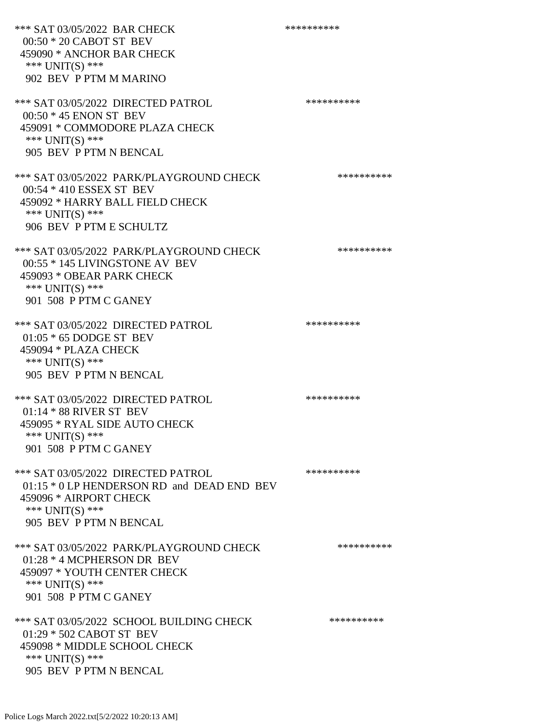\*\*\* SAT 03/05/2022 BAR CHECK \*\*\*\*\*\*\*\*\*\*\*\*\* 00:50 \* 20 CABOT ST BEV 459090 \* ANCHOR BAR CHECK \*\*\* UNIT(S) \*\*\* 902 BEV P PTM M MARINO \*\*\* SAT 03/05/2022 DIRECTED PATROL \*\*\*\*\*\*\*\*\*\* 00:50 \* 45 ENON ST BEV 459091 \* COMMODORE PLAZA CHECK \*\*\* UNIT(S) \*\*\* 905 BEV P PTM N BENCAL \*\*\* SAT 03/05/2022 PARK/PLAYGROUND CHECK \*\*\*\*\*\*\*\*\*\*\*\* 00:54 \* 410 ESSEX ST BEV 459092 \* HARRY BALL FIELD CHECK \*\*\* UNIT(S) \*\*\* 906 BEV P PTM E SCHULTZ \*\*\* SAT 03/05/2022 PARK/PLAYGROUND CHECK \*\*\*\*\*\*\*\*\*\*\*\* 00:55 \* 145 LIVINGSTONE AV BEV 459093 \* OBEAR PARK CHECK \*\*\* UNIT(S) \*\*\* 901 508 P PTM C GANEY \*\*\* SAT 03/05/2022 DIRECTED PATROL \*\*\*\*\*\*\*\*\*\* 01:05 \* 65 DODGE ST BEV 459094 \* PLAZA CHECK \*\*\* UNIT(S) \*\*\* 905 BEV P PTM N BENCAL \*\*\* SAT 03/05/2022 DIRECTED PATROL \*\*\*\*\*\*\*\*\*\* 01:14 \* 88 RIVER ST BEV 459095 \* RYAL SIDE AUTO CHECK \*\*\* UNIT(S) \*\*\* 901 508 P PTM C GANEY \*\*\* SAT 03/05/2022 DIRECTED PATROL \*\*\*\*\*\*\*\*\*\* 01:15  $*$  0 LP HENDERSON RD and DEAD END BEV 459096 \* AIRPORT CHECK \*\*\* UNIT(S) \*\*\* 905 BEV P PTM N BENCAL \*\*\* SAT 03/05/2022 PARK/PLAYGROUND CHECK \*\*\*\*\*\*\*\*\*\*\*\* 01:28 \* 4 MCPHERSON DR BEV 459097 \* YOUTH CENTER CHECK \*\*\* UNIT(S) \*\*\* 901 508 P PTM C GANEY \*\*\* SAT 03/05/2022 SCHOOL BUILDING CHECK \*\*\*\*\*\*\*\*\*\* 01:29 \* 502 CABOT ST BEV 459098 \* MIDDLE SCHOOL CHECK \*\*\* UNIT(S) \*\*\* 905 BEV P PTM N BENCAL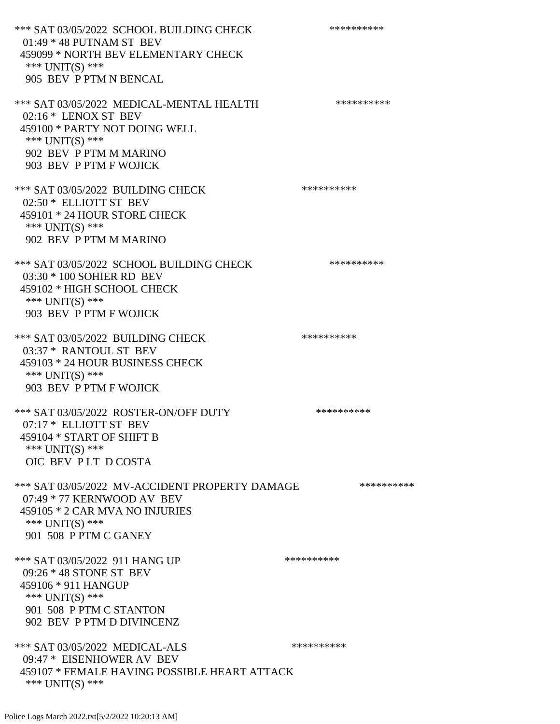\*\*\* SAT 03/05/2022 SCHOOL BUILDING CHECK \*\*\*\*\*\*\*\*\*\*\* 01:49 \* 48 PUTNAM ST BEV 459099 \* NORTH BEV ELEMENTARY CHECK \*\*\* UNIT(S) \*\*\* 905 BEV P PTM N BENCAL \*\*\* SAT 03/05/2022 MEDICAL-MENTAL HEALTH \*\*\*\*\*\*\*\*\*\* 02:16 \* LENOX ST BEV 459100 \* PARTY NOT DOING WELL \*\*\* UNIT(S) \*\*\* 902 BEV P PTM M MARINO 903 BEV P PTM F WOJICK \*\*\* SAT 03/05/2022 BUILDING CHECK \*\*\*\*\*\*\*\*\*\* 02:50 \* ELLIOTT ST BEV 459101 \* 24 HOUR STORE CHECK \*\*\* UNIT(S) \*\*\* 902 BEV P PTM M MARINO \*\*\* SAT 03/05/2022 SCHOOL BUILDING CHECK \*\*\*\*\*\*\*\*\*\*\* 03:30 \* 100 SOHIER RD BEV 459102 \* HIGH SCHOOL CHECK \*\*\* UNIT(S) \*\*\* 903 BEV P PTM F WOJICK \*\*\* SAT 03/05/2022 BUILDING CHECK \*\*\*\*\*\*\*\*\*\*\*\*\*\* 03:37 \* RANTOUL ST BEV 459103 \* 24 HOUR BUSINESS CHECK \*\*\* UNIT(S) \*\*\* 903 BEV P PTM F WOJICK \*\*\* SAT 03/05/2022 ROSTER-ON/OFF DUTY \*\*\*\*\*\*\*\*\*\* 07:17 \* ELLIOTT ST BEV 459104 \* START OF SHIFT B \*\*\* UNIT(S) \*\*\* OIC BEV P LT D COSTA \*\*\* SAT 03/05/2022 MV-ACCIDENT PROPERTY DAMAGE \*\*\*\*\*\*\*\*\*\* 07:49 \* 77 KERNWOOD AV BEV 459105 \* 2 CAR MVA NO INJURIES \*\*\* UNIT(S) \*\*\* 901 508 P PTM C GANEY \*\*\* SAT 03/05/2022 911 HANG UP \*\*\*\*\*\*\*\*\*\*\*\*\* 09:26 \* 48 STONE ST BEV 459106 \* 911 HANGUP \*\*\* UNIT(S) \*\*\* 901 508 P PTM C STANTON 902 BEV P PTM D DIVINCENZ \*\*\* SAT 03/05/2022 MEDICAL-ALS \*\*\*\*\*\*\*\*\*\* 09:47 \* EISENHOWER AV BEV 459107 \* FEMALE HAVING POSSIBLE HEART ATTACK \*\*\* UNIT(S) \*\*\*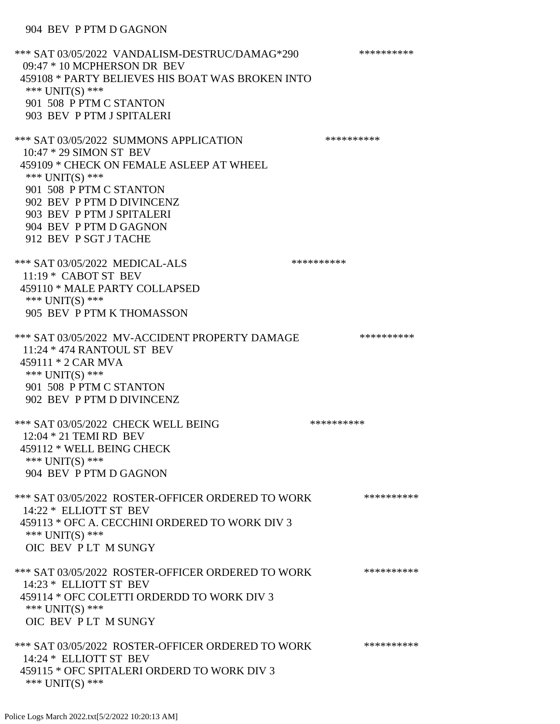\*\*\* SAT 03/05/2022 VANDALISM-DESTRUC/DAMAG\*290 \*\*\*\*\*\*\*\*\*\* 09:47 \* 10 MCPHERSON DR BEV 459108 \* PARTY BELIEVES HIS BOAT WAS BROKEN INTO \*\*\* UNIT(S) \*\*\* 901 508 P PTM C STANTON 903 BEV P PTM J SPITALERI \*\*\* SAT 03/05/2022 SUMMONS APPLICATION \*\*\*\*\*\*\*\*\*\* 10:47 \* 29 SIMON ST BEV 459109 \* CHECK ON FEMALE ASLEEP AT WHEEL \*\*\* UNIT(S) \*\*\* 901 508 P PTM C STANTON 902 BEV P PTM D DIVINCENZ 903 BEV P PTM J SPITALERI 904 BEV P PTM D GAGNON 912 BEV P SGT J TACHE \*\*\* SAT 03/05/2022 MEDICAL-ALS \*\*\*\*\*\*\*\*\*\* 11:19 \* CABOT ST BEV 459110 \* MALE PARTY COLLAPSED \*\*\* UNIT(S) \*\*\* 905 BEV P PTM K THOMASSON \*\*\* SAT 03/05/2022 MV-ACCIDENT PROPERTY DAMAGE \*\*\*\*\*\*\*\*\*\*\*\* 11:24 \* 474 RANTOUL ST BEV 459111 \* 2 CAR MVA \*\*\* UNIT(S) \*\*\* 901 508 P PTM C STANTON 902 BEV P PTM D DIVINCENZ \*\*\* SAT 03/05/2022 CHECK WELL BEING \*\*\*\*\*\*\*\*\*\* 12:04 \* 21 TEMI RD BEV 459112 \* WELL BEING CHECK \*\*\* UNIT(S) \*\*\* 904 BEV P PTM D GAGNON \*\*\* SAT 03/05/2022 ROSTER-OFFICER ORDERED TO WORK \*\*\*\*\*\*\*\*\*\*\*\* 14:22 \* ELLIOTT ST BEV 459113 \* OFC A. CECCHINI ORDERED TO WORK DIV 3 \*\*\* UNIT(S) \*\*\* OIC BEV P LT M SUNGY \*\*\* SAT 03/05/2022 ROSTER-OFFICER ORDERED TO WORK \*\*\*\*\*\*\*\*\*\*\*\* 14:23 \* ELLIOTT ST BEV 459114 \* OFC COLETTI ORDERDD TO WORK DIV 3 \*\*\* UNIT(S) \*\*\* OIC BEV P LT M SUNGY \*\*\* SAT 03/05/2022 ROSTER-OFFICER ORDERED TO WORK \*\*\*\*\*\*\*\*\*\*\*\* 14:24 \* ELLIOTT ST BEV 459115 \* OFC SPITALERI ORDERD TO WORK DIV 3 \*\*\* UNIT(S) \*\*\*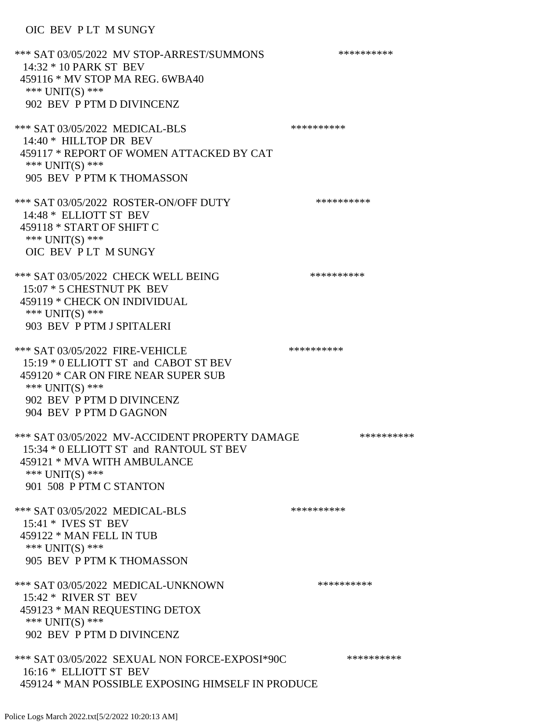## OIC BEV P LT M SUNGY

\*\*\* SAT 03/05/2022 MV STOP-ARREST/SUMMONS \*\*\*\*\*\*\*\*\*\*\*\*\* 14:32 \* 10 PARK ST BEV 459116 \* MV STOP MA REG. 6WBA40 \*\*\* UNIT(S) \*\*\* 902 BEV P PTM D DIVINCENZ \*\*\* SAT 03/05/2022 MEDICAL-BLS \*\*\*\*\*\*\*\*\*\*\*\*\*\*\* 14:40 \* HILLTOP DR BEV 459117 \* REPORT OF WOMEN ATTACKED BY CAT \*\*\* UNIT(S) \*\*\* 905 BEV P PTM K THOMASSON \*\*\* SAT 03/05/2022 ROSTER-ON/OFF DUTY \*\*\*\*\*\*\*\*\*\* 14:48 \* ELLIOTT ST BEV 459118 \* START OF SHIFT C \*\*\* UNIT(S) \*\*\* OIC BEV P LT M SUNGY \*\*\* SAT 03/05/2022 CHECK WELL BEING \*\*\*\*\*\*\*\*\*\* 15:07 \* 5 CHESTNUT PK BEV 459119 \* CHECK ON INDIVIDUAL \*\*\* UNIT(S) \*\*\* 903 BEV P PTM J SPITALERI \*\*\* SAT 03/05/2022 FIRE-VEHICLE \*\*\*\*\*\*\*\*\*\*\*\*\*\* 15:19 \* 0 ELLIOTT ST and CABOT ST BEV 459120 \* CAR ON FIRE NEAR SUPER SUB \*\*\* UNIT(S) \*\*\* 902 BEV P PTM D DIVINCENZ 904 BEV P PTM D GAGNON \*\*\* SAT 03/05/2022 MV-ACCIDENT PROPERTY DAMAGE \*\*\*\*\*\*\*\*\*\*\*\* 15:34 \* 0 ELLIOTT ST and RANTOUL ST BEV 459121 \* MVA WITH AMBULANCE \*\*\* UNIT(S) \*\*\* 901 508 P PTM C STANTON \*\*\* SAT 03/05/2022 MEDICAL-BLS \*\*\*\*\*\*\*\*\*\* 15:41 \* IVES ST BEV 459122 \* MAN FELL IN TUB \*\*\* UNIT(S) \*\*\* 905 BEV P PTM K THOMASSON \*\*\* SAT 03/05/2022 MEDICAL-UNKNOWN \*\*\*\*\*\*\*\*\*\* 15:42 \* RIVER ST BEV 459123 \* MAN REQUESTING DETOX \*\*\* UNIT(S) \*\*\* 902 BEV P PTM D DIVINCENZ \*\*\* SAT 03/05/2022 SEXUAL NON FORCE-EXPOSI\*90C \*\*\*\*\*\*\*\*\*\* 16:16 \* ELLIOTT ST BEV 459124 \* MAN POSSIBLE EXPOSING HIMSELF IN PRODUCE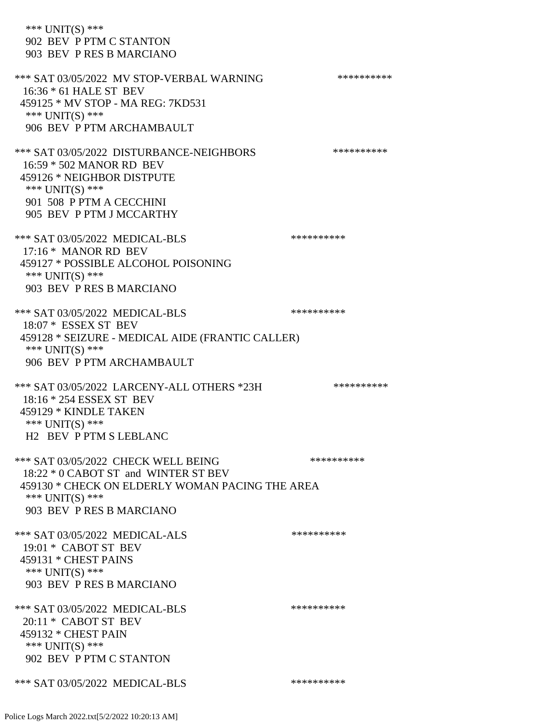\*\*\* UNIT(S) \*\*\* 902 BEV P PTM C STANTON 903 BEV P RES B MARCIANO \*\*\* SAT 03/05/2022 MV STOP-VERBAL WARNING \*\*\*\*\*\*\*\*\*\*\*\*\* 16:36 \* 61 HALE ST BEV 459125 \* MV STOP - MA REG: 7KD531 \*\*\* UNIT(S) \*\*\* 906 BEV P PTM ARCHAMBAULT \*\*\* SAT 03/05/2022 DISTURBANCE-NEIGHBORS \*\*\*\*\*\*\*\*\*\*\*\*\* 16:59 \* 502 MANOR RD BEV 459126 \* NEIGHBOR DISTPUTE \*\*\* UNIT(S) \*\*\* 901 508 P PTM A CECCHINI 905 BEV P PTM J MCCARTHY \*\*\* SAT 03/05/2022 MEDICAL-BLS \*\*\*\*\*\*\*\*\*\*\*\*\*\*\* 17:16 \* MANOR RD BEV 459127 \* POSSIBLE ALCOHOL POISONING \*\*\* UNIT(S) \*\*\* 903 BEV P RES B MARCIANO \*\*\* SAT 03/05/2022 MEDICAL-BLS \*\*\*\*\*\*\*\*\*\*\*\*\*\* 18:07 \* ESSEX ST BEV 459128 \* SEIZURE - MEDICAL AIDE (FRANTIC CALLER) \*\*\* UNIT(S) \*\*\* 906 BEV P PTM ARCHAMBAULT \*\*\* SAT 03/05/2022 LARCENY-ALL OTHERS \*23H \*\*\*\*\*\*\*\*\*\*\* 18:16 \* 254 ESSEX ST BEV 459129 \* KINDLE TAKEN \*\*\* UNIT(S) \*\*\* H2 BEV P PTM S LEBLANC \*\*\* SAT 03/05/2022 CHECK WELL BEING \*\*\*\*\*\*\*\*\*\* 18:22 \* 0 CABOT ST and WINTER ST BEV 459130 \* CHECK ON ELDERLY WOMAN PACING THE AREA \*\*\* UNIT(S) \*\*\* 903 BEV P RES B MARCIANO \*\*\* SAT 03/05/2022 MEDICAL-ALS \*\*\*\*\*\*\*\*\*\* 19:01 \* CABOT ST BEV 459131 \* CHEST PAINS  $***$  UNIT(S)  $***$  903 BEV P RES B MARCIANO \*\*\* SAT 03/05/2022 MEDICAL-BLS \*\*\*\*\*\*\*\*\*\* 20:11 \* CABOT ST BEV 459132 \* CHEST PAIN \*\*\* UNIT(S) \*\*\* 902 BEV P PTM C STANTON \*\*\* SAT 03/05/2022 MEDICAL-BLS \*\*\*\*\*\*\*\*\*\*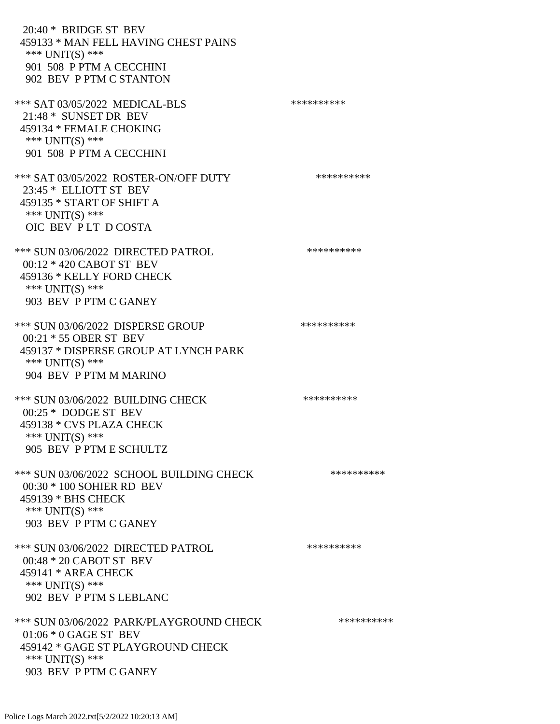20:40 \* BRIDGE ST BEV 459133 \* MAN FELL HAVING CHEST PAINS \*\*\* UNIT(S) \*\*\* 901 508 P PTM A CECCHINI 902 BEV P PTM C STANTON \*\*\* SAT 03/05/2022 MEDICAL-BLS \*\*\*\*\*\*\*\*\*\*\*\*\*\*\* 21:48 \* SUNSET DR BEV 459134 \* FEMALE CHOKING \*\*\* UNIT(S) \*\*\* 901 508 P PTM A CECCHINI \*\*\* SAT 03/05/2022 ROSTER-ON/OFF DUTY \*\*\*\*\*\*\*\*\*\* 23:45 \* ELLIOTT ST BEV 459135 \* START OF SHIFT A \*\*\* UNIT(S) \*\*\* OIC BEV P LT D COSTA \*\*\* SUN 03/06/2022 DIRECTED PATROL \*\*\*\*\*\*\*\*\*\* 00:12 \* 420 CABOT ST BEV 459136 \* KELLY FORD CHECK \*\*\* UNIT(S) \*\*\* 903 BEV P PTM C GANEY \*\*\* SUN 03/06/2022 DISPERSE GROUP \*\*\*\*\*\*\*\*\*\* 00:21 \* 55 OBER ST BEV 459137 \* DISPERSE GROUP AT LYNCH PARK \*\*\* UNIT(S) \*\*\* 904 BEV P PTM M MARINO \*\*\* SUN 03/06/2022 BUILDING CHECK \*\*\*\*\*\*\*\*\*\*\*\* 00:25 \* DODGE ST BEV 459138 \* CVS PLAZA CHECK \*\*\* UNIT(S) \*\*\* 905 BEV P PTM E SCHULTZ \*\*\* SUN 03/06/2022 SCHOOL BUILDING CHECK \*\*\*\*\*\*\*\*\*\*\* 00:30 \* 100 SOHIER RD BEV 459139 \* BHS CHECK \*\*\* UNIT(S) \*\*\* 903 BEV P PTM C GANEY \*\*\* SUN 03/06/2022 DIRECTED PATROL \*\*\*\*\*\*\*\*\*\* 00:48 \* 20 CABOT ST BEV 459141 \* AREA CHECK \*\*\* UNIT(S) \*\*\* 902 BEV P PTM S LEBLANC \*\*\* SUN 03/06/2022 PARK/PLAYGROUND CHECK \*\*\*\*\*\*\*\*\*\*\*\* 01:06 \* 0 GAGE ST BEV 459142 \* GAGE ST PLAYGROUND CHECK \*\*\* UNIT(S) \*\*\* 903 BEV P PTM C GANEY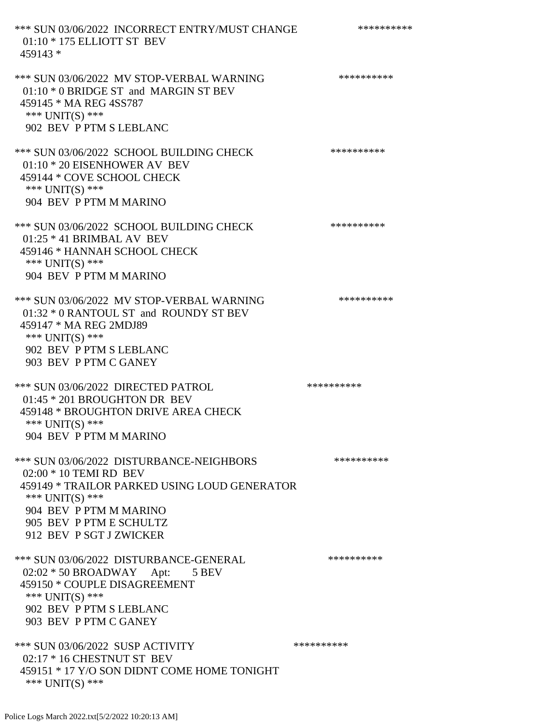\*\*\* SUN 03/06/2022 INCORRECT ENTRY/MUST CHANGE \*\*\*\*\*\*\*\*\*\* 01:10 \* 175 ELLIOTT ST BEV 459143 \* \*\*\* SUN 03/06/2022 MV STOP-VERBAL WARNING \*\*\*\*\*\*\*\*\*\*\*\*\* 01:10 \* 0 BRIDGE ST and MARGIN ST BEV 459145 \* MA REG 4SS787 \*\*\* UNIT(S) \*\*\* 902 BEV P PTM S LEBLANC \*\*\* SUN 03/06/2022 SCHOOL BUILDING CHECK \*\*\*\*\*\*\*\*\*\*\*\* 01:10 \* 20 EISENHOWER AV BEV 459144 \* COVE SCHOOL CHECK \*\*\* UNIT(S) \*\*\* 904 BEV P PTM M MARINO \*\*\* SUN 03/06/2022 SCHOOL BUILDING CHECK \*\*\*\*\*\*\*\*\*\*\* 01:25 \* 41 BRIMBAL AV BEV 459146 \* HANNAH SCHOOL CHECK \*\*\* UNIT(S) \*\*\* 904 BEV P PTM M MARINO \*\*\* SUN 03/06/2022 MV STOP-VERBAL WARNING \*\*\*\*\*\*\*\*\*\*\*\* 01:32 \* 0 RANTOUL ST and ROUNDY ST BEV 459147 \* MA REG 2MDJ89 \*\*\* UNIT(S) \*\*\* 902 BEV P PTM S LEBLANC 903 BEV P PTM C GANEY \*\*\* SUN 03/06/2022 DIRECTED PATROL \*\*\*\*\*\*\*\*\*\* 01:45 \* 201 BROUGHTON DR BEV 459148 \* BROUGHTON DRIVE AREA CHECK \*\*\* UNIT(S) \*\*\* 904 BEV P PTM M MARINO \*\*\* SUN 03/06/2022 DISTURBANCE-NEIGHBORS \*\*\*\*\*\*\*\*\*\*\*\*\* 02:00 \* 10 TEMI RD BEV 459149 \* TRAILOR PARKED USING LOUD GENERATOR \*\*\* UNIT(S) \*\*\* 904 BEV P PTM M MARINO 905 BEV P PTM E SCHULTZ 912 BEV P SGT J ZWICKER \*\*\* SUN 03/06/2022 DISTURBANCE-GENERAL \*\*\*\*\*\*\*\*\*\*\*\* 02:02 \* 50 BROADWAY Apt: 5 BEV 459150 \* COUPLE DISAGREEMENT \*\*\* UNIT(S) \*\*\* 902 BEV P PTM S LEBLANC 903 BEV P PTM C GANEY \*\*\* SUN 03/06/2022 SUSP ACTIVITY \*\*\*\*\*\*\*\*\*\*\*\* 02:17 \* 16 CHESTNUT ST BEV 459151 \* 17 Y/O SON DIDNT COME HOME TONIGHT \*\*\* UNIT(S) \*\*\*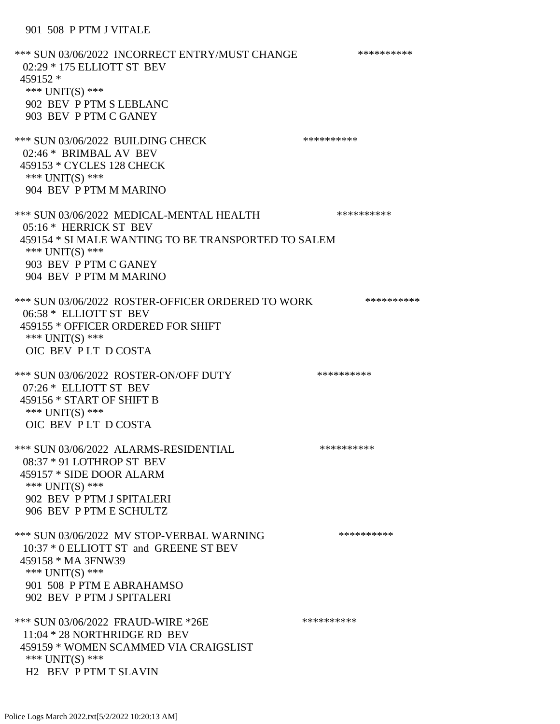## 901 508 P PTM J VITALE

\*\*\* SUN 03/06/2022 INCORRECT ENTRY/MUST CHANGE \*\*\*\*\*\*\*\*\*\* 02:29 \* 175 ELLIOTT ST BEV 459152 \* \*\*\* UNIT(S) \*\*\* 902 BEV P PTM S LEBLANC 903 BEV P PTM C GANEY \*\*\* SUN 03/06/2022 BUILDING CHECK \*\*\*\*\*\*\*\*\*\*\* 02:46 \* BRIMBAL AV BEV 459153 \* CYCLES 128 CHECK \*\*\* UNIT(S) \*\*\* 904 BEV P PTM M MARINO \*\*\* SUN 03/06/2022 MEDICAL-MENTAL HEALTH \*\*\*\*\*\*\*\*\*\*\* 05:16 \* HERRICK ST BEV 459154 \* SI MALE WANTING TO BE TRANSPORTED TO SALEM \*\*\* UNIT(S) \*\*\* 903 BEV P PTM C GANEY 904 BEV P PTM M MARINO \*\*\* SUN 03/06/2022 ROSTER-OFFICER ORDERED TO WORK \*\*\*\*\*\*\*\*\*\*\* 06:58 \* ELLIOTT ST BEV 459155 \* OFFICER ORDERED FOR SHIFT \*\*\* UNIT(S) \*\*\* OIC BEV P LT D COSTA \*\*\* SUN 03/06/2022 ROSTER-ON/OFF DUTY \*\*\*\*\*\*\*\*\*\* 07:26 \* ELLIOTT ST BEV 459156 \* START OF SHIFT B \*\*\* UNIT(S) \*\*\* OIC BEV P LT D COSTA \*\*\* SUN 03/06/2022 ALARMS-RESIDENTIAL \*\*\*\*\*\*\*\*\*\* 08:37 \* 91 LOTHROP ST BEV 459157 \* SIDE DOOR ALARM \*\*\* UNIT(S) \*\*\* 902 BEV P PTM J SPITALERI 906 BEV P PTM E SCHULTZ \*\*\* SUN 03/06/2022 MV STOP-VERBAL WARNING \*\*\*\*\*\*\*\*\*\*\*\*\*\* 10:37 \* 0 ELLIOTT ST and GREENE ST BEV 459158 \* MA 3FNW39 \*\*\* UNIT(S) \*\*\* 901 508 P PTM E ABRAHAMSO 902 BEV P PTM J SPITALERI \*\*\* SUN 03/06/2022 FRAUD-WIRE \*26E \*\*\*\*\*\*\*\*\*\* 11:04 \* 28 NORTHRIDGE RD BEV 459159 \* WOMEN SCAMMED VIA CRAIGSLIST \*\*\* UNIT(S) \*\*\* H2 BEV P PTM T SLAVIN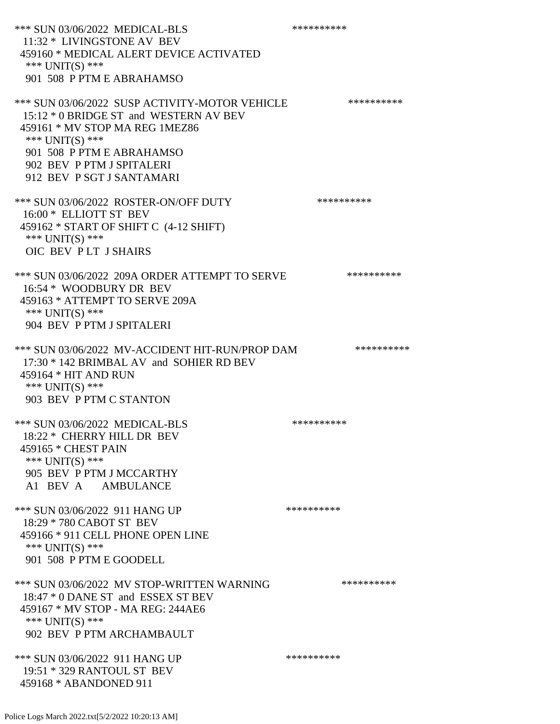\*\*\* SUN 03/06/2022 MEDICAL-BLS \*\*\*\*\*\*\*\*\*\* 11:32 \* LIVINGSTONE AV BEV 459160 \* MEDICAL ALERT DEVICE ACTIVATED \*\*\* UNIT(S) \*\*\* 901 508 P PTM E ABRAHAMSO \*\*\* SUN 03/06/2022 SUSP ACTIVITY-MOTOR VEHICLE \*\*\*\*\*\*\*\*\*\* 15:12 \* 0 BRIDGE ST and WESTERN AV BEV 459161 \* MV STOP MA REG 1MEZ86 \*\*\* UNIT(S) \*\*\* 901 508 P PTM E ABRAHAMSO 902 BEV P PTM J SPITALERI 912 BEV P SGT J SANTAMARI \*\*\* SUN 03/06/2022 ROSTER-ON/OFF DUTY \*\*\*\*\*\*\*\*\*\*\*\* 16:00 \* ELLIOTT ST BEV 459162 \* START OF SHIFT C (4-12 SHIFT) \*\*\* UNIT(S) \*\*\* OIC BEV P LT J SHAIRS \*\*\* SUN 03/06/2022 209A ORDER ATTEMPT TO SERVE \*\*\*\*\*\*\*\*\*\* 16:54 \* WOODBURY DR BEV 459163 \* ATTEMPT TO SERVE 209A \*\*\* UNIT(S) \*\*\* 904 BEV P PTM J SPITALERI \*\*\* SUN 03/06/2022 MV-ACCIDENT HIT-RUN/PROP DAM \*\*\*\*\*\*\*\*\*\* 17:30 \* 142 BRIMBAL AV and SOHIER RD BEV 459164 \* HIT AND RUN \*\*\* UNIT(S) \*\*\* 903 BEV P PTM C STANTON \*\*\* SUN 03/06/2022 MEDICAL-BLS \*\*\*\*\*\*\*\*\*\*\*\*\* 18:22 \* CHERRY HILL DR BEV 459165 \* CHEST PAIN \*\*\* UNIT(S) \*\*\* 905 BEV P PTM J MCCARTHY A1 BEV A AMBULANCE \*\*\* SUN 03/06/2022 911 HANG UP \*\*\*\*\*\*\*\*\*\*\*\*\* 18:29 \* 780 CABOT ST BEV 459166 \* 911 CELL PHONE OPEN LINE \*\*\* UNIT(S) \*\*\* 901 508 P PTM E GOODELL \*\*\* SUN 03/06/2022 MV STOP-WRITTEN WARNING \*\*\*\*\*\*\*\*\*\*\*\*\* 18:47 \* 0 DANE ST and ESSEX ST BEV 459167 \* MV STOP - MA REG: 244AE6 \*\*\* UNIT(S) \*\*\* 902 BEV P PTM ARCHAMBAULT \*\*\* SUN 03/06/2022 911 HANG UP \*\*\*\*\*\*\*\*\*\*\*\*\* 19:51 \* 329 RANTOUL ST BEV 459168 \* ABANDONED 911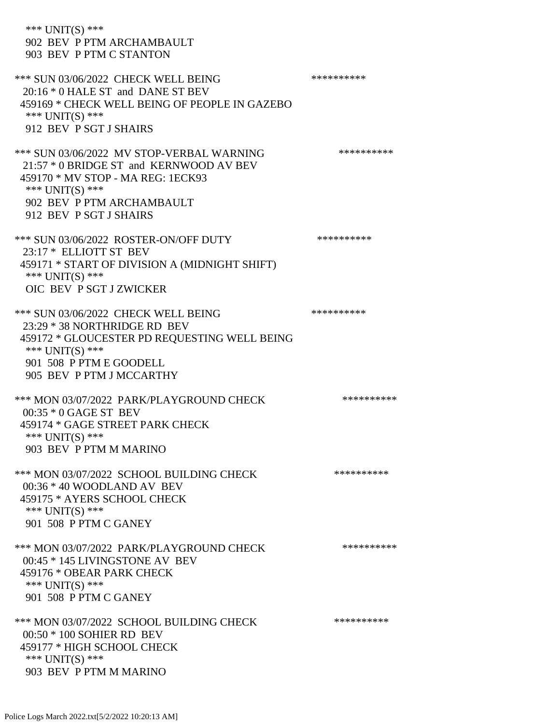\*\*\* UNIT(S) \*\*\* 902 BEV P PTM ARCHAMBAULT 903 BEV P PTM C STANTON \*\*\* SUN 03/06/2022 CHECK WELL BEING \*\*\*\*\*\*\*\*\*\* 20:16 \* 0 HALE ST and DANE ST BEV 459169 \* CHECK WELL BEING OF PEOPLE IN GAZEBO \*\*\* UNIT(S) \*\*\* 912 BEV P SGT J SHAIRS \*\*\* SUN 03/06/2022 MV STOP-VERBAL WARNING \*\*\*\*\*\*\*\*\*\*\*\*\* 21:57 \* 0 BRIDGE ST and KERNWOOD AV BEV 459170 \* MV STOP - MA REG: 1ECK93 \*\*\* UNIT(S) \*\*\* 902 BEV P PTM ARCHAMBAULT 912 BEV P SGT J SHAIRS \*\*\* SUN 03/06/2022 ROSTER-ON/OFF DUTY \*\*\*\*\*\*\*\*\*\* 23:17 \* ELLIOTT ST BEV 459171 \* START OF DIVISION A (MIDNIGHT SHIFT) \*\*\* UNIT(S) \*\*\* OIC BEV P SGT J ZWICKER \*\*\* SUN 03/06/2022 CHECK WELL BEING \*\*\*\*\*\*\*\*\*\* 23:29 \* 38 NORTHRIDGE RD BEV 459172 \* GLOUCESTER PD REQUESTING WELL BEING \*\*\* UNIT(S) \*\*\* 901 508 P PTM E GOODELL 905 BEV P PTM J MCCARTHY \*\*\* MON 03/07/2022 PARK/PLAYGROUND CHECK \*\*\*\*\*\*\*\*\*\*\*\* 00:35 \* 0 GAGE ST BEV 459174 \* GAGE STREET PARK CHECK \*\*\* UNIT(S) \*\*\* 903 BEV P PTM M MARINO \*\*\* MON 03/07/2022 SCHOOL BUILDING CHECK \*\*\*\*\*\*\*\*\*\*\* 00:36 \* 40 WOODLAND AV BEV 459175 \* AYERS SCHOOL CHECK \*\*\* UNIT(S) \*\*\* 901 508 P PTM C GANEY \*\*\* MON 03/07/2022 PARK/PLAYGROUND CHECK \*\*\*\*\*\*\*\*\*\*\*\* 00:45 \* 145 LIVINGSTONE AV BEV 459176 \* OBEAR PARK CHECK \*\*\* UNIT(S) \*\*\* 901 508 P PTM C GANEY \*\*\* MON 03/07/2022 SCHOOL BUILDING CHECK \*\*\*\*\*\*\*\*\*\*\*\* 00:50 \* 100 SOHIER RD BEV 459177 \* HIGH SCHOOL CHECK \*\*\* UNIT(S) \*\*\* 903 BEV P PTM M MARINO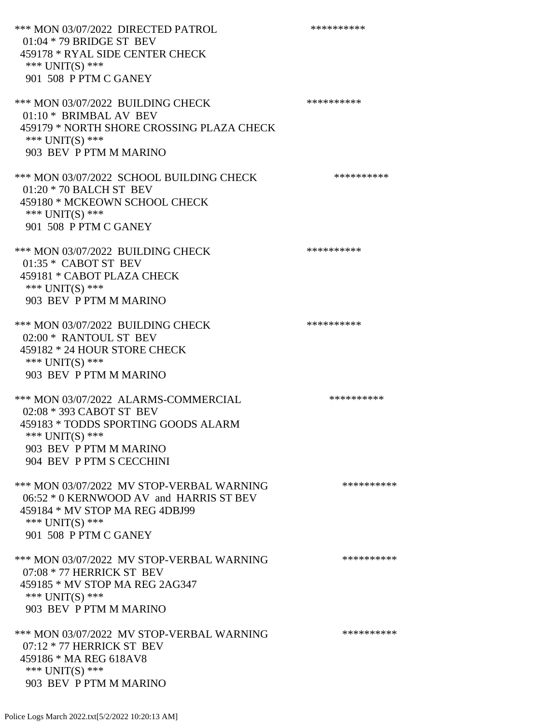\*\*\* MON 03/07/2022 DIRECTED PATROL \*\*\*\*\*\*\*\*\*\* 01:04 \* 79 BRIDGE ST BEV 459178 \* RYAL SIDE CENTER CHECK \*\*\* UNIT(S) \*\*\* 901 508 P PTM C GANEY \*\*\* MON 03/07/2022 BUILDING CHECK \*\*\*\*\*\*\*\*\*\*\* 01:10 \* BRIMBAL AV BEV 459179 \* NORTH SHORE CROSSING PLAZA CHECK \*\*\* UNIT(S) \*\*\* 903 BEV P PTM M MARINO \*\*\* MON 03/07/2022 SCHOOL BUILDING CHECK \*\*\*\*\*\*\*\*\*\*\* 01:20 \* 70 BALCH ST BEV 459180 \* MCKEOWN SCHOOL CHECK \*\*\* UNIT(S) \*\*\* 901 508 P PTM C GANEY \*\*\* MON 03/07/2022 BUILDING CHECK \*\*\*\*\*\*\*\*\*\*\* 01:35 \* CABOT ST BEV 459181 \* CABOT PLAZA CHECK \*\*\* UNIT(S) \*\*\* 903 BEV P PTM M MARINO \*\*\* MON 03/07/2022 BUILDING CHECK \*\*\*\*\*\*\*\*\*\* 02:00 \* RANTOUL ST BEV 459182 \* 24 HOUR STORE CHECK \*\*\* UNIT(S) \*\*\* 903 BEV P PTM M MARINO \*\*\* MON 03/07/2022 ALARMS-COMMERCIAL \*\*\*\*\*\*\*\*\*\* 02:08 \* 393 CABOT ST BEV 459183 \* TODDS SPORTING GOODS ALARM \*\*\* UNIT(S) \*\*\* 903 BEV P PTM M MARINO 904 BEV P PTM S CECCHINI \*\*\* MON 03/07/2022 MV STOP-VERBAL WARNING \*\*\*\*\*\*\*\*\*\*\*\*\* 06:52 \* 0 KERNWOOD AV and HARRIS ST BEV 459184 \* MV STOP MA REG 4DBJ99 \*\*\* UNIT(S) \*\*\* 901 508 P PTM C GANEY \*\*\* MON 03/07/2022 MV STOP-VERBAL WARNING \*\*\*\*\*\*\*\*\*\*\*\*\* 07:08 \* 77 HERRICK ST BEV 459185 \* MV STOP MA REG 2AG347 \*\*\* UNIT(S) \*\*\* 903 BEV P PTM M MARINO \*\*\* MON 03/07/2022 MV STOP-VERBAL WARNING \*\*\*\*\*\*\*\*\*\*\*\* 07:12 \* 77 HERRICK ST BEV 459186 \* MA REG 618AV8 \*\*\* UNIT(S) \*\*\*

903 BEV P PTM M MARINO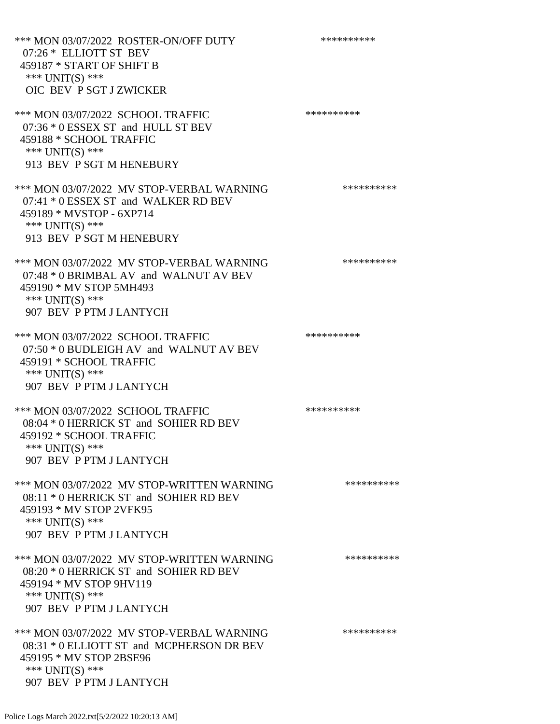\*\*\* MON 03/07/2022 ROSTER-ON/OFF DUTY \*\*\*\*\*\*\*\*\*\* 07:26 \* ELLIOTT ST BEV 459187 \* START OF SHIFT B \*\*\* UNIT(S) \*\*\* OIC BEV P SGT J ZWICKER \*\*\* MON 03/07/2022 SCHOOL TRAFFIC \*\*\*\*\*\*\*\*\*\*\*\*\* 07:36 \* 0 ESSEX ST and HULL ST BEV 459188 \* SCHOOL TRAFFIC \*\*\* UNIT(S) \*\*\* 913 BEV P SGT M HENEBURY \*\*\* MON 03/07/2022 MV STOP-VERBAL WARNING \*\*\*\*\*\*\*\*\*\*\*\* 07:41 \* 0 ESSEX ST and WALKER RD BEV 459189 \* MVSTOP - 6XP714 \*\*\* UNIT(S) \*\*\* 913 BEV P SGT M HENEBURY \*\*\* MON 03/07/2022 MV STOP-VERBAL WARNING \*\*\*\*\*\*\*\*\*\*\*\*\* 07:48 \* 0 BRIMBAL AV and WALNUT AV BEV 459190 \* MV STOP 5MH493 \*\*\* UNIT(S) \*\*\* 907 BEV P PTM J LANTYCH \*\*\* MON 03/07/2022 SCHOOL TRAFFIC \*\*\*\*\*\*\*\*\*\*\*\*\* 07:50 \* 0 BUDLEIGH AV and WALNUT AV BEV 459191 \* SCHOOL TRAFFIC \*\*\* UNIT(S) \*\*\* 907 BEV P PTM J LANTYCH \*\*\* MON 03/07/2022 SCHOOL TRAFFIC \*\*\*\*\*\*\*\*\*\*\*\*\* 08:04 \* 0 HERRICK ST and SOHIER RD BEV 459192 \* SCHOOL TRAFFIC \*\*\* UNIT(S) \*\*\* 907 BEV P PTM J LANTYCH \*\*\* MON 03/07/2022 MV STOP-WRITTEN WARNING \*\*\*\*\*\*\*\*\*\*\*\*\* 08:11 \* 0 HERRICK ST and SOHIER RD BEV 459193 \* MV STOP 2VFK95 \*\*\* UNIT(S) \*\*\* 907 BEV P PTM J LANTYCH \*\*\* MON 03/07/2022 MV STOP-WRITTEN WARNING \*\*\*\*\*\*\*\*\*\*\*\* 08:20 \* 0 HERRICK ST and SOHIER RD BEV 459194 \* MV STOP 9HV119 \*\*\* UNIT(S) \*\*\* 907 BEV P PTM J LANTYCH \*\*\* MON 03/07/2022 MV STOP-VERBAL WARNING \*\*\*\*\*\*\*\*\*\*\*\* 08:31 \* 0 ELLIOTT ST and MCPHERSON DR BEV 459195 \* MV STOP 2BSE96 \*\*\* UNIT(S) \*\*\* 907 BEV P PTM J LANTYCH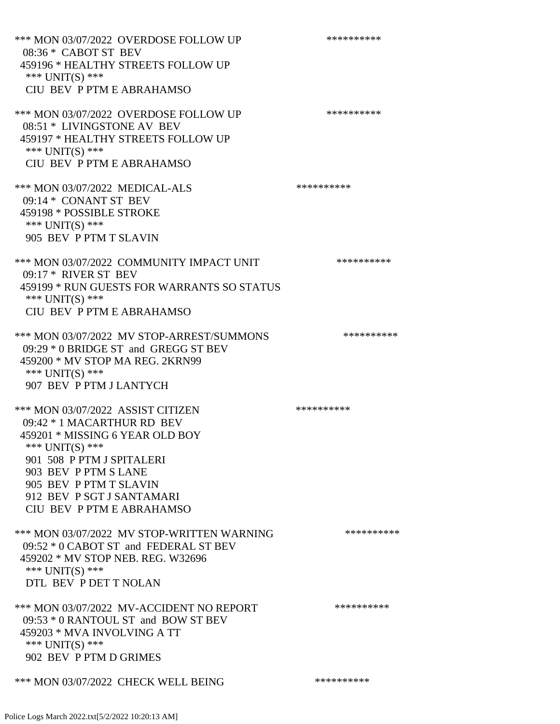\*\*\* MON 03/07/2022 OVERDOSE FOLLOW UP \*\*\*\*\*\*\*\*\*\* 08:36 \* CABOT ST BEV 459196 \* HEALTHY STREETS FOLLOW UP \*\*\* UNIT(S) \*\*\* CIU BEV P PTM E ABRAHAMSO \*\*\* MON 03/07/2022 OVERDOSE FOLLOW UP \*\*\*\*\*\*\*\*\*\*\*\* 08:51 \* LIVINGSTONE AV BEV 459197 \* HEALTHY STREETS FOLLOW UP \*\*\* UNIT(S) \*\*\* CIU BEV P PTM E ABRAHAMSO \*\*\* MON 03/07/2022 MEDICAL-ALS \*\*\*\*\*\*\*\*\*\* 09:14 \* CONANT ST BEV 459198 \* POSSIBLE STROKE \*\*\* UNIT(S) \*\*\* 905 BEV P PTM T SLAVIN \*\*\* MON 03/07/2022 COMMUNITY IMPACT UNIT \*\*\*\*\*\*\*\*\*\*\*\* 09:17 \* RIVER ST BEV 459199 \* RUN GUESTS FOR WARRANTS SO STATUS \*\*\* UNIT(S) \*\*\* CIU BEV P PTM E ABRAHAMSO \*\*\* MON 03/07/2022 MV STOP-ARREST/SUMMONS \*\*\*\*\*\*\*\*\*\*\*\*\* 09:29 \* 0 BRIDGE ST and GREGG ST BEV 459200 \* MV STOP MA REG. 2KRN99 \*\*\* UNIT(S) \*\*\* 907 BEV P PTM J LANTYCH \*\*\* MON 03/07/2022 ASSIST CITIZEN \*\*\*\*\*\*\*\*\*\* 09:42 \* 1 MACARTHUR RD BEV 459201 \* MISSING 6 YEAR OLD BOY \*\*\* UNIT(S) \*\*\* 901 508 P PTM J SPITALERI 903 BEV P PTM S LANE 905 BEV P PTM T SLAVIN 912 BEV P SGT J SANTAMARI CIU BEV P PTM E ABRAHAMSO \*\*\* MON 03/07/2022 MV STOP-WRITTEN WARNING \*\*\*\*\*\*\*\*\*\*\*\*\* 09:52 \* 0 CABOT ST and FEDERAL ST BEV 459202 \* MV STOP NEB. REG. W32696 \*\*\* UNIT(S) \*\*\* DTL BEV P DET T NOLAN \*\*\* MON 03/07/2022 MV-ACCIDENT NO REPORT \*\*\*\*\*\*\*\*\*\*\*\* 09:53 \* 0 RANTOUL ST and BOW ST BEV 459203 \* MVA INVOLVING A TT \*\*\* UNIT(S) \*\*\* 902 BEV P PTM D GRIMES \*\*\* MON 03/07/2022 CHECK WELL BEING \*\*\*\*\*\*\*\*\*\*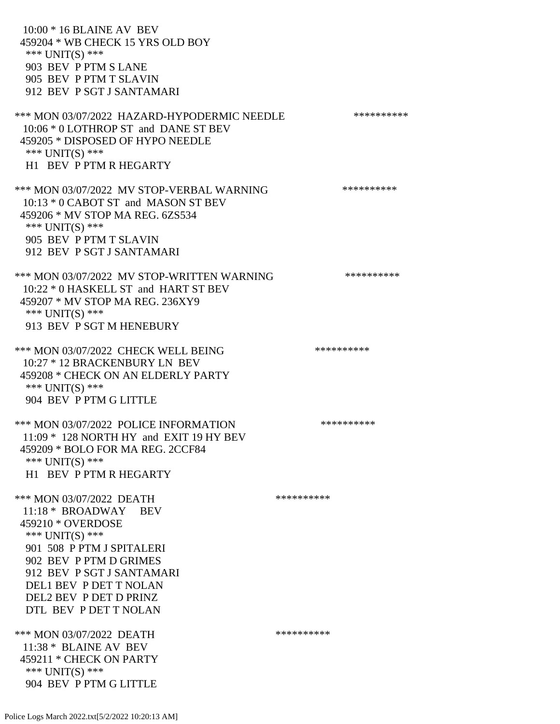10:00 \* 16 BLAINE AV BEV 459204 \* WB CHECK 15 YRS OLD BOY \*\*\* UNIT(S) \*\*\* 903 BEV P PTM S LANE 905 BEV P PTM T SLAVIN 912 BEV P SGT J SANTAMARI \*\*\* MON 03/07/2022 HAZARD-HYPODERMIC NEEDLE \*\*\*\*\*\*\*\*\*\* 10:06 \* 0 LOTHROP ST and DANE ST BEV 459205 \* DISPOSED OF HYPO NEEDLE \*\*\* UNIT(S) \*\*\* H1 BEV P PTM R HEGARTY \*\*\* MON 03/07/2022 MV STOP-VERBAL WARNING \*\*\*\*\*\*\*\*\*\*\*\* 10:13 \* 0 CABOT ST and MASON ST BEV 459206 \* MV STOP MA REG. 6ZS534 \*\*\* UNIT(S) \*\*\* 905 BEV P PTM T SLAVIN 912 BEV P SGT J SANTAMARI \*\*\* MON 03/07/2022 MV STOP-WRITTEN WARNING \*\*\*\*\*\*\*\*\*\*\*\* 10:22 \* 0 HASKELL ST and HART ST BEV 459207 \* MV STOP MA REG. 236XY9 \*\*\* UNIT(S) \*\*\* 913 BEV P SGT M HENEBURY \*\*\* MON 03/07/2022 CHECK WELL BEING \*\*\*\*\*\*\*\*\*\*\*\*\* 10:27 \* 12 BRACKENBURY LN BEV 459208 \* CHECK ON AN ELDERLY PARTY \*\*\* UNIT(S) \*\*\* 904 BEV P PTM G LITTLE \*\*\* MON 03/07/2022 POLICE INFORMATION \*\*\*\*\*\*\*\*\*\* 11:09 \* 128 NORTH HY and EXIT 19 HY BEV 459209 \* BOLO FOR MA REG. 2CCF84 \*\*\* UNIT(S) \*\*\* H1 BEV P PTM R HEGARTY \*\*\* MON 03/07/2022 DEATH \*\*\*\*\*\*\*\*\*\*\*\* 11:18 \* BROADWAY BEV 459210 \* OVERDOSE \*\*\* UNIT(S) \*\*\* 901 508 P PTM J SPITALERI 902 BEV P PTM D GRIMES 912 BEV P SGT J SANTAMARI DEL1 BEV P DET T NOLAN DEL2 BEV P DET D PRINZ DTL BEV P DET T NOLAN \*\*\* MON 03/07/2022 DEATH \*\*\*\*\*\*\*\*\*\*\*\* 11:38 \* BLAINE AV BEV 459211 \* CHECK ON PARTY \*\*\* UNIT(S) \*\*\* 904 BEV P PTM G LITTLE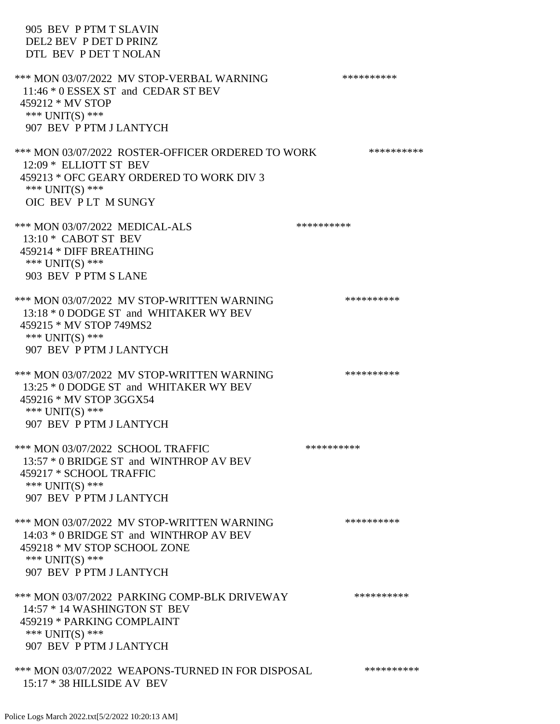905 BEV P PTM T SLAVIN DEL2 BEV P DET D PRINZ DTL BEV P DET T NOLAN \*\*\* MON 03/07/2022 MV STOP-VERBAL WARNING \*\*\*\*\*\*\*\*\*\*\*\* 11:46 \* 0 ESSEX ST and CEDAR ST BEV 459212 \* MV STOP \*\*\* UNIT(S) \*\*\* 907 BEV P PTM J LANTYCH \*\*\* MON 03/07/2022 ROSTER-OFFICER ORDERED TO WORK \*\*\*\*\*\*\*\*\*\*\* 12:09 \* ELLIOTT ST BEV 459213 \* OFC GEARY ORDERED TO WORK DIV 3 \*\*\* UNIT(S) \*\*\* OIC BEV P LT M SUNGY \*\*\* MON 03/07/2022 MEDICAL-ALS \*\*\*\*\*\*\*\*\*\*\*\*\* 13:10 \* CABOT ST BEV 459214 \* DIFF BREATHING  $***$  UNIT(S)  $***$  903 BEV P PTM S LANE \*\*\* MON 03/07/2022 MV STOP-WRITTEN WARNING \*\*\*\*\*\*\*\*\*\*\*\* 13:18 \* 0 DODGE ST and WHITAKER WY BEV 459215 \* MV STOP 749MS2 \*\*\* UNIT(S) \*\*\* 907 BEV P PTM J LANTYCH \*\*\* MON 03/07/2022 MV STOP-WRITTEN WARNING \*\*\*\*\*\*\*\*\*\*\*\*\*\* 13:25 \* 0 DODGE ST and WHITAKER WY BEV 459216 \* MV STOP 3GGX54 \*\*\* UNIT(S) \*\*\* 907 BEV P PTM J LANTYCH \*\*\* MON 03/07/2022 SCHOOL TRAFFIC \*\*\*\*\*\*\*\*\*\*\*\*\*\* 13:57 \* 0 BRIDGE ST and WINTHROP AV BEV 459217 \* SCHOOL TRAFFIC \*\*\* UNIT(S) \*\*\* 907 BEV P PTM J LANTYCH \*\*\* MON 03/07/2022 MV STOP-WRITTEN WARNING \*\*\*\*\*\*\*\*\*\*\*\* 14:03 \* 0 BRIDGE ST and WINTHROP AV BEV 459218 \* MV STOP SCHOOL ZONE \*\*\* UNIT(S) \*\*\* 907 BEV P PTM J LANTYCH \*\*\* MON 03/07/2022 PARKING COMP-BLK DRIVEWAY \*\*\*\*\*\*\*\*\*\* 14:57 \* 14 WASHINGTON ST BEV 459219 \* PARKING COMPLAINT \*\*\* UNIT(S) \*\*\* 907 BEV P PTM J LANTYCH \*\*\* MON 03/07/2022 WEAPONS-TURNED IN FOR DISPOSAL \*\*\*\*\*\*\*\*\*\* 15:17 \* 38 HILLSIDE AV BEV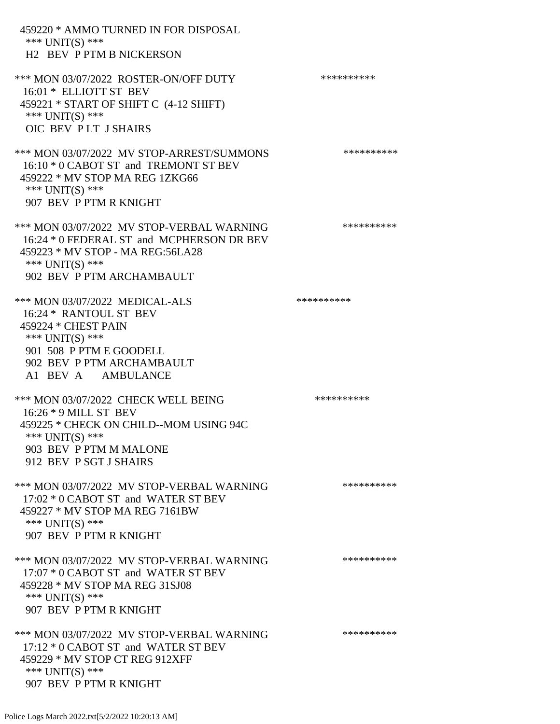| 459220 * AMMO TURNED IN FOR DISPOSAL<br>*** UNIT(S) ***<br><b>H2 BEV P PTM B NICKERSON</b>                                                                                       |            |
|----------------------------------------------------------------------------------------------------------------------------------------------------------------------------------|------------|
| *** MON 03/07/2022 ROSTER-ON/OFF DUTY<br>16:01 * ELLIOTT ST BEV<br>459221 * START OF SHIFT C (4-12 SHIFT)<br>*** $UNIT(S)$ ***<br>OIC BEV PLT J SHAIRS                           | ********** |
| *** MON 03/07/2022 MV STOP-ARREST/SUMMONS<br>16:10 * 0 CABOT ST and TREMONT ST BEV<br>459222 * MV STOP MA REG 1ZKG66<br>*** $UNIT(S)$ ***<br>907 BEV P PTM R KNIGHT              | ********** |
| *** MON 03/07/2022 MV STOP-VERBAL WARNING<br>16:24 * 0 FEDERAL ST and MCPHERSON DR BEV<br>459223 * MV STOP - MA REG:56LA28<br>*** UNIT(S) ***<br>902 BEV P PTM ARCHAMBAULT       | ********** |
| *** MON 03/07/2022 MEDICAL-ALS<br>16:24 * RANTOUL ST BEV<br>459224 * CHEST PAIN<br>*** UNIT(S) ***<br>901 508 P PTM E GOODELL<br>902 BEV P PTM ARCHAMBAULT<br>A1 BEV A AMBULANCE | ********** |
| *** MON 03/07/2022 CHECK WELL BEING<br>16:26 * 9 MILL ST BEV<br>459225 * CHECK ON CHILD--MOM USING 94C<br>*** UNIT(S) ***<br>903 BEV P PTM M MALONE<br>912 BEV P SGT J SHAIRS    | ********** |
| *** MON 03/07/2022 MV STOP-VERBAL WARNING<br>17:02 * 0 CABOT ST and WATER ST BEV<br>459227 * MV STOP MA REG 7161BW<br>*** $UNIT(S)$ ***<br>907 BEV P PTM R KNIGHT                | ********** |
| *** MON 03/07/2022 MV STOP-VERBAL WARNING<br>17:07 * 0 CABOT ST and WATER ST BEV<br>459228 * MV STOP MA REG 31SJ08<br>*** UNIT(S) ***<br>907 BEV P PTM R KNIGHT                  | ********** |
| *** MON 03/07/2022 MV STOP-VERBAL WARNING<br>17:12 * 0 CABOT ST and WATER ST BEV<br>459229 * MV STOP CT REG 912XFF<br>*** $UNIT(S)$ ***<br>907 BEV P PTM R KNIGHT                | ********** |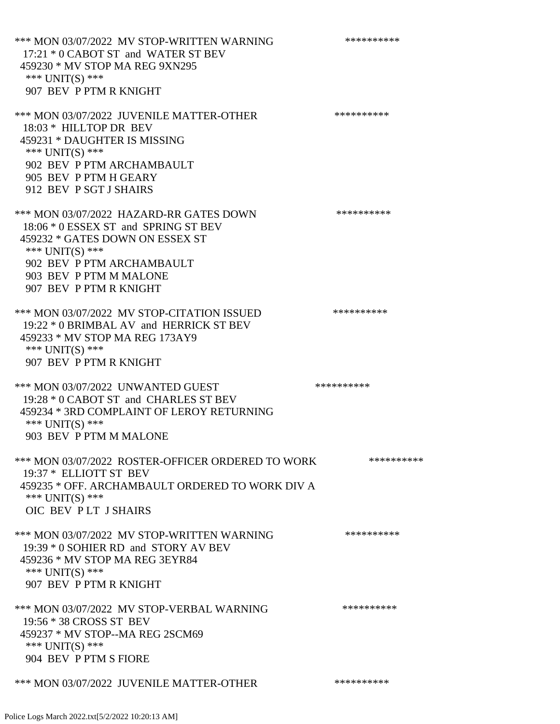\*\*\* MON 03/07/2022 MV STOP-WRITTEN WARNING \*\*\*\*\*\*\*\*\*\*\*\* 17:21 \* 0 CABOT ST and WATER ST BEV 459230 \* MV STOP MA REG 9XN295 \*\*\* UNIT(S) \*\*\* 907 BEV P PTM R KNIGHT \*\*\* MON 03/07/2022 JUVENILE MATTER-OTHER \*\*\*\*\*\*\*\*\*\*\*\* 18:03 \* HILLTOP DR BEV 459231 \* DAUGHTER IS MISSING \*\*\* UNIT(S) \*\*\* 902 BEV P PTM ARCHAMBAULT 905 BEV P PTM H GEARY 912 BEV P SGT J SHAIRS \*\*\* MON 03/07/2022 HAZARD-RR GATES DOWN \*\*\*\*\*\*\*\*\*\* 18:06 \* 0 ESSEX ST and SPRING ST BEV 459232 \* GATES DOWN ON ESSEX ST \*\*\* UNIT(S) \*\*\* 902 BEV P PTM ARCHAMBAULT 903 BEV P PTM M MALONE 907 BEV P PTM R KNIGHT \*\*\* MON 03/07/2022 MV STOP-CITATION ISSUED \*\*\*\*\*\*\*\*\*\* 19:22 \* 0 BRIMBAL AV and HERRICK ST BEV 459233 \* MV STOP MA REG 173AY9 \*\*\* UNIT(S) \*\*\* 907 BEV P PTM R KNIGHT \*\*\* MON 03/07/2022 UNWANTED GUEST \*\*\*\*\*\*\*\*\*\*\*\*\* 19:28 \* 0 CABOT ST and CHARLES ST BEV 459234 \* 3RD COMPLAINT OF LEROY RETURNING \*\*\* UNIT(S) \*\*\* 903 BEV P PTM M MALONE \*\*\* MON 03/07/2022 ROSTER-OFFICER ORDERED TO WORK \*\*\*\*\*\*\*\*\*\*\*\* 19:37 \* ELLIOTT ST BEV 459235 \* OFF. ARCHAMBAULT ORDERED TO WORK DIV A \*\*\* UNIT(S) \*\*\* OIC BEV P LT J SHAIRS \*\*\* MON 03/07/2022 MV STOP-WRITTEN WARNING \*\*\*\*\*\*\*\*\*\*\*\* 19:39 \* 0 SOHIER RD and STORY AV BEV 459236 \* MV STOP MA REG 3EYR84 \*\*\* UNIT(S) \*\*\* 907 BEV P PTM R KNIGHT \*\*\* MON 03/07/2022 MV STOP-VERBAL WARNING \*\*\*\*\*\*\*\*\*\*\*\* 19:56 \* 38 CROSS ST BEV 459237 \* MV STOP--MA REG 2SCM69 \*\*\* UNIT(S) \*\*\* 904 BEV P PTM S FIORE

\*\*\* MON 03/07/2022 JUVENILE MATTER-OTHER \*\*\*\*\*\*\*\*\*\*\*\*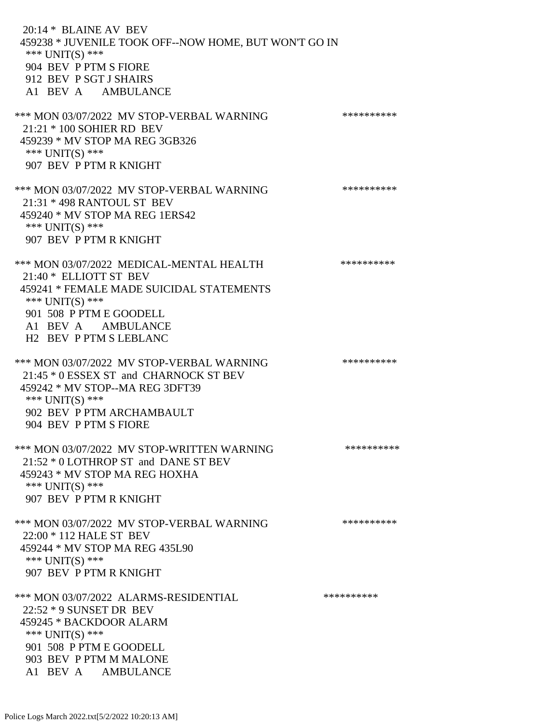20:14 \* BLAINE AV BEV 459238 \* JUVENILE TOOK OFF--NOW HOME, BUT WON'T GO IN \*\*\* UNIT(S) \*\*\* 904 BEV P PTM S FIORE 912 BEV P SGT J SHAIRS A1 BEV A AMBULANCE \*\*\* MON 03/07/2022 MV STOP-VERBAL WARNING \*\*\*\*\*\*\*\*\*\*\*\* 21:21 \* 100 SOHIER RD BEV 459239 \* MV STOP MA REG 3GB326 \*\*\* UNIT(S) \*\*\* 907 BEV P PTM R KNIGHT \*\*\* MON 03/07/2022 MV STOP-VERBAL WARNING \*\*\*\*\*\*\*\*\*\*\*\* 21:31 \* 498 RANTOUL ST BEV 459240 \* MV STOP MA REG 1ERS42 \*\*\* UNIT(S) \*\*\* 907 BEV P PTM R KNIGHT \*\*\* MON 03/07/2022 MEDICAL-MENTAL HEALTH \*\*\*\*\*\*\*\*\*\*\*\* 21:40 \* ELLIOTT ST BEV 459241 \* FEMALE MADE SUICIDAL STATEMENTS \*\*\* UNIT(S) \*\*\* 901 508 P PTM E GOODELL A1 BEV A AMBULANCE H2 BEV P PTM S LEBLANC \*\*\* MON 03/07/2022 MV STOP-VERBAL WARNING \*\*\*\*\*\*\*\*\*\*\*\* 21:45 \* 0 ESSEX ST and CHARNOCK ST BEV 459242 \* MV STOP--MA REG 3DFT39 \*\*\* UNIT(S) \*\*\* 902 BEV P PTM ARCHAMBAULT 904 BEV P PTM S FIORE \*\*\* MON 03/07/2022 MV STOP-WRITTEN WARNING \*\*\*\*\*\*\*\*\*\*\*\*\*\* 21:52 \* 0 LOTHROP ST and DANE ST BEV 459243 \* MV STOP MA REG HOXHA \*\*\* UNIT(S) \*\*\* 907 BEV P PTM R KNIGHT \*\*\* MON 03/07/2022 MV STOP-VERBAL WARNING \*\*\*\*\*\*\*\*\*\*\*\* 22:00 \* 112 HALE ST BEV 459244 \* MV STOP MA REG 435L90 \*\*\* UNIT(S) \*\*\* 907 BEV P PTM R KNIGHT \*\*\* MON 03/07/2022 ALARMS-RESIDENTIAL \*\*\*\*\*\*\*\*\*\* 22:52 \* 9 SUNSET DR BEV 459245 \* BACKDOOR ALARM \*\*\* UNIT(S) \*\*\* 901 508 P PTM E GOODELL 903 BEV P PTM M MALONE

Police Logs March 2022.txt[5/2/2022 10:20:13 AM]

A1 BEV A AMBULANCE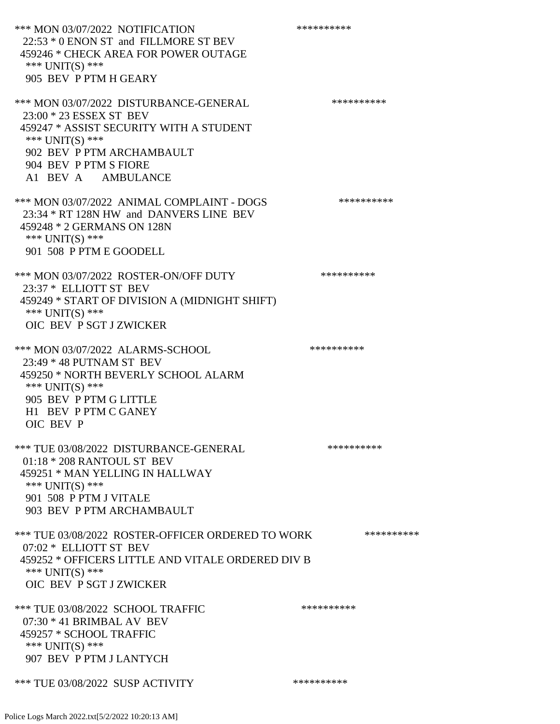\*\*\* MON 03/07/2022 NOTIFICATION \*\*\*\*\*\*\*\*\*\*\*\*\* 22:53 \* 0 ENON ST and FILLMORE ST BEV 459246 \* CHECK AREA FOR POWER OUTAGE \*\*\* UNIT(S) \*\*\* 905 BEV P PTM H GEARY \*\*\* MON 03/07/2022 DISTURBANCE-GENERAL \*\*\*\*\*\*\*\*\*\* 23:00 \* 23 ESSEX ST BEV 459247 \* ASSIST SECURITY WITH A STUDENT \*\*\* UNIT(S) \*\*\* 902 BEV P PTM ARCHAMBAULT 904 BEV P PTM S FIORE A1 BEV A AMBULANCE \*\*\* MON 03/07/2022 ANIMAL COMPLAINT - DOGS \*\*\*\*\*\*\*\*\*\*\*\* 23:34 \* RT 128N HW and DANVERS LINE BEV 459248 \* 2 GERMANS ON 128N \*\*\* UNIT(S) \*\*\* 901 508 P PTM E GOODELL \*\*\* MON 03/07/2022 ROSTER-ON/OFF DUTY \*\*\*\*\*\*\*\*\*\* 23:37 \* ELLIOTT ST BEV 459249 \* START OF DIVISION A (MIDNIGHT SHIFT) \*\*\* UNIT(S) \*\*\* OIC BEV P SGT J ZWICKER \*\*\* MON 03/07/2022 ALARMS-SCHOOL \*\*\*\*\*\*\*\*\*\*\*\*\*\*\*\*\* 23:49 \* 48 PUTNAM ST BEV 459250 \* NORTH BEVERLY SCHOOL ALARM \*\*\* UNIT(S) \*\*\* 905 BEV P PTM G LITTLE H1 BEV P PTM C GANEY OIC BEV P \*\*\* TUE 03/08/2022 DISTURBANCE-GENERAL \*\*\*\*\*\*\*\*\*\* 01:18 \* 208 RANTOUL ST BEV 459251 \* MAN YELLING IN HALLWAY \*\*\* UNIT(S) \*\*\* 901 508 P PTM J VITALE 903 BEV P PTM ARCHAMBAULT \*\*\* TUE 03/08/2022 ROSTER-OFFICER ORDERED TO WORK \*\*\*\*\*\*\*\*\*\*\* 07:02 \* ELLIOTT ST BEV 459252 \* OFFICERS LITTLE AND VITALE ORDERED DIV B \*\*\* UNIT(S) \*\*\* OIC BEV P SGT J ZWICKER \*\*\* TUE 03/08/2022 SCHOOL TRAFFIC \*\*\*\*\*\*\*\*\*\*\*\*\*\*\*\* 07:30 \* 41 BRIMBAL AV BEV 459257 \* SCHOOL TRAFFIC \*\*\* UNIT(S) \*\*\* 907 BEV P PTM J LANTYCH \*\*\* TUE 03/08/2022 SUSP ACTIVITY \*\*\*\*\*\*\*\*\*\*\*\*

Police Logs March 2022.txt[5/2/2022 10:20:13 AM]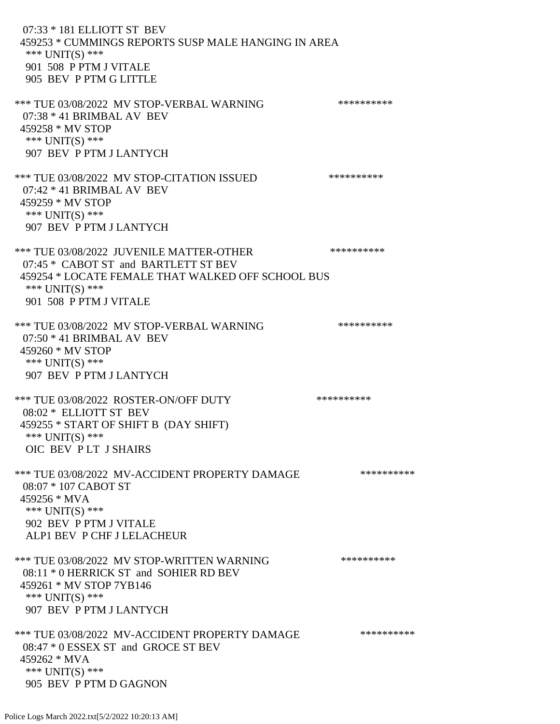07:33 \* 181 ELLIOTT ST BEV 459253 \* CUMMINGS REPORTS SUSP MALE HANGING IN AREA \*\*\* UNIT(S) \*\*\* 901 508 P PTM J VITALE 905 BEV P PTM G LITTLE \*\*\* TUE 03/08/2022 MV STOP-VERBAL WARNING \*\*\*\*\*\*\*\*\*\*\*\*\*\* 07:38 \* 41 BRIMBAL AV BEV 459258 \* MV STOP \*\*\* UNIT(S) \*\*\* 907 BEV P PTM J LANTYCH \*\*\* TUE 03/08/2022 MV STOP-CITATION ISSUED \*\*\*\*\*\*\*\*\*\* 07:42 \* 41 BRIMBAL AV BEV 459259 \* MV STOP \*\*\* UNIT(S) \*\*\* 907 BEV P PTM J LANTYCH \*\*\* TUE 03/08/2022 JUVENILE MATTER-OTHER \*\*\*\*\*\*\*\*\*\*\*\* 07:45 \* CABOT ST and BARTLETT ST BEV 459254 \* LOCATE FEMALE THAT WALKED OFF SCHOOL BUS \*\*\* UNIT(S) \*\*\* 901 508 P PTM J VITALE \*\*\* TUE 03/08/2022 MV STOP-VERBAL WARNING \*\*\*\*\*\*\*\*\*\*\*\*\*\* 07:50 \* 41 BRIMBAL AV BEV 459260 \* MV STOP \*\*\* UNIT(S) \*\*\* 907 BEV P PTM J LANTYCH \*\*\* TUE 03/08/2022 ROSTER-ON/OFF DUTY \*\*\*\*\*\*\*\*\*\* 08:02 \* ELLIOTT ST BEV 459255 \* START OF SHIFT B (DAY SHIFT) \*\*\* UNIT(S) \*\*\* OIC BEV P LT J SHAIRS \*\*\* TUE 03/08/2022 MV-ACCIDENT PROPERTY DAMAGE \*\*\*\*\*\*\*\*\*\*\*\* 08:07 \* 107 CABOT ST 459256 \* MVA \*\*\* UNIT(S) \*\*\* 902 BEV P PTM J VITALE ALP1 BEV P CHF J LELACHEUR \*\*\* TUE 03/08/2022 MV STOP-WRITTEN WARNING \*\*\*\*\*\*\*\*\*\*\*\* 08:11 \* 0 HERRICK ST and SOHIER RD BEV 459261 \* MV STOP 7YB146 \*\*\* UNIT(S) \*\*\* 907 BEV P PTM J LANTYCH \*\*\* TUE 03/08/2022 MV-ACCIDENT PROPERTY DAMAGE \*\*\*\*\*\*\*\*\*\* 08:47 \* 0 ESSEX ST and GROCE ST BEV 459262 \* MVA \*\*\* UNIT(S) \*\*\* 905 BEV P PTM D GAGNON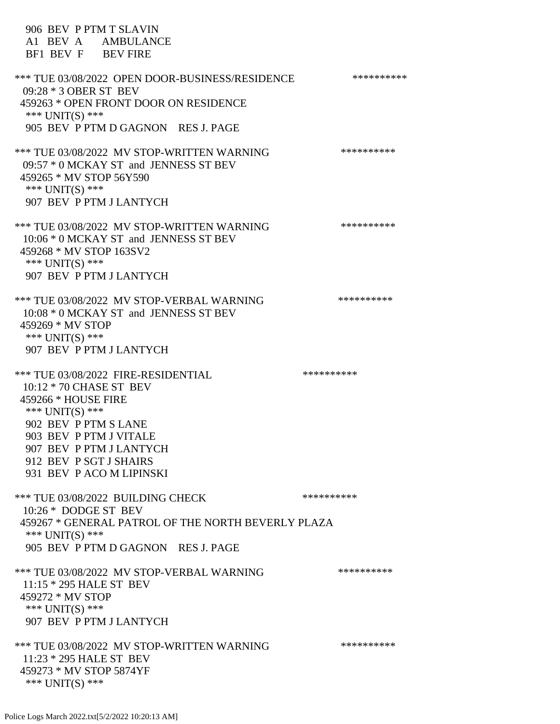906 BEV P PTM T SLAVIN A1 BEV A AMBULANCE BF1 BEV F BEV FIRE \*\*\* TUE 03/08/2022 OPEN DOOR-BUSINESS/RESIDENCE \*\*\*\*\*\*\*\*\*\* 09:28 \* 3 OBER ST BEV 459263 \* OPEN FRONT DOOR ON RESIDENCE \*\*\* UNIT(S) \*\*\* 905 BEV P PTM D GAGNON RES J. PAGE \*\*\* TUE 03/08/2022 MV STOP-WRITTEN WARNING \*\*\*\*\*\*\*\*\*\*\*\*\* 09:57 \* 0 MCKAY ST and JENNESS ST BEV 459265 \* MV STOP 56Y590 \*\*\* UNIT(S) \*\*\* 907 BEV P PTM J LANTYCH \*\*\* TUE 03/08/2022 MV STOP-WRITTEN WARNING \*\*\*\*\*\*\*\*\*\*\*\*\* 10:06 \* 0 MCKAY ST and JENNESS ST BEV 459268 \* MV STOP 163SV2 \*\*\* UNIT(S) \*\*\* 907 BEV P PTM J LANTYCH \*\*\* TUE 03/08/2022 MV STOP-VERBAL WARNING \*\*\*\*\*\*\*\*\*\*\*\*\* 10:08 \* 0 MCKAY ST and JENNESS ST BEV 459269 \* MV STOP \*\*\* UNIT(S) \*\*\* 907 BEV P PTM J LANTYCH \*\*\* TUE 03/08/2022 FIRE-RESIDENTIAL \*\*\*\*\*\*\*\*\*\* 10:12 \* 70 CHASE ST BEV 459266 \* HOUSE FIRE \*\*\* UNIT(S) \*\*\* 902 BEV P PTM S LANE 903 BEV P PTM J VITALE 907 BEV P PTM J LANTYCH 912 BEV P SGT J SHAIRS 931 BEV P ACO M LIPINSKI \*\*\* TUE 03/08/2022 BUILDING CHECK \*\*\*\*\*\*\*\*\*\*\*\* 10:26 \* DODGE ST BEV 459267 \* GENERAL PATROL OF THE NORTH BEVERLY PLAZA \*\*\* UNIT(S) \*\*\* 905 BEV P PTM D GAGNON RES J. PAGE \*\*\* TUE 03/08/2022 MV STOP-VERBAL WARNING \*\*\*\*\*\*\*\*\*\*\*\*\*\* 11:15 \* 295 HALE ST BEV 459272 \* MV STOP \*\*\* UNIT(S) \*\*\* 907 BEV P PTM J LANTYCH \*\*\* TUE 03/08/2022 MV STOP-WRITTEN WARNING \*\*\*\*\*\*\*\*\*\*\*\*\* 11:23 \* 295 HALE ST BEV 459273 \* MV STOP 5874YF \*\*\* UNIT(S) \*\*\*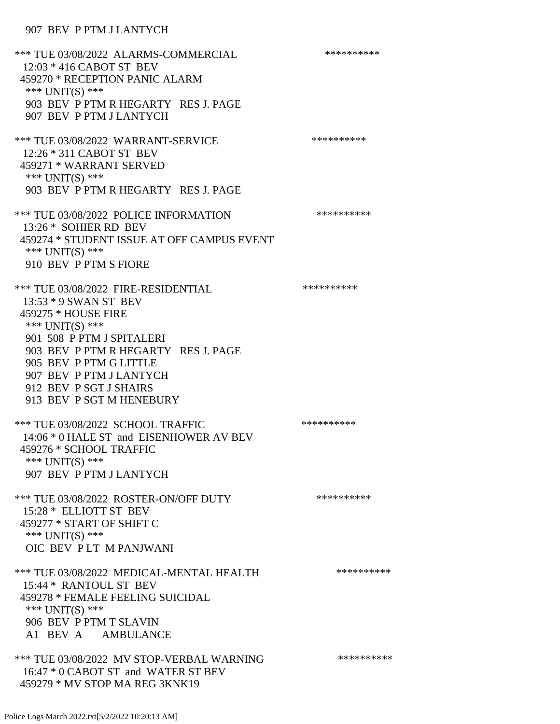## 907 BEV P PTM J LANTYCH

\*\*\* TUE 03/08/2022 ALARMS-COMMERCIAL \*\*\*\*\*\*\*\*\*\* 12:03 \* 416 CABOT ST BEV 459270 \* RECEPTION PANIC ALARM \*\*\* UNIT(S) \*\*\* 903 BEV P PTM R HEGARTY RES J. PAGE 907 BEV P PTM J LANTYCH \*\*\* TUE 03/08/2022 WARRANT-SERVICE \*\*\*\*\*\*\*\*\*\*\*\*\*\*\* 12:26 \* 311 CABOT ST BEV 459271 \* WARRANT SERVED \*\*\* UNIT(S) \*\*\* 903 BEV P PTM R HEGARTY RES J. PAGE \*\*\* TUE 03/08/2022 POLICE INFORMATION \*\*\*\*\*\*\*\*\*\* 13:26 \* SOHIER RD BEV 459274 \* STUDENT ISSUE AT OFF CAMPUS EVENT \*\*\* UNIT(S) \*\*\* 910 BEV P PTM S FIORE \*\*\* TUE 03/08/2022 FIRE-RESIDENTIAL \*\*\*\*\*\*\*\*\*\*\*\* 13:53 \* 9 SWAN ST BEV 459275 \* HOUSE FIRE \*\*\* UNIT(S) \*\*\* 901 508 P PTM J SPITALERI 903 BEV P PTM R HEGARTY RES J. PAGE 905 BEV P PTM G LITTLE 907 BEV P PTM J LANTYCH 912 BEV P SGT J SHAIRS 913 BEV P SGT M HENEBURY \*\*\* TUE 03/08/2022 SCHOOL TRAFFIC \*\*\*\*\*\*\*\*\*\*\*\*\*\*\*\* 14:06 \* 0 HALE ST and EISENHOWER AV BEV 459276 \* SCHOOL TRAFFIC \*\*\* UNIT(S) \*\*\* 907 BEV P PTM J LANTYCH \*\*\* TUE 03/08/2022 ROSTER-ON/OFF DUTY \*\*\*\*\*\*\*\*\*\* 15:28 \* ELLIOTT ST BEV 459277 \* START OF SHIFT C \*\*\* UNIT(S) \*\*\* OIC BEV P LT M PANJWANI \*\*\* TUE 03/08/2022 MEDICAL-MENTAL HEALTH \*\*\*\*\*\*\*\*\*\*\*\* 15:44 \* RANTOUL ST BEV 459278 \* FEMALE FEELING SUICIDAL \*\*\* UNIT(S) \*\*\* 906 BEV P PTM T SLAVIN A1 BEV A AMBULANCE \*\*\* TUE 03/08/2022 MV STOP-VERBAL WARNING \*\*\*\*\*\*\*\*\*\*\*\*\*\* 16:47 \* 0 CABOT ST and WATER ST BEV 459279 \* MV STOP MA REG 3KNK19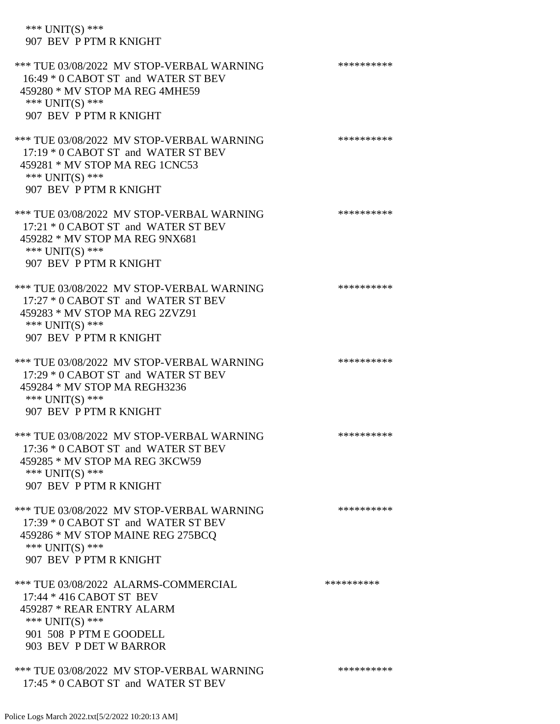| *** $UNIT(S)$ ***<br>907 BEV P PTM R KNIGHT                                                                                                                           |            |
|-----------------------------------------------------------------------------------------------------------------------------------------------------------------------|------------|
| *** TUE 03/08/2022 MV STOP-VERBAL WARNING<br>16:49 * 0 CABOT ST and WATER ST BEV<br>459280 * MV STOP MA REG 4MHE59<br>*** UNIT(S) ***<br>907 BEV P PTM R KNIGHT       | ********** |
| *** TUE 03/08/2022 MV STOP-VERBAL WARNING<br>17:19 * 0 CABOT ST and WATER ST BEV<br>459281 * MV STOP MA REG 1CNC53<br>*** UNIT(S) ***<br>907 BEV P PTM R KNIGHT       | ********** |
| *** TUE 03/08/2022 MV STOP-VERBAL WARNING<br>17:21 * 0 CABOT ST and WATER ST BEV<br>459282 * MV STOP MA REG 9NX681<br>*** UNIT(S) ***<br>907 BEV P PTM R KNIGHT       | ********** |
| *** TUE 03/08/2022 MV STOP-VERBAL WARNING<br>17:27 * 0 CABOT ST and WATER ST BEV<br>459283 * MV STOP MA REG 2ZVZ91<br>*** UNIT(S) ***<br>907 BEV P PTM R KNIGHT       | ********** |
| *** TUE 03/08/2022 MV STOP-VERBAL WARNING<br>17:29 * 0 CABOT ST and WATER ST BEV<br>459284 * MV STOP MA REGH3236<br>*** UNIT(S) ***<br>907 BEV P PTM R KNIGHT         | ********** |
| *** TUE 03/08/2022 MV STOP-VERBAL WARNING<br>17:36 * 0 CABOT ST and WATER ST BEV<br>459285 * MV STOP MA REG 3KCW59<br>*** UNIT(S) ***<br>907 BEV P PTM R KNIGHT       | ********** |
| *** TUE 03/08/2022 MV STOP-VERBAL WARNING<br>17:39 * 0 CABOT ST and WATER ST BEV<br>459286 * MV STOP MAINE REG 275BCO<br>*** UNIT(S) ***<br>907 BEV P PTM R KNIGHT    | ********** |
| *** TUE 03/08/2022 ALARMS-COMMERCIAL<br>17:44 * 416 CABOT ST BEV<br>459287 * REAR ENTRY ALARM<br>*** UNIT(S) ***<br>901 508 P PTM E GOODELL<br>903 BEV P DET W BARROR | ********** |
| *** TUE 03/08/2022 MV STOP-VERBAL WARNING                                                                                                                             | ********** |

17:45 \* 0 CABOT ST and WATER ST BEV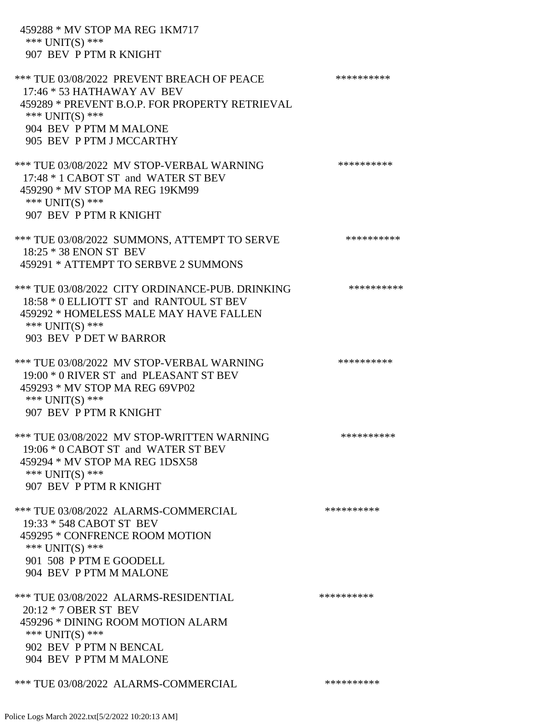| 459288 * MV STOP MA REG 1KM717<br>*** UNIT(S) ***<br>907 BEV P PTM R KNIGHT                                                                                                                         |            |
|-----------------------------------------------------------------------------------------------------------------------------------------------------------------------------------------------------|------------|
| *** TUE 03/08/2022 PREVENT BREACH OF PEACE<br>17:46 * 53 HATHAWAY AV BEV<br>459289 * PREVENT B.O.P. FOR PROPERTY RETRIEVAL<br>*** UNIT(S) ***<br>904 BEV P PTM M MALONE<br>905 BEV P PTM J MCCARTHY | ********** |
| *** TUE 03/08/2022 MV STOP-VERBAL WARNING<br>17:48 * 1 CABOT ST and WATER ST BEV<br>459290 * MV STOP MA REG 19KM99<br>*** $UNIT(S)$ ***<br>907 BEV P PTM R KNIGHT                                   | ********** |
| *** TUE 03/08/2022 SUMMONS, ATTEMPT TO SERVE<br>18:25 * 38 ENON ST BEV<br>459291 * ATTEMPT TO SERBVE 2 SUMMONS                                                                                      | ********** |
| *** TUE 03/08/2022 CITY ORDINANCE-PUB. DRINKING<br>18:58 * 0 ELLIOTT ST and RANTOUL ST BEV<br>459292 * HOMELESS MALE MAY HAVE FALLEN<br>*** UNIT(S) ***<br>903 BEV P DET W BARROR                   | ********** |
| *** TUE 03/08/2022 MV STOP-VERBAL WARNING<br>19:00 * 0 RIVER ST and PLEASANT ST BEV<br>459293 * MV STOP MA REG 69VP02<br>*** $UNIT(S)$ ***<br>907 BEV P PTM R KNIGHT                                | ********** |
| *** TUE 03/08/2022 MV STOP-WRITTEN WARNING<br>19:06 * 0 CABOT ST and WATER ST BEV<br>459294 * MV STOP MA REG 1DSX58<br>*** $UNIT(S)$ ***<br>907 BEV P PTM R KNIGHT                                  | ********** |
| *** TUE 03/08/2022 ALARMS-COMMERCIAL<br>19:33 * 548 CABOT ST BEV<br>459295 * CONFRENCE ROOM MOTION<br>*** $UNIT(S)$ ***<br>901 508 P PTM E GOODELL<br>904 BEV P PTM M MALONE                        | ********** |
| *** TUE 03/08/2022 ALARMS-RESIDENTIAL<br>20:12 * 7 OBER ST BEV<br>459296 * DINING ROOM MOTION ALARM<br>*** UNIT(S) ***<br>902 BEV P PTM N BENCAL<br>904 BEV P PTM M MALONE                          | ********** |
| *** TUE 03/08/2022 ALARMS-COMMERCIAL                                                                                                                                                                | ********** |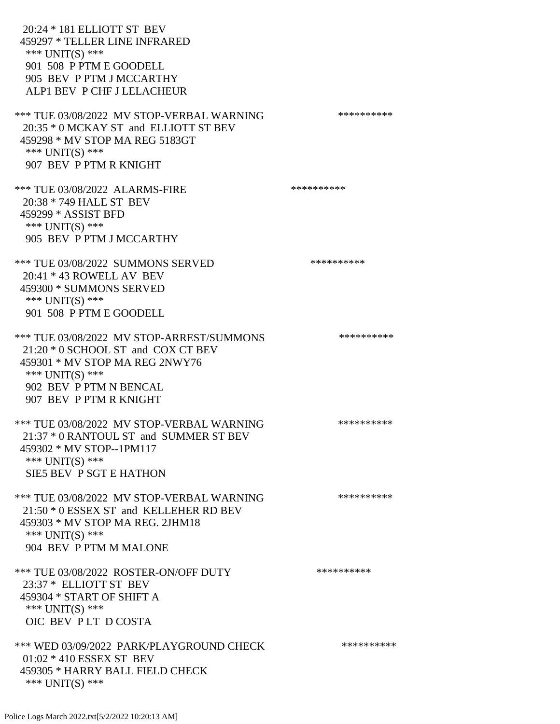20:24 \* 181 ELLIOTT ST BEV 459297 \* TELLER LINE INFRARED \*\*\* UNIT(S) \*\*\* 901 508 P PTM E GOODELL 905 BEV P PTM J MCCARTHY ALP1 BEV P CHF J LELACHEUR \*\*\* TUE 03/08/2022 MV STOP-VERBAL WARNING \*\*\*\*\*\*\*\*\*\*\*\*\* 20:35 \* 0 MCKAY ST and ELLIOTT ST BEV 459298 \* MV STOP MA REG 5183GT \*\*\* UNIT(S) \*\*\* 907 BEV P PTM R KNIGHT \*\*\* TUE 03/08/2022 ALARMS-FIRE \*\*\*\*\*\*\*\*\*\* 20:38 \* 749 HALE ST BEV 459299 \* ASSIST BFD \*\*\* UNIT(S) \*\*\* 905 BEV P PTM J MCCARTHY \*\*\* TUE 03/08/2022 SUMMONS SERVED \*\*\*\*\*\*\*\*\*\* 20:41 \* 43 ROWELL AV BEV 459300 \* SUMMONS SERVED \*\*\* UNIT(S) \*\*\* 901 508 P PTM E GOODELL \*\*\* TUE 03/08/2022 MV STOP-ARREST/SUMMONS \*\*\*\*\*\*\*\*\*\*\*\*\*\* 21:20 \* 0 SCHOOL ST and COX CT BEV 459301 \* MV STOP MA REG 2NWY76 \*\*\* UNIT(S) \*\*\* 902 BEV P PTM N BENCAL 907 BEV P PTM R KNIGHT \*\*\* TUE 03/08/2022 MV STOP-VERBAL WARNING \*\*\*\*\*\*\*\*\*\* 21:37 \* 0 RANTOUL ST and SUMMER ST BEV 459302 \* MV STOP--1PM117 \*\*\* UNIT(S) \*\*\* SIE5 BEV P SGT E HATHON \*\*\* TUE 03/08/2022 MV STOP-VERBAL WARNING \*\*\*\*\*\*\*\*\*\*\*\* 21:50 \* 0 ESSEX ST and KELLEHER RD BEV 459303 \* MV STOP MA REG. 2JHM18 \*\*\* UNIT(S) \*\*\* 904 BEV P PTM M MALONE \*\*\* TUE 03/08/2022 ROSTER-ON/OFF DUTY \*\*\*\*\*\*\*\*\*\* 23:37 \* ELLIOTT ST BEV 459304 \* START OF SHIFT A \*\*\* UNIT(S) \*\*\* OIC BEV P LT D COSTA \*\*\* WED 03/09/2022 PARK/PLAYGROUND CHECK \*\*\*\*\*\*\*\*\*\*\*\* 01:02 \* 410 ESSEX ST BEV 459305 \* HARRY BALL FIELD CHECK \*\*\* UNIT(S) \*\*\*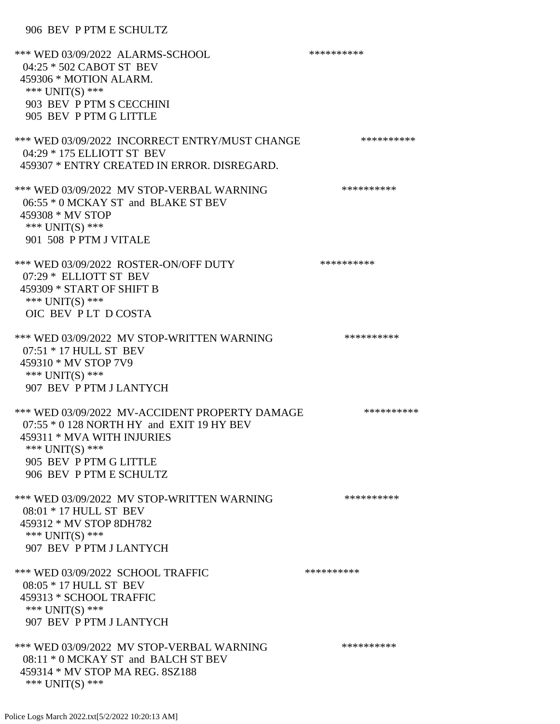## 906 BEV P PTM E SCHULTZ

| *** WED 03/09/2022 ALARMS-SCHOOL<br>04:25 * 502 CABOT ST BEV<br>459306 * MOTION ALARM.<br>*** UNIT(S) ***<br>903 BEV P PTM S CECCHINI<br>905 BEV P PTM G LITTLE                                   | ********** |
|---------------------------------------------------------------------------------------------------------------------------------------------------------------------------------------------------|------------|
| *** WED 03/09/2022 INCORRECT ENTRY/MUST CHANGE<br>04:29 * 175 ELLIOTT ST BEV<br>459307 * ENTRY CREATED IN ERROR, DISREGARD.                                                                       | ********** |
| *** WED 03/09/2022 MV STOP-VERBAL WARNING<br>06:55 * 0 MCKAY ST and BLAKE ST BEV<br>459308 * MV STOP<br>*** UNIT(S) ***<br>901 508 P PTM J VITALE                                                 | ********** |
| *** WED 03/09/2022 ROSTER-ON/OFF DUTY<br>07:29 * ELLIOTT ST BEV<br>459309 * START OF SHIFT B<br>*** UNIT(S) ***<br>OIC BEV PLT DCOSTA                                                             | ********** |
| *** WED 03/09/2022 MV STOP-WRITTEN WARNING<br>07:51 * 17 HULL ST BEV<br>459310 * MV STOP 7V9<br>*** UNIT(S) ***<br>907 BEV P PTM J LANTYCH                                                        | ********** |
| *** WED 03/09/2022 MV-ACCIDENT PROPERTY DAMAGE<br>07:55 * 0 128 NORTH HY and EXIT 19 HY BEV<br>459311 * MVA WITH INJURIES<br>*** UNIT(S) ***<br>905 BEV P PTM G LITTLE<br>906 BEV P PTM E SCHULTZ | ********** |
| *** WED 03/09/2022 MV STOP-WRITTEN WARNING<br>08:01 * 17 HULL ST BEV<br>459312 * MV STOP 8DH782<br>*** UNIT(S) ***<br>907 BEV P PTM J LANTYCH                                                     | ********** |
| *** WED 03/09/2022 SCHOOL TRAFFIC<br>08:05 * 17 HULL ST BEV<br>459313 * SCHOOL TRAFFIC<br>*** $UNIT(S)$ ***<br>907 BEV P PTM J LANTYCH                                                            | ********** |
| *** WED 03/09/2022 MV STOP-VERBAL WARNING<br>08:11 * 0 MCKAY ST and BALCH ST BEV<br>459314 * MV STOP MA REG. 8SZ188<br>*** $UNIT(S)$ ***                                                          | ********** |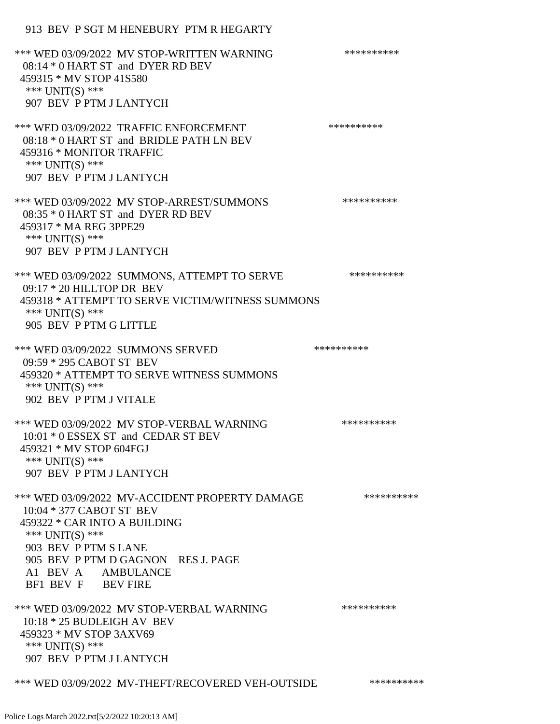## 913 BEV P SGT M HENEBURY PTM R HEGARTY

| *** WED 03/09/2022 MV STOP-WRITTEN WARNING<br>08:14 * 0 HART ST and DYER RD BEV<br>459315 * MV STOP 41S580<br>*** UNIT(S) ***                                                                                                           | ********** |
|-----------------------------------------------------------------------------------------------------------------------------------------------------------------------------------------------------------------------------------------|------------|
| 907 BEV P PTM J LANTYCH                                                                                                                                                                                                                 |            |
| *** WED 03/09/2022 TRAFFIC ENFORCEMENT<br>08:18 * 0 HART ST and BRIDLE PATH LN BEV<br>459316 * MONITOR TRAFFIC<br>*** $UNIT(S)$ ***<br>907 BEV P PTM J LANTYCH                                                                          | ********** |
| *** WED 03/09/2022 MV STOP-ARREST/SUMMONS<br>08:35 * 0 HART ST and DYER RD BEV<br>459317 * MA REG 3PPE29<br>*** UNIT(S) ***<br>907 BEV P PTM J LANTYCH                                                                                  | ********** |
| *** WED 03/09/2022 SUMMONS, ATTEMPT TO SERVE<br>$09:17 * 20$ HILLTOP DR BEV<br>459318 * ATTEMPT TO SERVE VICTIM/WITNESS SUMMONS<br>*** UNIT(S) ***<br>905 BEV P PTM G LITTLE                                                            | ********** |
| *** WED 03/09/2022 SUMMONS SERVED<br>09:59 * 295 CABOT ST BEV<br>459320 * ATTEMPT TO SERVE WITNESS SUMMONS<br>*** UNIT(S) ***<br>902 BEV P PTM J VITALE                                                                                 | ********** |
| *** WED 03/09/2022 MV STOP-VERBAL WARNING<br>10:01 * 0 ESSEX ST and CEDAR ST BEV<br>459321 * MV STOP 604FGJ<br>*** UNIT(S) ***<br>907 BEV P PTM J LANTYCH                                                                               | ********** |
| *** WED 03/09/2022 MV-ACCIDENT PROPERTY DAMAGE<br>10:04 * 377 CABOT ST BEV<br>459322 * CAR INTO A BUILDING<br>*** UNIT(S) ***<br>903 BEV P PTM S LANE<br>905 BEV P PTM D GAGNON RES J. PAGE<br>A1 BEV A AMBULANCE<br>BF1 BEV F BEV FIRE | ********** |
| *** WED 03/09/2022 MV STOP-VERBAL WARNING<br>$10:18 * 25$ BUDLEIGH AV BEV<br>459323 * MV STOP 3AXV69<br>*** UNIT(S) ***<br>907 BEV P PTM J LANTYCH                                                                                      | ********** |
| *** WED 03/09/2022 MV-THEFT/RECOVERED VEH-OUTSIDE                                                                                                                                                                                       | ********** |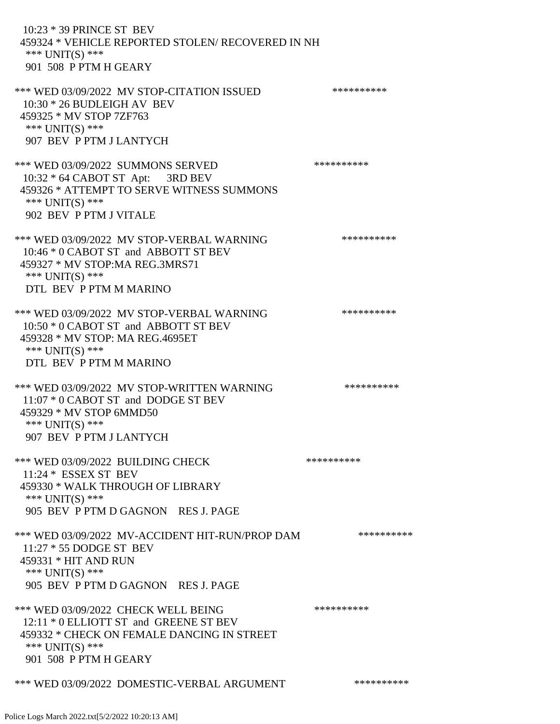10:23 \* 39 PRINCE ST BEV 459324 \* VEHICLE REPORTED STOLEN/ RECOVERED IN NH \*\*\* UNIT(S) \*\*\* 901 508 P PTM H GEARY

\*\*\* WED 03/09/2022 MV STOP-CITATION ISSUED \*\*\*\*\*\*\*\*\*\* 10:30 \* 26 BUDLEIGH AV BEV 459325 \* MV STOP 7ZF763 \*\*\* UNIT(S) \*\*\* 907 BEV P PTM J LANTYCH

\*\*\* WED 03/09/2022 SUMMONS SERVED \*\*\*\*\*\*\*\*\*\* 10:32 \* 64 CABOT ST Apt: 3RD BEV 459326 \* ATTEMPT TO SERVE WITNESS SUMMONS \*\*\* UNIT(S) \*\*\* 902 BEV P PTM J VITALE

\*\*\* WED 03/09/2022 MV STOP-VERBAL WARNING \*\*\*\*\*\*\*\*\*\*\*\* 10:46 \* 0 CABOT ST and ABBOTT ST BEV 459327 \* MV STOP:MA REG.3MRS71 \*\*\* UNIT(S) \*\*\* DTL BEV P PTM M MARINO

\*\*\* WED 03/09/2022 MV STOP-VERBAL WARNING \*\*\*\*\*\*\*\*\*\*\*\*\* 10:50 \* 0 CABOT ST and ABBOTT ST BEV 459328 \* MV STOP: MA REG.4695ET \*\*\* UNIT(S) \*\*\* DTL BEV P PTM M MARINO

\*\*\* WED 03/09/2022 MV STOP-WRITTEN WARNING \*\*\*\*\*\*\*\*\*\*\*\* 11:07 \* 0 CABOT ST and DODGE ST BEV 459329 \* MV STOP 6MMD50 \*\*\* UNIT(S) \*\*\* 907 BEV P PTM J LANTYCH

\*\*\* WED 03/09/2022 BUILDING CHECK \*\*\*\*\*\*\*\*\*\*\*\* 11:24 \* ESSEX ST BEV 459330 \* WALK THROUGH OF LIBRARY \*\*\* UNIT(S) \*\*\* 905 BEV P PTM D GAGNON RES J. PAGE

\*\*\* WED 03/09/2022 MV-ACCIDENT HIT-RUN/PROP DAM \*\*\*\*\*\*\*\*\*\* 11:27 \* 55 DODGE ST BEV 459331 \* HIT AND RUN \*\*\* UNIT(S) \*\*\* 905 BEV P PTM D GAGNON RES J. PAGE

\*\*\* WED 03/09/2022 CHECK WELL BEING \*\*\*\*\*\*\*\*\*\* 12:11 \* 0 ELLIOTT ST and GREENE ST BEV 459332 \* CHECK ON FEMALE DANCING IN STREET \*\*\* UNIT(S) \*\*\* 901 508 P PTM H GEARY

\*\*\* WED 03/09/2022 DOMESTIC-VERBAL ARGUMENT \*\*\*\*\*\*\*\*\*\*\*\*\*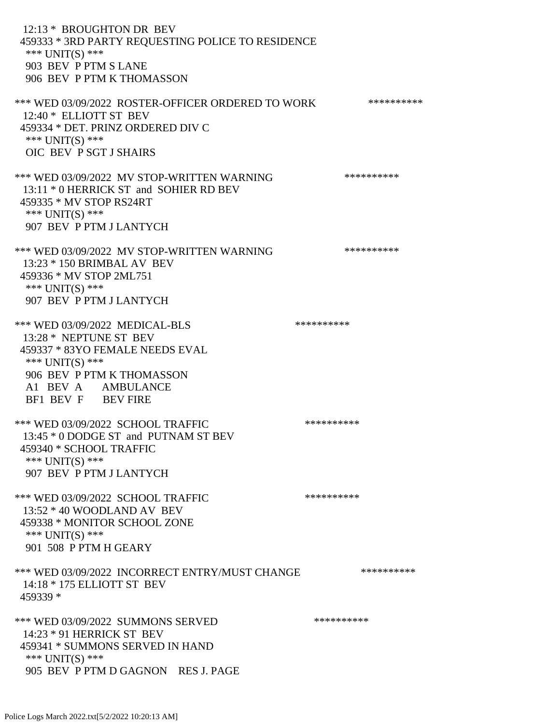12:13 \* BROUGHTON DR BEV 459333 \* 3RD PARTY REQUESTING POLICE TO RESIDENCE \*\*\* UNIT(S) \*\*\* 903 BEV P PTM S LANE 906 BEV P PTM K THOMASSON \*\*\* WED 03/09/2022 ROSTER-OFFICER ORDERED TO WORK \*\*\*\*\*\*\*\*\*\*\* 12:40 \* ELLIOTT ST BEV 459334 \* DET. PRINZ ORDERED DIV C \*\*\* UNIT(S) \*\*\* OIC BEV P SGT J SHAIRS \*\*\* WED 03/09/2022 MV STOP-WRITTEN WARNING \*\*\*\*\*\*\*\*\*\*\*\* 13:11 \* 0 HERRICK ST and SOHIER RD BEV 459335 \* MV STOP RS24RT \*\*\* UNIT(S) \*\*\* 907 BEV P PTM J LANTYCH \*\*\* WED 03/09/2022 MV STOP-WRITTEN WARNING \*\*\*\*\*\*\*\*\*\*\*\* 13:23 \* 150 BRIMBAL AV BEV 459336 \* MV STOP 2ML751 \*\*\* UNIT(S) \*\*\* 907 BEV P PTM J LANTYCH \*\*\* WED 03/09/2022 MEDICAL-BLS \*\*\*\*\*\*\*\*\*\* 13:28 \* NEPTUNE ST BEV 459337 \* 83YO FEMALE NEEDS EVAL \*\*\* UNIT(S) \*\*\* 906 BEV P PTM K THOMASSON A1 BEV A AMBULANCE BF1 BEV F BEV FIRE \*\*\* WED 03/09/2022 SCHOOL TRAFFIC \*\*\*\*\*\*\*\*\*\*\*\* 13:45 \* 0 DODGE ST and PUTNAM ST BEV 459340 \* SCHOOL TRAFFIC \*\*\* UNIT(S) \*\*\* 907 BEV P PTM J LANTYCH \*\*\* WED 03/09/2022 SCHOOL TRAFFIC \*\*\*\*\*\*\*\*\*\*\*\* 13:52 \* 40 WOODLAND AV BEV 459338 \* MONITOR SCHOOL ZONE \*\*\* UNIT(S) \*\*\* 901 508 P PTM H GEARY \*\*\* WED 03/09/2022 INCORRECT ENTRY/MUST CHANGE \*\*\*\*\*\*\*\*\*\* 14:18 \* 175 ELLIOTT ST BEV 459339 \* \*\*\* WED 03/09/2022 SUMMONS SERVED \*\*\*\*\*\*\*\*\*\* 14:23 \* 91 HERRICK ST BEV 459341 \* SUMMONS SERVED IN HAND \*\*\* UNIT(S) \*\*\* 905 BEV P PTM D GAGNON RES J. PAGE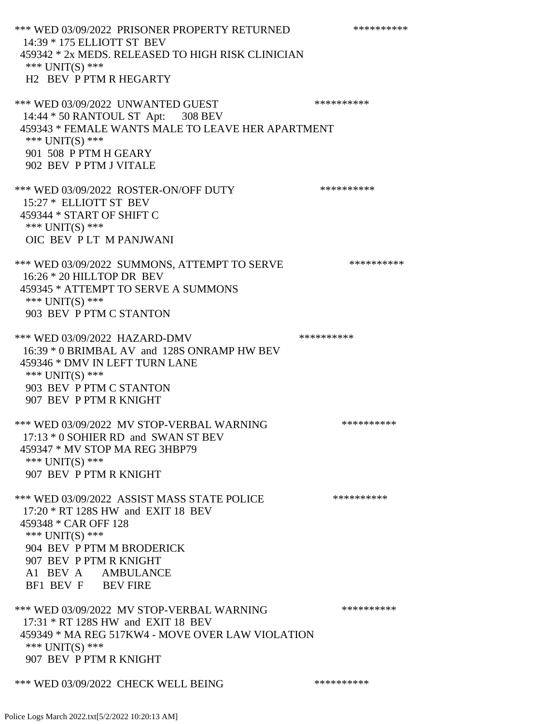\*\*\* WED 03/09/2022 PRISONER PROPERTY RETURNED \*\*\*\*\*\*\*\*\*\* 14:39 \* 175 ELLIOTT ST BEV 459342 \* 2x MEDS. RELEASED TO HIGH RISK CLINICIAN \*\*\* UNIT(S) \*\*\* H2 BEV P PTM R HEGARTY \*\*\* WED 03/09/2022 UNWANTED GUEST \*\*\*\*\*\*\*\*\*\*\*\*\* 14:44 \* 50 RANTOUL ST Apt: 308 BEV 459343 \* FEMALE WANTS MALE TO LEAVE HER APARTMENT \*\*\* UNIT(S) \*\*\* 901 508 P PTM H GEARY 902 BEV P PTM J VITALE \*\*\* WED 03/09/2022 ROSTER-ON/OFF DUTY \*\*\*\*\*\*\*\*\*\* 15:27 \* ELLIOTT ST BEV 459344 \* START OF SHIFT C \*\*\* UNIT(S) \*\*\* OIC BEV P LT M PANJWANI \*\*\* WED 03/09/2022 SUMMONS, ATTEMPT TO SERVE \*\*\*\*\*\*\*\*\*\*\*\* 16:26 \* 20 HILLTOP DR BEV 459345 \* ATTEMPT TO SERVE A SUMMONS \*\*\* UNIT(S) \*\*\* 903 BEV P PTM C STANTON \*\*\* WED 03/09/2022 HAZARD-DMV \*\*\*\*\*\*\*\*\*\* 16:39 \* 0 BRIMBAL AV and 128S ONRAMP HW BEV 459346 \* DMV IN LEFT TURN LANE \*\*\* UNIT(S) \*\*\* 903 BEV P PTM C STANTON 907 BEV P PTM R KNIGHT \*\*\* WED 03/09/2022 MV STOP-VERBAL WARNING \*\*\*\*\*\*\*\*\*\*\*\*\* 17:13 \* 0 SOHIER RD and SWAN ST BEV 459347 \* MV STOP MA REG 3HBP79 \*\*\* UNIT(S) \*\*\* 907 BEV P PTM R KNIGHT \*\*\* WED 03/09/2022 ASSIST MASS STATE POLICE \*\*\*\*\*\*\*\*\*\*\*\* 17:20 \* RT 128S HW and EXIT 18 BEV 459348 \* CAR OFF 128 \*\*\* UNIT(S) \*\*\* 904 BEV P PTM M BRODERICK 907 BEV P PTM R KNIGHT A1 BEV A AMBULANCE BF1 BEV F BEV FIRE \*\*\* WED 03/09/2022 MV STOP-VERBAL WARNING \*\*\*\*\*\*\*\*\*\*\*\*\* 17:31 \* RT 128S HW and EXIT 18 BEV 459349 \* MA REG 517KW4 - MOVE OVER LAW VIOLATION \*\*\* UNIT(S) \*\*\* 907 BEV P PTM R KNIGHT \*\*\* WED 03/09/2022 CHECK WELL BEING \*\*\*\*\*\*\*\*\*\*\*\*\*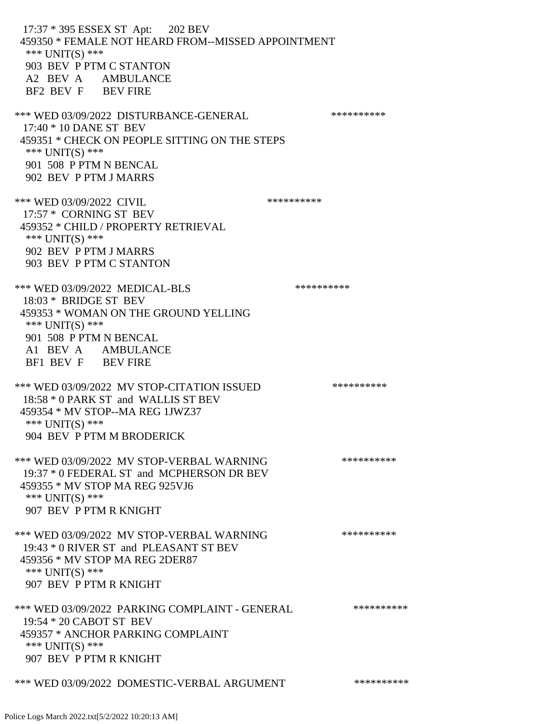17:37 \* 395 ESSEX ST Apt: 202 BEV 459350 \* FEMALE NOT HEARD FROM--MISSED APPOINTMENT \*\*\* UNIT(S) \*\*\* 903 BEV P PTM C STANTON A2 BEV A AMBULANCE BF2 BEV F BEV FIRE \*\*\* WED 03/09/2022 DISTURBANCE-GENERAL \*\*\*\*\*\*\*\*\*\*\*\*\* 17:40 \* 10 DANE ST BEV 459351 \* CHECK ON PEOPLE SITTING ON THE STEPS \*\*\* UNIT(S) \*\*\* 901 508 P PTM N BENCAL 902 BEV P PTM J MARRS \*\*\* WED 03/09/2022 CIVIL 17:57 \* CORNING ST BEV 459352 \* CHILD / PROPERTY RETRIEVAL \*\*\* UNIT(S) \*\*\* 902 BEV P PTM J MARRS 903 BEV P PTM C STANTON \*\*\* WED 03/09/2022 MEDICAL-BLS \*\*\*\*\*\*\*\*\*\*\*\* 18:03 \* BRIDGE ST BEV 459353 \* WOMAN ON THE GROUND YELLING \*\*\* UNIT(S) \*\*\* 901 508 P PTM N BENCAL A1 BEV A AMBULANCE BF1 BEV F BEV FIRE \*\*\* WED 03/09/2022 MV STOP-CITATION ISSUED \*\*\*\*\*\*\*\*\*\* 18:58 \* 0 PARK ST and WALLIS ST BEV 459354 \* MV STOP--MA REG 1JWZ37 \*\*\* UNIT(S) \*\*\* 904 BEV P PTM M BRODERICK \*\*\* WED 03/09/2022 MV STOP-VERBAL WARNING \*\*\*\*\*\*\*\*\*\*\*\*\* 19:37 \* 0 FEDERAL ST and MCPHERSON DR BEV 459355 \* MV STOP MA REG 925VJ6 \*\*\* UNIT(S) \*\*\* 907 BEV P PTM R KNIGHT \*\*\* WED 03/09/2022 MV STOP-VERBAL WARNING \*\*\*\*\*\*\*\*\*\*\*\* 19:43 \* 0 RIVER ST and PLEASANT ST BEV 459356 \* MV STOP MA REG 2DER87 \*\*\* UNIT(S) \*\*\* 907 BEV P PTM R KNIGHT \*\*\* WED 03/09/2022 PARKING COMPLAINT - GENERAL \*\*\*\*\*\*\*\*\*\*\*\* 19:54 \* 20 CABOT ST BEV 459357 \* ANCHOR PARKING COMPLAINT \*\*\* UNIT(S) \*\*\* 907 BEV P PTM R KNIGHT \*\*\* WED 03/09/2022 DOMESTIC-VERBAL ARGUMENT \*\*\*\*\*\*\*\*\*\*\*\*\*

Police Logs March 2022.txt[5/2/2022 10:20:13 AM]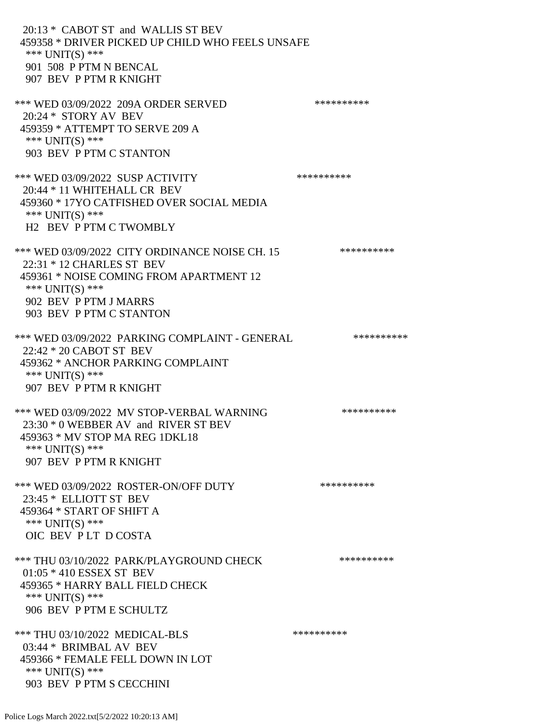20:13 \* CABOT ST and WALLIS ST BEV 459358 \* DRIVER PICKED UP CHILD WHO FEELS UNSAFE \*\*\* UNIT(S) \*\*\* 901 508 P PTM N BENCAL 907 BEV P PTM R KNIGHT \*\*\* WED 03/09/2022 209A ORDER SERVED \*\*\*\*\*\*\*\*\*\* 20:24 \* STORY AV BEV 459359 \* ATTEMPT TO SERVE 209 A \*\*\* UNIT(S) \*\*\* 903 BEV P PTM C STANTON \*\*\* WED 03/09/2022 SUSP ACTIVITY \*\*\*\*\*\*\*\*\*\*\*\* 20:44 \* 11 WHITEHALL CR BEV 459360 \* 17YO CATFISHED OVER SOCIAL MEDIA \*\*\* UNIT(S) \*\*\* H2 BEV P PTM C TWOMBLY \*\*\* WED 03/09/2022 CITY ORDINANCE NOISE CH. 15 \*\*\*\*\*\*\*\*\*\*\* 22:31 \* 12 CHARLES ST BEV 459361 \* NOISE COMING FROM APARTMENT 12 \*\*\* UNIT(S) \*\*\* 902 BEV P PTM J MARRS 903 BEV P PTM C STANTON \*\*\* WED 03/09/2022 PARKING COMPLAINT - GENERAL \*\*\*\*\*\*\*\*\*\* 22:42 \* 20 CABOT ST BEV 459362 \* ANCHOR PARKING COMPLAINT \*\*\* UNIT(S) \*\*\* 907 BEV P PTM R KNIGHT \*\*\* WED 03/09/2022 MV STOP-VERBAL WARNING \*\*\*\*\*\*\*\*\*\*\*\* 23:30 \* 0 WEBBER AV and RIVER ST BEV 459363 \* MV STOP MA REG 1DKL18 \*\*\* UNIT(S) \*\*\* 907 BEV P PTM R KNIGHT \*\*\* WED 03/09/2022 ROSTER-ON/OFF DUTY \*\*\*\*\*\*\*\*\*\* 23:45 \* ELLIOTT ST BEV 459364 \* START OF SHIFT A \*\*\* UNIT(S) \*\*\* OIC BEV P LT D COSTA \*\*\* THU 03/10/2022 PARK/PLAYGROUND CHECK \*\*\*\*\*\*\*\*\*\*\* 01:05 \* 410 ESSEX ST BEV 459365 \* HARRY BALL FIELD CHECK \*\*\* UNIT(S) \*\*\* 906 BEV P PTM E SCHULTZ \*\*\* THU 03/10/2022 MEDICAL-BLS \*\*\*\*\*\*\*\*\*\* 03:44 \* BRIMBAL AV BEV 459366 \* FEMALE FELL DOWN IN LOT \*\*\* UNIT(S) \*\*\* 903 BEV P PTM S CECCHINI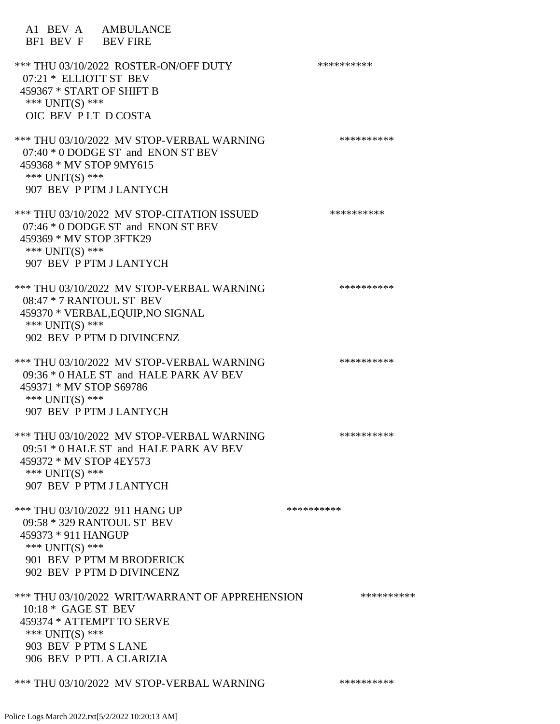A1 BEV A AMBULANCE BF1 BEV F BEV FIRE \*\*\* THU 03/10/2022 ROSTER-ON/OFF DUTY \*\*\*\*\*\*\*\*\*\* 07:21 \* ELLIOTT ST BEV 459367 \* START OF SHIFT B \*\*\* UNIT(S) \*\*\* OIC BEV P LT D COSTA \*\*\* THU 03/10/2022 MV STOP-VERBAL WARNING \*\*\*\*\*\*\*\*\*\*\*\*\* 07:40 \* 0 DODGE ST and ENON ST BEV 459368 \* MV STOP 9MY615 \*\*\* UNIT(S) \*\*\* 907 BEV P PTM J LANTYCH \*\*\* THU 03/10/2022 MV STOP-CITATION ISSUED \*\*\*\*\*\*\*\*\*\* 07:46 \* 0 DODGE ST and ENON ST BEV 459369 \* MV STOP 3FTK29 \*\*\* UNIT(S) \*\*\* 907 BEV P PTM J LANTYCH \*\*\* THU 03/10/2022 MV STOP-VERBAL WARNING \*\*\*\*\*\*\*\*\*\*\*\* 08:47 \* 7 RANTOUL ST BEV 459370 \* VERBAL,EQUIP,NO SIGNAL \*\*\* UNIT(S) \*\*\* 902 BEV P PTM D DIVINCENZ \*\*\* THU 03/10/2022 MV STOP-VERBAL WARNING \*\*\*\*\*\*\*\*\*\*\*\*\* 09:36 \* 0 HALE ST and HALE PARK AV BEV 459371 \* MV STOP S69786 \*\*\* UNIT(S) \*\*\* 907 BEV P PTM J LANTYCH \*\*\* THU 03/10/2022 MV STOP-VERBAL WARNING \*\*\*\*\*\*\*\*\*\*\*\*\* 09:51 \* 0 HALE ST and HALE PARK AV BEV 459372 \* MV STOP 4EY573 \*\*\* UNIT(S) \*\*\* 907 BEV P PTM J LANTYCH \*\*\* THU 03/10/2022 911 HANG UP \*\*\*\*\*\*\*\*\*\*\*\*\* 09:58 \* 329 RANTOUL ST BEV 459373 \* 911 HANGUP \*\*\* UNIT(S) \*\*\* 901 BEV P PTM M BRODERICK 902 BEV P PTM D DIVINCENZ \*\*\* THU 03/10/2022 WRIT/WARRANT OF APPREHENSION \*\*\*\*\*\*\*\*\*\* 10:18 \* GAGE ST BEV 459374 \* ATTEMPT TO SERVE \*\*\* UNIT(S) \*\*\* 903 BEV P PTM S LANE 906 BEV P PTL A CLARIZIA

\*\*\* THU 03/10/2022 MV STOP-VERBAL WARNING \*\*\*\*\*\*\*\*\*\*\*\*\*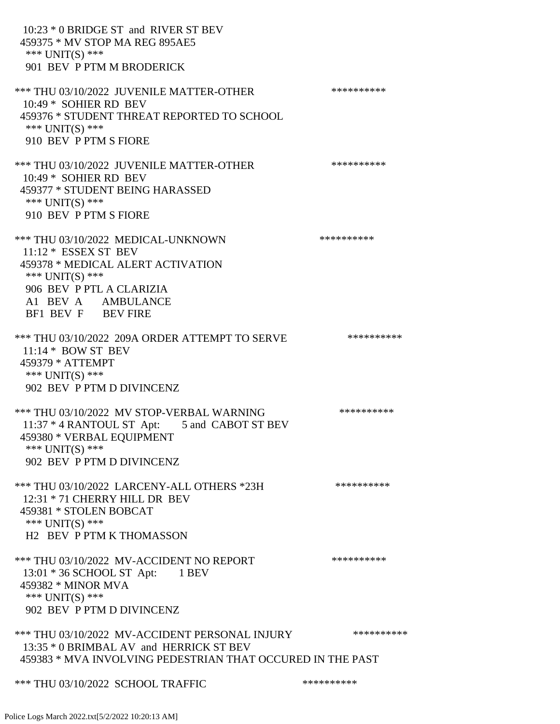10:23 \* 0 BRIDGE ST and RIVER ST BEV 459375 \* MV STOP MA REG 895AE5 \*\*\* UNIT(S) \*\*\* 901 BEV P PTM M BRODERICK \*\*\* THU 03/10/2022 JUVENILE MATTER-OTHER \*\*\*\*\*\*\*\*\*\*\*\* 10:49 \* SOHIER RD BEV 459376 \* STUDENT THREAT REPORTED TO SCHOOL \*\*\* UNIT(S) \*\*\* 910 BEV P PTM S FIORE \*\*\* THU 03/10/2022 JUVENILE MATTER-OTHER \*\*\*\*\*\*\*\*\*\*\*\* 10:49 \* SOHIER RD BEV 459377 \* STUDENT BEING HARASSED \*\*\* UNIT(S) \*\*\* 910 BEV P PTM S FIORE \*\*\* THU 03/10/2022 MEDICAL-UNKNOWN \*\*\*\*\*\*\*\*\*\* 11:12 \* ESSEX ST BEV 459378 \* MEDICAL ALERT ACTIVATION \*\*\* UNIT(S) \*\*\* 906 BEV P PTL A CLARIZIA A1 BEV A AMBULANCE BF1 BEV F BEV FIRE \*\*\* THU 03/10/2022 209A ORDER ATTEMPT TO SERVE \*\*\*\*\*\*\*\*\*\* 11:14 \* BOW ST BEV 459379 \* ATTEMPT \*\*\* UNIT(S) \*\*\* 902 BEV P PTM D DIVINCENZ \*\*\* THU 03/10/2022 MV STOP-VERBAL WARNING \*\*\*\*\*\*\*\*\*\*\*\*\* 11:37 \* 4 RANTOUL ST Apt: 5 and CABOT ST BEV 459380 \* VERBAL EQUIPMENT \*\*\* UNIT(S) \*\*\* 902 BEV P PTM D DIVINCENZ \*\*\* THU 03/10/2022 LARCENY-ALL OTHERS \*23H \*\*\*\*\*\*\*\*\*\* 12:31 \* 71 CHERRY HILL DR BEV 459381 \* STOLEN BOBCAT \*\*\* UNIT(S) \*\*\* H2 BEV P PTM K THOMASSON \*\*\* THU 03/10/2022 MV-ACCIDENT NO REPORT \*\*\*\*\*\*\*\*\*\*\*\* 13:01 \* 36 SCHOOL ST Apt: 1 BEV 459382 \* MINOR MVA \*\*\* UNIT(S) \*\*\* 902 BEV P PTM D DIVINCENZ \*\*\* THU 03/10/2022 MV-ACCIDENT PERSONAL INJURY \*\*\*\*\*\*\*\*\*\* 13:35 \* 0 BRIMBAL AV and HERRICK ST BEV 459383 \* MVA INVOLVING PEDESTRIAN THAT OCCURED IN THE PAST \*\*\* THU 03/10/2022 SCHOOL TRAFFIC \*\*\*\*\*\*\*\*\*\*\*\*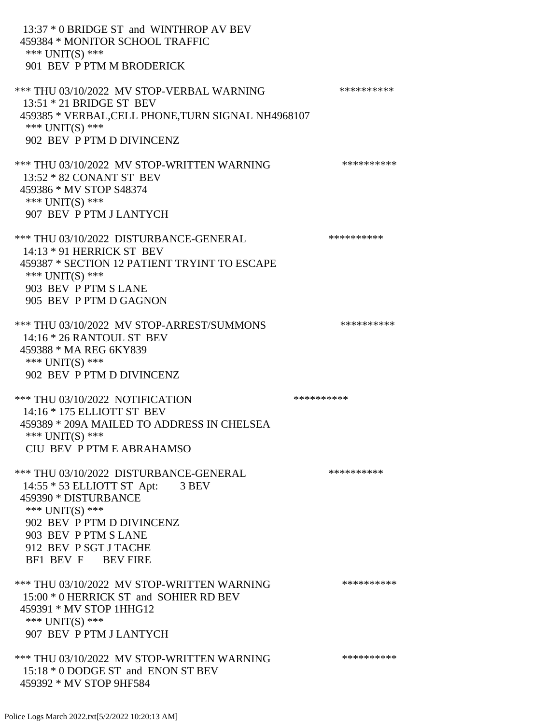13:37 \* 0 BRIDGE ST and WINTHROP AV BEV 459384 \* MONITOR SCHOOL TRAFFIC \*\*\* UNIT(S) \*\*\* 901 BEV P PTM M BRODERICK \*\*\* THU 03/10/2022 MV STOP-VERBAL WARNING \*\*\*\*\*\*\*\*\*\*\*\*\* 13:51 \* 21 BRIDGE ST BEV 459385 \* VERBAL,CELL PHONE,TURN SIGNAL NH4968107 \*\*\* UNIT(S) \*\*\* 902 BEV P PTM D DIVINCENZ \*\*\* THU 03/10/2022 MV STOP-WRITTEN WARNING \*\*\*\*\*\*\*\*\*\*\*\*\* 13:52 \* 82 CONANT ST BEV 459386 \* MV STOP S48374 \*\*\* UNIT(S) \*\*\* 907 BEV P PTM J LANTYCH \*\*\* THU 03/10/2022 DISTURBANCE-GENERAL \*\*\*\*\*\*\*\*\*\* 14:13 \* 91 HERRICK ST BEV 459387 \* SECTION 12 PATIENT TRYINT TO ESCAPE \*\*\* UNIT(S) \*\*\* 903 BEV P PTM S LANE 905 BEV P PTM D GAGNON \*\*\* THU 03/10/2022 MV STOP-ARREST/SUMMONS \*\*\*\*\*\*\*\*\*\*\*\*\* 14:16 \* 26 RANTOUL ST BEV 459388 \* MA REG 6KY839 \*\*\* UNIT(S) \*\*\* 902 BEV P PTM D DIVINCENZ \*\*\* THU 03/10/2022 NOTIFICATION \*\*\*\*\*\*\*\*\*\*\*\* 14:16 \* 175 ELLIOTT ST BEV 459389 \* 209A MAILED TO ADDRESS IN CHELSEA \*\*\* UNIT(S) \*\*\* CIU BEV P PTM E ABRAHAMSO \*\*\* THU 03/10/2022 DISTURBANCE-GENERAL \*\*\*\*\*\*\*\*\*\* 14:55 \* 53 ELLIOTT ST Apt: 3 BEV 459390 \* DISTURBANCE \*\*\* UNIT(S) \*\*\* 902 BEV P PTM D DIVINCENZ 903 BEV P PTM S LANE 912 BEV P SGT J TACHE BF1 BEV F BEV FIRE \*\*\* THU 03/10/2022 MV STOP-WRITTEN WARNING \*\*\*\*\*\*\*\*\*\*\*\*\* 15:00 \* 0 HERRICK ST and SOHIER RD BEV 459391 \* MV STOP 1HHG12 \*\*\* UNIT(S) \*\*\* 907 BEV P PTM J LANTYCH \*\*\* THU 03/10/2022 MV STOP-WRITTEN WARNING \*\*\*\*\*\*\*\*\*\*\*\* 15:18 \* 0 DODGE ST and ENON ST BEV 459392 \* MV STOP 9HF584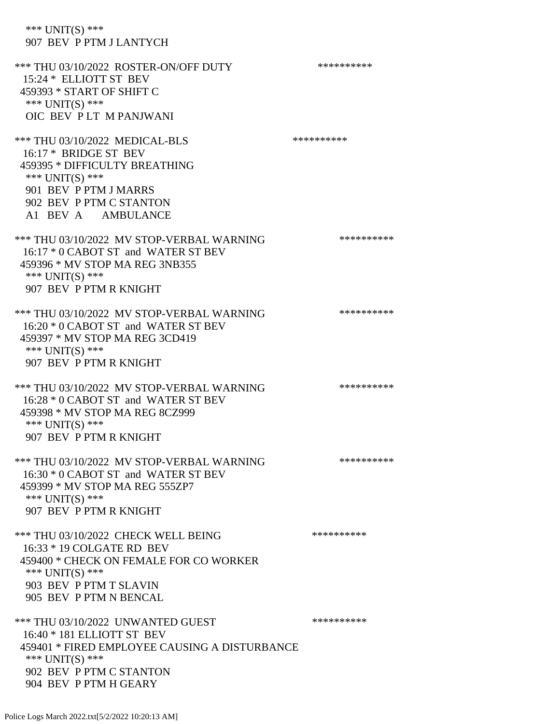\*\*\* UNIT(S) \*\*\* 907 BEV P PTM J LANTYCH \*\*\* THU 03/10/2022 ROSTER-ON/OFF DUTY \*\*\*\*\*\*\*\*\*\* 15:24 \* ELLIOTT ST BEV 459393 \* START OF SHIFT C \*\*\* UNIT(S) \*\*\* OIC BEV P LT M PANJWANI \*\*\* THU 03/10/2022 MEDICAL-BLS \*\*\*\*\*\*\*\*\*\*\*\*\* 16:17 \* BRIDGE ST BEV 459395 \* DIFFICULTY BREATHING \*\*\* UNIT(S) \*\*\* 901 BEV P PTM J MARRS 902 BEV P PTM C STANTON A1 BEV A AMBULANCE \*\*\* THU 03/10/2022 MV STOP-VERBAL WARNING \*\*\*\*\*\*\*\*\*\*\*\*\* 16:17 \* 0 CABOT ST and WATER ST BEV 459396 \* MV STOP MA REG 3NB355 \*\*\* UNIT(S) \*\*\* 907 BEV P PTM R KNIGHT \*\*\* THU 03/10/2022 MV STOP-VERBAL WARNING \*\*\*\*\*\*\*\*\*\*\*\*\*\*\* 16:20 \* 0 CABOT ST and WATER ST BEV 459397 \* MV STOP MA REG 3CD419 \*\*\* UNIT(S) \*\*\* 907 BEV P PTM R KNIGHT \*\*\* THU 03/10/2022 MV STOP-VERBAL WARNING \*\*\*\*\*\*\*\*\*\*\*\*\* 16:28 \* 0 CABOT ST and WATER ST BEV 459398 \* MV STOP MA REG 8CZ999 \*\*\* UNIT(S) \*\*\* 907 BEV P PTM R KNIGHT \*\*\* THU 03/10/2022 MV STOP-VERBAL WARNING \*\*\*\*\*\*\*\*\*\*\*\* 16:30 \* 0 CABOT ST and WATER ST BEV 459399 \* MV STOP MA REG 555ZP7 \*\*\* UNIT(S) \*\*\* 907 BEV P PTM R KNIGHT \*\*\* THU 03/10/2022 CHECK WELL BEING \*\*\*\*\*\*\*\*\*\* 16:33 \* 19 COLGATE RD BEV 459400 \* CHECK ON FEMALE FOR CO WORKER \*\*\* UNIT(S) \*\*\* 903 BEV P PTM T SLAVIN 905 BEV P PTM N BENCAL \*\*\* THU 03/10/2022 UNWANTED GUEST \*\*\*\*\*\*\*\*\*\*\*\*\*\*\* 16:40 \* 181 ELLIOTT ST BEV 459401 \* FIRED EMPLOYEE CAUSING A DISTURBANCE \*\*\* UNIT(S) \*\*\* 902 BEV P PTM C STANTON

904 BEV P PTM H GEARY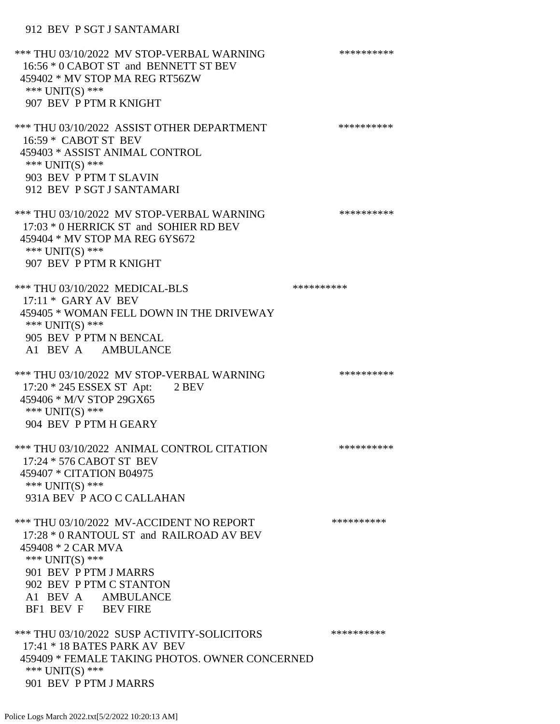## 912 BEV P SGT J SANTAMARI

\*\*\* THU 03/10/2022 MV STOP-VERBAL WARNING \*\*\*\*\*\*\*\*\*\*\*\* 16:56 \* 0 CABOT ST and BENNETT ST BEV 459402 \* MV STOP MA REG RT56ZW \*\*\* UNIT(S) \*\*\* 907 BEV P PTM R KNIGHT \*\*\* THU 03/10/2022 ASSIST OTHER DEPARTMENT \*\*\*\*\*\*\*\*\*\*\*\*\* 16:59 \* CABOT ST BEV 459403 \* ASSIST ANIMAL CONTROL \*\*\* UNIT(S) \*\*\* 903 BEV P PTM T SLAVIN 912 BEV P SGT J SANTAMARI \*\*\* THU 03/10/2022 MV STOP-VERBAL WARNING \*\*\*\*\*\*\*\*\*\*\*\*\* 17:03 \* 0 HERRICK ST and SOHIER RD BEV 459404 \* MV STOP MA REG 6YS672 \*\*\* UNIT(S) \*\*\* 907 BEV P PTM R KNIGHT \*\*\* THU 03/10/2022 MEDICAL-BLS \*\*\*\*\*\*\*\*\*\*\*\*\* 17:11 \* GARY AV BEV 459405 \* WOMAN FELL DOWN IN THE DRIVEWAY \*\*\* UNIT(S) \*\*\* 905 BEV P PTM N BENCAL A1 BEV A AMBULANCE \*\*\* THU 03/10/2022 MV STOP-VERBAL WARNING \*\*\*\*\*\*\*\*\*\*\*\*\* 17:20 \* 245 ESSEX ST Apt: 2 BEV 459406 \* M/V STOP 29GX65 \*\*\* UNIT(S) \*\*\* 904 BEV P PTM H GEARY \*\*\* THU 03/10/2022 ANIMAL CONTROL CITATION \*\*\*\*\*\*\*\*\*\* 17:24 \* 576 CABOT ST BEV 459407 \* CITATION B04975 \*\*\* UNIT(S) \*\*\* 931A BEV P ACO C CALLAHAN \*\*\* THU 03/10/2022 MV-ACCIDENT NO REPORT \*\*\*\*\*\*\*\*\*\*\*\* 17:28 \* 0 RANTOUL ST and RAILROAD AV BEV 459408 \* 2 CAR MVA \*\*\* UNIT(S) \*\*\* 901 BEV P PTM J MARRS 902 BEV P PTM C STANTON A1 BEV A AMBULANCE BF1 BEV F BEV FIRE \*\*\* THU 03/10/2022 SUSP ACTIVITY-SOLICITORS \*\*\*\*\*\*\*\*\*\*\*\* 17:41 \* 18 BATES PARK AV BEV 459409 \* FEMALE TAKING PHOTOS. OWNER CONCERNED \*\*\* UNIT(S) \*\*\* 901 BEV P PTM J MARRS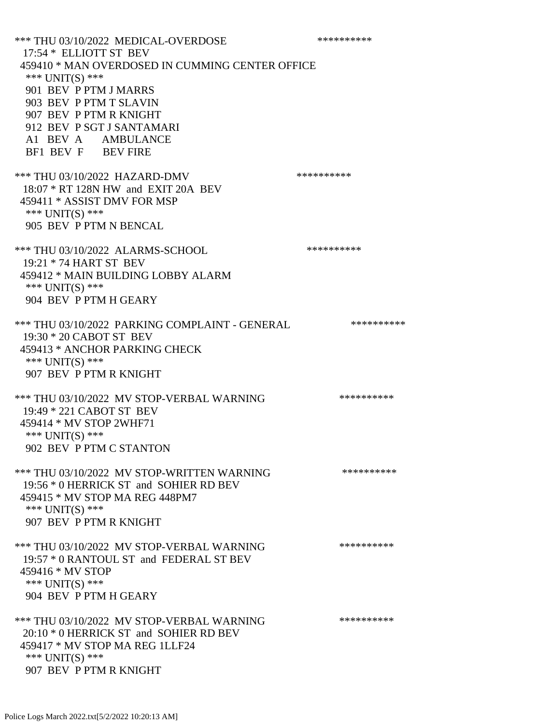\*\*\* THU 03/10/2022 MEDICAL-OVERDOSE \*\*\*\*\*\*\*\*\*\* 17:54 \* ELLIOTT ST BEV 459410 \* MAN OVERDOSED IN CUMMING CENTER OFFICE \*\*\* UNIT(S) \*\*\* 901 BEV P PTM J MARRS 903 BEV P PTM T SLAVIN 907 BEV P PTM R KNIGHT 912 BEV P SGT J SANTAMARI A1 BEV A AMBULANCE BF1 BEV F BEV FIRE \*\*\* THU 03/10/2022 HAZARD-DMV \*\*\*\*\*\*\*\*\*\* 18:07 \* RT 128N HW and EXIT 20A BEV 459411 \* ASSIST DMV FOR MSP \*\*\* UNIT(S) \*\*\* 905 BEV P PTM N BENCAL \*\*\* THU 03/10/2022 ALARMS-SCHOOL \*\*\*\*\*\*\*\*\*\* 19:21 \* 74 HART ST BEV 459412 \* MAIN BUILDING LOBBY ALARM \*\*\* UNIT(S) \*\*\* 904 BEV P PTM H GEARY \*\*\* THU 03/10/2022 PARKING COMPLAINT - GENERAL \*\*\*\*\*\*\*\*\*\*\*\* 19:30 \* 20 CABOT ST BEV 459413 \* ANCHOR PARKING CHECK \*\*\* UNIT(S) \*\*\* 907 BEV P PTM R KNIGHT \*\*\* THU 03/10/2022 MV STOP-VERBAL WARNING \*\*\*\*\*\*\*\*\*\*\*\*\*\* 19:49 \* 221 CABOT ST BEV 459414 \* MV STOP 2WHF71 \*\*\* UNIT(S) \*\*\* 902 BEV P PTM C STANTON \*\*\* THU 03/10/2022 MV STOP-WRITTEN WARNING \*\*\*\*\*\*\*\*\*\*\*\* 19:56 \* 0 HERRICK ST and SOHIER RD BEV 459415 \* MV STOP MA REG 448PM7 \*\*\* UNIT(S) \*\*\* 907 BEV P PTM R KNIGHT \*\*\* THU 03/10/2022 MV STOP-VERBAL WARNING \*\*\*\*\*\*\*\*\*\*\*\*\* 19:57 \* 0 RANTOUL ST and FEDERAL ST BEV 459416 \* MV STOP \*\*\* UNIT(S) \*\*\* 904 BEV P PTM H GEARY \*\*\* THU 03/10/2022 MV STOP-VERBAL WARNING \*\*\*\*\*\*\*\*\*\*\*\*\*\* 20:10 \* 0 HERRICK ST and SOHIER RD BEV 459417 \* MV STOP MA REG 1LLF24 \*\*\* UNIT(S) \*\*\* 907 BEV P PTM R KNIGHT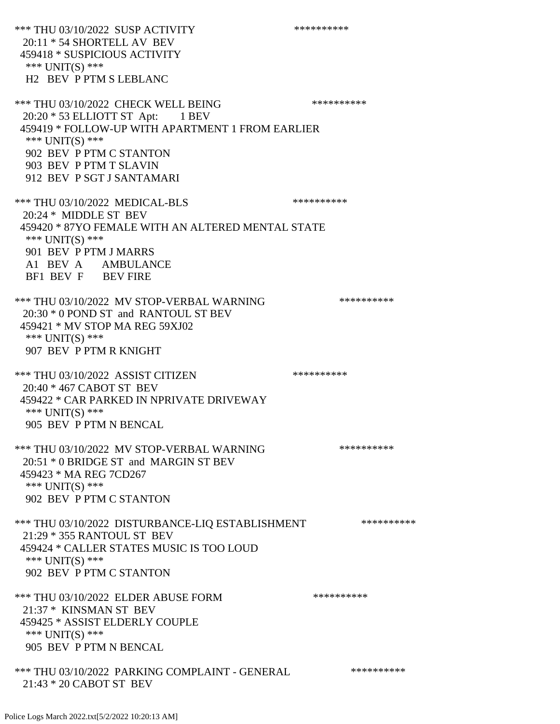\*\*\* THU 03/10/2022 SUSP ACTIVITY \*\*\*\*\*\*\*\*\*\*\*\* 20:11 \* 54 SHORTELL AV BEV 459418 \* SUSPICIOUS ACTIVITY \*\*\* UNIT(S) \*\*\* H2 BEV P PTM S LEBLANC \*\*\* THU 03/10/2022 CHECK WELL BEING \*\*\*\*\*\*\*\*\*\* 20:20 \* 53 ELLIOTT ST Apt: 1 BEV 459419 \* FOLLOW-UP WITH APARTMENT 1 FROM EARLIER \*\*\* UNIT(S) \*\*\* 902 BEV P PTM C STANTON 903 BEV P PTM T SLAVIN 912 BEV P SGT J SANTAMARI \*\*\* THU 03/10/2022 MEDICAL-BLS \*\*\*\*\*\*\*\*\*\* 20:24 \* MIDDLE ST BEV 459420 \* 87YO FEMALE WITH AN ALTERED MENTAL STATE \*\*\* UNIT(S) \*\*\* 901 BEV P PTM J MARRS A1 BEV A AMBULANCE BF1 BEV F BEV FIRE \*\*\* THU 03/10/2022 MV STOP-VERBAL WARNING \*\*\*\*\*\*\*\*\*\*\*\*\* 20:30 \* 0 POND ST and RANTOUL ST BEV 459421 \* MV STOP MA REG 59XJ02 \*\*\* UNIT(S) \*\*\* 907 BEV P PTM R KNIGHT \*\*\* THU 03/10/2022 ASSIST CITIZEN \*\*\*\*\*\*\*\*\*\* 20:40 \* 467 CABOT ST BEV 459422 \* CAR PARKED IN NPRIVATE DRIVEWAY \*\*\* UNIT(S) \*\*\* 905 BEV P PTM N BENCAL \*\*\* THU 03/10/2022 MV STOP-VERBAL WARNING \*\*\*\*\*\*\*\*\*\*\*\*\*\* 20:51 \* 0 BRIDGE ST and MARGIN ST BEV 459423 \* MA REG 7CD267 \*\*\* UNIT(S) \*\*\* 902 BEV P PTM C STANTON \*\*\* THU 03/10/2022 DISTURBANCE-LIQ ESTABLISHMENT \*\*\*\*\*\*\*\*\*\*\* 21:29 \* 355 RANTOUL ST BEV 459424 \* CALLER STATES MUSIC IS TOO LOUD \*\*\* UNIT(S) \*\*\* 902 BEV P PTM C STANTON \*\*\* THU 03/10/2022 ELDER ABUSE FORM \*\*\*\*\*\*\*\*\*\* 21:37 \* KINSMAN ST BEV 459425 \* ASSIST ELDERLY COUPLE \*\*\* UNIT(S) \*\*\* 905 BEV P PTM N BENCAL \*\*\* THU 03/10/2022 PARKING COMPLAINT - GENERAL \*\*\*\*\*\*\*\*\*\* 21:43 \* 20 CABOT ST BEV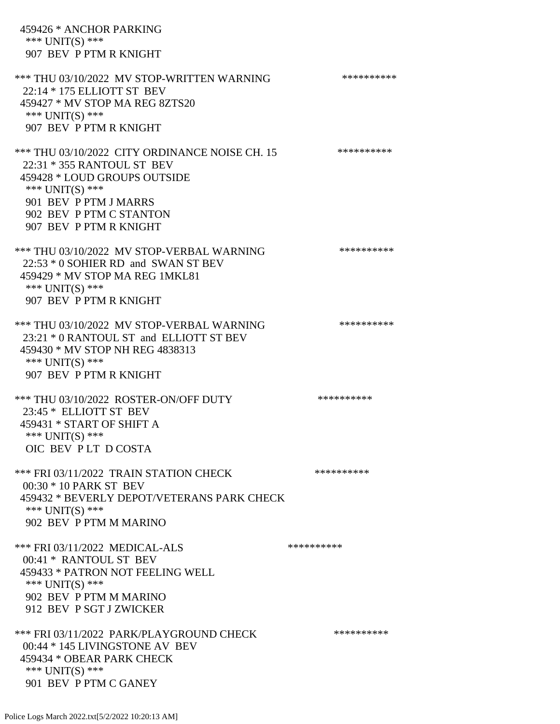459426 \* ANCHOR PARKING \*\*\* UNIT(S) \*\*\* 907 BEV P PTM R KNIGHT \*\*\* THU 03/10/2022 MV STOP-WRITTEN WARNING \*\*\*\*\*\*\*\*\*\*\*\* 22:14 \* 175 ELLIOTT ST BEV 459427 \* MV STOP MA REG 8ZTS20 \*\*\* UNIT(S) \*\*\* 907 BEV P PTM R KNIGHT \*\*\* THU 03/10/2022 CITY ORDINANCE NOISE CH. 15 \*\*\*\*\*\*\*\*\*\* 22:31 \* 355 RANTOUL ST BEV 459428 \* LOUD GROUPS OUTSIDE \*\*\* UNIT(S) \*\*\* 901 BEV P PTM J MARRS 902 BEV P PTM C STANTON 907 BEV P PTM R KNIGHT \*\*\* THU 03/10/2022 MV STOP-VERBAL WARNING \*\*\*\*\*\*\*\*\*\*\*\* 22:53 \* 0 SOHIER RD and SWAN ST BEV 459429 \* MV STOP MA REG 1MKL81 \*\*\* UNIT(S) \*\*\* 907 BEV P PTM R KNIGHT \*\*\* THU 03/10/2022 MV STOP-VERBAL WARNING \*\*\*\*\*\*\*\*\*\*\*\* 23:21 \* 0 RANTOUL ST and ELLIOTT ST BEV 459430 \* MV STOP NH REG 4838313 \*\*\* UNIT(S) \*\*\* 907 BEV P PTM R KNIGHT \*\*\* THU 03/10/2022 ROSTER-ON/OFF DUTY \*\*\*\*\*\*\*\*\*\* 23:45 \* ELLIOTT ST BEV 459431 \* START OF SHIFT A \*\*\* UNIT(S) \*\*\* OIC BEV P LT D COSTA \*\*\* FRI 03/11/2022 TRAIN STATION CHECK \*\*\*\*\*\*\*\*\*\* 00:30 \* 10 PARK ST BEV 459432 \* BEVERLY DEPOT/VETERANS PARK CHECK \*\*\* UNIT(S) \*\*\* 902 BEV P PTM M MARINO \*\*\* FRI 03/11/2022 MEDICAL-ALS \*\*\*\*\*\*\*\*\*\*\*\*\*\* 00:41 \* RANTOUL ST BEV 459433 \* PATRON NOT FEELING WELL \*\*\* UNIT(S) \*\*\* 902 BEV P PTM M MARINO 912 BEV P SGT J ZWICKER \*\*\* FRI 03/11/2022 PARK/PLAYGROUND CHECK \*\*\*\*\*\*\*\*\*\*\* 00:44 \* 145 LIVINGSTONE AV BEV 459434 \* OBEAR PARK CHECK \*\*\* UNIT(S) \*\*\* 901 BEV P PTM C GANEY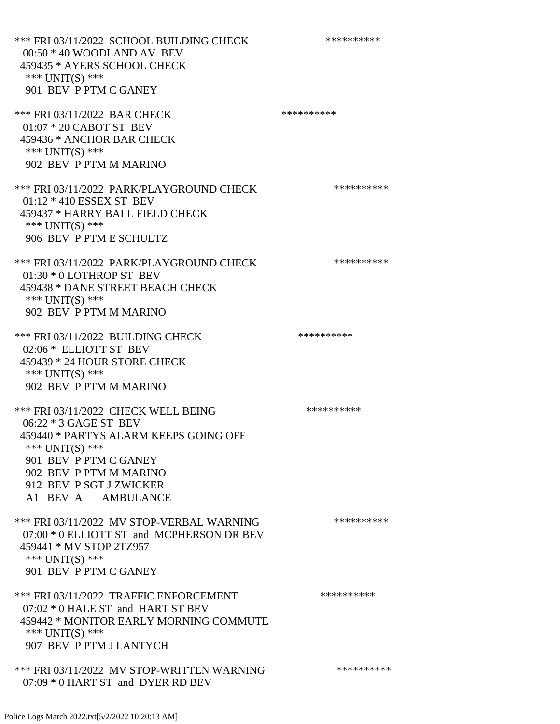\*\*\* FRI 03/11/2022 SCHOOL BUILDING CHECK \*\*\*\*\*\*\*\*\*\*\* 00:50 \* 40 WOODLAND AV BEV 459435 \* AYERS SCHOOL CHECK \*\*\* UNIT(S) \*\*\* 901 BEV P PTM C GANEY \*\*\* FRI 03/11/2022 BAR CHECK \*\*\*\*\*\*\*\*\*\*\*\*\*\* 01:07 \* 20 CABOT ST BEV 459436 \* ANCHOR BAR CHECK \*\*\* UNIT(S) \*\*\* 902 BEV P PTM M MARINO \*\*\* FRI 03/11/2022 PARK/PLAYGROUND CHECK \*\*\*\*\*\*\*\*\*\*\*\* 01:12 \* 410 ESSEX ST BEV 459437 \* HARRY BALL FIELD CHECK \*\*\* UNIT(S) \*\*\* 906 BEV P PTM E SCHULTZ \*\*\* FRI 03/11/2022 PARK/PLAYGROUND CHECK \*\*\*\*\*\*\*\*\*\* 01:30 \* 0 LOTHROP ST BEV 459438 \* DANE STREET BEACH CHECK \*\*\* UNIT(S) \*\*\* 902 BEV P PTM M MARINO \*\*\* FRI 03/11/2022 BUILDING CHECK \*\*\*\*\*\*\*\*\*\*\* 02:06 \* ELLIOTT ST BEV 459439 \* 24 HOUR STORE CHECK \*\*\* UNIT(S) \*\*\* 902 BEV P PTM M MARINO \*\*\* FRI 03/11/2022 CHECK WELL BEING \*\*\*\*\*\*\*\*\*\* 06:22 \* 3 GAGE ST BEV 459440 \* PARTYS ALARM KEEPS GOING OFF \*\*\* UNIT(S) \*\*\* 901 BEV P PTM C GANEY 902 BEV P PTM M MARINO 912 BEV P SGT J ZWICKER A1 BEV A AMBULANCE \*\*\* FRI 03/11/2022 MV STOP-VERBAL WARNING \*\*\*\*\*\*\*\*\*\*\*\* 07:00 \* 0 ELLIOTT ST and MCPHERSON DR BEV 459441 \* MV STOP 2TZ957 \*\*\* UNIT(S) \*\*\* 901 BEV P PTM C GANEY \*\*\* FRI 03/11/2022 TRAFFIC ENFORCEMENT \*\*\*\*\*\*\*\*\*\*\*\*\* 07:02 \* 0 HALE ST and HART ST BEV 459442 \* MONITOR EARLY MORNING COMMUTE \*\*\* UNIT(S) \*\*\* 907 BEV P PTM J LANTYCH \*\*\* FRI 03/11/2022 MV STOP-WRITTEN WARNING \*\*\*\*\*\*\*\*\*\*\*\* 07:09 \* 0 HART ST and DYER RD BEV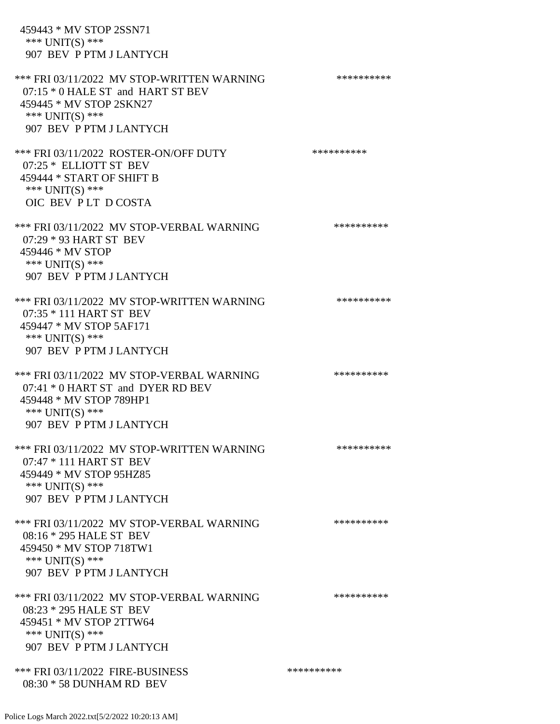459443 \* MV STOP 2SSN71 \*\*\* UNIT(S) \*\*\* 907 BEV P PTM J LANTYCH \*\*\* FRI 03/11/2022 MV STOP-WRITTEN WARNING \*\*\*\*\*\*\*\*\*\*\*\* 07:15 \* 0 HALE ST and HART ST BEV 459445 \* MV STOP 2SKN27 \*\*\* UNIT(S) \*\*\* 907 BEV P PTM J LANTYCH \*\*\* FRI 03/11/2022 ROSTER-ON/OFF DUTY \*\*\*\*\*\*\*\*\*\*\*\* 07:25 \* ELLIOTT ST BEV 459444 \* START OF SHIFT B \*\*\* UNIT(S) \*\*\* OIC BEV P LT D COSTA \*\*\* FRI 03/11/2022 MV STOP-VERBAL WARNING \*\*\*\*\*\*\*\*\*\*\*\* 07:29 \* 93 HART ST BEV 459446 \* MV STOP \*\*\* UNIT(S) \*\*\* 907 BEV P PTM J LANTYCH \*\*\* FRI 03/11/2022 MV STOP-WRITTEN WARNING \*\*\*\*\*\*\*\*\*\*\*\* 07:35 \* 111 HART ST BEV 459447 \* MV STOP 5AF171 \*\*\* UNIT(S) \*\*\* 907 BEV P PTM J LANTYCH \*\*\* FRI 03/11/2022 MV STOP-VERBAL WARNING \*\*\*\*\*\*\*\*\*\*\*\*\* 07:41 \* 0 HART ST and DYER RD BEV 459448 \* MV STOP 789HP1 \*\*\* UNIT(S) \*\*\* 907 BEV P PTM J LANTYCH \*\*\* FRI 03/11/2022 MV STOP-WRITTEN WARNING \*\*\*\*\*\*\*\*\*\*\*\*\* 07:47 \* 111 HART ST BEV 459449 \* MV STOP 95HZ85 \*\*\* UNIT(S) \*\*\* 907 BEV P PTM J LANTYCH \*\*\* FRI 03/11/2022 MV STOP-VERBAL WARNING \*\*\*\*\*\*\*\*\*\*\*\* 08:16 \* 295 HALE ST BEV 459450 \* MV STOP 718TW1 \*\*\* UNIT(S) \*\*\* 907 BEV P PTM J LANTYCH \*\*\* FRI 03/11/2022 MV STOP-VERBAL WARNING \*\*\*\*\*\*\*\*\*\*\*\* 08:23 \* 295 HALE ST BEV 459451 \* MV STOP 2TTW64 \*\*\* UNIT(S) \*\*\* 907 BEV P PTM J LANTYCH \*\*\* FRI 03/11/2022 FIRE-BUSINESS \*\*\*\*\*\*\*\*\*\*\*\*\*\*\* 08:30 \* 58 DUNHAM RD BEV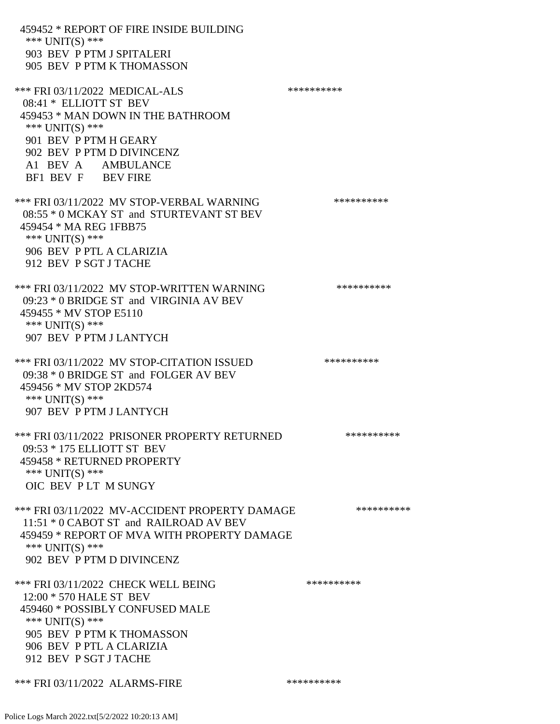459452 \* REPORT OF FIRE INSIDE BUILDING \*\*\* UNIT(S) \*\*\* 903 BEV P PTM J SPITALERI 905 BEV P PTM K THOMASSON \*\*\* FRI 03/11/2022 MEDICAL-ALS \*\*\*\*\*\*\*\*\*\*\*\*\* 08:41 \* ELLIOTT ST BEV 459453 \* MAN DOWN IN THE BATHROOM \*\*\* UNIT(S) \*\*\* 901 BEV P PTM H GEARY 902 BEV P PTM D DIVINCENZ A1 BEV A AMBULANCE BF1 BEV F BEV FIRE \*\*\* FRI 03/11/2022 MV STOP-VERBAL WARNING \*\*\*\*\*\*\*\*\*\*\*\* 08:55 \* 0 MCKAY ST and STURTEVANT ST BEV 459454 \* MA REG 1FBB75 \*\*\* UNIT(S) \*\*\* 906 BEV P PTL A CLARIZIA 912 BEV P SGT J TACHE \*\*\* FRI 03/11/2022 MV STOP-WRITTEN WARNING \*\*\*\*\*\*\*\*\*\*\*\* 09:23 \* 0 BRIDGE ST and VIRGINIA AV BEV 459455 \* MV STOP E5110 \*\*\* UNIT(S) \*\*\* 907 BEV P PTM J LANTYCH \*\*\* FRI 03/11/2022 MV STOP-CITATION ISSUED \*\*\*\*\*\*\*\*\*\* 09:38 \* 0 BRIDGE ST and FOLGER AV BEV 459456 \* MV STOP 2KD574 \*\*\* UNIT(S) \*\*\* 907 BEV P PTM J LANTYCH \*\*\* FRI 03/11/2022 PRISONER PROPERTY RETURNED \*\*\*\*\*\*\*\*\*\* 09:53 \* 175 ELLIOTT ST BEV 459458 \* RETURNED PROPERTY \*\*\* UNIT(S) \*\*\* OIC BEV P LT M SUNGY \*\*\* FRI 03/11/2022 MV-ACCIDENT PROPERTY DAMAGE \*\*\*\*\*\*\*\*\*\* 11:51 \* 0 CABOT ST and RAILROAD AV BEV 459459 \* REPORT OF MVA WITH PROPERTY DAMAGE \*\*\* UNIT(S) \*\*\* 902 BEV P PTM D DIVINCENZ \*\*\* FRI 03/11/2022 CHECK WELL BEING \*\*\*\*\*\*\*\*\*\* 12:00 \* 570 HALE ST BEV 459460 \* POSSIBLY CONFUSED MALE \*\*\* UNIT(S) \*\*\* 905 BEV P PTM K THOMASSON 906 BEV P PTL A CLARIZIA 912 BEV P SGT J TACHE \*\*\* FRI 03/11/2022 ALARMS-FIRE \*\*\*\*\*\*\*\*\*\*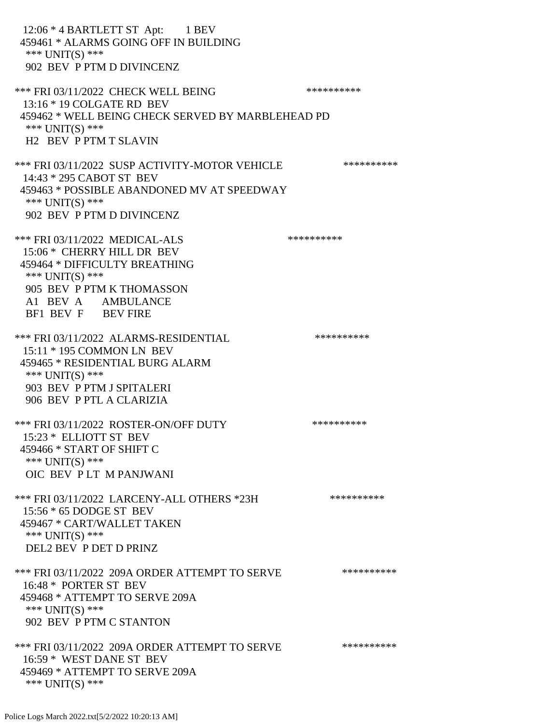12:06 \* 4 BARTLETT ST Apt: 1 BEV 459461 \* ALARMS GOING OFF IN BUILDING \*\*\* UNIT(S) \*\*\* 902 BEV P PTM D DIVINCENZ \*\*\* FRI 03/11/2022 CHECK WELL BEING \*\*\*\*\*\*\*\*\*\*\*\*\* 13:16 \* 19 COLGATE RD BEV 459462 \* WELL BEING CHECK SERVED BY MARBLEHEAD PD \*\*\* UNIT(S) \*\*\* H2 BEV P PTM T SLAVIN \*\*\* FRI 03/11/2022 SUSP ACTIVITY-MOTOR VEHICLE \*\*\*\*\*\*\*\*\*\*\*\* 14:43 \* 295 CABOT ST BEV 459463 \* POSSIBLE ABANDONED MV AT SPEEDWAY \*\*\* UNIT(S) \*\*\* 902 BEV P PTM D DIVINCENZ \*\*\* FRI 03/11/2022 MEDICAL-ALS \*\*\*\*\*\*\*\*\*\*\*\*\* 15:06 \* CHERRY HILL DR BEV 459464 \* DIFFICULTY BREATHING \*\*\* UNIT(S) \*\*\* 905 BEV P PTM K THOMASSON A1 BEV A AMBULANCE BF1 BEV F BEV FIRE \*\*\* FRI 03/11/2022 ALARMS-RESIDENTIAL \*\*\*\*\*\*\*\*\*\* 15:11 \* 195 COMMON LN BEV 459465 \* RESIDENTIAL BURG ALARM \*\*\* UNIT(S) \*\*\* 903 BEV P PTM J SPITALERI 906 BEV P PTL A CLARIZIA \*\*\* FRI 03/11/2022 ROSTER-ON/OFF DUTY \*\*\*\*\*\*\*\*\*\* 15:23 \* ELLIOTT ST BEV 459466 \* START OF SHIFT C \*\*\* UNIT(S) \*\*\* OIC BEV P LT M PANJWANI \*\*\* FRI 03/11/2022 LARCENY-ALL OTHERS \*23H \*\*\*\*\*\*\*\*\*\*\* 15:56 \* 65 DODGE ST BEV 459467 \* CART/WALLET TAKEN \*\*\* UNIT(S) \*\*\* DEL2 BEV P DET D PRINZ \*\*\* FRI 03/11/2022 209A ORDER ATTEMPT TO SERVE \*\*\*\*\*\*\*\*\*\* 16:48 \* PORTER ST BEV 459468 \* ATTEMPT TO SERVE 209A \*\*\* UNIT(S) \*\*\* 902 BEV P PTM C STANTON \*\*\* FRI 03/11/2022 209A ORDER ATTEMPT TO SERVE \*\*\*\*\*\*\*\*\*\* 16:59 \* WEST DANE ST BEV 459469 \* ATTEMPT TO SERVE 209A \*\*\* UNIT(S) \*\*\*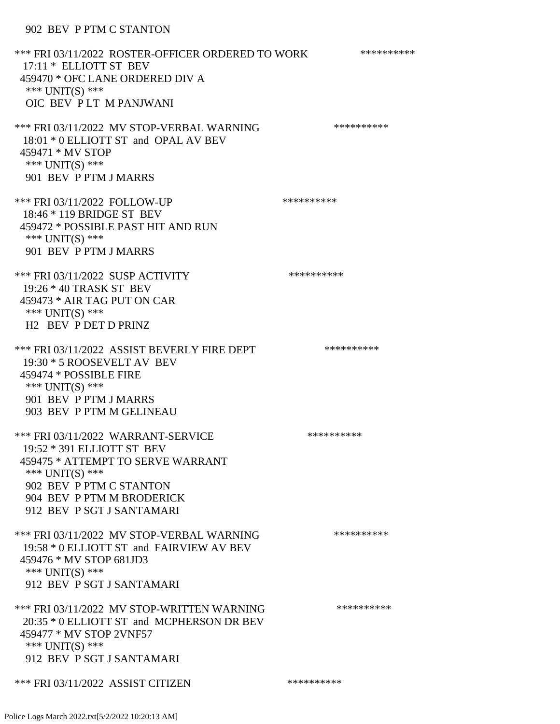## 902 BEV P PTM C STANTON

| *** FRI 03/11/2022 ROSTER-OFFICER ORDERED TO WORK<br>17:11 * ELLIOTT ST BEV<br>459470 * OFC LANE ORDERED DIV A<br>*** UNIT(S) ***<br>OIC BEV PLT M PANJWANI                                                     | ********** |
|-----------------------------------------------------------------------------------------------------------------------------------------------------------------------------------------------------------------|------------|
| *** FRI 03/11/2022 MV STOP-VERBAL WARNING<br>18:01 * 0 ELLIOTT ST and OPAL AV BEV<br>459471 * MV STOP<br>*** UNIT(S) ***<br>901 BEV P PTM J MARRS                                                               | ********** |
| *** FRI 03/11/2022 FOLLOW-UP<br>18:46 * 119 BRIDGE ST BEV<br>459472 * POSSIBLE PAST HIT AND RUN<br>*** UNIT(S) ***<br>901 BEV P PTM J MARRS                                                                     | ********** |
| *** FRI 03/11/2022 SUSP ACTIVITY<br>19:26 * 40 TRASK ST BEV<br>459473 * AIR TAG PUT ON CAR<br>*** UNIT(S) ***<br>H <sub>2</sub> BEV P DET D PRINZ                                                               | ********** |
| *** FRI 03/11/2022 ASSIST BEVERLY FIRE DEPT<br>19:30 * 5 ROOSEVELT AV BEV<br>459474 * POSSIBLE FIRE<br>*** UNIT(S) ***<br>901 BEV P PTM J MARRS<br>903 BEV P PTM M GELINEAU                                     | ********** |
| *** FRI 03/11/2022 WARRANT-SERVICE<br>19:52 * 391 ELLIOTT ST BEV<br>459475 * ATTEMPT TO SERVE WARRANT<br>*** $UNIT(S)$ ***<br>902 BEV P PTM C STANTON<br>904 BEV P PTM M BRODERICK<br>912 BEV P SGT J SANTAMARI | ********** |
| *** FRI 03/11/2022 MV STOP-VERBAL WARNING<br>19:58 * 0 ELLIOTT ST and FAIRVIEW AV BEV<br>459476 * MV STOP 681JD3<br>*** UNIT(S) ***<br>912 BEV P SGT J SANTAMARI                                                | ********** |
| *** FRI 03/11/2022 MV STOP-WRITTEN WARNING<br>20:35 * 0 ELLIOTT ST and MCPHERSON DR BEV<br>459477 * MV STOP 2VNF57<br>*** UNIT(S) ***<br>912 BEV P SGT J SANTAMARI                                              | ********** |
| *** FRI 03/11/2022 ASSIST CITIZEN                                                                                                                                                                               | ********** |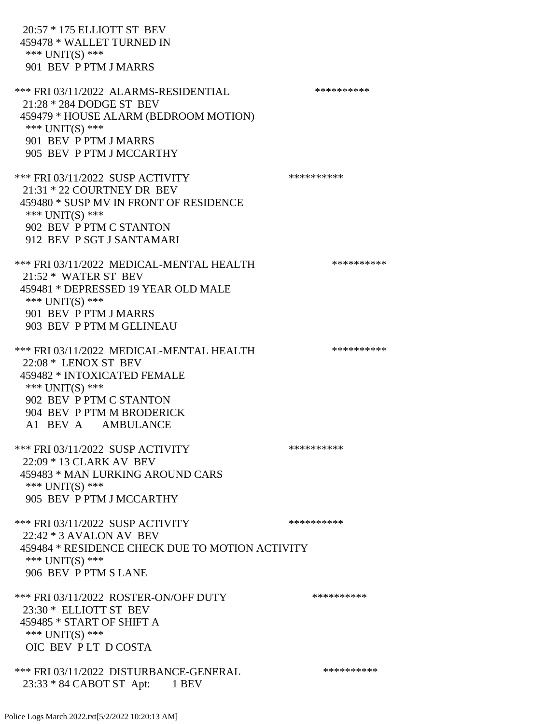20:57 \* 175 ELLIOTT ST BEV 459478 \* WALLET TURNED IN \*\*\* UNIT(S) \*\*\* 901 BEV P PTM J MARRS \*\*\* FRI 03/11/2022 ALARMS-RESIDENTIAL \*\*\*\*\*\*\*\*\*\* 21:28 \* 284 DODGE ST BEV 459479 \* HOUSE ALARM (BEDROOM MOTION) \*\*\* UNIT(S) \*\*\* 901 BEV P PTM J MARRS 905 BEV P PTM J MCCARTHY \*\*\* FRI 03/11/2022 SUSP ACTIVITY \*\*\*\*\*\*\*\*\*\*\*\* 21:31 \* 22 COURTNEY DR BEV 459480 \* SUSP MV IN FRONT OF RESIDENCE \*\*\* UNIT(S) \*\*\* 902 BEV P PTM C STANTON 912 BEV P SGT J SANTAMARI \*\*\* FRI 03/11/2022 MEDICAL-MENTAL HEALTH \*\*\*\*\*\*\*\*\*\* 21:52 \* WATER ST BEV 459481 \* DEPRESSED 19 YEAR OLD MALE \*\*\* UNIT(S) \*\*\* 901 BEV P PTM J MARRS 903 BEV P PTM M GELINEAU \*\*\* FRI 03/11/2022 MEDICAL-MENTAL HEALTH \*\*\*\*\*\*\*\*\*\* 22:08 \* LENOX ST BEV 459482 \* INTOXICATED FEMALE \*\*\* UNIT(S) \*\*\* 902 BEV P PTM C STANTON 904 BEV P PTM M BRODERICK A1 BEV A AMBULANCE \*\*\* FRI 03/11/2022 SUSP ACTIVITY \*\*\*\*\*\*\*\*\*\*\*\*\*\*\* 22:09 \* 13 CLARK AV BEV 459483 \* MAN LURKING AROUND CARS \*\*\* UNIT(S) \*\*\* 905 BEV P PTM J MCCARTHY \*\*\* FRI 03/11/2022 SUSP ACTIVITY \*\*\*\*\*\*\*\*\*\*\*\* 22:42 \* 3 AVALON AV BEV 459484 \* RESIDENCE CHECK DUE TO MOTION ACTIVITY \*\*\* UNIT(S) \*\*\* 906 BEV P PTM S LANE \*\*\* FRI 03/11/2022 ROSTER-ON/OFF DUTY \*\*\*\*\*\*\*\*\*\* 23:30 \* ELLIOTT ST BEV 459485 \* START OF SHIFT A \*\*\* UNIT(S) \*\*\* OIC BEV P LT D COSTA \*\*\* FRI 03/11/2022 DISTURBANCE-GENERAL \*\*\*\*\*\*\*\*\*\* 23:33 \* 84 CABOT ST Apt: 1 BEV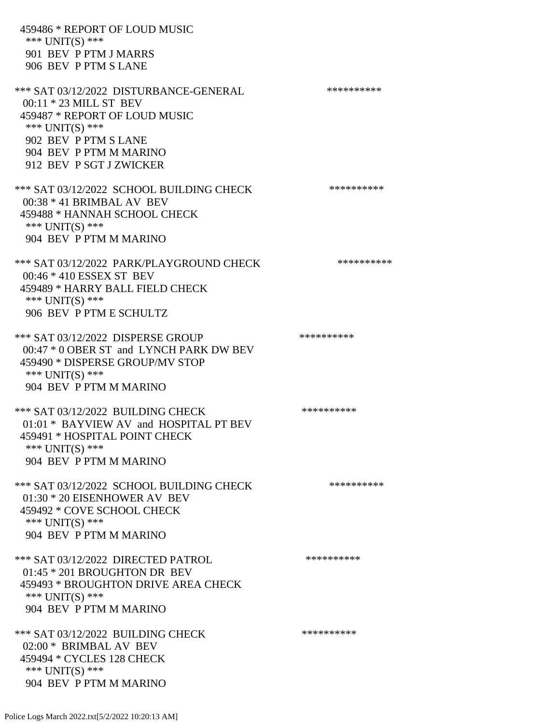459486 \* REPORT OF LOUD MUSIC \*\*\* UNIT(S) \*\*\* 901 BEV P PTM J MARRS 906 BEV P PTM S LANE \*\*\* SAT 03/12/2022 DISTURBANCE-GENERAL \*\*\*\*\*\*\*\*\*\* 00:11 \* 23 MILL ST BEV 459487 \* REPORT OF LOUD MUSIC \*\*\* UNIT(S) \*\*\* 902 BEV P PTM S LANE 904 BEV P PTM M MARINO 912 BEV P SGT J ZWICKER \*\*\* SAT 03/12/2022 SCHOOL BUILDING CHECK \*\*\*\*\*\*\*\*\*\*\* 00:38 \* 41 BRIMBAL AV BEV 459488 \* HANNAH SCHOOL CHECK \*\*\* UNIT(S) \*\*\* 904 BEV P PTM M MARINO \*\*\* SAT 03/12/2022 PARK/PLAYGROUND CHECK \*\*\*\*\*\*\*\*\*\* 00:46 \* 410 ESSEX ST BEV 459489 \* HARRY BALL FIELD CHECK \*\*\* UNIT(S) \*\*\* 906 BEV P PTM E SCHULTZ \*\*\* SAT 03/12/2022 DISPERSE GROUP \*\*\*\*\*\*\*\*\*\*\*\* 00:47 \* 0 OBER ST and LYNCH PARK DW BEV 459490 \* DISPERSE GROUP/MV STOP \*\*\* UNIT(S) \*\*\* 904 BEV P PTM M MARINO \*\*\* SAT 03/12/2022 BUILDING CHECK \*\*\*\*\*\*\*\*\*\*\*\* 01:01 \* BAYVIEW AV and HOSPITAL PT BEV 459491 \* HOSPITAL POINT CHECK \*\*\* UNIT(S) \*\*\* 904 BEV P PTM M MARINO \*\*\* SAT 03/12/2022 SCHOOL BUILDING CHECK \*\*\*\*\*\*\*\*\*\*\*\* 01:30 \* 20 EISENHOWER AV BEV 459492 \* COVE SCHOOL CHECK \*\*\* UNIT(S) \*\*\* 904 BEV P PTM M MARINO \*\*\* SAT 03/12/2022 DIRECTED PATROL \*\*\*\*\*\*\*\*\*\* 01:45 \* 201 BROUGHTON DR BEV 459493 \* BROUGHTON DRIVE AREA CHECK \*\*\* UNIT(S) \*\*\* 904 BEV P PTM M MARINO \*\*\* SAT 03/12/2022 BUILDING CHECK \*\*\*\*\*\*\*\*\*\*\*\* 02:00 \* BRIMBAL AV BEV 459494 \* CYCLES 128 CHECK \*\*\* UNIT(S) \*\*\* 904 BEV P PTM M MARINO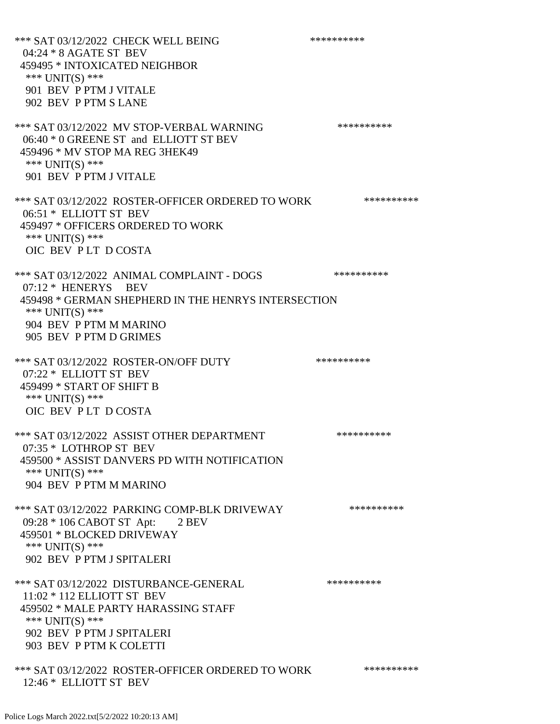\*\*\* SAT 03/12/2022 CHECK WELL BEING \*\*\*\*\*\*\*\*\*\*\*\*\* 04:24 \* 8 AGATE ST BEV 459495 \* INTOXICATED NEIGHBOR \*\*\* UNIT(S) \*\*\* 901 BEV P PTM J VITALE 902 BEV P PTM S LANE \*\*\* SAT 03/12/2022 MV STOP-VERBAL WARNING \*\*\*\*\*\*\*\*\*\*\*\*\* 06:40 \* 0 GREENE ST and ELLIOTT ST BEV 459496 \* MV STOP MA REG 3HEK49 \*\*\* UNIT(S) \*\*\* 901 BEV P PTM J VITALE \*\*\* SAT 03/12/2022 ROSTER-OFFICER ORDERED TO WORK \*\*\*\*\*\*\*\*\*\*\* 06:51 \* ELLIOTT ST BEV 459497 \* OFFICERS ORDERED TO WORK \*\*\* UNIT(S) \*\*\* OIC BEV P LT D COSTA \*\*\* SAT 03/12/2022 ANIMAL COMPLAINT - DOGS \*\*\*\*\*\*\*\*\*\*\*\* 07:12 \* HENERYS BEV 459498 \* GERMAN SHEPHERD IN THE HENRYS INTERSECTION \*\*\* UNIT(S) \*\*\* 904 BEV P PTM M MARINO 905 BEV P PTM D GRIMES \*\*\* SAT 03/12/2022 ROSTER-ON/OFF DUTY \*\*\*\*\*\*\*\*\*\* 07:22 \* ELLIOTT ST BEV 459499 \* START OF SHIFT B \*\*\* UNIT(S) \*\*\* OIC BEV P LT D COSTA \*\*\* SAT 03/12/2022 ASSIST OTHER DEPARTMENT \*\*\*\*\*\*\*\*\*\*\*\*\* 07:35 \* LOTHROP ST BEV 459500 \* ASSIST DANVERS PD WITH NOTIFICATION \*\*\* UNIT(S) \*\*\* 904 BEV P PTM M MARINO \*\*\* SAT 03/12/2022 PARKING COMP-BLK DRIVEWAY \*\*\*\*\*\*\*\*\*\* 09:28 \* 106 CABOT ST Apt: 2 BEV 459501 \* BLOCKED DRIVEWAY \*\*\* UNIT(S) \*\*\* 902 BEV P PTM J SPITALERI \*\*\* SAT 03/12/2022 DISTURBANCE-GENERAL \*\*\*\*\*\*\*\*\*\* 11:02 \* 112 ELLIOTT ST BEV 459502 \* MALE PARTY HARASSING STAFF \*\*\* UNIT(S) \*\*\* 902 BEV P PTM J SPITALERI 903 BEV P PTM K COLETTI \*\*\* SAT 03/12/2022 ROSTER-OFFICER ORDERED TO WORK \*\*\*\*\*\*\*\*\*\*\* 12:46 \* ELLIOTT ST BEV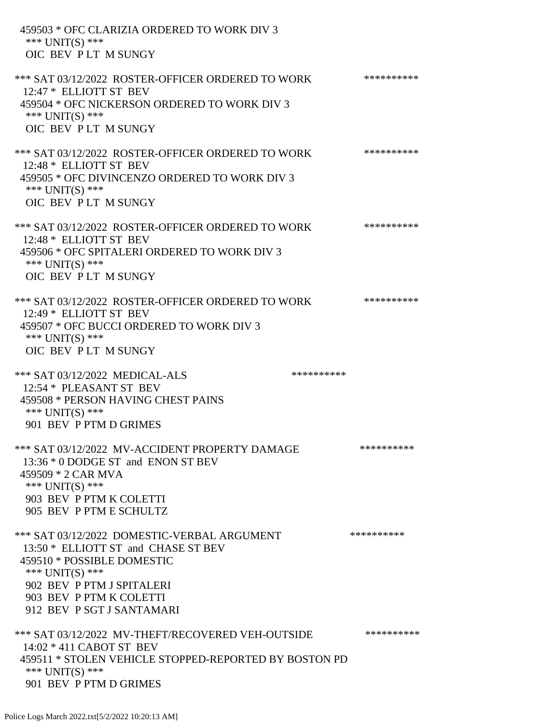| 459503 * OFC CLARIZIA ORDERED TO WORK DIV 3<br>*** UNIT(S) ***<br>OIC BEV PLT M SUNGY                                                                                                                                      |            |
|----------------------------------------------------------------------------------------------------------------------------------------------------------------------------------------------------------------------------|------------|
| *** SAT 03/12/2022 ROSTER-OFFICER ORDERED TO WORK<br>12:47 * ELLIOTT ST BEV<br>459504 * OFC NICKERSON ORDERED TO WORK DIV 3<br>*** $UNIT(S)$ ***<br>OIC BEV PLT M SUNGY                                                    | ********** |
| *** SAT 03/12/2022 ROSTER-OFFICER ORDERED TO WORK<br>12:48 * ELLIOTT ST BEV<br>459505 * OFC DIVINCENZO ORDERED TO WORK DIV 3<br>*** $UNIT(S)$ ***<br>OIC BEV PLT M SUNGY                                                   | ********** |
| *** SAT 03/12/2022 ROSTER-OFFICER ORDERED TO WORK<br>12:48 * ELLIOTT ST BEV<br>459506 * OFC SPITALERI ORDERED TO WORK DIV 3<br>*** UNIT(S) ***<br>OIC BEV PLT M SUNGY                                                      | ********** |
| *** SAT 03/12/2022 ROSTER-OFFICER ORDERED TO WORK<br>12:49 * ELLIOTT ST BEV<br>459507 * OFC BUCCI ORDERED TO WORK DIV 3<br>*** UNIT(S) ***<br>OIC BEV PLT M SUNGY                                                          | ********** |
| *** SAT 03/12/2022 MEDICAL-ALS<br>**********<br>12:54 * PLEASANT ST BEV<br>459508 * PERSON HAVING CHEST PAINS<br>*** $UNIT(S)$ ***<br>901 BEV P PTM D GRIMES                                                               |            |
| *** SAT 03/12/2022 MV-ACCIDENT PROPERTY DAMAGE<br>13:36 * 0 DODGE ST and ENON ST BEV<br>459509 * 2 CAR MVA<br>*** UNIT(S) ***<br>903 BEV P PTM K COLETTI<br>905 BEV P PTM E SCHULTZ                                        | ********** |
| *** SAT 03/12/2022 DOMESTIC-VERBAL ARGUMENT<br>13:50 * ELLIOTT ST and CHASE ST BEV<br>459510 * POSSIBLE DOMESTIC<br>*** $UNIT(S)$ ***<br>902 BEV P PTM J SPITALERI<br>903 BEV P PTM K COLETTI<br>912 BEV P SGT J SANTAMARI | ********** |
| *** SAT 03/12/2022 MV-THEFT/RECOVERED VEH-OUTSIDE<br>14:02 * 411 CABOT ST BEV<br>459511 * STOLEN VEHICLE STOPPED-REPORTED BY BOSTON PD<br>*** $UNIT(S)$ ***<br>901 BEV P PTM D GRIMES                                      | ********** |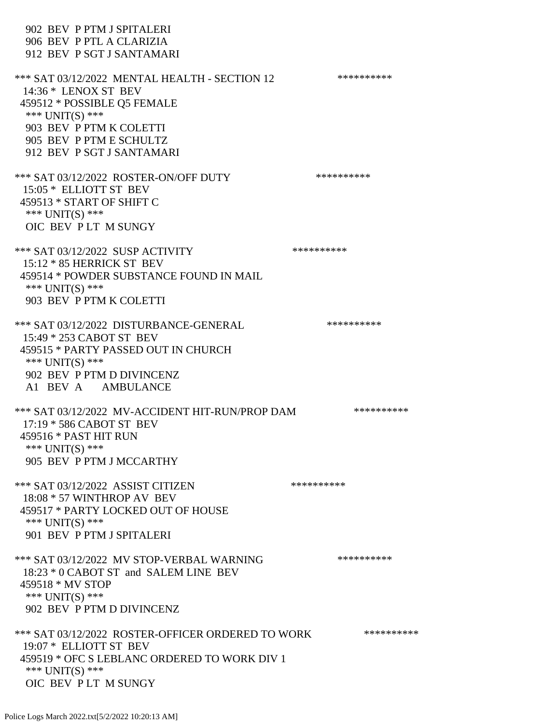902 BEV P PTM J SPITALERI 906 BEV P PTL A CLARIZIA 912 BEV P SGT J SANTAMARI \*\*\* SAT 03/12/2022 MENTAL HEALTH - SECTION 12 \*\*\*\*\*\*\*\*\*\* 14:36 \* LENOX ST BEV 459512 \* POSSIBLE Q5 FEMALE \*\*\* UNIT(S) \*\*\* 903 BEV P PTM K COLETTI 905 BEV P PTM E SCHULTZ 912 BEV P SGT J SANTAMARI \*\*\* SAT 03/12/2022 ROSTER-ON/OFF DUTY \*\*\*\*\*\*\*\*\*\* 15:05 \* ELLIOTT ST BEV 459513 \* START OF SHIFT C \*\*\* UNIT(S) \*\*\* OIC BEV P LT M SUNGY \*\*\* SAT 03/12/2022 SUSP ACTIVITY \*\*\*\*\*\*\*\*\*\*\*\*\* 15:12 \* 85 HERRICK ST BEV 459514 \* POWDER SUBSTANCE FOUND IN MAIL \*\*\* UNIT(S) \*\*\* 903 BEV P PTM K COLETTI \*\*\* SAT 03/12/2022 DISTURBANCE-GENERAL \*\*\*\*\*\*\*\*\*\* 15:49 \* 253 CABOT ST BEV 459515 \* PARTY PASSED OUT IN CHURCH \*\*\* UNIT(S) \*\*\* 902 BEV P PTM D DIVINCENZ A1 BEV A AMBULANCE \*\*\* SAT 03/12/2022 MV-ACCIDENT HIT-RUN/PROP DAM \*\*\*\*\*\*\*\*\*\* 17:19 \* 586 CABOT ST BEV 459516 \* PAST HIT RUN \*\*\* UNIT(S) \*\*\* 905 BEV P PTM J MCCARTHY \*\*\* SAT 03/12/2022 ASSIST CITIZEN \*\*\*\*\*\*\*\*\*\* 18:08 \* 57 WINTHROP AV BEV 459517 \* PARTY LOCKED OUT OF HOUSE \*\*\* UNIT(S) \*\*\* 901 BEV P PTM J SPITALERI \*\*\* SAT 03/12/2022 MV STOP-VERBAL WARNING \*\*\*\*\*\*\*\*\*\* 18:23 \* 0 CABOT ST and SALEM LINE BEV 459518 \* MV STOP \*\*\* UNIT(S) \*\*\* 902 BEV P PTM D DIVINCENZ \*\*\* SAT 03/12/2022 ROSTER-OFFICER ORDERED TO WORK \*\*\*\*\*\*\*\*\*\*\*\* 19:07 \* ELLIOTT ST BEV 459519 \* OFC S LEBLANC ORDERED TO WORK DIV 1 \*\*\* UNIT(S) \*\*\* OIC BEV P LT M SUNGY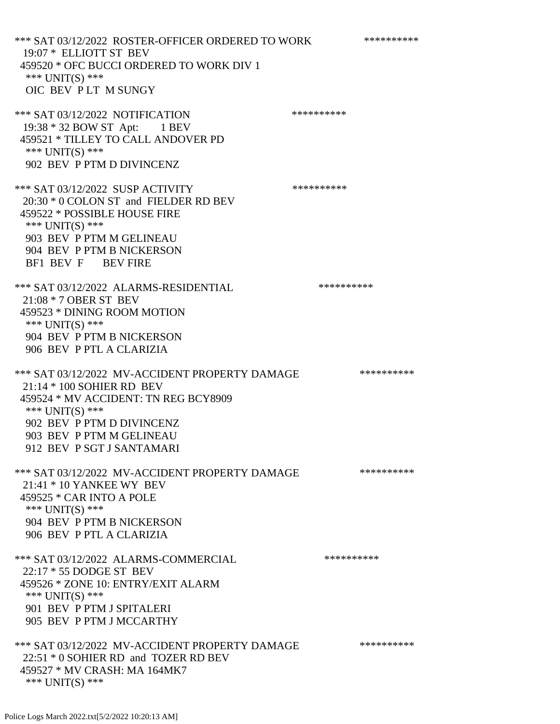\*\*\* SAT 03/12/2022 ROSTER-OFFICER ORDERED TO WORK \*\*\*\*\*\*\*\*\*\*\* 19:07 \* ELLIOTT ST BEV 459520 \* OFC BUCCI ORDERED TO WORK DIV 1 \*\*\* UNIT(S) \*\*\* OIC BEV P LT M SUNGY \*\*\* SAT 03/12/2022 NOTIFICATION \*\*\*\*\*\*\*\*\*\*\*\* 19:38 \* 32 BOW ST Apt: 1 BEV 459521 \* TILLEY TO CALL ANDOVER PD \*\*\* UNIT(S) \*\*\* 902 BEV P PTM D DIVINCENZ \*\*\* SAT 03/12/2022 SUSP ACTIVITY \*\*\*\*\*\*\*\*\*\*\*\*\* 20:30 \* 0 COLON ST and FIELDER RD BEV 459522 \* POSSIBLE HOUSE FIRE \*\*\* UNIT(S) \*\*\* 903 BEV P PTM M GELINEAU 904 BEV P PTM B NICKERSON BF1 BEV F BEV FIRE \*\*\* SAT 03/12/2022 ALARMS-RESIDENTIAL \*\*\*\*\*\*\*\*\*\* 21:08 \* 7 OBER ST BEV 459523 \* DINING ROOM MOTION \*\*\* UNIT(S) \*\*\* 904 BEV P PTM B NICKERSON 906 BEV P PTL A CLARIZIA \*\*\* SAT 03/12/2022 MV-ACCIDENT PROPERTY DAMAGE \*\*\*\*\*\*\*\*\*\*\*\*\* 21:14 \* 100 SOHIER RD BEV 459524 \* MV ACCIDENT: TN REG BCY8909 \*\*\* UNIT(S) \*\*\* 902 BEV P PTM D DIVINCENZ 903 BEV P PTM M GELINEAU 912 BEV P SGT J SANTAMARI \*\*\* SAT 03/12/2022 MV-ACCIDENT PROPERTY DAMAGE \*\*\*\*\*\*\*\*\*\*\*\* 21:41 \* 10 YANKEE WY BEV 459525 \* CAR INTO A POLE \*\*\* UNIT(S) \*\*\* 904 BEV P PTM B NICKERSON 906 BEV P PTL A CLARIZIA \*\*\* SAT 03/12/2022 ALARMS-COMMERCIAL \*\*\*\*\*\*\*\*\*\* 22:17 \* 55 DODGE ST BEV 459526 \* ZONE 10: ENTRY/EXIT ALARM \*\*\* UNIT(S) \*\*\* 901 BEV P PTM J SPITALERI 905 BEV P PTM J MCCARTHY \*\*\* SAT 03/12/2022 MV-ACCIDENT PROPERTY DAMAGE \*\*\*\*\*\*\*\*\*\*\*\* 22:51 \* 0 SOHIER RD and TOZER RD BEV 459527 \* MV CRASH: MA 164MK7 \*\*\* UNIT(S) \*\*\*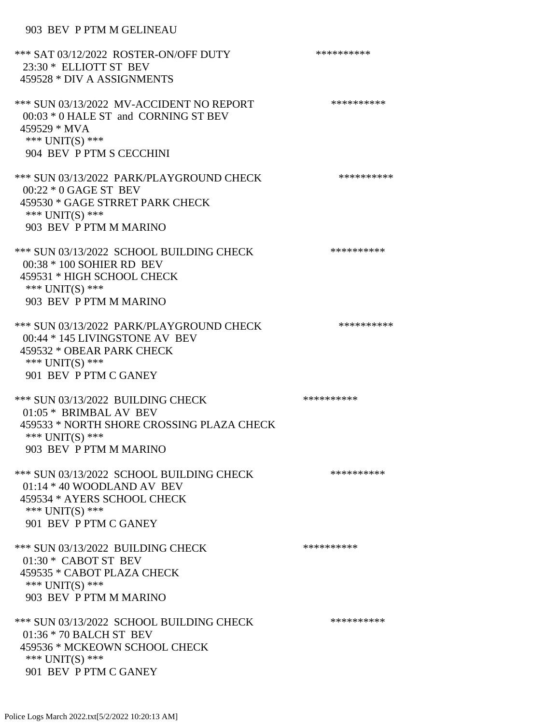## 903 BEV P PTM M GELINEAU

| *** SAT 03/12/2022 ROSTER-ON/OFF DUTY<br>23:30 * ELLIOTT ST BEV<br>459528 * DIV A ASSIGNMENTS                                                         | ********** |
|-------------------------------------------------------------------------------------------------------------------------------------------------------|------------|
| *** SUN 03/13/2022 MV-ACCIDENT NO REPORT<br>00:03 * 0 HALE ST and CORNING ST BEV<br>459529 * MVA<br>*** $UNIT(S)$ ***<br>904 BEV P PTM S CECCHINI     | ********** |
| *** SUN 03/13/2022 PARK/PLAYGROUND CHECK<br>00:22 * 0 GAGE ST BEV<br>459530 * GAGE STRRET PARK CHECK<br>*** $UNIT(S)$ ***<br>903 BEV P PTM M MARINO   | ********** |
| *** SUN 03/13/2022 SCHOOL BUILDING CHECK<br>00:38 * 100 SOHIER RD BEV<br>459531 * HIGH SCHOOL CHECK<br>*** $UNIT(S)$ ***<br>903 BEV P PTM M MARINO    | ********** |
| *** SUN 03/13/2022 PARK/PLAYGROUND CHECK<br>00:44 * 145 LIVINGSTONE AV BEV<br>459532 * OBEAR PARK CHECK<br>*** $UNIT(S)$ ***<br>901 BEV P PTM C GANEY | ********** |
| *** SUN 03/13/2022 BUILDING CHECK<br>01:05 * BRIMBAL AV BEV<br>459533 * NORTH SHORE CROSSING PLAZA CHECK<br>*** UNIT(S) ***<br>903 BEV P PTM M MARINO | ********** |
| *** SUN 03/13/2022 SCHOOL BUILDING CHECK<br>$01:14 * 40$ WOODLAND AV BEV<br>459534 * AYERS SCHOOL CHECK<br>*** UNIT(S) ***<br>901 BEV P PTM C GANEY   | ********** |
| *** SUN 03/13/2022 BUILDING CHECK<br>$01:30*$ CABOT ST BEV<br>459535 * CABOT PLAZA CHECK<br>*** UNIT(S) ***<br>903 BEV P PTM M MARINO                 | ********** |
| *** SUN 03/13/2022 SCHOOL BUILDING CHECK<br>01:36 * 70 BALCH ST BEV<br>459536 * MCKEOWN SCHOOL CHECK<br>*** $UNIT(S)$ ***<br>901 BEV P PTM C GANEY    | ********** |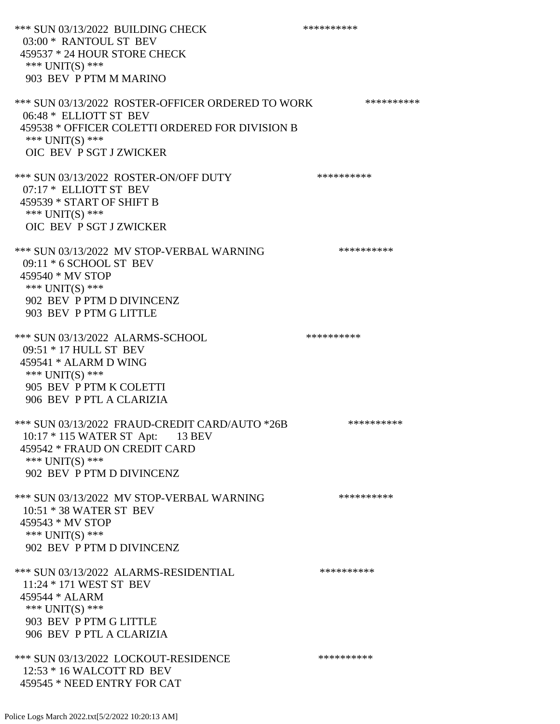\*\*\* SUN 03/13/2022 BUILDING CHECK \*\*\*\*\*\*\*\*\*\* 03:00 \* RANTOUL ST BEV 459537 \* 24 HOUR STORE CHECK \*\*\* UNIT(S) \*\*\* 903 BEV P PTM M MARINO \*\*\* SUN 03/13/2022 ROSTER-OFFICER ORDERED TO WORK \*\*\*\*\*\*\*\*\*\*\* 06:48 \* ELLIOTT ST BEV 459538 \* OFFICER COLETTI ORDERED FOR DIVISION B \*\*\* UNIT(S) \*\*\* OIC BEV P SGT J ZWICKER \*\*\* SUN 03/13/2022 ROSTER-ON/OFF DUTY \*\*\*\*\*\*\*\*\*\* 07:17 \* ELLIOTT ST BEV 459539 \* START OF SHIFT B \*\*\* UNIT(S) \*\*\* OIC BEV P SGT J ZWICKER \*\*\* SUN 03/13/2022 MV STOP-VERBAL WARNING \*\*\*\*\*\*\*\*\*\*\*\* 09:11 \* 6 SCHOOL ST BEV 459540 \* MV STOP \*\*\* UNIT(S) \*\*\* 902 BEV P PTM D DIVINCENZ 903 BEV P PTM G LITTLE \*\*\* SUN 03/13/2022 ALARMS-SCHOOL \*\*\*\*\*\*\*\*\*\* 09:51 \* 17 HULL ST BEV 459541 \* ALARM D WING \*\*\* UNIT(S) \*\*\* 905 BEV P PTM K COLETTI 906 BEV P PTL A CLARIZIA \*\*\* SUN 03/13/2022 FRAUD-CREDIT CARD/AUTO \*26B \*\*\*\*\*\*\*\*\*\* 10:17 \* 115 WATER ST Apt: 13 BEV 459542 \* FRAUD ON CREDIT CARD \*\*\* UNIT(S) \*\*\* 902 BEV P PTM D DIVINCENZ \*\*\* SUN 03/13/2022 MV STOP-VERBAL WARNING \*\*\*\*\*\*\*\*\*\*\*\*\* 10:51 \* 38 WATER ST BEV 459543 \* MV STOP \*\*\* UNIT(S) \*\*\* 902 BEV P PTM D DIVINCENZ \*\*\* SUN 03/13/2022 ALARMS-RESIDENTIAL \*\*\*\*\*\*\*\*\*\*\*\* 11:24 \* 171 WEST ST BEV 459544 \* ALARM \*\*\* UNIT(S) \*\*\* 903 BEV P PTM G LITTLE 906 BEV P PTL A CLARIZIA \*\*\* SUN 03/13/2022 LOCKOUT-RESIDENCE \*\*\*\*\*\*\*\*\*\* 12:53 \* 16 WALCOTT RD BEV 459545 \* NEED ENTRY FOR CAT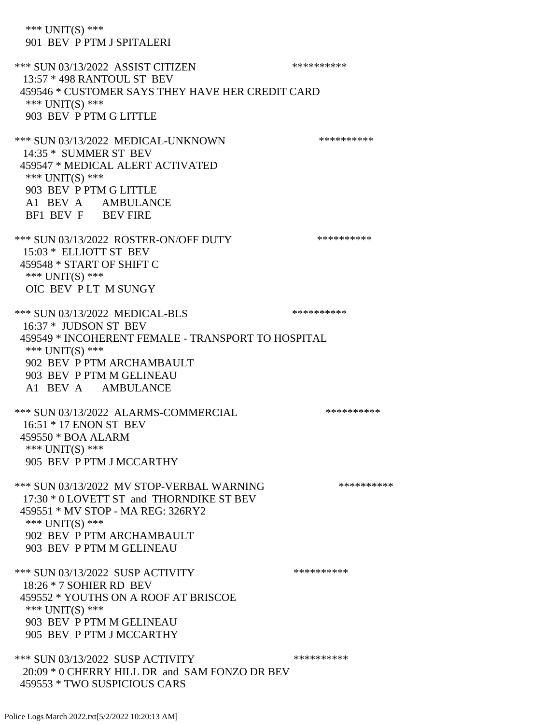\*\*\* UNIT(S) \*\*\* 901 BEV P PTM J SPITALERI \*\*\* SUN 03/13/2022 ASSIST CITIZEN \*\*\*\*\*\*\*\*\*\*\*\* 13:57 \* 498 RANTOUL ST BEV 459546 \* CUSTOMER SAYS THEY HAVE HER CREDIT CARD \*\*\* UNIT(S) \*\*\* 903 BEV P PTM G LITTLE \*\*\* SUN 03/13/2022 MEDICAL-UNKNOWN \*\*\*\*\*\*\*\*\*\* 14:35 \* SUMMER ST BEV 459547 \* MEDICAL ALERT ACTIVATED \*\*\* UNIT(S) \*\*\* 903 BEV P PTM G LITTLE A1 BEV A AMBULANCE BF1 BEV F BEV FIRE \*\*\* SUN 03/13/2022 ROSTER-ON/OFF DUTY \*\*\*\*\*\*\*\*\*\* 15:03 \* ELLIOTT ST BEV 459548 \* START OF SHIFT C \*\*\* UNIT(S) \*\*\* OIC BEV P LT M SUNGY \*\*\* SUN 03/13/2022 MEDICAL-BLS \*\*\*\*\*\*\*\*\*\*\*\*\*\* 16:37 \* JUDSON ST BEV 459549 \* INCOHERENT FEMALE - TRANSPORT TO HOSPITAL \*\*\* UNIT(S) \*\*\* 902 BEV P PTM ARCHAMBAULT 903 BEV P PTM M GELINEAU A1 BEV A AMBULANCE \*\*\* SUN 03/13/2022 ALARMS-COMMERCIAL \*\*\*\*\*\*\*\*\*\* 16:51 \* 17 ENON ST BEV 459550 \* BOA ALARM \*\*\* UNIT(S) \*\*\* 905 BEV P PTM J MCCARTHY \*\*\* SUN 03/13/2022 MV STOP-VERBAL WARNING \*\*\*\*\*\*\*\*\*\*\*\*\* 17:30 \* 0 LOVETT ST and THORNDIKE ST BEV 459551 \* MV STOP - MA REG: 326RY2 \*\*\* UNIT(S) \*\*\* 902 BEV P PTM ARCHAMBAULT 903 BEV P PTM M GELINEAU \*\*\* SUN 03/13/2022 SUSP ACTIVITY \*\*\*\*\*\*\*\*\*\*\*\* 18:26 \* 7 SOHIER RD BEV 459552 \* YOUTHS ON A ROOF AT BRISCOE \*\*\* UNIT(S) \*\*\* 903 BEV P PTM M GELINEAU 905 BEV P PTM J MCCARTHY \*\*\* SUN 03/13/2022 SUSP ACTIVITY \*\*\*\*\*\*\*\*\*\*\*\*\*\* 20:09 \* 0 CHERRY HILL DR and SAM FONZO DR BEV 459553 \* TWO SUSPICIOUS CARS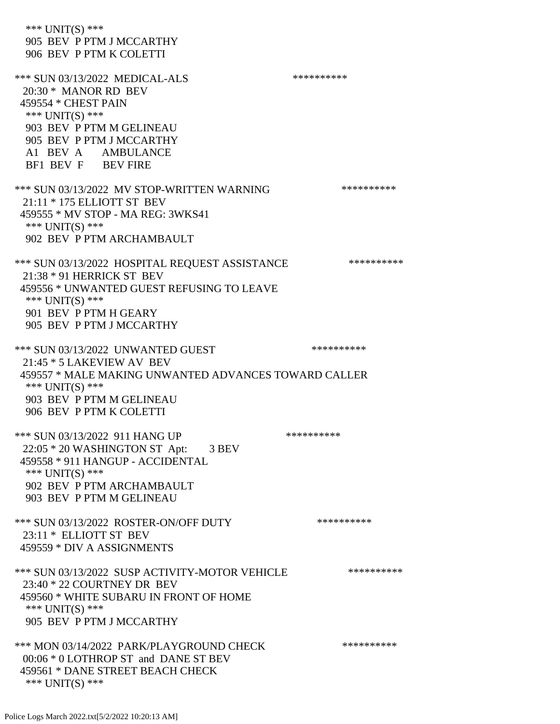\*\*\* UNIT(S) \*\*\* 905 BEV P PTM J MCCARTHY 906 BEV P PTM K COLETTI \*\*\* SUN 03/13/2022 MEDICAL-ALS \*\*\*\*\*\*\*\*\*\* 20:30 \* MANOR RD BEV 459554 \* CHEST PAIN \*\*\* UNIT(S) \*\*\* 903 BEV P PTM M GELINEAU 905 BEV P PTM J MCCARTHY A1 BEV A AMBULANCE BF1 BEV F BEV FIRE \*\*\* SUN 03/13/2022 MV STOP-WRITTEN WARNING \*\*\*\*\*\*\*\*\*\*\*\*\* 21:11 \* 175 ELLIOTT ST BEV 459555 \* MV STOP - MA REG: 3WKS41 \*\*\* UNIT(S) \*\*\* 902 BEV P PTM ARCHAMBAULT \*\*\* SUN 03/13/2022 HOSPITAL REQUEST ASSISTANCE \*\*\*\*\*\*\*\*\*\* 21:38 \* 91 HERRICK ST BEV 459556 \* UNWANTED GUEST REFUSING TO LEAVE \*\*\* UNIT(S) \*\*\* 901 BEV P PTM H GEARY 905 BEV P PTM J MCCARTHY \*\*\* SUN 03/13/2022 UNWANTED GUEST \*\*\*\*\*\*\*\*\*\*\*\*\*\*\* 21:45 \* 5 LAKEVIEW AV BEV 459557 \* MALE MAKING UNWANTED ADVANCES TOWARD CALLER \*\*\* UNIT(S) \*\*\* 903 BEV P PTM M GELINEAU 906 BEV P PTM K COLETTI \*\*\* SUN 03/13/2022 911 HANG UP \*\*\*\*\*\*\*\*\*\*\*\* 22:05 \* 20 WASHINGTON ST Apt: 3 BEV 459558 \* 911 HANGUP - ACCIDENTAL \*\*\* UNIT(S) \*\*\* 902 BEV P PTM ARCHAMBAULT 903 BEV P PTM M GELINEAU \*\*\* SUN 03/13/2022 ROSTER-ON/OFF DUTY \*\*\*\*\*\*\*\*\*\* 23:11 \* ELLIOTT ST BEV 459559 \* DIV A ASSIGNMENTS \*\*\* SUN 03/13/2022 SUSP ACTIVITY-MOTOR VEHICLE \*\*\*\*\*\*\*\*\*\*\*\* 23:40 \* 22 COURTNEY DR BEV 459560 \* WHITE SUBARU IN FRONT OF HOME \*\*\* UNIT(S) \*\*\* 905 BEV P PTM J MCCARTHY \*\*\* MON 03/14/2022 PARK/PLAYGROUND CHECK \*\*\*\*\*\*\*\*\*\*\*\* 00:06 \* 0 LOTHROP ST and DANE ST BEV 459561 \* DANE STREET BEACH CHECK \*\*\* UNIT(S) \*\*\*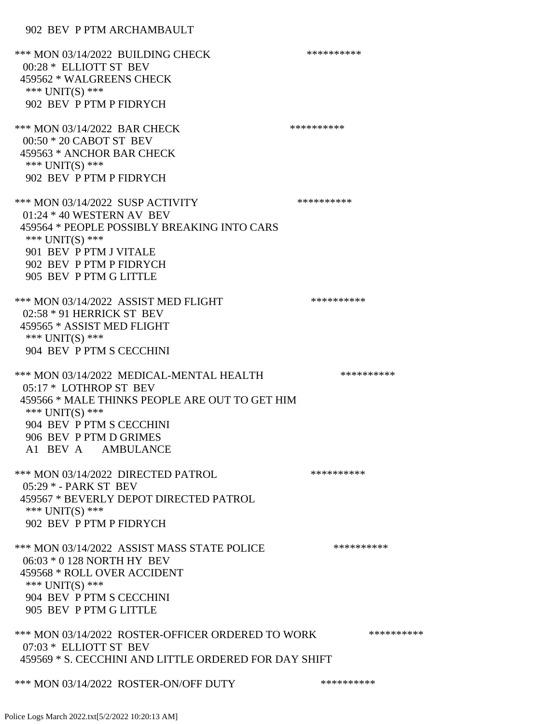\*\*\* MON 03/14/2022 BUILDING CHECK \*\*\*\*\*\*\*\*\*\*\* 00:28 \* ELLIOTT ST BEV 459562 \* WALGREENS CHECK \*\*\* UNIT(S) \*\*\* 902 BEV P PTM P FIDRYCH \*\*\* MON 03/14/2022 BAR CHECK \*\*\*\*\*\*\*\*\*\*\*\* 00:50 \* 20 CABOT ST BEV 459563 \* ANCHOR BAR CHECK \*\*\* UNIT(S) \*\*\* 902 BEV P PTM P FIDRYCH \*\*\* MON 03/14/2022 SUSP ACTIVITY \*\*\*\*\*\*\*\*\*\*\*\* 01:24 \* 40 WESTERN AV BEV 459564 \* PEOPLE POSSIBLY BREAKING INTO CARS \*\*\* UNIT(S) \*\*\* 901 BEV P PTM J VITALE 902 BEV P PTM P FIDRYCH 905 BEV P PTM G LITTLE \*\*\* MON 03/14/2022 ASSIST MED FLIGHT \*\*\*\*\*\*\*\*\*\*\*\*\* 02:58 \* 91 HERRICK ST BEV 459565 \* ASSIST MED FLIGHT \*\*\* UNIT(S) \*\*\* 904 BEV P PTM S CECCHINI \*\*\* MON 03/14/2022 MEDICAL-MENTAL HEALTH \*\*\*\*\*\*\*\*\*\*\*\* 05:17 \* LOTHROP ST BEV 459566 \* MALE THINKS PEOPLE ARE OUT TO GET HIM \*\*\* UNIT(S) \*\*\* 904 BEV P PTM S CECCHINI 906 BEV P PTM D GRIMES A1 BEV A AMBULANCE \*\*\* MON 03/14/2022 DIRECTED PATROL \*\*\*\*\*\*\*\*\*\* 05:29 \* - PARK ST BEV 459567 \* BEVERLY DEPOT DIRECTED PATROL \*\*\* UNIT(S) \*\*\* 902 BEV P PTM P FIDRYCH \*\*\* MON 03/14/2022 ASSIST MASS STATE POLICE \*\*\*\*\*\*\*\*\*\*\*\* 06:03 \* 0 128 NORTH HY BEV 459568 \* ROLL OVER ACCIDENT \*\*\* UNIT(S) \*\*\* 904 BEV P PTM S CECCHINI 905 BEV P PTM G LITTLE \*\*\* MON 03/14/2022 ROSTER-OFFICER ORDERED TO WORK \*\*\*\*\*\*\*\*\*\*\* 07:03 \* ELLIOTT ST BEV 459569 \* S. CECCHINI AND LITTLE ORDERED FOR DAY SHIFT \*\*\* MON 03/14/2022 ROSTER-ON/OFF DUTY \*\*\*\*\*\*\*\*\*\*\*\*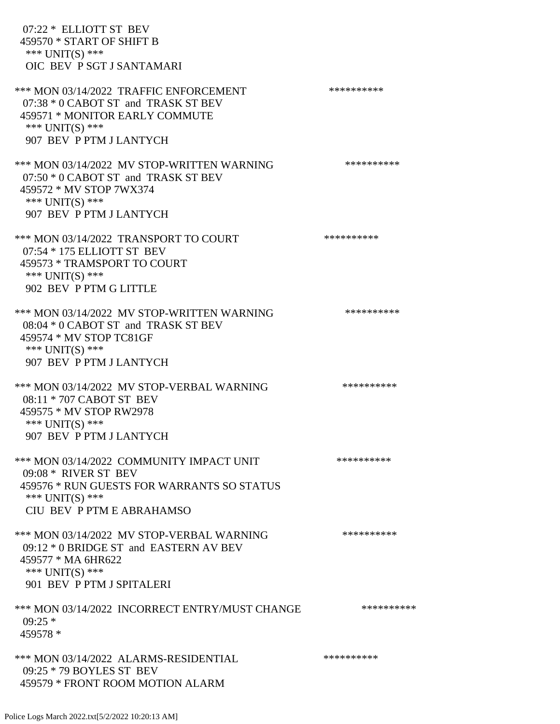| 07:22 * ELLIOTT ST BEV<br>459570 * START OF SHIFT B<br>*** UNIT(S) ***<br>OIC BEV P SGT J SANTAMARI                                                            |            |
|----------------------------------------------------------------------------------------------------------------------------------------------------------------|------------|
| *** MON 03/14/2022 TRAFFIC ENFORCEMENT<br>07:38 * 0 CABOT ST and TRASK ST BEV<br>459571 * MONITOR EARLY COMMUTE<br>*** UNIT(S) ***<br>907 BEV P PTM J LANTYCH  | ********** |
| *** MON 03/14/2022 MV STOP-WRITTEN WARNING<br>$07:50 * 0$ CABOT ST and TRASK ST BEV<br>459572 * MV STOP 7WX374<br>*** UNIT(S) ***<br>907 BEV P PTM J LANTYCH   | ********** |
| *** MON 03/14/2022 TRANSPORT TO COURT<br>07:54 * 175 ELLIOTT ST BEV<br>459573 * TRAMSPORT TO COURT<br>*** $UNIT(S)$ ***<br>902 BEV P PTM G LITTLE              | ********** |
| *** MON 03/14/2022 MV STOP-WRITTEN WARNING<br>08:04 * 0 CABOT ST and TRASK ST BEV<br>459574 * MV STOP TC81GF<br>*** $UNIT(S)$ ***<br>907 BEV P PTM J LANTYCH   | ********** |
| *** MON 03/14/2022 MV STOP-VERBAL WARNING<br>08:11 * 707 CABOT ST BEV<br>459575 * MV STOP RW2978<br>*** UNIT(S) ***<br>907 BEV P PTM J LANTYCH                 | ********** |
| *** MON 03/14/2022 COMMUNITY IMPACT UNIT<br>09:08 * RIVER ST BEV<br>459576 * RUN GUESTS FOR WARRANTS SO STATUS<br>*** UNIT(S) ***<br>CIU BEV P PTM E ABRAHAMSO | ********** |
| *** MON 03/14/2022 MV STOP-VERBAL WARNING<br>09:12 * 0 BRIDGE ST and EASTERN AV BEV<br>459577 * MA 6HR622<br>*** UNIT(S) ***<br>901 BEV P PTM J SPITALERI      | ********** |
| *** MON 03/14/2022 INCORRECT ENTRY/MUST CHANGE<br>$09:25*$<br>459578 *                                                                                         | ********** |
| *** MON 03/14/2022 ALARMS-RESIDENTIAL<br>09:25 * 79 BOYLES ST BEV<br>459579 * FRONT ROOM MOTION ALARM                                                          | ********** |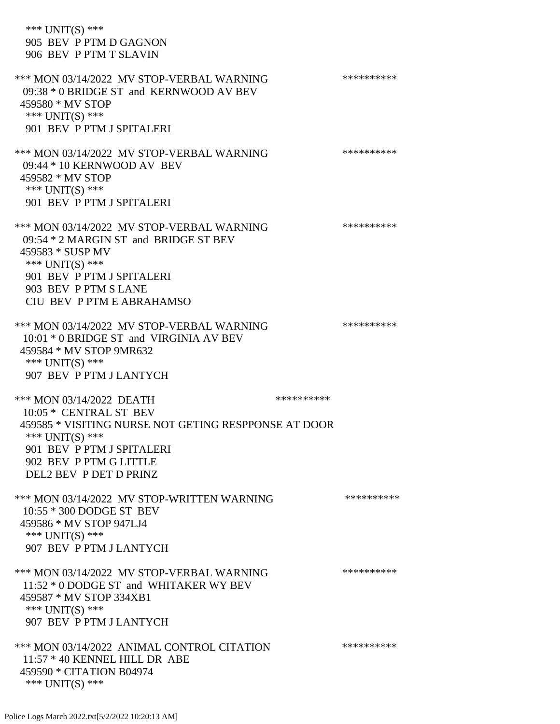\*\*\* UNIT(S) \*\*\* 905 BEV P PTM D GAGNON 906 BEV P PTM T SLAVIN \*\*\* MON 03/14/2022 MV STOP-VERBAL WARNING \*\*\*\*\*\*\*\*\*\*\*\* 09:38 \* 0 BRIDGE ST and KERNWOOD AV BEV 459580 \* MV STOP \*\*\* UNIT(S) \*\*\* 901 BEV P PTM J SPITALERI \*\*\* MON 03/14/2022 MV STOP-VERBAL WARNING \*\*\*\*\*\*\*\*\*\*\*\* 09:44 \* 10 KERNWOOD AV BEV 459582 \* MV STOP \*\*\* UNIT(S) \*\*\* 901 BEV P PTM J SPITALERI \*\*\* MON 03/14/2022 MV STOP-VERBAL WARNING \*\*\*\*\*\*\*\*\*\*\*\* 09:54 \* 2 MARGIN ST and BRIDGE ST BEV 459583 \* SUSP MV \*\*\* UNIT(S) \*\*\* 901 BEV P PTM J SPITALERI 903 BEV P PTM S LANE CIU BEV P PTM E ABRAHAMSO \*\*\* MON 03/14/2022 MV STOP-VERBAL WARNING \*\*\*\*\*\*\*\*\*\*\*\*\*\* 10:01 \* 0 BRIDGE ST and VIRGINIA AV BEV 459584 \* MV STOP 9MR632 \*\*\* UNIT(S) \*\*\* 907 BEV P PTM J LANTYCH \*\*\* MON 03/14/2022 DEATH \*\*\*\*\*\*\*\*\*\* 10:05 \* CENTRAL ST BEV 459585 \* VISITING NURSE NOT GETING RESPPONSE AT DOOR \*\*\* UNIT(S) \*\*\* 901 BEV P PTM J SPITALERI 902 BEV P PTM G LITTLE DEL2 BEV P DET D PRINZ \*\*\* MON 03/14/2022 MV STOP-WRITTEN WARNING \*\*\*\*\*\*\*\*\*\*\*\* 10:55 \* 300 DODGE ST BEV 459586 \* MV STOP 947LJ4 \*\*\* UNIT(S) \*\*\* 907 BEV P PTM J LANTYCH \*\*\* MON 03/14/2022 MV STOP-VERBAL WARNING \*\*\*\*\*\*\*\*\*\*\*\* 11:52 \* 0 DODGE ST and WHITAKER WY BEV 459587 \* MV STOP 334XB1 \*\*\* UNIT(S) \*\*\* 907 BEV P PTM J LANTYCH \*\*\* MON 03/14/2022 ANIMAL CONTROL CITATION \*\*\*\*\*\*\*\*\*\* 11:57 \* 40 KENNEL HILL DR ABE 459590 \* CITATION B04974 \*\*\* UNIT(S) \*\*\*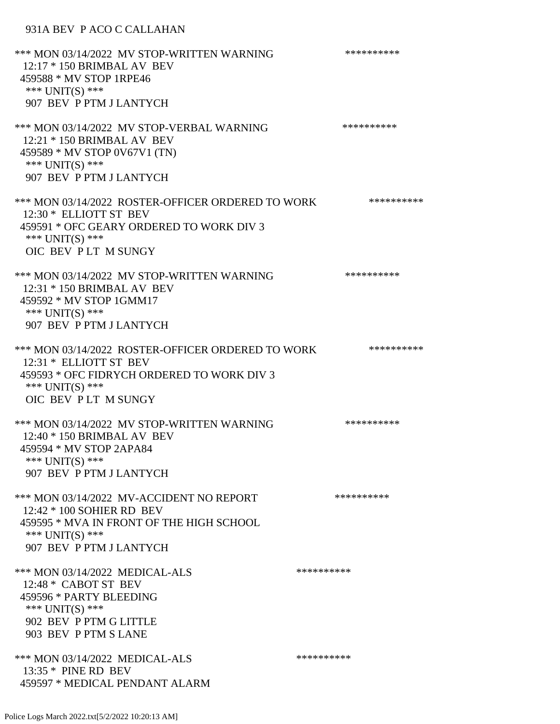## 931A BEV P ACO C CALLAHAN

\*\*\* MON 03/14/2022 MV STOP-WRITTEN WARNING \*\*\*\*\*\*\*\*\*\*\*\* 12:17 \* 150 BRIMBAL AV BEV 459588 \* MV STOP 1RPE46 \*\*\* UNIT(S) \*\*\* 907 BEV P PTM J LANTYCH \*\*\* MON 03/14/2022 MV STOP-VERBAL WARNING \*\*\*\*\*\*\*\*\*\*\*\*\* 12:21 \* 150 BRIMBAL AV BEV 459589 \* MV STOP 0V67V1 (TN) \*\*\* UNIT(S) \*\*\* 907 BEV P PTM J LANTYCH \*\*\* MON 03/14/2022 ROSTER-OFFICER ORDERED TO WORK \*\*\*\*\*\*\*\*\*\*\* 12:30 \* ELLIOTT ST BEV 459591 \* OFC GEARY ORDERED TO WORK DIV 3 \*\*\* UNIT(S) \*\*\* OIC BEV P LT M SUNGY \*\*\* MON 03/14/2022 MV STOP-WRITTEN WARNING \*\*\*\*\*\*\*\*\*\*\*\* 12:31 \* 150 BRIMBAL AV BEV 459592 \* MV STOP 1GMM17 \*\*\* UNIT(S) \*\*\* 907 BEV P PTM J LANTYCH \*\*\* MON 03/14/2022 ROSTER-OFFICER ORDERED TO WORK \*\*\*\*\*\*\*\*\*\*\*\* 12:31 \* ELLIOTT ST BEV 459593 \* OFC FIDRYCH ORDERED TO WORK DIV 3 \*\*\* UNIT(S) \*\*\* OIC BEV P LT M SUNGY \*\*\* MON 03/14/2022 MV STOP-WRITTEN WARNING \*\*\*\*\*\*\*\*\*\*\*\* 12:40 \* 150 BRIMBAL AV BEV 459594 \* MV STOP 2APA84 \*\*\* UNIT(S) \*\*\* 907 BEV P PTM J LANTYCH \*\*\* MON 03/14/2022 MV-ACCIDENT NO REPORT \*\*\*\*\*\*\*\*\*\*\*\* 12:42 \* 100 SOHIER RD BEV 459595 \* MVA IN FRONT OF THE HIGH SCHOOL \*\*\* UNIT(S) \*\*\* 907 BEV P PTM J LANTYCH \*\*\* MON 03/14/2022 MEDICAL-ALS \*\*\*\*\*\*\*\*\*\*\*\* 12:48 \* CABOT ST BEV 459596 \* PARTY BLEEDING \*\*\* UNIT(S) \*\*\* 902 BEV P PTM G LITTLE 903 BEV P PTM S LANE \*\*\* MON 03/14/2022 MEDICAL-ALS \*\*\*\*\*\*\*\*\*\*\*\* 13:35 \* PINE RD BEV 459597 \* MEDICAL PENDANT ALARM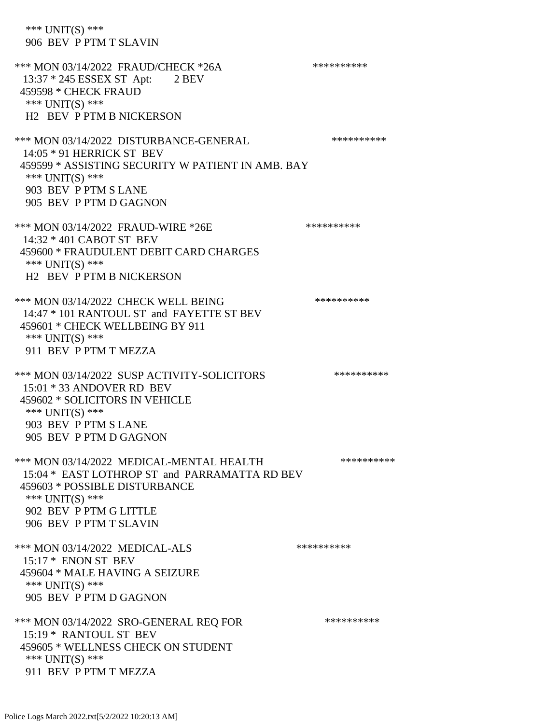\*\*\* UNIT(S) \*\*\* 906 BEV P PTM T SLAVIN \*\*\* MON 03/14/2022 FRAUD/CHECK \*26A \*\*\*\*\*\*\*\*\*\* 13:37 \* 245 ESSEX ST Apt: 2 BEV 459598 \* CHECK FRAUD \*\*\* UNIT(S) \*\*\* H2 BEV P PTM B NICKERSON \*\*\* MON 03/14/2022 DISTURBANCE-GENERAL \*\*\*\*\*\*\*\*\*\*\*\*\* 14:05 \* 91 HERRICK ST BEV 459599 \* ASSISTING SECURITY W PATIENT IN AMB. BAY \*\*\* UNIT(S) \*\*\* 903 BEV P PTM S LANE 905 BEV P PTM D GAGNON \*\*\* MON 03/14/2022 FRAUD-WIRE \*26E \*\*\*\*\*\*\*\*\*\* 14:32 \* 401 CABOT ST BEV 459600 \* FRAUDULENT DEBIT CARD CHARGES \*\*\* UNIT(S) \*\*\* H2 BEV P PTM B NICKERSON \*\*\* MON 03/14/2022 CHECK WELL BEING \*\*\*\*\*\*\*\*\*\* 14:47 \* 101 RANTOUL ST and FAYETTE ST BEV 459601 \* CHECK WELLBEING BY 911 \*\*\* UNIT(S) \*\*\* 911 BEV P PTM T MEZZA \*\*\* MON 03/14/2022 SUSP ACTIVITY-SOLICITORS \*\*\*\*\*\*\*\*\*\*\*\*\* 15:01 \* 33 ANDOVER RD BEV 459602 \* SOLICITORS IN VEHICLE \*\*\* UNIT(S) \*\*\* 903 BEV P PTM S LANE 905 BEV P PTM D GAGNON \*\*\* MON 03/14/2022 MEDICAL-MENTAL HEALTH \*\*\*\*\*\*\*\*\*\* 15:04 \* EAST LOTHROP ST and PARRAMATTA RD BEV 459603 \* POSSIBLE DISTURBANCE \*\*\* UNIT(S) \*\*\* 902 BEV P PTM G LITTLE 906 BEV P PTM T SLAVIN \*\*\* MON 03/14/2022 MEDICAL-ALS \*\*\*\*\*\*\*\*\*\* 15:17 \* ENON ST BEV 459604 \* MALE HAVING A SEIZURE \*\*\* UNIT(S) \*\*\* 905 BEV P PTM D GAGNON \*\*\* MON 03/14/2022 SRO-GENERAL REQ FOR \*\*\*\*\*\*\*\*\*\* 15:19 \* RANTOUL ST BEV 459605 \* WELLNESS CHECK ON STUDENT \*\*\* UNIT(S) \*\*\* 911 BEV P PTM T MEZZA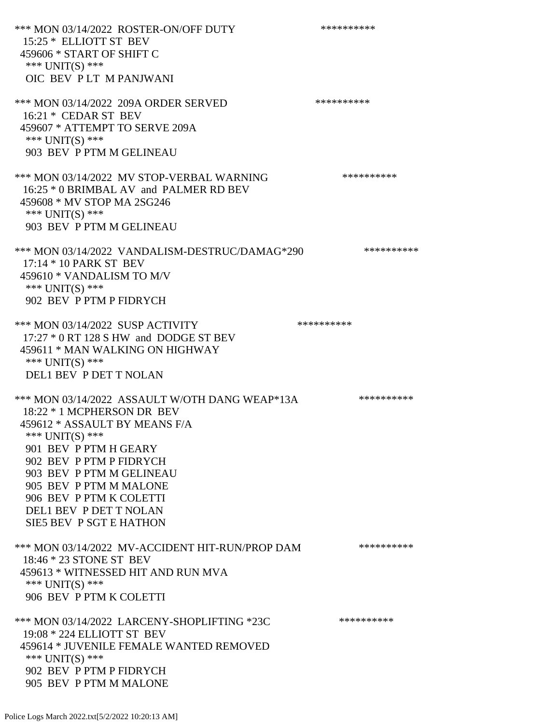\*\*\* MON 03/14/2022 ROSTER-ON/OFF DUTY \*\*\*\*\*\*\*\*\*\* 15:25 \* ELLIOTT ST BEV 459606 \* START OF SHIFT C \*\*\* UNIT(S) \*\*\* OIC BEV P LT M PANJWANI \*\*\* MON 03/14/2022 209A ORDER SERVED \*\*\*\*\*\*\*\*\*\* 16:21 \* CEDAR ST BEV 459607 \* ATTEMPT TO SERVE 209A \*\*\* UNIT(S) \*\*\* 903 BEV P PTM M GELINEAU \*\*\* MON 03/14/2022 MV STOP-VERBAL WARNING \*\*\*\*\*\*\*\*\*\*\*\* 16:25 \* 0 BRIMBAL AV and PALMER RD BEV 459608 \* MV STOP MA 2SG246 \*\*\* UNIT(S) \*\*\* 903 BEV P PTM M GELINEAU \*\*\* MON 03/14/2022 VANDALISM-DESTRUC/DAMAG\*290 \*\*\*\*\*\*\*\*\*\* 17:14 \* 10 PARK ST BEV 459610 \* VANDALISM TO M/V \*\*\* UNIT(S) \*\*\* 902 BEV P PTM P FIDRYCH \*\*\* MON 03/14/2022 SUSP ACTIVITY \*\*\*\*\*\*\*\*\*\*\*\* 17:27 \* 0 RT 128 S HW and DODGE ST BEV 459611 \* MAN WALKING ON HIGHWAY \*\*\* UNIT(S) \*\*\* DEL1 BEV P DET T NOLAN \*\*\* MON 03/14/2022 ASSAULT W/OTH DANG WEAP\*13A \*\*\*\*\*\*\*\*\*\*\*\* 18:22 \* 1 MCPHERSON DR BEV 459612 \* ASSAULT BY MEANS F/A \*\*\* UNIT(S) \*\*\* 901 BEV P PTM H GEARY 902 BEV P PTM P FIDRYCH 903 BEV P PTM M GELINEAU 905 BEV P PTM M MALONE 906 BEV P PTM K COLETTI DEL1 BEV P DET T NOLAN SIE5 BEV P SGT E HATHON \*\*\* MON 03/14/2022 MV-ACCIDENT HIT-RUN/PROP DAM \*\*\*\*\*\*\*\*\*\* 18:46 \* 23 STONE ST BEV 459613 \* WITNESSED HIT AND RUN MVA \*\*\* UNIT(S) \*\*\* 906 BEV P PTM K COLETTI \*\*\* MON 03/14/2022 LARCENY-SHOPLIFTING \*23C \*\*\*\*\*\*\*\*\*\*\*\* 19:08 \* 224 ELLIOTT ST BEV 459614 \* JUVENILE FEMALE WANTED REMOVED \*\*\* UNIT(S) \*\*\* 902 BEV P PTM P FIDRYCH 905 BEV P PTM M MALONE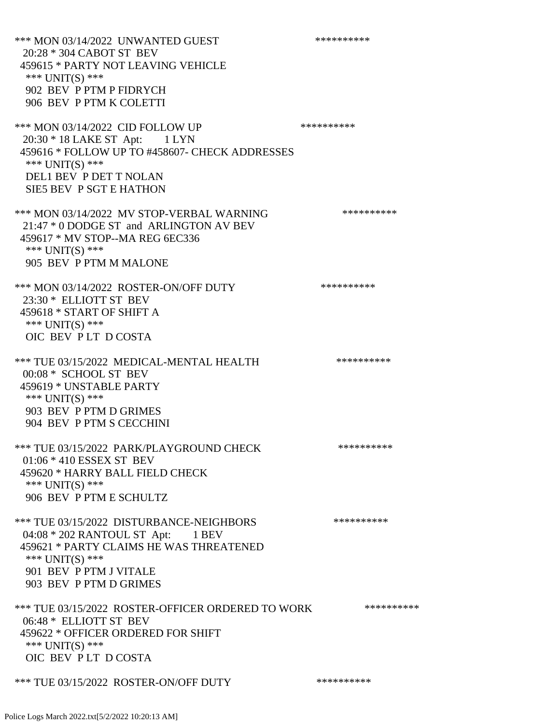\*\*\* MON 03/14/2022 UNWANTED GUEST \*\*\*\*\*\*\*\*\*\*\*\*\*\* 20:28 \* 304 CABOT ST BEV 459615 \* PARTY NOT LEAVING VEHICLE \*\*\* UNIT(S) \*\*\* 902 BEV P PTM P FIDRYCH 906 BEV P PTM K COLETTI \*\*\* MON 03/14/2022 CID FOLLOW UP \*\*\*\*\*\*\*\*\*\*\* 20:30 \* 18 LAKE ST Apt: 1 LYN 459616 \* FOLLOW UP TO #458607- CHECK ADDRESSES \*\*\* UNIT(S) \*\*\* DEL1 BEV P DET T NOLAN SIE5 BEV P SGT E HATHON \*\*\* MON 03/14/2022 MV STOP-VERBAL WARNING \*\*\*\*\*\*\*\*\*\*\*\* 21:47 \* 0 DODGE ST and ARLINGTON AV BEV 459617 \* MV STOP--MA REG 6EC336 \*\*\* UNIT(S) \*\*\* 905 BEV P PTM M MALONE \*\*\* MON 03/14/2022 ROSTER-ON/OFF DUTY \*\*\*\*\*\*\*\*\*\* 23:30 \* ELLIOTT ST BEV 459618 \* START OF SHIFT A \*\*\* UNIT(S) \*\*\* OIC BEV P LT D COSTA \*\*\* TUE 03/15/2022 MEDICAL-MENTAL HEALTH \*\*\*\*\*\*\*\*\*\*\*\* 00:08 \* SCHOOL ST BEV 459619 \* UNSTABLE PARTY \*\*\* UNIT(S) \*\*\* 903 BEV P PTM D GRIMES 904 BEV P PTM S CECCHINI \*\*\* TUE 03/15/2022 PARK/PLAYGROUND CHECK \*\*\*\*\*\*\*\*\*\*\*\* 01:06 \* 410 ESSEX ST BEV 459620 \* HARRY BALL FIELD CHECK \*\*\* UNIT(S) \*\*\* 906 BEV P PTM E SCHULTZ \*\*\* TUE 03/15/2022 DISTURBANCE-NEIGHBORS \*\*\*\*\*\*\*\*\*\*\*\* 04:08 \* 202 RANTOUL ST Apt: 1 BEV 459621 \* PARTY CLAIMS HE WAS THREATENED \*\*\* UNIT(S) \*\*\* 901 BEV P PTM J VITALE 903 BEV P PTM D GRIMES \*\*\* TUE 03/15/2022 ROSTER-OFFICER ORDERED TO WORK \*\*\*\*\*\*\*\*\*\*\* 06:48 \* ELLIOTT ST BEV 459622 \* OFFICER ORDERED FOR SHIFT \*\*\* UNIT(S) \*\*\* OIC BEV PLT D COSTA \*\*\* TUE 03/15/2022 ROSTER-ON/OFF DUTY \*\*\*\*\*\*\*\*\*\*

Police Logs March 2022.txt[5/2/2022 10:20:13 AM]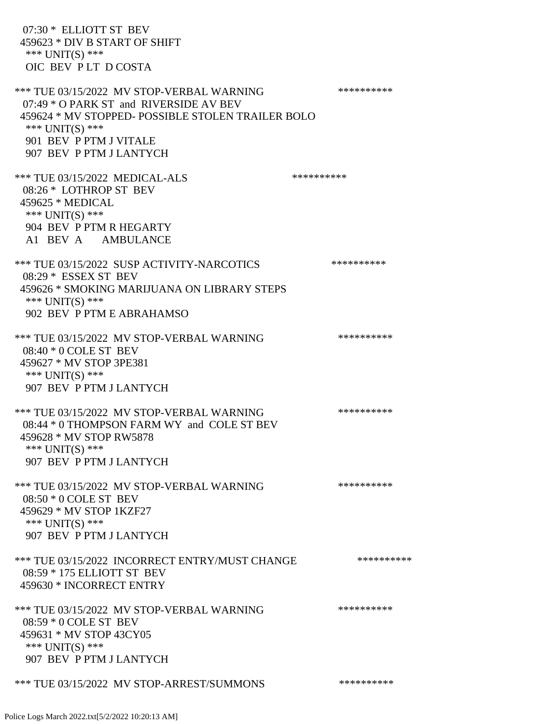| 07:30 * ELLIOTT ST BEV<br>459623 * DIV B START OF SHIFT<br>*** $UNIT(S)$ ***<br>OIC BEV PLT DCOSTA                                                                                                               |            |
|------------------------------------------------------------------------------------------------------------------------------------------------------------------------------------------------------------------|------------|
| *** TUE 03/15/2022 MV STOP-VERBAL WARNING<br>07:49 * O PARK ST and RIVERSIDE AV BEV<br>459624 * MV STOPPED- POSSIBLE STOLEN TRAILER BOLO<br>*** UNIT(S) ***<br>901 BEV P PTM J VITALE<br>907 BEV P PTM J LANTYCH | ********** |
| *** TUE 03/15/2022 MEDICAL-ALS<br>08:26 * LOTHROP ST BEV<br>459625 * MEDICAL<br>*** UNIT(S) ***<br>904 BEV P PTM R HEGARTY<br>A1 BEV A AMBULANCE                                                                 | ********** |
| *** TUE 03/15/2022 SUSP ACTIVITY-NARCOTICS<br>08:29 * ESSEX ST BEV<br>459626 * SMOKING MARIJUANA ON LIBRARY STEPS<br>*** $UNIT(S)$ ***<br>902 BEV P PTM E ABRAHAMSO                                              | ********** |
| *** TUE 03/15/2022 MV STOP-VERBAL WARNING<br>08:40 * 0 COLE ST BEV<br>459627 * MV STOP 3PE381<br>*** $UNIT(S)$ ***<br>907 BEV P PTM J LANTYCH                                                                    | ********** |
| *** TUE 03/15/2022 MV STOP-VERBAL WARNING<br>08:44 * 0 THOMPSON FARM WY and COLE ST BEV<br>459628 * MV STOP RW5878<br>*** UNIT(S) ***<br>907 BEV P PTM J LANTYCH                                                 | ********** |
| *** TUE 03/15/2022 MV STOP-VERBAL WARNING<br>$08:50 * 0$ COLE ST BEV<br>459629 * MV STOP 1KZF27<br>*** $UNIT(S)$ ***<br>907 BEV P PTM J LANTYCH                                                                  | ********** |
| *** TUE 03/15/2022 INCORRECT ENTRY/MUST CHANGE<br>08:59 * 175 ELLIOTT ST BEV<br>459630 * INCORRECT ENTRY                                                                                                         | ********** |
| *** TUE 03/15/2022 MV STOP-VERBAL WARNING<br>08:59 * 0 COLE ST BEV<br>459631 * MV STOP 43CY05<br>*** $UNIT(S)$ ***<br>907 BEV P PTM J LANTYCH                                                                    | ********** |
| *** TUE 03/15/2022 MV STOP-ARREST/SUMMONS                                                                                                                                                                        | ********** |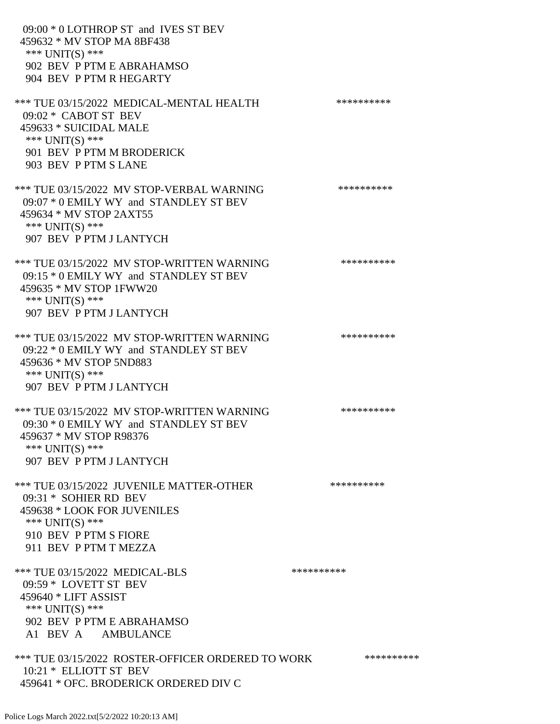09:00 \* 0 LOTHROP ST and IVES ST BEV 459632 \* MV STOP MA 8BF438 \*\*\* UNIT(S) \*\*\* 902 BEV P PTM E ABRAHAMSO 904 BEV P PTM R HEGARTY \*\*\* TUE 03/15/2022 MEDICAL-MENTAL HEALTH \*\*\*\*\*\*\*\*\*\* 09:02 \* CABOT ST BEV 459633 \* SUICIDAL MALE \*\*\* UNIT(S) \*\*\* 901 BEV P PTM M BRODERICK 903 BEV P PTM S LANE \*\*\* TUE 03/15/2022 MV STOP-VERBAL WARNING \*\*\*\*\*\*\*\*\*\*\*\*\* 09:07 \* 0 EMILY WY and STANDLEY ST BEV 459634 \* MV STOP 2AXT55 \*\*\* UNIT(S) \*\*\* 907 BEV P PTM J LANTYCH \*\*\* TUE 03/15/2022 MV STOP-WRITTEN WARNING \*\*\*\*\*\*\*\*\*\*\*\*\* 09:15 \* 0 EMILY WY and STANDLEY ST BEV 459635 \* MV STOP 1FWW20 \*\*\* UNIT(S) \*\*\* 907 BEV P PTM J LANTYCH \*\*\* TUE 03/15/2022 MV STOP-WRITTEN WARNING \*\*\*\*\*\*\*\*\*\*\*\*\* 09:22 \* 0 EMILY WY and STANDLEY ST BEV 459636 \* MV STOP 5ND883 \*\*\* UNIT(S) \*\*\* 907 BEV P PTM J LANTYCH \*\*\* TUE 03/15/2022 MV STOP-WRITTEN WARNING \*\*\*\*\*\*\*\*\*\*\*\*\*\* 09:30 \* 0 EMILY WY and STANDLEY ST BEV 459637 \* MV STOP R98376 \*\*\* UNIT(S) \*\*\* 907 BEV P PTM J LANTYCH \*\*\* TUE 03/15/2022 JUVENILE MATTER-OTHER \*\*\*\*\*\*\*\*\*\*\*\* 09:31 \* SOHIER RD BEV 459638 \* LOOK FOR JUVENILES \*\*\* UNIT(S) \*\*\* 910 BEV P PTM S FIORE 911 BEV P PTM T MEZZA \*\*\* TUE 03/15/2022 MEDICAL-BLS \*\*\*\*\*\*\*\*\*\*\*\*\* 09:59 \* LOVETT ST BEV 459640 \* LIFT ASSIST \*\*\* UNIT(S) \*\*\* 902 BEV P PTM E ABRAHAMSO A1 BEV A AMBULANCE \*\*\* TUE 03/15/2022 ROSTER-OFFICER ORDERED TO WORK \*\*\*\*\*\*\*\*\*\*\* 10:21 \* ELLIOTT ST BEV 459641 \* OFC. BRODERICK ORDERED DIV C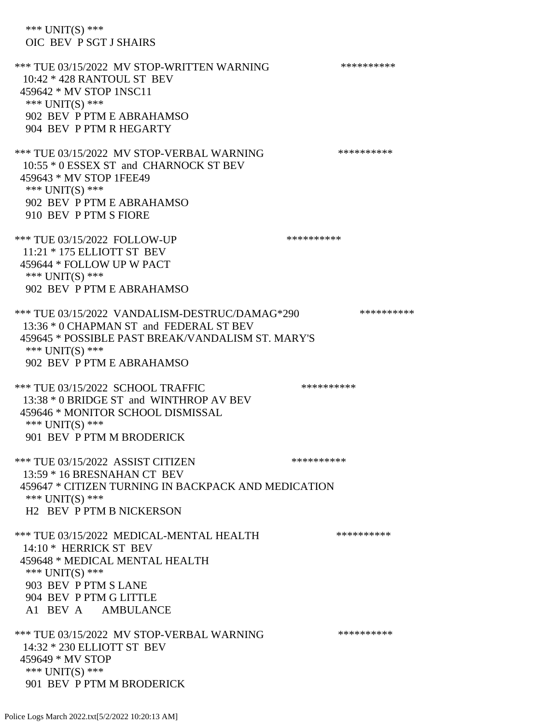\*\*\* UNIT(S) \*\*\* OIC BEV P SGT J SHAIRS \*\*\* TUE 03/15/2022 MV STOP-WRITTEN WARNING \*\*\*\*\*\*\*\*\*\*\*\*\* 10:42 \* 428 RANTOUL ST BEV 459642 \* MV STOP 1NSC11 \*\*\* UNIT(S) \*\*\* 902 BEV P PTM E ABRAHAMSO 904 BEV P PTM R HEGARTY \*\*\* TUE 03/15/2022 MV STOP-VERBAL WARNING \*\*\*\*\*\*\*\*\*\*\*\*\* 10:55 \* 0 ESSEX ST and CHARNOCK ST BEV 459643 \* MV STOP 1FEE49 \*\*\* UNIT(S) \*\*\* 902 BEV P PTM E ABRAHAMSO 910 BEV P PTM S FIORE \*\*\* TUE 03/15/2022 FOLLOW-UP \*\*\*\*\*\*\*\*\*\*\*\*\* 11:21 \* 175 ELLIOTT ST BEV 459644 \* FOLLOW UP W PACT \*\*\* UNIT(S) \*\*\* 902 BEV P PTM E ABRAHAMSO \*\*\* TUE 03/15/2022 VANDALISM-DESTRUC/DAMAG\*290 \*\*\*\*\*\*\*\*\*\* 13:36 \* 0 CHAPMAN ST and FEDERAL ST BEV 459645 \* POSSIBLE PAST BREAK/VANDALISM ST. MARY'S \*\*\* UNIT(S) \*\*\* 902 BEV P PTM E ABRAHAMSO \*\*\* TUE 03/15/2022 SCHOOL TRAFFIC \*\*\*\*\*\*\*\*\*\* 13:38 \* 0 BRIDGE ST and WINTHROP AV BEV 459646 \* MONITOR SCHOOL DISMISSAL \*\*\* UNIT(S) \*\*\* 901 BEV P PTM M BRODERICK \*\*\* TUE 03/15/2022 ASSIST CITIZEN \*\*\*\*\*\*\*\*\*\* 13:59 \* 16 BRESNAHAN CT BEV 459647 \* CITIZEN TURNING IN BACKPACK AND MEDICATION \*\*\* UNIT(S) \*\*\* H2 BEV P PTM B NICKERSON \*\*\* TUE 03/15/2022 MEDICAL-MENTAL HEALTH \*\*\*\*\*\*\*\*\*\*\*\* 14:10 \* HERRICK ST BEV 459648 \* MEDICAL MENTAL HEALTH \*\*\* UNIT(S) \*\*\* 903 BEV P PTM S LANE 904 BEV P PTM G LITTLE A1 BEV A AMBULANCE \*\*\* TUE 03/15/2022 MV STOP-VERBAL WARNING \*\*\*\*\*\*\*\*\*\*\*\*\* 14:32 \* 230 ELLIOTT ST BEV 459649 \* MV STOP \*\*\* UNIT(S) \*\*\* 901 BEV P PTM M BRODERICK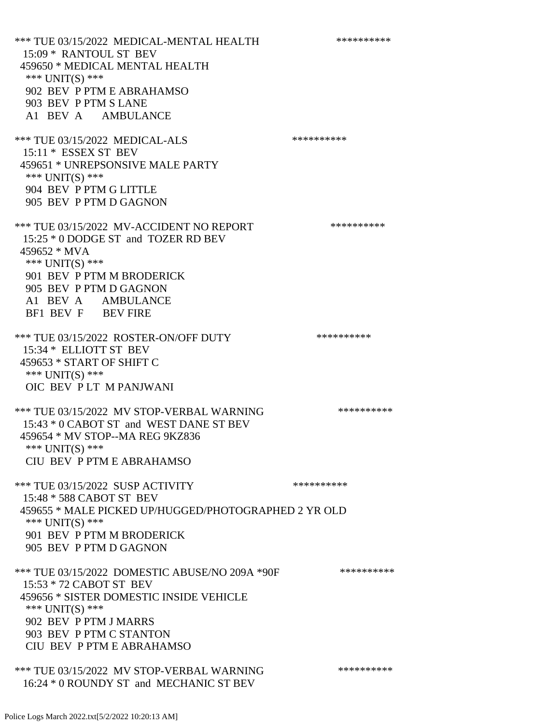\*\*\* TUE 03/15/2022 MEDICAL-MENTAL HEALTH \*\*\*\*\*\*\*\*\*\* 15:09 \* RANTOUL ST BEV 459650 \* MEDICAL MENTAL HEALTH \*\*\* UNIT(S) \*\*\* 902 BEV P PTM E ABRAHAMSO 903 BEV P PTM S LANE A1 BEV A AMBULANCE \*\*\* TUE 03/15/2022 MEDICAL-ALS \*\*\*\*\*\*\*\*\*\*\*\*\* 15:11 \* ESSEX ST BEV 459651 \* UNREPSONSIVE MALE PARTY \*\*\* UNIT(S) \*\*\* 904 BEV P PTM G LITTLE 905 BEV P PTM D GAGNON \*\*\* TUE 03/15/2022 MV-ACCIDENT NO REPORT \*\*\*\*\*\*\*\*\*\*\*\* 15:25 \* 0 DODGE ST and TOZER RD BEV 459652 \* MVA \*\*\* UNIT(S) \*\*\* 901 BEV P PTM M BRODERICK 905 BEV P PTM D GAGNON A1 BEV A AMBULANCE BF1 BEV F BEV FIRE \*\*\* TUE 03/15/2022 ROSTER-ON/OFF DUTY \*\*\*\*\*\*\*\*\*\*\* 15:34 \* ELLIOTT ST BEV 459653 \* START OF SHIFT C \*\*\* UNIT(S) \*\*\* OIC BEV P LT M PANJWANI \*\*\* TUE 03/15/2022 MV STOP-VERBAL WARNING \*\*\*\*\*\*\*\*\*\*\*\*\* 15:43 \* 0 CABOT ST and WEST DANE ST BEV 459654 \* MV STOP--MA REG 9KZ836 \*\*\* UNIT(S) \*\*\* CIU BEV P PTM E ABRAHAMSO \*\*\* TUE 03/15/2022 SUSP ACTIVITY \*\*\*\*\*\*\*\*\*\*\*\*\*\*\* 15:48 \* 588 CABOT ST BEV 459655 \* MALE PICKED UP/HUGGED/PHOTOGRAPHED 2 YR OLD \*\*\* UNIT(S) \*\*\* 901 BEV P PTM M BRODERICK 905 BEV P PTM D GAGNON \*\*\* TUE 03/15/2022 DOMESTIC ABUSE/NO 209A \*90F \*\*\*\*\*\*\*\*\*\*\*\* 15:53 \* 72 CABOT ST BEV 459656 \* SISTER DOMESTIC INSIDE VEHICLE \*\*\* UNIT(S) \*\*\* 902 BEV P PTM J MARRS 903 BEV P PTM C STANTON CIU BEV P PTM E ABRAHAMSO \*\*\* TUE 03/15/2022 MV STOP-VERBAL WARNING \*\*\*\*\*\*\*\*\*\*\*\*\*\*

16:24 \* 0 ROUNDY ST and MECHANIC ST BEV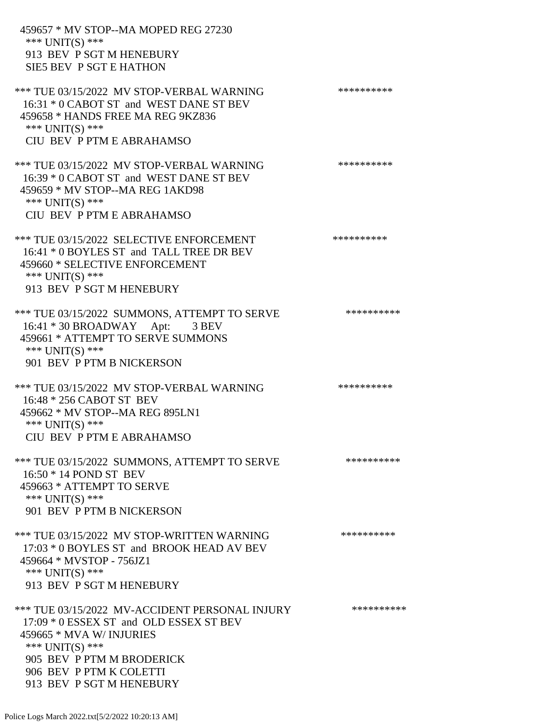459657 \* MV STOP--MA MOPED REG 27230 \*\*\* UNIT(S) \*\*\* 913 BEV P SGT M HENEBURY SIE5 BEV P SGT E HATHON \*\*\* TUE 03/15/2022 MV STOP-VERBAL WARNING \*\*\*\*\*\*\*\*\*\*\*\*\* 16:31 \* 0 CABOT ST and WEST DANE ST BEV 459658 \* HANDS FREE MA REG 9KZ836 \*\*\* UNIT(S) \*\*\* CIU BEV P PTM E ABRAHAMSO \*\*\* TUE 03/15/2022 MV STOP-VERBAL WARNING \*\*\*\*\*\*\*\*\*\*\*\*\* 16:39 \* 0 CABOT ST and WEST DANE ST BEV 459659 \* MV STOP--MA REG 1AKD98 \*\*\* UNIT(S) \*\*\* CIU BEV P PTM E ABRAHAMSO \*\*\* TUE 03/15/2022 SELECTIVE ENFORCEMENT \*\*\*\*\*\*\*\*\*\*\*\* 16:41 \* 0 BOYLES ST and TALL TREE DR BEV 459660 \* SELECTIVE ENFORCEMENT \*\*\* UNIT(S) \*\*\* 913 BEV P SGT M HENEBURY \*\*\* TUE 03/15/2022 SUMMONS, ATTEMPT TO SERVE \*\*\*\*\*\*\*\*\*\*\*\* 16:41 \* 30 BROADWAY Apt: 3 BEV 459661 \* ATTEMPT TO SERVE SUMMONS \*\*\* UNIT(S) \*\*\* 901 BEV P PTM B NICKERSON \*\*\* TUE 03/15/2022 MV STOP-VERBAL WARNING \*\*\*\*\*\*\*\*\*\*\*\*\* 16:48 \* 256 CABOT ST BEV 459662 \* MV STOP--MA REG 895LN1 \*\*\* UNIT(S) \*\*\* CIU BEV P PTM E ABRAHAMSO \*\*\* TUE 03/15/2022 SUMMONS, ATTEMPT TO SERVE \*\*\*\*\*\*\*\*\*\*\*\* 16:50 \* 14 POND ST BEV 459663 \* ATTEMPT TO SERVE \*\*\* UNIT(S) \*\*\* 901 BEV P PTM B NICKERSON \*\*\* TUE 03/15/2022 MV STOP-WRITTEN WARNING \*\*\*\*\*\*\*\*\*\*\*\*\* 17:03 \* 0 BOYLES ST and BROOK HEAD AV BEV 459664 \* MVSTOP - 756JZ1 \*\*\* UNIT(S) \*\*\* 913 BEV P SGT M HENEBURY \*\*\* TUE 03/15/2022 MV-ACCIDENT PERSONAL INJURY \*\*\*\*\*\*\*\*\*\*\* 17:09 \* 0 ESSEX ST and OLD ESSEX ST BEV 459665 \* MVA W/ INJURIES \*\*\*  $UNIT(S)$  \*\*\* 905 BEV P PTM M BRODERICK 906 BEV P PTM K COLETTI 913 BEV P SGT M HENEBURY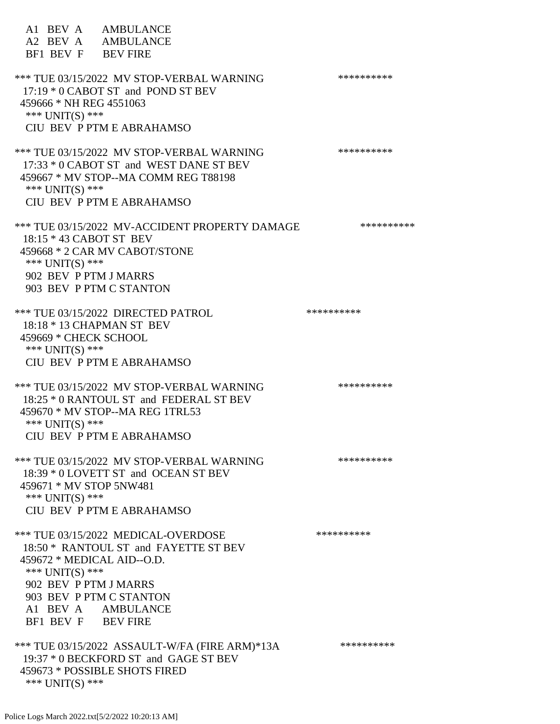| A1 BEV A AMBULANCE<br>A2 BEV A AMBULANCE<br>BF1 BEV F BEV FIRE                                                                                                                                                                  |            |
|---------------------------------------------------------------------------------------------------------------------------------------------------------------------------------------------------------------------------------|------------|
| *** TUE 03/15/2022 MV STOP-VERBAL WARNING<br>17:19 * 0 CABOT ST and POND ST BEV<br>459666 * NH REG 4551063<br>*** $UNIT(S)$ ***<br>CIU BEV P PTM E ABRAHAMSO                                                                    | ********** |
| *** TUE 03/15/2022 MV STOP-VERBAL WARNING<br>17:33 * 0 CABOT ST and WEST DANE ST BEV<br>459667 * MV STOP--MA COMM REG T88198<br>*** UNIT(S) ***<br>CIU BEV P PTM E ABRAHAMSO                                                    | ********** |
| *** TUE 03/15/2022 MV-ACCIDENT PROPERTY DAMAGE<br>18:15 * 43 CABOT ST BEV<br>459668 * 2 CAR MV CABOT/STONE<br>*** UNIT(S) ***<br>902 BEV P PTM J MARRS<br>903 BEV P PTM C STANTON                                               | ********** |
| *** TUE 03/15/2022 DIRECTED PATROL<br>18:18 * 13 CHAPMAN ST BEV<br>459669 * CHECK SCHOOL<br>*** UNIT(S) ***<br>CIU BEV P PTM E ABRAHAMSO                                                                                        | ********** |
| *** TUE 03/15/2022 MV STOP-VERBAL WARNING<br>18:25 * 0 RANTOUL ST and FEDERAL ST BEV<br>459670 * MV STOP--MA REG 1TRL53<br>*** UNIT(S) ***<br>CIU BEV P PTM E ABRAHAMSO                                                         | ********** |
| *** TUE 03/15/2022 MV STOP-VERBAL WARNING<br>18:39 * 0 LOVETT ST and OCEAN ST BEV<br>459671 * MV STOP 5NW481<br>*** UNIT(S) ***<br>CIU BEV P PTM E ABRAHAMSO                                                                    | ********** |
| *** TUE 03/15/2022 MEDICAL-OVERDOSE<br>18:50 * RANTOUL ST and FAYETTE ST BEV<br>459672 * MEDICAL AID--O.D.<br>*** $UNIT(S)$ ***<br>902 BEV P PTM J MARRS<br>903 BEV P PTM C STANTON<br>A1 BEV A AMBULANCE<br>BF1 BEV F BEV FIRE | ********** |
| *** TUE 03/15/2022 ASSAULT-W/FA (FIRE ARM)*13A<br>19:37 * 0 BECKFORD ST and GAGE ST BEV<br>459673 * POSSIBLE SHOTS FIRED<br>*** UNIT(S) ***                                                                                     | ********** |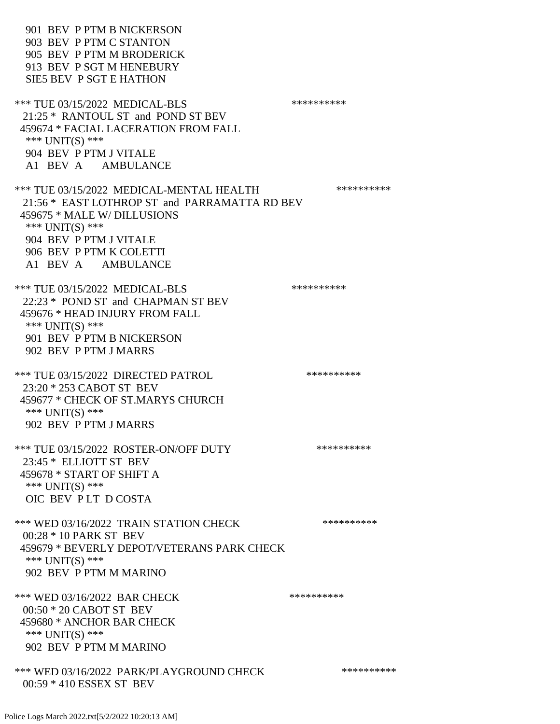901 BEV P PTM B NICKERSON 903 BEV P PTM C STANTON 905 BEV P PTM M BRODERICK 913 BEV P SGT M HENEBURY SIE5 BEV P SGT E HATHON \*\*\* TUE 03/15/2022 MEDICAL-BLS \*\*\*\*\*\*\*\*\*\* 21:25 \* RANTOUL ST and POND ST BEV 459674 \* FACIAL LACERATION FROM FALL \*\*\* UNIT(S) \*\*\* 904 BEV P PTM J VITALE A1 BEV A AMBULANCE \*\*\* TUE 03/15/2022 MEDICAL-MENTAL HEALTH \*\*\*\*\*\*\*\*\*\* 21:56 \* EAST LOTHROP ST and PARRAMATTA RD BEV 459675 \* MALE W/ DILLUSIONS \*\*\* UNIT(S) \*\*\* 904 BEV P PTM J VITALE 906 BEV P PTM K COLETTI A1 BEV A AMBULANCE \*\*\* TUE 03/15/2022 MEDICAL-BLS \*\*\*\*\*\*\*\*\*\*\*\*\* 22:23 \* POND ST and CHAPMAN ST BEV 459676 \* HEAD INJURY FROM FALL \*\*\* UNIT(S) \*\*\* 901 BEV P PTM B NICKERSON 902 BEV P PTM J MARRS \*\*\* TUE 03/15/2022 DIRECTED PATROL \*\*\*\*\*\*\*\*\*\* 23:20 \* 253 CABOT ST BEV 459677 \* CHECK OF ST.MARYS CHURCH \*\*\* UNIT(S) \*\*\* 902 BEV P PTM J MARRS \*\*\* TUE 03/15/2022 ROSTER-ON/OFF DUTY \*\*\*\*\*\*\*\*\*\*\*\* 23:45 \* ELLIOTT ST BEV 459678 \* START OF SHIFT A \*\*\* UNIT(S) \*\*\* OIC BEV P LT D COSTA \*\*\* WED 03/16/2022 TRAIN STATION CHECK \*\*\*\*\*\*\*\*\*\*\*\* 00:28 \* 10 PARK ST BEV 459679 \* BEVERLY DEPOT/VETERANS PARK CHECK \*\*\* UNIT(S) \*\*\* 902 BEV P PTM M MARINO \*\*\* WED 03/16/2022 BAR CHECK \*\*\*\*\*\*\*\*\*\*\*\* 00:50 \* 20 CABOT ST BEV 459680 \* ANCHOR BAR CHECK \*\*\* UNIT(S) \*\*\* 902 BEV P PTM M MARINO \*\*\* WED 03/16/2022 PARK/PLAYGROUND CHECK \*\*\*\*\*\*\*\*\*\*\*\* 00:59 \* 410 ESSEX ST BEV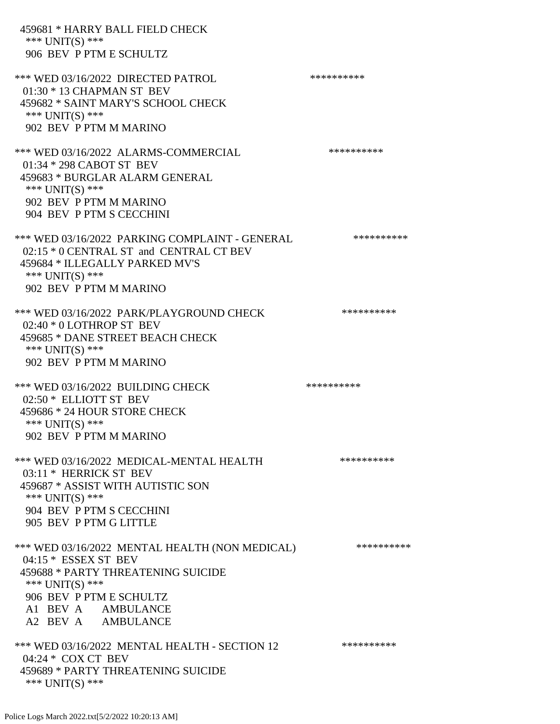| 459681 * HARRY BALL FIELD CHECK<br>*** $UNIT(S)$ ***<br>906 BEV P PTM E SCHULTZ                                                                                                                            |            |
|------------------------------------------------------------------------------------------------------------------------------------------------------------------------------------------------------------|------------|
| *** WED 03/16/2022 DIRECTED PATROL<br>$01:30 * 13$ CHAPMAN ST BEV<br>459682 * SAINT MARY'S SCHOOL CHECK<br>*** UNIT(S) ***<br>902 BEV P PTM M MARINO                                                       | ********** |
| *** WED 03/16/2022 ALARMS-COMMERCIAL<br>01:34 * 298 CABOT ST BEV<br>459683 * BURGLAR ALARM GENERAL<br>*** $UNIT(S)$ ***<br>902 BEV P PTM M MARINO<br>904 BEV P PTM S CECCHINI                              | ********** |
| *** WED 03/16/2022 PARKING COMPLAINT - GENERAL<br>02:15 * 0 CENTRAL ST and CENTRAL CT BEV<br>459684 * ILLEGALLY PARKED MV'S<br>*** $UNIT(S)$ ***<br>902 BEV P PTM M MARINO                                 | ********** |
| *** WED 03/16/2022 PARK/PLAYGROUND CHECK<br>02:40 * 0 LOTHROP ST BEV<br>459685 * DANE STREET BEACH CHECK<br>*** UNIT(S) ***<br>902 BEV P PTM M MARINO                                                      | ********** |
| *** WED 03/16/2022 BUILDING CHECK<br>02:50 * ELLIOTT ST BEV<br>459686 * 24 HOUR STORE CHECK<br>*** $UNIT(S)$ ***<br>902 BEV P PTM M MARINO                                                                 | ********** |
| *** WED 03/16/2022 MEDICAL-MENTAL HEALTH<br>03:11 * HERRICK ST BEV<br>459687 * ASSIST WITH AUTISTIC SON<br>*** $UNIT(S)$ ***<br>904 BEV P PTM S CECCHINI<br>905 BEV P PTM G LITTLE                         | ********** |
| *** WED 03/16/2022 MENTAL HEALTH (NON MEDICAL)<br>$04:15 * ESSEX ST BEV$<br>459688 * PARTY THREATENING SUICIDE<br>*** $UNIT(S)$ ***<br>906 BEV P PTM E SCHULTZ<br>A1 BEV A AMBULANCE<br>A2 BEV A AMBULANCE | ********** |
| *** WED 03/16/2022 MENTAL HEALTH - SECTION 12<br>04:24 * COX CT BEV<br>459689 * PARTY THREATENING SUICIDE<br>*** UNIT(S) ***                                                                               | ********** |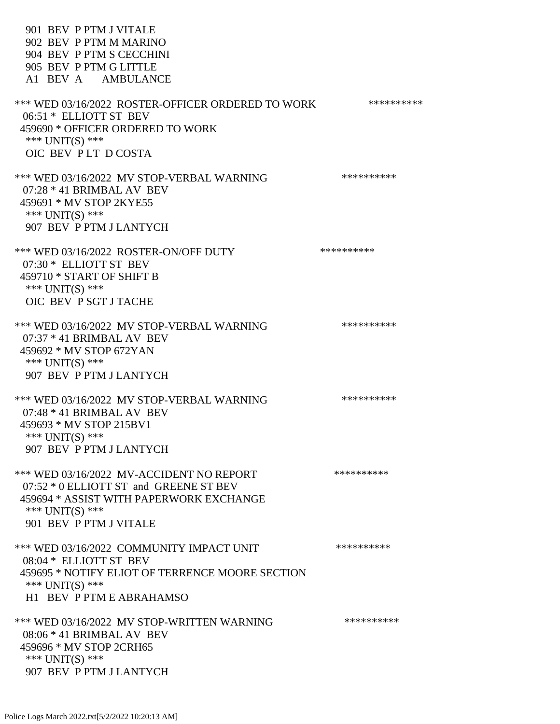901 BEV P PTM J VITALE 902 BEV P PTM M MARINO 904 BEV P PTM S CECCHINI 905 BEV P PTM G LITTLE A1 BEV A AMBULANCE \*\*\* WED 03/16/2022 ROSTER-OFFICER ORDERED TO WORK \*\*\*\*\*\*\*\*\*\*\*\* 06:51 \* ELLIOTT ST BEV 459690 \* OFFICER ORDERED TO WORK \*\*\* UNIT(S) \*\*\* OIC BEV P LT D COSTA \*\*\* WED 03/16/2022 MV STOP-VERBAL WARNING \*\*\*\*\*\*\*\*\*\*\*\* 07:28 \* 41 BRIMBAL AV BEV 459691 \* MV STOP 2KYE55 \*\*\* UNIT(S) \*\*\* 907 BEV P PTM J LANTYCH \*\*\* WED 03/16/2022 ROSTER-ON/OFF DUTY \*\*\*\*\*\*\*\*\*\*\* 07:30 \* ELLIOTT ST BEV 459710 \* START OF SHIFT B \*\*\* UNIT(S) \*\*\* OIC BEV P SGT J TACHE \*\*\* WED 03/16/2022 MV STOP-VERBAL WARNING \*\*\*\*\*\*\*\*\*\*\*\*\* 07:37 \* 41 BRIMBAL AV BEV 459692 \* MV STOP 672YAN \*\*\* UNIT(S) \*\*\* 907 BEV P PTM J LANTYCH \*\*\* WED 03/16/2022 MV STOP-VERBAL WARNING \*\*\*\*\*\*\*\*\*\*\*\* 07:48 \* 41 BRIMBAL AV BEV 459693 \* MV STOP 215BV1  $***$  UNIT(S)  $***$  907 BEV P PTM J LANTYCH \*\*\* WED 03/16/2022 MV-ACCIDENT NO REPORT \*\*\*\*\*\*\*\*\*\*\*\* 07:52 \* 0 ELLIOTT ST and GREENE ST BEV 459694 \* ASSIST WITH PAPERWORK EXCHANGE \*\*\* UNIT(S) \*\*\* 901 BEV P PTM J VITALE \*\*\* WED 03/16/2022 COMMUNITY IMPACT UNIT \*\*\*\*\*\*\*\*\*\*\*\* 08:04 \* ELLIOTT ST BEV 459695 \* NOTIFY ELIOT OF TERRENCE MOORE SECTION \*\*\* UNIT(S) \*\*\* H1 BEV P PTM E ABRAHAMSO \*\*\* WED 03/16/2022 MV STOP-WRITTEN WARNING \*\*\*\*\*\*\*\*\*\*\*\*\* 08:06 \* 41 BRIMBAL AV BEV 459696 \* MV STOP 2CRH65 \*\*\* UNIT(S) \*\*\* 907 BEV P PTM J LANTYCH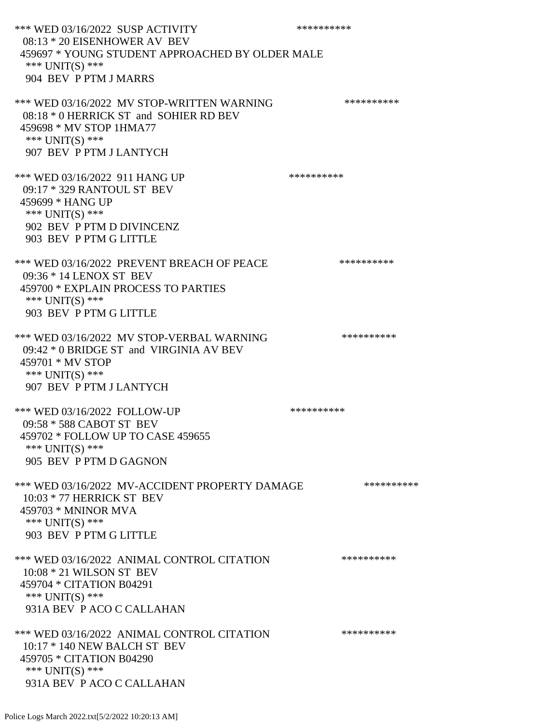\*\*\* WED 03/16/2022 SUSP ACTIVITY \*\*\*\*\*\*\*\*\*\*\*\*\*\* 08:13 \* 20 EISENHOWER AV BEV 459697 \* YOUNG STUDENT APPROACHED BY OLDER MALE \*\*\* UNIT(S) \*\*\* 904 BEV P PTM J MARRS \*\*\* WED 03/16/2022 MV STOP-WRITTEN WARNING \*\*\*\*\*\*\*\*\*\*\*\* 08:18 \* 0 HERRICK ST and SOHIER RD BEV 459698 \* MV STOP 1HMA77 \*\*\* UNIT(S) \*\*\* 907 BEV P PTM J LANTYCH \*\*\* WED 03/16/2022 911 HANG UP \*\*\*\*\*\*\*\*\*\*\*\* 09:17 \* 329 RANTOUL ST BEV 459699 \* HANG UP \*\*\* UNIT(S) \*\*\* 902 BEV P PTM D DIVINCENZ 903 BEV P PTM G LITTLE \*\*\* WED 03/16/2022 PREVENT BREACH OF PEACE \*\*\*\*\*\*\*\*\*\* 09:36 \* 14 LENOX ST BEV 459700 \* EXPLAIN PROCESS TO PARTIES \*\*\* UNIT(S) \*\*\* 903 BEV P PTM G LITTLE \*\*\* WED 03/16/2022 MV STOP-VERBAL WARNING \*\*\*\*\*\*\*\*\*\*\*\* 09:42 \* 0 BRIDGE ST and VIRGINIA AV BEV 459701 \* MV STOP \*\*\* UNIT(S) \*\*\* 907 BEV P PTM J LANTYCH \*\*\* WED 03/16/2022 FOLLOW-UP \*\*\*\*\*\*\*\*\*\*\*\* 09:58 \* 588 CABOT ST BEV 459702 \* FOLLOW UP TO CASE 459655 \*\*\* UNIT(S) \*\*\* 905 BEV P PTM D GAGNON \*\*\* WED 03/16/2022 MV-ACCIDENT PROPERTY DAMAGE \*\*\*\*\*\*\*\*\*\*\*\*\* 10:03 \* 77 HERRICK ST BEV 459703 \* MNINOR MVA \*\*\* UNIT(S) \*\*\* 903 BEV P PTM G LITTLE \*\*\* WED 03/16/2022 ANIMAL CONTROL CITATION \*\*\*\*\*\*\*\*\*\* 10:08 \* 21 WILSON ST BEV 459704 \* CITATION B04291 \*\*\* UNIT(S) \*\*\* 931A BEV P ACO C CALLAHAN \*\*\* WED 03/16/2022 ANIMAL CONTROL CITATION \*\*\*\*\*\*\*\*\*\*\* 10:17 \* 140 NEW BALCH ST BEV 459705 \* CITATION B04290 \*\*\* UNIT(S) \*\*\* 931A BEV P ACO C CALLAHAN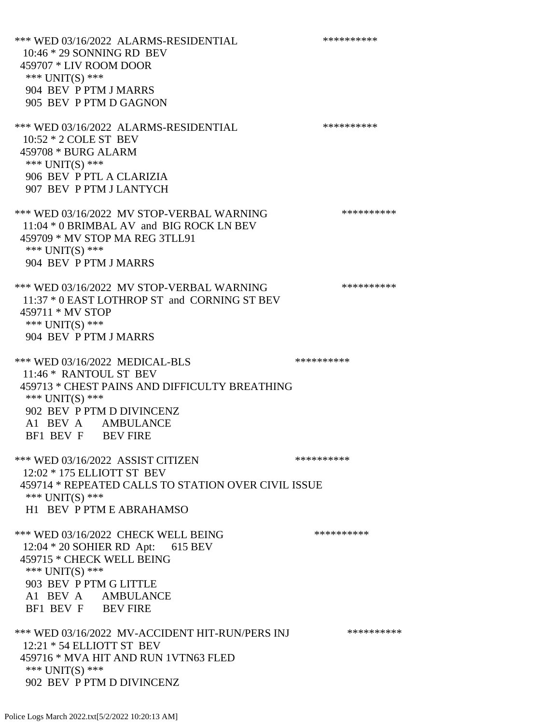\*\*\* WED 03/16/2022 ALARMS-RESIDENTIAL \*\*\*\*\*\*\*\*\*\* 10:46 \* 29 SONNING RD BEV 459707 \* LIV ROOM DOOR \*\*\* UNIT(S) \*\*\* 904 BEV P PTM J MARRS 905 BEV P PTM D GAGNON \*\*\* WED 03/16/2022 ALARMS-RESIDENTIAL \*\*\*\*\*\*\*\*\*\* 10:52 \* 2 COLE ST BEV 459708 \* BURG ALARM \*\*\* UNIT(S) \*\*\* 906 BEV P PTL A CLARIZIA 907 BEV P PTM J LANTYCH \*\*\* WED 03/16/2022 MV STOP-VERBAL WARNING \*\*\*\*\*\*\*\*\*\*\*\* 11:04 \* 0 BRIMBAL AV and BIG ROCK LN BEV 459709 \* MV STOP MA REG 3TLL91 \*\*\* UNIT(S) \*\*\* 904 BEV P PTM J MARRS \*\*\* WED 03/16/2022 MV STOP-VERBAL WARNING \*\*\*\*\*\*\*\*\*\*\*\* 11:37 \* 0 EAST LOTHROP ST and CORNING ST BEV 459711 \* MV STOP \*\*\* UNIT(S) \*\*\* 904 BEV P PTM J MARRS \*\*\* WED 03/16/2022 MEDICAL-BLS \*\*\*\*\*\*\*\*\*\*\*\* 11:46 \* RANTOUL ST BEV 459713 \* CHEST PAINS AND DIFFICULTY BREATHING \*\*\* UNIT(S) \*\*\* 902 BEV P PTM D DIVINCENZ A1 BEV A AMBULANCE BF1 BEV F BEV FIRE \*\*\* WED 03/16/2022 ASSIST CITIZEN \*\*\*\*\*\*\*\*\*\*\*\* 12:02 \* 175 ELLIOTT ST BEV 459714 \* REPEATED CALLS TO STATION OVER CIVIL ISSUE \*\*\* UNIT(S) \*\*\* H1 BEV P PTM E ABRAHAMSO \*\*\* WED 03/16/2022 CHECK WELL BEING \*\*\*\*\*\*\*\*\*\*\*\*\* 12:04 \* 20 SOHIER RD Apt: 615 BEV 459715 \* CHECK WELL BEING \*\*\* UNIT(S) \*\*\* 903 BEV P PTM G LITTLE A1 BEV A AMBULANCE BF1 BEV F BEV FIRE \*\*\* WED 03/16/2022 MV-ACCIDENT HIT-RUN/PERS INJ \*\*\*\*\*\*\*\*\*\*\* 12:21 \* 54 ELLIOTT ST BEV 459716 \* MVA HIT AND RUN 1VTN63 FLED \*\*\* UNIT(S) \*\*\* 902 BEV P PTM D DIVINCENZ

Police Logs March 2022.txt[5/2/2022 10:20:13 AM]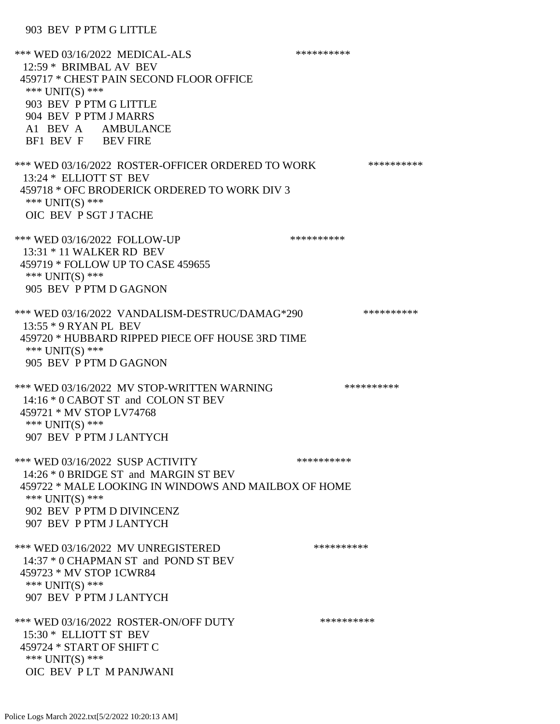## 903 BEV P PTM G LITTLE

\*\*\* WED 03/16/2022 MEDICAL-ALS \*\*\*\*\*\*\*\*\*\* 12:59 \* BRIMBAL AV BEV 459717 \* CHEST PAIN SECOND FLOOR OFFICE \*\*\* UNIT(S) \*\*\* 903 BEV P PTM G LITTLE 904 BEV P PTM J MARRS A1 BEV A AMBULANCE BF1 BEV F BEV FIRE \*\*\* WED 03/16/2022 ROSTER-OFFICER ORDERED TO WORK \*\*\*\*\*\*\*\*\*\*\* 13:24 \* ELLIOTT ST BEV 459718 \* OFC BRODERICK ORDERED TO WORK DIV 3 \*\*\* UNIT(S) \*\*\* OIC BEV P SGT J TACHE \*\*\* WED 03/16/2022 FOLLOW-UP \*\*\*\*\*\*\*\*\*\*\*\* 13:31 \* 11 WALKER RD BEV 459719 \* FOLLOW UP TO CASE 459655 \*\*\* UNIT(S) \*\*\* 905 BEV P PTM D GAGNON \*\*\* WED 03/16/2022 VANDALISM-DESTRUC/DAMAG\*290 \*\*\*\*\*\*\*\*\*\* 13:55 \* 9 RYAN PL BEV 459720 \* HUBBARD RIPPED PIECE OFF HOUSE 3RD TIME \*\*\* UNIT(S) \*\*\* 905 BEV P PTM D GAGNON \*\*\* WED 03/16/2022 MV STOP-WRITTEN WARNING \*\*\*\*\*\*\*\*\*\*\*\* 14:16 \* 0 CABOT ST and COLON ST BEV 459721 \* MV STOP LV74768 \*\*\* UNIT(S) \*\*\* 907 BEV P PTM J LANTYCH \*\*\* WED 03/16/2022 SUSP ACTIVITY \*\*\*\*\*\*\*\*\*\*\*\* 14:26 \* 0 BRIDGE ST and MARGIN ST BEV 459722 \* MALE LOOKING IN WINDOWS AND MAILBOX OF HOME \*\*\* UNIT(S) \*\*\* 902 BEV P PTM D DIVINCENZ 907 BEV P PTM J LANTYCH \*\*\* WED 03/16/2022 MV UNREGISTERED \*\*\*\*\*\*\*\*\*\* 14:37 \* 0 CHAPMAN ST and POND ST BEV 459723 \* MV STOP 1CWR84 \*\*\* UNIT(S) \*\*\* 907 BEV P PTM J LANTYCH \*\*\* WED 03/16/2022 ROSTER-ON/OFF DUTY \*\*\*\*\*\*\*\*\*\* 15:30 \* ELLIOTT ST BEV 459724 \* START OF SHIFT C \*\*\* UNIT(S) \*\*\* OIC BEV P LT M PANJWANI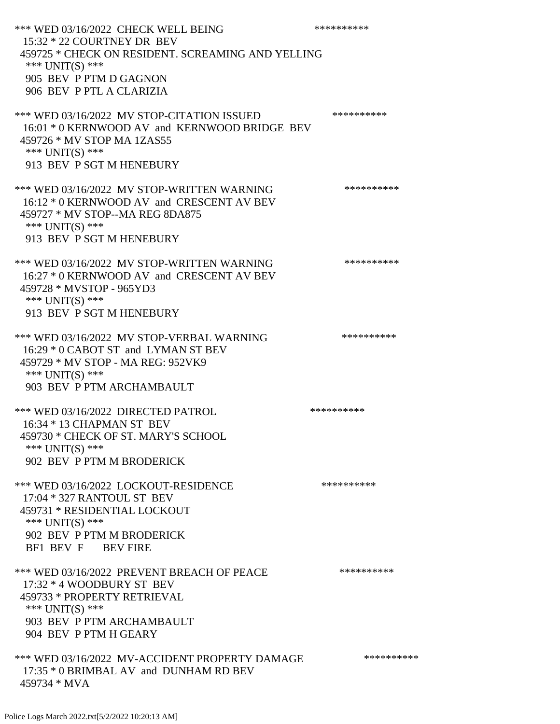\*\*\* WED 03/16/2022 CHECK WELL BEING \*\*\*\*\*\*\*\*\*\* 15:32 \* 22 COURTNEY DR BEV 459725 \* CHECK ON RESIDENT. SCREAMING AND YELLING \*\*\* UNIT(S) \*\*\* 905 BEV P PTM D GAGNON 906 BEV P PTL A CLARIZIA \*\*\* WED 03/16/2022 MV STOP-CITATION ISSUED \*\*\*\*\*\*\*\*\*\* 16:01 \* 0 KERNWOOD AV and KERNWOOD BRIDGE BEV 459726 \* MV STOP MA 1ZAS55 \*\*\* UNIT(S) \*\*\* 913 BEV P SGT M HENEBURY \*\*\* WED 03/16/2022 MV STOP-WRITTEN WARNING \*\*\*\*\*\*\*\*\*\*\*\*\* 16:12 \* 0 KERNWOOD AV and CRESCENT AV BEV 459727 \* MV STOP--MA REG 8DA875 \*\*\* UNIT(S) \*\*\* 913 BEV P SGT M HENEBURY \*\*\* WED 03/16/2022 MV STOP-WRITTEN WARNING \*\*\*\*\*\*\*\*\*\*\*\*\* 16:27 \* 0 KERNWOOD AV and CRESCENT AV BEV 459728 \* MVSTOP - 965YD3 \*\*\* UNIT(S) \*\*\* 913 BEV P SGT M HENEBURY \*\*\* WED 03/16/2022 MV STOP-VERBAL WARNING \*\*\*\*\*\*\*\*\*\*\*\* 16:29 \* 0 CABOT ST and LYMAN ST BEV 459729 \* MV STOP - MA REG: 952VK9 \*\*\* UNIT(S) \*\*\* 903 BEV P PTM ARCHAMBAULT \*\*\* WED 03/16/2022 DIRECTED PATROL \*\*\*\*\*\*\*\*\*\* 16:34 \* 13 CHAPMAN ST BEV 459730 \* CHECK OF ST. MARY'S SCHOOL \*\*\* UNIT(S) \*\*\* 902 BEV P PTM M BRODERICK \*\*\* WED 03/16/2022 LOCKOUT-RESIDENCE \*\*\*\*\*\*\*\*\*\* 17:04 \* 327 RANTOUL ST BEV 459731 \* RESIDENTIAL LOCKOUT \*\*\* UNIT(S) \*\*\* 902 BEV P PTM M BRODERICK BF1 BEV F BEV FIRE \*\*\* WED 03/16/2022 PREVENT BREACH OF PEACE \*\*\*\*\*\*\*\*\*\* 17:32 \* 4 WOODBURY ST BEV 459733 \* PROPERTY RETRIEVAL \*\*\* UNIT(S) \*\*\* 903 BEV P PTM ARCHAMBAULT 904 BEV P PTM H GEARY \*\*\* WED 03/16/2022 MV-ACCIDENT PROPERTY DAMAGE \*\*\*\*\*\*\*\*\*\*\*\* 17:35 \* 0 BRIMBAL AV and DUNHAM RD BEV 459734 \* MVA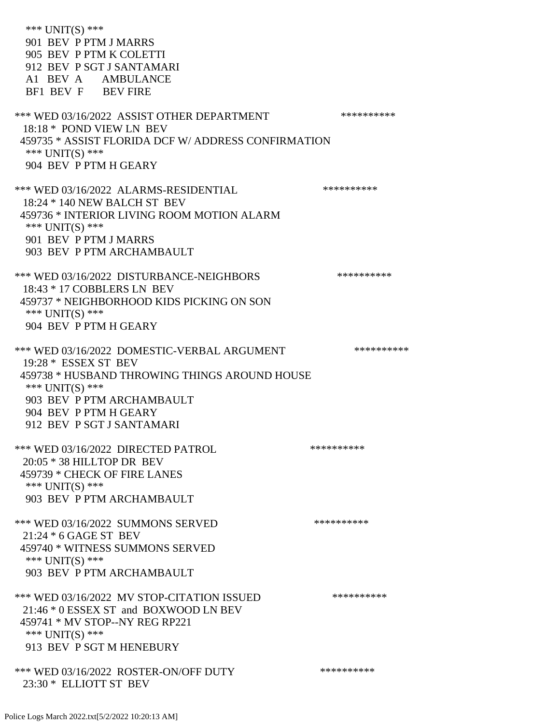\*\*\* UNIT(S) \*\*\* 901 BEV P PTM J MARRS 905 BEV P PTM K COLETTI 912 BEV P SGT J SANTAMARI A1 BEV A AMBULANCE BF1 BEV F BEV FIRE \*\*\* WED 03/16/2022 ASSIST OTHER DEPARTMENT \*\*\*\*\*\*\*\*\*\*\*\*\* 18:18 \* POND VIEW LN BEV 459735 \* ASSIST FLORIDA DCF W/ ADDRESS CONFIRMATION \*\*\* UNIT(S) \*\*\* 904 BEV P PTM H GEARY \*\*\* WED 03/16/2022 ALARMS-RESIDENTIAL \*\*\*\*\*\*\*\*\*\* 18:24 \* 140 NEW BALCH ST BEV 459736 \* INTERIOR LIVING ROOM MOTION ALARM \*\*\* UNIT(S) \*\*\* 901 BEV P PTM J MARRS 903 BEV P PTM ARCHAMBAULT \*\*\* WED 03/16/2022 DISTURBANCE-NEIGHBORS \*\*\*\*\*\*\*\*\*\*\*\* 18:43 \* 17 COBBLERS LN BEV 459737 \* NEIGHBORHOOD KIDS PICKING ON SON \*\*\* UNIT(S) \*\*\* 904 BEV P PTM H GEARY \*\*\* WED 03/16/2022 DOMESTIC-VERBAL ARGUMENT \*\*\*\*\*\*\*\*\*\*\*\* 19:28 \* ESSEX ST BEV 459738 \* HUSBAND THROWING THINGS AROUND HOUSE \*\*\* UNIT(S) \*\*\* 903 BEV P PTM ARCHAMBAULT 904 BEV P PTM H GEARY 912 BEV P SGT J SANTAMARI \*\*\* WED 03/16/2022 DIRECTED PATROL \*\*\*\*\*\*\*\*\*\* 20:05 \* 38 HILLTOP DR BEV 459739 \* CHECK OF FIRE LANES \*\*\* UNIT(S) \*\*\* 903 BEV P PTM ARCHAMBAULT \*\*\* WED 03/16/2022 SUMMONS SERVED \*\*\*\*\*\*\*\*\*\*\*\*\* 21:24 \* 6 GAGE ST BEV 459740 \* WITNESS SUMMONS SERVED \*\*\* UNIT(S) \*\*\* 903 BEV P PTM ARCHAMBAULT \*\*\* WED 03/16/2022 MV STOP-CITATION ISSUED \*\*\*\*\*\*\*\*\*\* 21:46 \* 0 ESSEX ST and BOXWOOD LN BEV 459741 \* MV STOP--NY REG RP221 \*\*\* UNIT(S) \*\*\* 913 BEV P SGT M HENEBURY \*\*\* WED 03/16/2022 ROSTER-ON/OFF DUTY \*\*\*\*\*\*\*\*\*\* 23:30 \* ELLIOTT ST BEV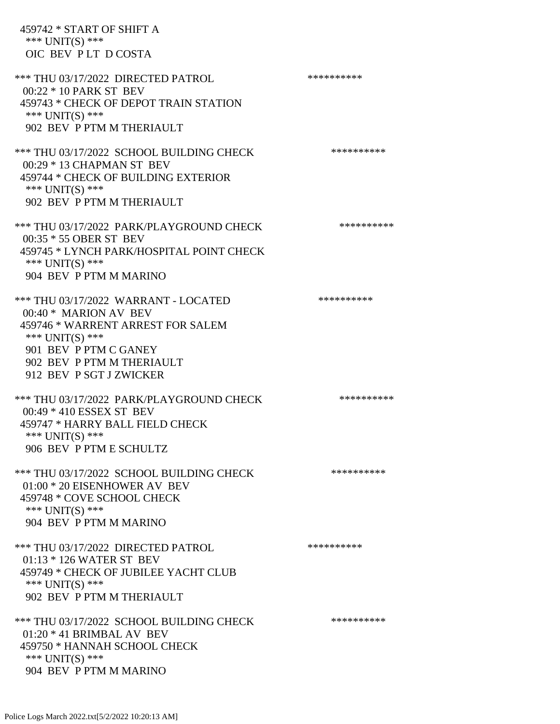459742 \* START OF SHIFT A \*\*\* UNIT(S) \*\*\* OIC BEV P LT D COSTA

\*\*\* THU 03/17/2022 DIRECTED PATROL \*\*\*\*\*\*\*\*\*\* 00:22 \* 10 PARK ST BEV 459743 \* CHECK OF DEPOT TRAIN STATION \*\*\* UNIT(S) \*\*\* 902 BEV P PTM M THERIAULT \*\*\* THU 03/17/2022 SCHOOL BUILDING CHECK \*\*\*\*\*\*\*\*\*\*\*\* 00:29 \* 13 CHAPMAN ST BEV 459744 \* CHECK OF BUILDING EXTERIOR \*\*\* UNIT(S) \*\*\* 902 BEV P PTM M THERIAULT \*\*\* THU 03/17/2022 PARK/PLAYGROUND CHECK \*\*\*\*\*\*\*\*\*\*\*\* 00:35 \* 55 OBER ST BEV 459745 \* LYNCH PARK/HOSPITAL POINT CHECK \*\*\* UNIT(S) \*\*\* 904 BEV P PTM M MARINO \*\*\* THU 03/17/2022 WARRANT - LOCATED \*\*\*\*\*\*\*\*\*\* 00:40 \* MARION AV BEV 459746 \* WARRENT ARREST FOR SALEM \*\*\* UNIT(S) \*\*\* 901 BEV P PTM C GANEY 902 BEV P PTM M THERIAULT 912 BEV P SGT J ZWICKER \*\*\* THU 03/17/2022 PARK/PLAYGROUND CHECK \*\*\*\*\*\*\*\*\*\*\*\* 00:49 \* 410 ESSEX ST BEV 459747 \* HARRY BALL FIELD CHECK \*\*\* UNIT(S) \*\*\* 906 BEV P PTM E SCHULTZ \*\*\* THU 03/17/2022 SCHOOL BUILDING CHECK \*\*\*\*\*\*\*\*\*\*\* 01:00 \* 20 EISENHOWER AV BEV 459748 \* COVE SCHOOL CHECK \*\*\* UNIT(S) \*\*\* 904 BEV P PTM M MARINO \*\*\* THU 03/17/2022 DIRECTED PATROL \*\*\*\*\*\*\*\*\*\* 01:13 \* 126 WATER ST BEV 459749 \* CHECK OF JUBILEE YACHT CLUB \*\*\* UNIT(S) \*\*\* 902 BEV P PTM M THERIAULT \*\*\* THU 03/17/2022 SCHOOL BUILDING CHECK \*\*\*\*\*\*\*\*\*\*\*\* 01:20 \* 41 BRIMBAL AV BEV 459750 \* HANNAH SCHOOL CHECK \*\*\* UNIT(S) \*\*\* 904 BEV P PTM M MARINO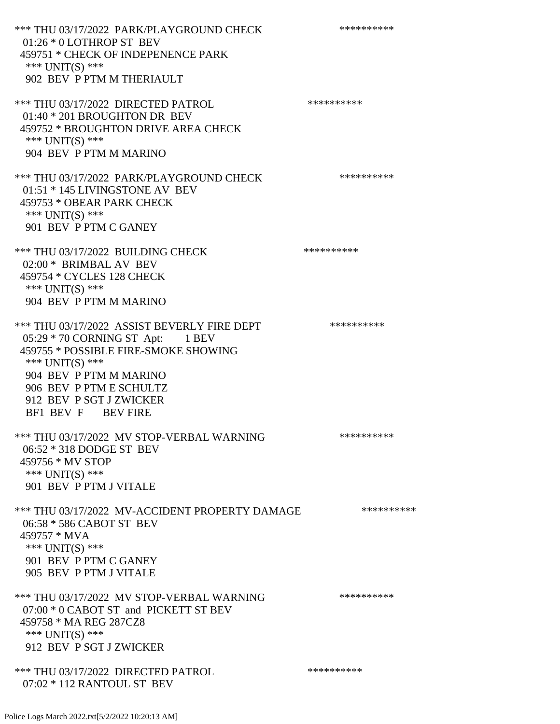\*\*\* THU 03/17/2022 PARK/PLAYGROUND CHECK \*\*\*\*\*\*\*\*\*\*\*\* 01:26 \* 0 LOTHROP ST BEV 459751 \* CHECK OF INDEPENENCE PARK \*\*\* UNIT(S) \*\*\* 902 BEV P PTM M THERIAULT \*\*\* THU 03/17/2022 DIRECTED PATROL 01:40 \* 201 BROUGHTON DR BEV 459752 \* BROUGHTON DRIVE AREA CHECK \*\*\* UNIT(S) \*\*\* 904 BEV P PTM M MARINO \*\*\* THU 03/17/2022 PARK/PLAYGROUND CHECK \*\*\*\*\*\*\*\*\*\*\*\* 01:51 \* 145 LIVINGSTONE AV BEV 459753 \* OBEAR PARK CHECK \*\*\* UNIT(S) \*\*\* 901 BEV P PTM C GANEY \*\*\* THU 03/17/2022 BUILDING CHECK \*\*\*\*\*\*\*\*\*\*\*\* 02:00 \* BRIMBAL AV BEV 459754 \* CYCLES 128 CHECK \*\*\* UNIT(S) \*\*\* 904 BEV P PTM M MARINO \*\*\* THU 03/17/2022 ASSIST BEVERLY FIRE DEPT \*\*\*\*\*\*\*\*\*\* 05:29 \* 70 CORNING ST Apt: 1 BEV 459755 \* POSSIBLE FIRE-SMOKE SHOWING \*\*\* UNIT(S) \*\*\* 904 BEV P PTM M MARINO 906 BEV P PTM E SCHULTZ 912 BEV P SGT J ZWICKER BF1 BEV F BEV FIRE \*\*\* THU 03/17/2022 MV STOP-VERBAL WARNING \*\*\*\*\*\*\*\*\*\*\*\*\*\* 06:52 \* 318 DODGE ST BEV 459756 \* MV STOP \*\*\* UNIT(S) \*\*\* 901 BEV P PTM J VITALE \*\*\* THU 03/17/2022 MV-ACCIDENT PROPERTY DAMAGE \*\*\*\*\*\*\*\*\*\*\*\* 06:58 \* 586 CABOT ST BEV 459757 \* MVA \*\*\* UNIT(S) \*\*\* 901 BEV P PTM C GANEY 905 BEV P PTM J VITALE \*\*\* THU 03/17/2022 MV STOP-VERBAL WARNING \*\*\*\*\*\*\*\*\*\*\*\*\* 07:00 \* 0 CABOT ST and PICKETT ST BEV 459758 \* MA REG 287CZ8 \*\*\* UNIT(S) \*\*\* 912 BEV P SGT J ZWICKER \*\*\* THU 03/17/2022 DIRECTED PATROL

07:02 \* 112 RANTOUL ST BEV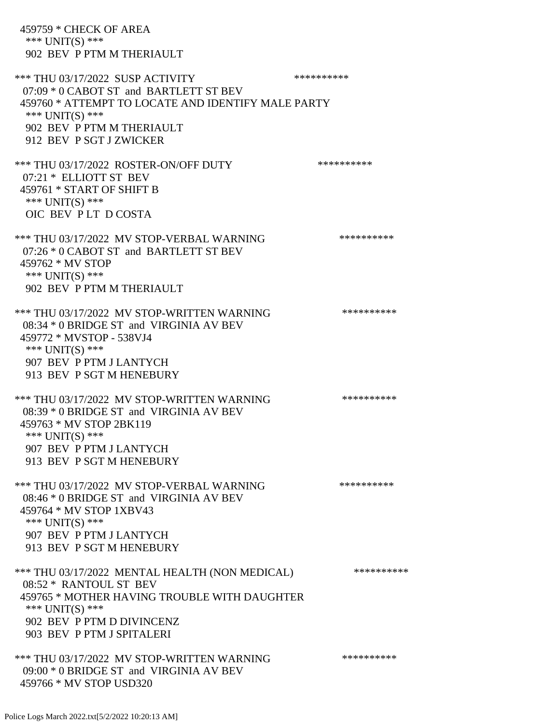459759 \* CHECK OF AREA \*\*\* UNIT(S) \*\*\* 902 BEV P PTM M THERIAULT \*\*\* THU 03/17/2022 SUSP ACTIVITY \*\*\*\*\*\*\*\*\*\*\*\*\*\*\*\* 07:09 \* 0 CABOT ST and BARTLETT ST BEV 459760 \* ATTEMPT TO LOCATE AND IDENTIFY MALE PARTY \*\*\* UNIT(S) \*\*\* 902 BEV P PTM M THERIAULT 912 BEV P SGT J ZWICKER \*\*\* THU 03/17/2022 ROSTER-ON/OFF DUTY \*\*\*\*\*\*\*\*\*\*\*\* 07:21 \* ELLIOTT ST BEV 459761 \* START OF SHIFT B \*\*\* UNIT(S) \*\*\* OIC BEV P LT D COSTA \*\*\* THU 03/17/2022 MV STOP-VERBAL WARNING \*\*\*\*\*\*\*\*\*\*\*\*\*\*\* 07:26 \* 0 CABOT ST and BARTLETT ST BEV 459762 \* MV STOP \*\*\* UNIT(S) \*\*\* 902 BEV P PTM M THERIAULT \*\*\* THU 03/17/2022 MV STOP-WRITTEN WARNING \*\*\*\*\*\*\*\*\*\*\*\*\* 08:34 \* 0 BRIDGE ST and VIRGINIA AV BEV 459772 \* MVSTOP - 538VJ4 \*\*\* UNIT(S) \*\*\* 907 BEV P PTM J LANTYCH 913 BEV P SGT M HENEBURY \*\*\* THU 03/17/2022 MV STOP-WRITTEN WARNING \*\*\*\*\*\*\*\*\*\* 08:39 \* 0 BRIDGE ST and VIRGINIA AV BEV 459763 \* MV STOP 2BK119 \*\*\* UNIT(S) \*\*\* 907 BEV P PTM J LANTYCH 913 BEV P SGT M HENEBURY \*\*\* THU 03/17/2022 MV STOP-VERBAL WARNING \*\*\*\*\*\*\*\*\*\*\*\*\*\* 08:46 \* 0 BRIDGE ST and VIRGINIA AV BEV 459764 \* MV STOP 1XBV43 \*\*\* UNIT(S) \*\*\* 907 BEV P PTM J LANTYCH 913 BEV P SGT M HENEBURY \*\*\* THU 03/17/2022 MENTAL HEALTH (NON MEDICAL) \*\*\*\*\*\*\*\*\*\* 08:52 \* RANTOUL ST BEV 459765 \* MOTHER HAVING TROUBLE WITH DAUGHTER \*\*\* UNIT(S) \*\*\* 902 BEV P PTM D DIVINCENZ 903 BEV P PTM J SPITALERI \*\*\* THU 03/17/2022 MV STOP-WRITTEN WARNING \*\*\*\*\*\*\*\*\*\*\*\*\* 09:00 \* 0 BRIDGE ST and VIRGINIA AV BEV 459766 \* MV STOP USD320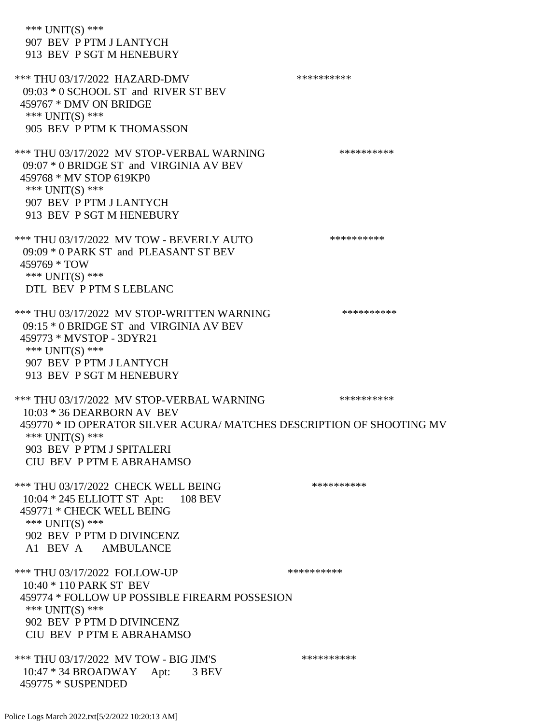\*\*\* UNIT(S) \*\*\* 907 BEV P PTM J LANTYCH 913 BEV P SGT M HENEBURY \*\*\* THU 03/17/2022 HAZARD-DMV \*\*\*\*\*\*\*\*\*\* 09:03 \* 0 SCHOOL ST and RIVER ST BEV 459767 \* DMV ON BRIDGE \*\*\* UNIT(S) \*\*\* 905 BEV P PTM K THOMASSON \*\*\* THU 03/17/2022 MV STOP-VERBAL WARNING \*\*\*\*\*\*\*\*\*\*\*\*\* 09:07 \* 0 BRIDGE ST and VIRGINIA AV BEV 459768 \* MV STOP 619KP0 \*\*\* UNIT(S) \*\*\* 907 BEV P PTM J LANTYCH 913 BEV P SGT M HENEBURY \*\*\* THU 03/17/2022 MV TOW - BEVERLY AUTO \*\*\*\*\*\*\*\*\*\* 09:09 \* 0 PARK ST and PLEASANT ST BEV 459769 \* TOW \*\*\* UNIT(S) \*\*\* DTL BEV P PTM S LEBLANC \*\*\* THU 03/17/2022 MV STOP-WRITTEN WARNING \*\*\*\*\*\*\*\*\*\* 09:15 \* 0 BRIDGE ST and VIRGINIA AV BEV 459773 \* MVSTOP - 3DYR21 \*\*\* UNIT(S) \*\*\* 907 BEV P PTM J LANTYCH 913 BEV P SGT M HENEBURY \*\*\* THU 03/17/2022 MV STOP-VERBAL WARNING \*\*\*\*\*\*\*\*\*\* 10:03 \* 36 DEARBORN AV BEV 459770 \* ID OPERATOR SILVER ACURA/ MATCHES DESCRIPTION OF SHOOTING MV \*\*\* UNIT(S) \*\*\* 903 BEV P PTM J SPITALERI CIU BEV P PTM E ABRAHAMSO \*\*\* THU 03/17/2022 CHECK WELL BEING \*\*\*\*\*\*\*\*\*\* 10:04 \* 245 ELLIOTT ST Apt: 108 BEV 459771 \* CHECK WELL BEING \*\*\* UNIT(S) \*\*\* 902 BEV P PTM D DIVINCENZ A1 BEV A AMBULANCE \*\*\* THU 03/17/2022 FOLLOW-UP \*\*\*\*\*\*\*\*\*\*\*\*\* 10:40 \* 110 PARK ST BEV 459774 \* FOLLOW UP POSSIBLE FIREARM POSSESION \*\*\* UNIT(S) \*\*\* 902 BEV P PTM D DIVINCENZ CIU BEV P PTM E ABRAHAMSO \*\*\* THU 03/17/2022 MV TOW - BIG JIM'S \*\*\*\*\*\*\*\*\*\*\*\*\* 10:47 \* 34 BROADWAY Apt: 3 BEV 459775 \* SUSPENDED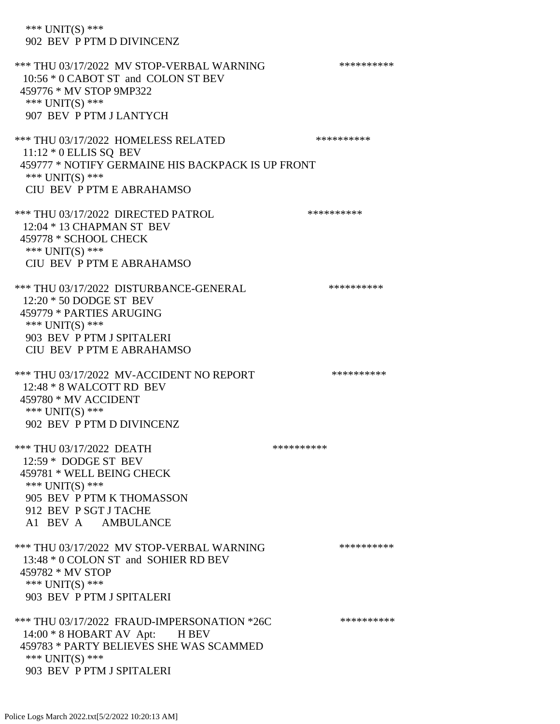\*\*\* UNIT(S) \*\*\* 902 BEV P PTM D DIVINCENZ \*\*\* THU 03/17/2022 MV STOP-VERBAL WARNING \*\*\*\*\*\*\*\*\*\*\*\*\* 10:56 \* 0 CABOT ST and COLON ST BEV 459776 \* MV STOP 9MP322 \*\*\* UNIT(S) \*\*\* 907 BEV P PTM J LANTYCH \*\*\* THU 03/17/2022 HOMELESS RELATED \*\*\*\*\*\*\*\*\*\* 11:12 \* 0 ELLIS SQ BEV 459777 \* NOTIFY GERMAINE HIS BACKPACK IS UP FRONT \*\*\* UNIT(S) \*\*\* CIU BEV P PTM E ABRAHAMSO \*\*\* THU 03/17/2022 DIRECTED PATROL \*\*\*\*\*\*\*\*\*\* 12:04 \* 13 CHAPMAN ST BEV 459778 \* SCHOOL CHECK \*\*\* UNIT(S) \*\*\* CIU BEV P PTM E ABRAHAMSO \*\*\* THU 03/17/2022 DISTURBANCE-GENERAL \*\*\*\*\*\*\*\*\*\* 12:20 \* 50 DODGE ST BEV 459779 \* PARTIES ARUGING \*\*\* UNIT(S) \*\*\* 903 BEV P PTM J SPITALERI CIU BEV P PTM E ABRAHAMSO \*\*\* THU 03/17/2022 MV-ACCIDENT NO REPORT \*\*\*\*\*\*\*\*\*\*\*\* 12:48 \* 8 WALCOTT RD BEV 459780 \* MV ACCIDENT \*\*\* UNIT(S) \*\*\* 902 BEV P PTM D DIVINCENZ \*\*\* THU 03/17/2022 DEATH \*\*\*\*\*\*\*\*\*\* 12:59 \* DODGE ST BEV 459781 \* WELL BEING CHECK \*\*\* UNIT(S) \*\*\* 905 BEV P PTM K THOMASSON 912 BEV P SGT J TACHE A1 BEV A AMBULANCE \*\*\* THU 03/17/2022 MV STOP-VERBAL WARNING \*\*\*\*\*\*\*\*\*\*\*\*\* 13:48 \* 0 COLON ST and SOHIER RD BEV 459782 \* MV STOP \*\*\* UNIT(S) \*\*\* 903 BEV P PTM J SPITALERI \*\*\* THU 03/17/2022 FRAUD-IMPERSONATION \*26C \*\*\*\*\*\*\*\*\*\*\*\*\* 14:00 \* 8 HOBART AV Apt: H BEV 459783 \* PARTY BELIEVES SHE WAS SCAMMED \*\*\* UNIT(S) \*\*\* 903 BEV P PTM J SPITALERI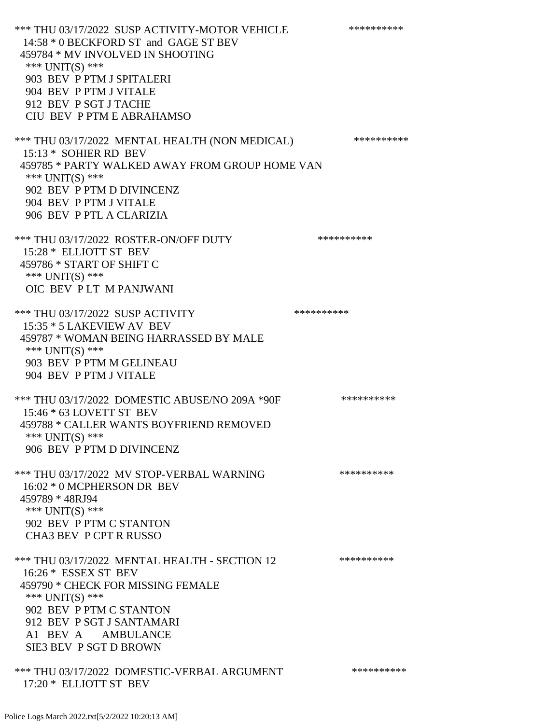\*\*\* THU 03/17/2022 SUSP ACTIVITY-MOTOR VEHICLE \*\*\*\*\*\*\*\*\*\*\*\* 14:58 \* 0 BECKFORD ST and GAGE ST BEV 459784 \* MV INVOLVED IN SHOOTING \*\*\* UNIT(S) \*\*\* 903 BEV P PTM J SPITALERI 904 BEV P PTM J VITALE 912 BEV P SGT J TACHE CIU BEV P PTM E ABRAHAMSO \*\*\* THU 03/17/2022 MENTAL HEALTH (NON MEDICAL) \*\*\*\*\*\*\*\*\*\*\* 15:13 \* SOHIER RD BEV 459785 \* PARTY WALKED AWAY FROM GROUP HOME VAN \*\*\* UNIT(S) \*\*\* 902 BEV P PTM D DIVINCENZ 904 BEV P PTM J VITALE 906 BEV P PTL A CLARIZIA \*\*\* THU 03/17/2022 ROSTER-ON/OFF DUTY \*\*\*\*\*\*\*\*\*\* 15:28 \* ELLIOTT ST BEV 459786 \* START OF SHIFT C \*\*\* UNIT(S) \*\*\* OIC BEV P LT M PANJWANI \*\*\* THU 03/17/2022 SUSP ACTIVITY \*\*\*\*\*\*\*\*\*\* 15:35 \* 5 LAKEVIEW AV BEV 459787 \* WOMAN BEING HARRASSED BY MALE \*\*\* UNIT(S) \*\*\* 903 BEV P PTM M GELINEAU 904 BEV P PTM J VITALE \*\*\* THU 03/17/2022 DOMESTIC ABUSE/NO 209A \*90F \*\*\*\*\*\*\*\*\*\*\*\* 15:46 \* 63 LOVETT ST BEV 459788 \* CALLER WANTS BOYFRIEND REMOVED \*\*\* UNIT(S) \*\*\* 906 BEV P PTM D DIVINCENZ \*\*\* THU 03/17/2022 MV STOP-VERBAL WARNING \*\*\*\*\*\*\*\*\*\*\*\*\* 16:02 \* 0 MCPHERSON DR BEV 459789 \* 48RJ94 \*\*\* UNIT(S) \*\*\* 902 BEV P PTM C STANTON CHA3 BEV P CPT R RUSSO \*\*\* THU 03/17/2022 MENTAL HEALTH - SECTION 12 \*\*\*\*\*\*\*\*\*\* 16:26 \* ESSEX ST BEV 459790 \* CHECK FOR MISSING FEMALE \*\*\* UNIT(S) \*\*\* 902 BEV P PTM C STANTON 912 BEV P SGT J SANTAMARI A1 BEV A AMBULANCE SIE3 BEV P SGT D BROWN \*\*\* THU 03/17/2022 DOMESTIC-VERBAL ARGUMENT \*\*\*\*\*\*\*\*\*\*\*\*\*

Police Logs March 2022.txt[5/2/2022 10:20:13 AM]

17:20 \* ELLIOTT ST BEV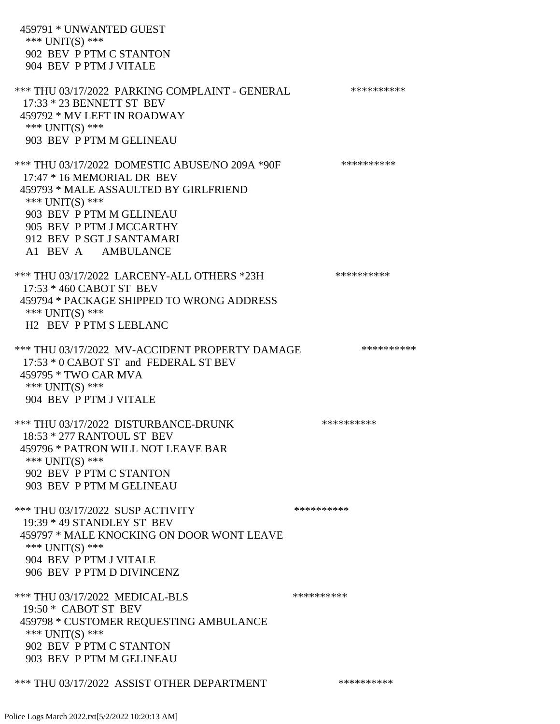459791 \* UNWANTED GUEST \*\*\* UNIT(S) \*\*\* 902 BEV P PTM C STANTON 904 BEV P PTM J VITALE \*\*\* THU 03/17/2022 PARKING COMPLAINT - GENERAL \*\*\*\*\*\*\*\*\*\* 17:33 \* 23 BENNETT ST BEV 459792 \* MV LEFT IN ROADWAY \*\*\* UNIT(S) \*\*\* 903 BEV P PTM M GELINEAU \*\*\* THU 03/17/2022 DOMESTIC ABUSE/NO 209A \*90F \*\*\*\*\*\*\*\*\*\*\*\* 17:47 \* 16 MEMORIAL DR BEV 459793 \* MALE ASSAULTED BY GIRLFRIEND \*\*\* UNIT(S) \*\*\* 903 BEV P PTM M GELINEAU 905 BEV P PTM J MCCARTHY 912 BEV P SGT J SANTAMARI A1 BEV A AMBULANCE \*\*\* THU 03/17/2022 LARCENY-ALL OTHERS \*23H \*\*\*\*\*\*\*\*\*\* 17:53 \* 460 CABOT ST BEV 459794 \* PACKAGE SHIPPED TO WRONG ADDRESS \*\*\* UNIT(S) \*\*\* H2 BEV P PTM S LEBLANC \*\*\* THU 03/17/2022 MV-ACCIDENT PROPERTY DAMAGE \*\*\*\*\*\*\*\*\*\*\*\*\* 17:53 \* 0 CABOT ST and FEDERAL ST BEV 459795 \* TWO CAR MVA \*\*\* UNIT(S) \*\*\* 904 BEV P PTM J VITALE \*\*\* THU 03/17/2022 DISTURBANCE-DRUNK \*\*\*\*\*\*\*\*\*\*\*\* 18:53 \* 277 RANTOUL ST BEV 459796 \* PATRON WILL NOT LEAVE BAR \*\*\* UNIT(S) \*\*\* 902 BEV P PTM C STANTON 903 BEV P PTM M GELINEAU \*\*\* THU 03/17/2022 SUSP ACTIVITY \*\*\*\*\*\*\*\*\*\*\*\*\*\*\*\* 19:39 \* 49 STANDLEY ST BEV 459797 \* MALE KNOCKING ON DOOR WONT LEAVE \*\*\* UNIT(S) \*\*\* 904 BEV P PTM J VITALE 906 BEV P PTM D DIVINCENZ \*\*\* THU 03/17/2022 MEDICAL-BLS \*\*\*\*\*\*\*\*\*\* 19:50 \* CABOT ST BEV 459798 \* CUSTOMER REQUESTING AMBULANCE \*\*\* UNIT(S) \*\*\* 902 BEV P PTM C STANTON 903 BEV P PTM M GELINEAU \*\*\* THU 03/17/2022 ASSIST OTHER DEPARTMENT \*\*\*\*\*\*\*\*\*\*\*\*\*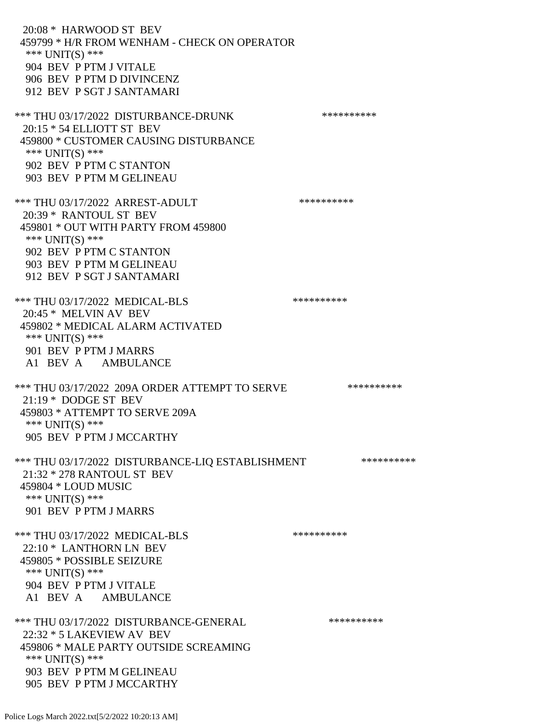20:08 \* HARWOOD ST BEV 459799 \* H/R FROM WENHAM - CHECK ON OPERATOR \*\*\* UNIT(S) \*\*\* 904 BEV P PTM J VITALE 906 BEV P PTM D DIVINCENZ 912 BEV P SGT J SANTAMARI \*\*\* THU 03/17/2022 DISTURBANCE-DRUNK \*\*\*\*\*\*\*\*\*\*\*\*\* 20:15 \* 54 ELLIOTT ST BEV 459800 \* CUSTOMER CAUSING DISTURBANCE \*\*\* UNIT(S) \*\*\* 902 BEV P PTM C STANTON 903 BEV P PTM M GELINEAU \*\*\* THU 03/17/2022 ARREST-ADULT \*\*\*\*\*\*\*\*\*\*\*\*\* 20:39 \* RANTOUL ST BEV 459801 \* OUT WITH PARTY FROM 459800 \*\*\* UNIT(S) \*\*\* 902 BEV P PTM C STANTON 903 BEV P PTM M GELINEAU 912 BEV P SGT J SANTAMARI \*\*\* THU 03/17/2022 MEDICAL-BLS \*\*\*\*\*\*\*\*\*\* 20:45 \* MELVIN AV BEV 459802 \* MEDICAL ALARM ACTIVATED \*\*\* UNIT(S) \*\*\* 901 BEV P PTM J MARRS A1 BEV A AMBULANCE \*\*\* THU 03/17/2022 209A ORDER ATTEMPT TO SERVE \*\*\*\*\*\*\*\*\*\* 21:19 \* DODGE ST BEV 459803 \* ATTEMPT TO SERVE 209A \*\*\* UNIT(S) \*\*\* 905 BEV P PTM J MCCARTHY \*\*\* THU 03/17/2022 DISTURBANCE-LIQ ESTABLISHMENT \*\*\*\*\*\*\*\*\*\*\* 21:32 \* 278 RANTOUL ST BEV 459804 \* LOUD MUSIC \*\*\* UNIT(S) \*\*\* 901 BEV P PTM J MARRS \*\*\* THU 03/17/2022 MEDICAL-BLS \*\*\*\*\*\*\*\*\*\*\*\*\*\* 22:10 \* LANTHORN LN BEV 459805 \* POSSIBLE SEIZURE \*\*\* UNIT(S) \*\*\* 904 BEV P PTM J VITALE A1 BEV A AMBULANCE \*\*\* THU 03/17/2022 DISTURBANCE-GENERAL \*\*\*\*\*\*\*\*\*\* 22:32 \* 5 LAKEVIEW AV BEV 459806 \* MALE PARTY OUTSIDE SCREAMING \*\*\* UNIT(S) \*\*\* 903 BEV P PTM M GELINEAU 905 BEV P PTM J MCCARTHY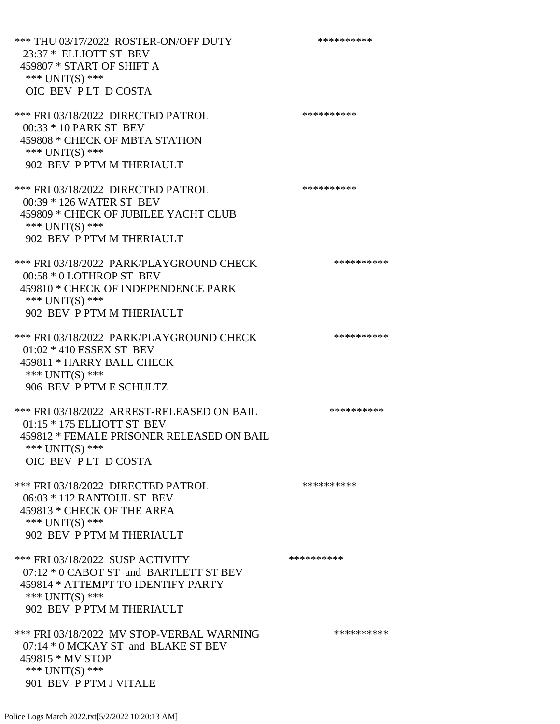\*\*\* THU 03/17/2022 ROSTER-ON/OFF DUTY \*\*\*\*\*\*\*\*\*\*\*\* 23:37 \* ELLIOTT ST BEV 459807 \* START OF SHIFT A \*\*\* UNIT(S) \*\*\* OIC BEV P LT D COSTA \*\*\* FRI 03/18/2022 DIRECTED PATROL \*\*\*\*\*\*\*\*\*\*\*\* 00:33 \* 10 PARK ST BEV 459808 \* CHECK OF MBTA STATION \*\*\* UNIT(S) \*\*\* 902 BEV P PTM M THERIAULT \*\*\* FRI 03/18/2022 DIRECTED PATROL \*\*\*\*\*\*\*\*\*\* 00:39 \* 126 WATER ST BEV 459809 \* CHECK OF JUBILEE YACHT CLUB \*\*\* UNIT(S) \*\*\* 902 BEV P PTM M THERIAULT \*\*\* FRI 03/18/2022 PARK/PLAYGROUND CHECK \*\*\*\*\*\*\*\*\*\*\*\* 00:58 \* 0 LOTHROP ST BEV 459810 \* CHECK OF INDEPENDENCE PARK \*\*\* UNIT(S) \*\*\* 902 BEV P PTM M THERIAULT

\*\*\* FRI 03/18/2022 PARK/PLAYGROUND CHECK \*\*\*\*\*\*\*\*\*\*\*\* 01:02 \* 410 ESSEX ST BEV 459811 \* HARRY BALL CHECK \*\*\* UNIT(S) \*\*\* 906 BEV P PTM E SCHULTZ

\*\*\* FRI 03/18/2022 ARREST-RELEASED ON BAIL \*\*\*\*\*\*\*\*\*\* 01:15 \* 175 ELLIOTT ST BEV 459812 \* FEMALE PRISONER RELEASED ON BAIL \*\*\* UNIT(S) \*\*\* OIC BEV P LT D COSTA

\*\*\* FRI 03/18/2022 DIRECTED PATROL \*\*\*\*\*\*\*\*\*\* 06:03 \* 112 RANTOUL ST BEV 459813 \* CHECK OF THE AREA \*\*\* UNIT(S) \*\*\* 902 BEV P PTM M THERIAULT

\*\*\* FRI 03/18/2022 SUSP ACTIVITY \*\*\*\*\*\*\*\*\*\* 07:12 \* 0 CABOT ST and BARTLETT ST BEV 459814 \* ATTEMPT TO IDENTIFY PARTY \*\*\* UNIT(S) \*\*\* 902 BEV P PTM M THERIAULT

\*\*\* FRI 03/18/2022 MV STOP-VERBAL WARNING \*\*\*\*\*\*\*\*\*\*\*\* 07:14 \* 0 MCKAY ST and BLAKE ST BEV 459815 \* MV STOP \*\*\* UNIT(S) \*\*\* 901 BEV P PTM J VITALE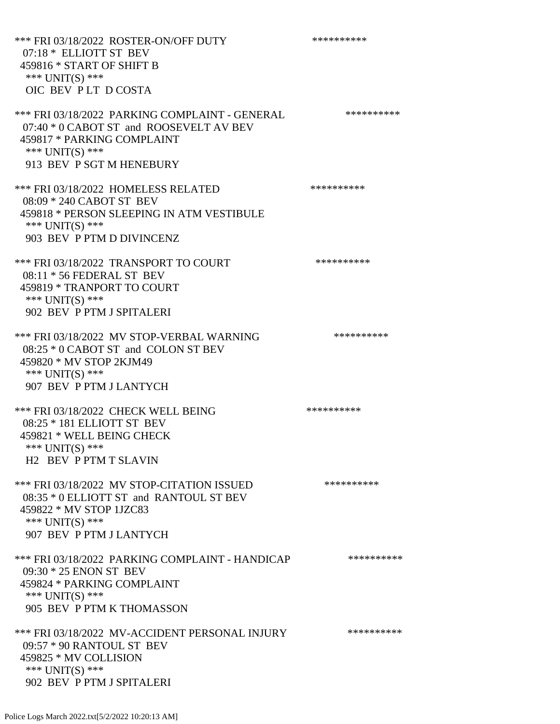\*\*\* FRI 03/18/2022 ROSTER-ON/OFF DUTY \*\*\*\*\*\*\*\*\*\* 07:18 \* ELLIOTT ST BEV 459816 \* START OF SHIFT B \*\*\* UNIT(S) \*\*\* OIC BEV P LT D COSTA \*\*\* FRI 03/18/2022 PARKING COMPLAINT - GENERAL \*\*\*\*\*\*\*\*\*\* 07:40 \* 0 CABOT ST and ROOSEVELT AV BEV 459817 \* PARKING COMPLAINT \*\*\* UNIT(S) \*\*\* 913 BEV P SGT M HENEBURY \*\*\* FRI 03/18/2022 HOMELESS RELATED \*\*\*\*\*\*\*\*\*\* 08:09 \* 240 CABOT ST BEV 459818 \* PERSON SLEEPING IN ATM VESTIBULE \*\*\* UNIT(S) \*\*\* 903 BEV P PTM D DIVINCENZ \*\*\* FRI 03/18/2022 TRANSPORT TO COURT \*\*\*\*\*\*\*\*\*\*\*\*\*\* 08:11 \* 56 FEDERAL ST BEV 459819 \* TRANPORT TO COURT \*\*\* UNIT(S) \*\*\* 902 BEV P PTM J SPITALERI \*\*\* FRI 03/18/2022 MV STOP-VERBAL WARNING \*\*\*\*\*\*\*\*\*\*\*\* 08:25 \* 0 CABOT ST and COLON ST BEV 459820 \* MV STOP 2KJM49 \*\*\* UNIT(S) \*\*\* 907 BEV P PTM J LANTYCH \*\*\* FRI 03/18/2022 CHECK WELL BEING \*\*\*\*\*\*\*\*\*\* 08:25 \* 181 ELLIOTT ST BEV 459821 \* WELL BEING CHECK \*\*\* UNIT(S) \*\*\* H2 BEV P PTM T SLAVIN \*\*\* FRI 03/18/2022 MV STOP-CITATION ISSUED \*\*\*\*\*\*\*\*\*\* 08:35 \* 0 ELLIOTT ST and RANTOUL ST BEV 459822 \* MV STOP 1JZC83 \*\*\* UNIT(S) \*\*\* 907 BEV P PTM J LANTYCH \*\*\* FRI 03/18/2022 PARKING COMPLAINT - HANDICAP \*\*\*\*\*\*\*\*\*\* 09:30 \* 25 ENON ST BEV 459824 \* PARKING COMPLAINT \*\*\* UNIT(S) \*\*\* 905 BEV P PTM K THOMASSON \*\*\* FRI 03/18/2022 MV-ACCIDENT PERSONAL INJURY \*\*\*\*\*\*\*\*\*\*\* 09:57 \* 90 RANTOUL ST BEV 459825 \* MV COLLISION \*\*\* UNIT(S) \*\*\* 902 BEV P PTM J SPITALERI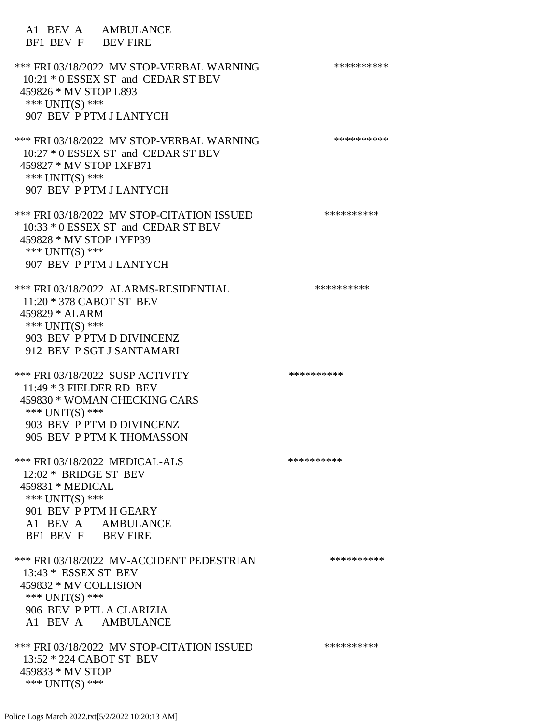A1 BEV A AMBULANCE BF1 BEV F BEV FIRE \*\*\* FRI 03/18/2022 MV STOP-VERBAL WARNING \*\*\*\*\*\*\*\*\*\*\*\*\* 10:21 \* 0 ESSEX ST and CEDAR ST BEV 459826 \* MV STOP L893 \*\*\* UNIT(S) \*\*\* 907 BEV P PTM J LANTYCH \*\*\* FRI 03/18/2022 MV STOP-VERBAL WARNING \*\*\*\*\*\*\*\*\*\*\*\*\* 10:27 \* 0 ESSEX ST and CEDAR ST BEV 459827 \* MV STOP 1XFB71 \*\*\* UNIT(S) \*\*\* 907 BEV P PTM J LANTYCH \*\*\* FRI 03/18/2022 MV STOP-CITATION ISSUED \*\*\*\*\*\*\*\*\*\* 10:33 \* 0 ESSEX ST and CEDAR ST BEV 459828 \* MV STOP 1YFP39 \*\*\* UNIT(S) \*\*\* 907 BEV P PTM J LANTYCH \*\*\* FRI 03/18/2022 ALARMS-RESIDENTIAL \*\*\*\*\*\*\*\*\*\* 11:20 \* 378 CABOT ST BEV 459829 \* ALARM \*\*\* UNIT(S) \*\*\* 903 BEV P PTM D DIVINCENZ 912 BEV P SGT J SANTAMARI \*\*\* FRI 03/18/2022 SUSP ACTIVITY \*\*\*\*\*\*\*\*\*\*\*\* 11:49 \* 3 FIELDER RD BEV 459830 \* WOMAN CHECKING CARS \*\*\* UNIT(S) \*\*\* 903 BEV P PTM D DIVINCENZ 905 BEV P PTM K THOMASSON \*\*\* FRI 03/18/2022 MEDICAL-ALS \*\*\*\*\*\*\*\*\*\*\*\*\*\* 12:02 \* BRIDGE ST BEV 459831 \* MEDICAL \*\*\* UNIT(S) \*\*\* 901 BEV P PTM H GEARY A1 BEV A AMBULANCE BF1 BEV F BEV FIRE \*\*\* FRI 03/18/2022 MV-ACCIDENT PEDESTRIAN \*\*\*\*\*\*\*\*\*\* 13:43 \* ESSEX ST BEV 459832 \* MV COLLISION \*\*\*  $UNIT(S)$  \*\*\* 906 BEV P PTL A CLARIZIA A1 BEV A AMBULANCE \*\*\* FRI 03/18/2022 MV STOP-CITATION ISSUED \*\*\*\*\*\*\*\*\*\* 13:52 \* 224 CABOT ST BEV 459833 \* MV STOP \*\*\* UNIT(S) \*\*\*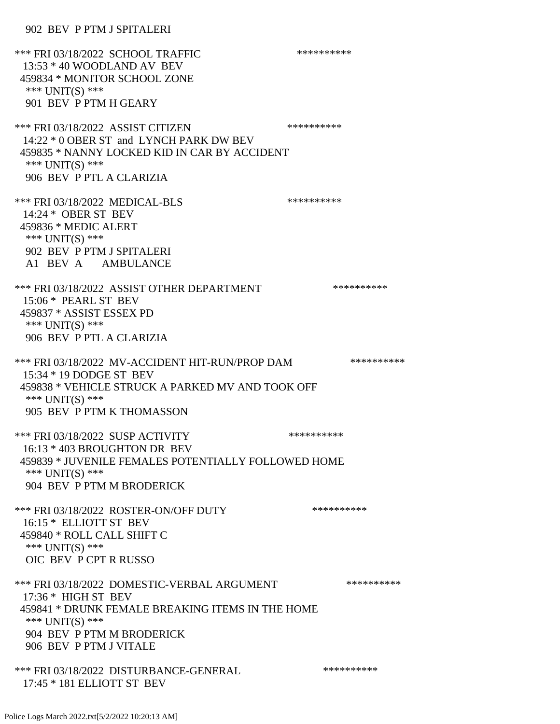902 BEV P PTM J SPITALERI

\*\*\* FRI 03/18/2022 SCHOOL TRAFFIC \*\*\*\*\*\*\*\*\*\*\*\*\* 13:53 \* 40 WOODLAND AV BEV 459834 \* MONITOR SCHOOL ZONE \*\*\* UNIT(S) \*\*\* 901 BEV P PTM H GEARY \*\*\* FRI 03/18/2022 ASSIST CITIZEN \*\*\*\*\*\*\*\*\*\* 14:22 \* 0 OBER ST and LYNCH PARK DW BEV 459835 \* NANNY LOCKED KID IN CAR BY ACCIDENT \*\*\* UNIT(S) \*\*\* 906 BEV P PTL A CLARIZIA \*\*\* FRI 03/18/2022 MEDICAL-BLS \*\*\*\*\*\*\*\*\*\*\*\*\* 14:24 \* OBER ST BEV 459836 \* MEDIC ALERT \*\*\* UNIT(S) \*\*\* 902 BEV P PTM J SPITALERI A1 BEV A AMBULANCE \*\*\* FRI 03/18/2022 ASSIST OTHER DEPARTMENT \*\*\*\*\*\*\*\*\*\*\*\*\* 15:06 \* PEARL ST BEV 459837 \* ASSIST ESSEX PD \*\*\* UNIT(S) \*\*\* 906 BEV P PTL A CLARIZIA \*\*\* FRI 03/18/2022 MV-ACCIDENT HIT-RUN/PROP DAM \*\*\*\*\*\*\*\*\*\* 15:34 \* 19 DODGE ST BEV 459838 \* VEHICLE STRUCK A PARKED MV AND TOOK OFF \*\*\* UNIT(S) \*\*\* 905 BEV P PTM K THOMASSON \*\*\* FRI 03/18/2022 SUSP ACTIVITY \*\*\*\*\*\*\*\*\*\*\*\*\* 16:13 \* 403 BROUGHTON DR BEV 459839 \* JUVENILE FEMALES POTENTIALLY FOLLOWED HOME \*\*\* UNIT(S) \*\*\* 904 BEV P PTM M BRODERICK \*\*\* FRI 03/18/2022 ROSTER-ON/OFF DUTY \*\*\*\*\*\*\*\*\*\* 16:15 \* ELLIOTT ST BEV 459840 \* ROLL CALL SHIFT C \*\*\* UNIT(S) \*\*\* OIC BEV P CPT R RUSSO \*\*\* FRI 03/18/2022 DOMESTIC-VERBAL ARGUMENT \*\*\*\*\*\*\*\*\*\*\*\*\* 17:36 \* HIGH ST BEV 459841 \* DRUNK FEMALE BREAKING ITEMS IN THE HOME \*\*\* UNIT(S) \*\*\* 904 BEV P PTM M BRODERICK 906 BEV P PTM J VITALE \*\*\* FRI 03/18/2022 DISTURBANCE-GENERAL \*\*\*\*\*\*\*\*\*\* 17:45 \* 181 ELLIOTT ST BEV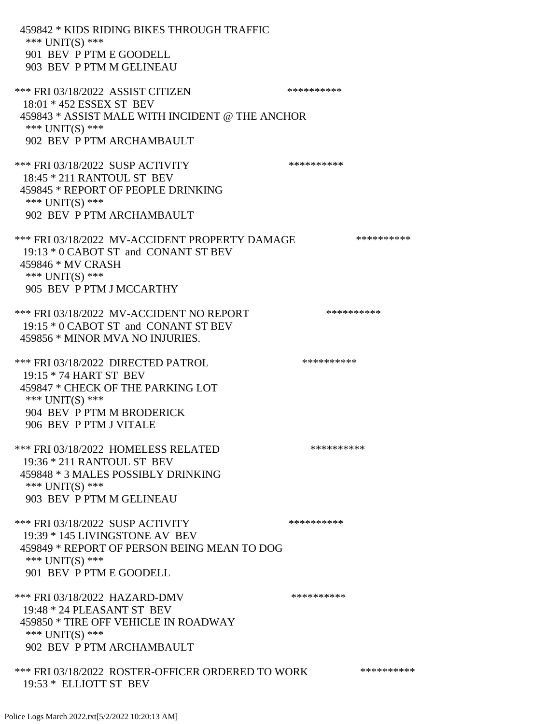| 459842 * KIDS RIDING BIKES THROUGH TRAFFIC<br>*** $UNIT(S)$ ***<br>901 BEV P PTM E GOODELL<br>903 BEV P PTM M GELINEAU                                                        |            |            |
|-------------------------------------------------------------------------------------------------------------------------------------------------------------------------------|------------|------------|
| *** FRI 03/18/2022 ASSIST CITIZEN<br>18:01 * 452 ESSEX ST BEV<br>459843 * ASSIST MALE WITH INCIDENT @ THE ANCHOR                                                              | ********** |            |
| *** UNIT(S) ***<br>902 BEV P PTM ARCHAMBAULT                                                                                                                                  |            |            |
| *** FRI 03/18/2022 SUSP ACTIVITY<br>18:45 * 211 RANTOUL ST BEV<br>459845 * REPORT OF PEOPLE DRINKING<br>*** $UNIT(S)$ ***<br>902 BEV P PTM ARCHAMBAULT                        | ********** |            |
| *** FRI 03/18/2022 MV-ACCIDENT PROPERTY DAMAGE<br>19:13 * 0 CABOT ST and CONANT ST BEV<br>459846 * MV CRASH<br>*** $UNIT(S)$ ***<br>905 BEV P PTM J MCCARTHY                  |            | ********** |
| *** FRI 03/18/2022 MV-ACCIDENT NO REPORT<br>19:15 * 0 CABOT ST and CONANT ST BEV<br>459856 * MINOR MVA NO INJURIES.                                                           | ********** |            |
| *** FRI 03/18/2022 DIRECTED PATROL<br>19:15 * 74 HART ST BEV<br>459847 * CHECK OF THE PARKING LOT<br>*** $UNIT(S)$ ***<br>904 BEV P PTM M BRODERICK<br>906 BEV P PTM J VITALE | ********** |            |
| *** FRI 03/18/2022 HOMELESS RELATED<br>19:36 * 211 RANTOUL ST BEV<br>459848 * 3 MALES POSSIBLY DRINKING<br>*** $UNIT(S)$ ***<br>903 BEV P PTM M GELINEAU                      | ********** |            |
| *** FRI 03/18/2022 SUSP ACTIVITY<br>19:39 * 145 LIVINGSTONE AV BEV<br>459849 * REPORT OF PERSON BEING MEAN TO DOG<br>*** $UNIT(S)$ ***<br>901 BEV P PTM E GOODELL             | ********** |            |
| *** FRI 03/18/2022 HAZARD-DMV<br>19:48 * 24 PLEASANT ST BEV<br>459850 * TIRE OFF VEHICLE IN ROADWAY<br>*** $UNIT(S)$ ***<br>902 BEV P PTM ARCHAMBAULT                         | ********** |            |
| *** FRI 03/18/2022 ROSTER-OFFICER ORDERED TO WORK<br>19:53 * ELLIOTT ST BEV                                                                                                   |            | ********** |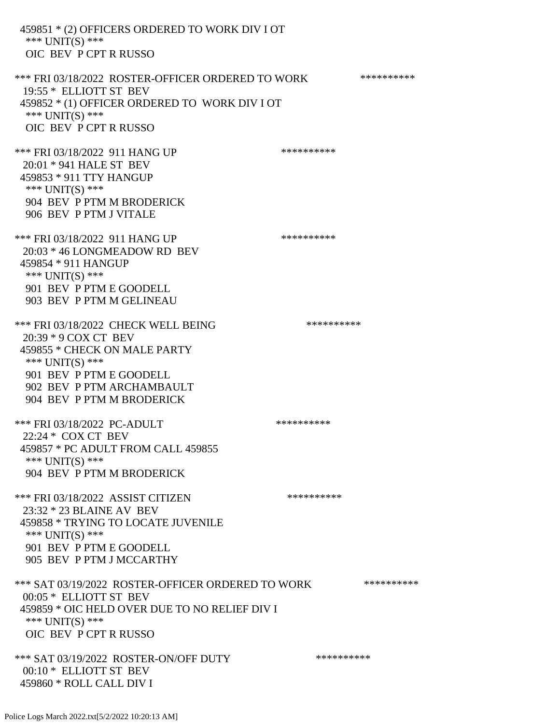459851 \* (2) OFFICERS ORDERED TO WORK DIV I OT \*\*\* UNIT(S) \*\*\* OIC BEV P CPT R RUSSO \*\*\* FRI 03/18/2022 ROSTER-OFFICER ORDERED TO WORK \*\*\*\*\*\*\*\*\*\*\* 19:55 \* ELLIOTT ST BEV 459852 \* (1) OFFICER ORDERED TO WORK DIV I OT \*\*\* UNIT(S) \*\*\* OIC BEV P CPT R RUSSO \*\*\* FRI 03/18/2022 911 HANG UP \*\*\*\*\*\*\*\*\*\* 20:01 \* 941 HALE ST BEV 459853 \* 911 TTY HANGUP \*\*\* UNIT(S) \*\*\* 904 BEV P PTM M BRODERICK 906 BEV P PTM J VITALE \*\*\* FRI 03/18/2022 911 HANG UP \*\*\*\*\*\*\*\*\*\*\*\*\* 20:03 \* 46 LONGMEADOW RD BEV 459854 \* 911 HANGUP \*\*\* UNIT(S) \*\*\* 901 BEV P PTM E GOODELL 903 BEV P PTM M GELINEAU \*\*\* FRI 03/18/2022 CHECK WELL BEING \*\*\*\*\*\*\*\*\*\* 20:39 \* 9 COX CT BEV 459855 \* CHECK ON MALE PARTY \*\*\* UNIT(S) \*\*\* 901 BEV P PTM E GOODELL 902 BEV P PTM ARCHAMBAULT 904 BEV P PTM M BRODERICK \*\*\* FRI 03/18/2022 PC-ADULT \*\*\*\*\*\*\*\*\*\*\*\* 22:24 \* COX CT BEV 459857 \* PC ADULT FROM CALL 459855 \*\*\* UNIT(S) \*\*\* 904 BEV P PTM M BRODERICK \*\*\* FRI 03/18/2022 ASSIST CITIZEN \*\*\*\*\*\*\*\*\*\*\*\* 23:32 \* 23 BLAINE AV BEV 459858 \* TRYING TO LOCATE JUVENILE \*\*\* UNIT(S) \*\*\* 901 BEV P PTM E GOODELL 905 BEV P PTM J MCCARTHY \*\*\* SAT 03/19/2022 ROSTER-OFFICER ORDERED TO WORK \*\*\*\*\*\*\*\*\*\*\* 00:05 \* ELLIOTT ST BEV 459859 \* OIC HELD OVER DUE TO NO RELIEF DIV I \*\*\* UNIT(S) \*\*\* OIC BEV P CPT R RUSSO \*\*\* SAT 03/19/2022 ROSTER-ON/OFF DUTY \*\*\*\*\*\*\*\*\*\* 00:10 \* ELLIOTT ST BEV 459860 \* ROLL CALL DIV I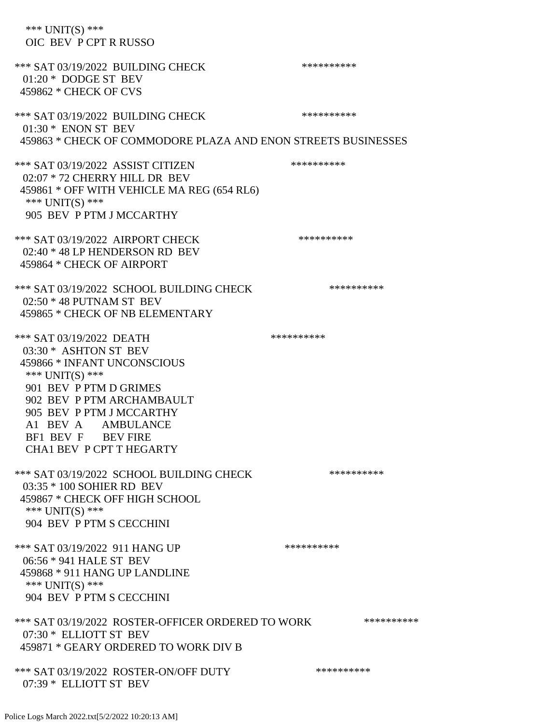| *** UNIT(S) ***<br>OIC BEV P CPT R RUSSO                                                                                                                                                                                                                              |            |
|-----------------------------------------------------------------------------------------------------------------------------------------------------------------------------------------------------------------------------------------------------------------------|------------|
| *** SAT 03/19/2022 BUILDING CHECK<br>$01:20*$ DODGE ST BEV<br>459862 * CHECK OF CVS                                                                                                                                                                                   | ********** |
| *** SAT 03/19/2022 BUILDING CHECK<br>$01:30*$ ENON ST BEV<br>459863 * CHECK OF COMMODORE PLAZA AND ENON STREETS BUSINESSES                                                                                                                                            | ********** |
| *** SAT 03/19/2022 ASSIST CITIZEN<br>02:07 * 72 CHERRY HILL DR BEV<br>459861 * OFF WITH VEHICLE MA REG (654 RL6)<br>*** UNIT(S) ***<br>905 BEV P PTM J MCCARTHY                                                                                                       | ********** |
| *** SAT 03/19/2022 AIRPORT CHECK<br>02:40 * 48 LP HENDERSON RD BEV<br>459864 * CHECK OF AIRPORT                                                                                                                                                                       | ********** |
| *** SAT 03/19/2022 SCHOOL BUILDING CHECK<br>$02:50 * 48$ PUTNAM ST BEV<br>459865 * CHECK OF NB ELEMENTARY                                                                                                                                                             | ********** |
| *** SAT 03/19/2022 DEATH<br>03:30 * ASHTON ST BEV<br>459866 * INFANT UNCONSCIOUS<br>*** UNIT(S) ***<br>901 BEV P PTM D GRIMES<br>902 BEV P PTM ARCHAMBAULT<br>905 BEV P PTM J MCCARTHY<br>A1 BEV A AMBULANCE<br>BF1 BEV F BEV FIRE<br><b>CHA1 BEV P CPT T HEGARTY</b> | ********** |
| *** SAT 03/19/2022 SCHOOL BUILDING CHECK<br>03:35 * 100 SOHIER RD BEV<br>459867 * CHECK OFF HIGH SCHOOL<br>*** $UNIT(S)$ ***<br>904 BEV P PTM S CECCHINI                                                                                                              | ********** |
| *** SAT 03/19/2022 911 HANG UP<br>06:56 * 941 HALE ST BEV<br>459868 * 911 HANG UP LANDLINE<br>*** $UNIT(S)$ ***<br>904 BEV P PTM S CECCHINI                                                                                                                           | ********** |
| *** SAT 03/19/2022 ROSTER-OFFICER ORDERED TO WORK<br>07:30 * ELLIOTT ST BEV<br>459871 * GEARY ORDERED TO WORK DIV B                                                                                                                                                   | ********** |
| *** SAT 03/19/2022 ROSTER-ON/OFF DUTY<br>07:39 * ELLIOTT ST BEV                                                                                                                                                                                                       | ********** |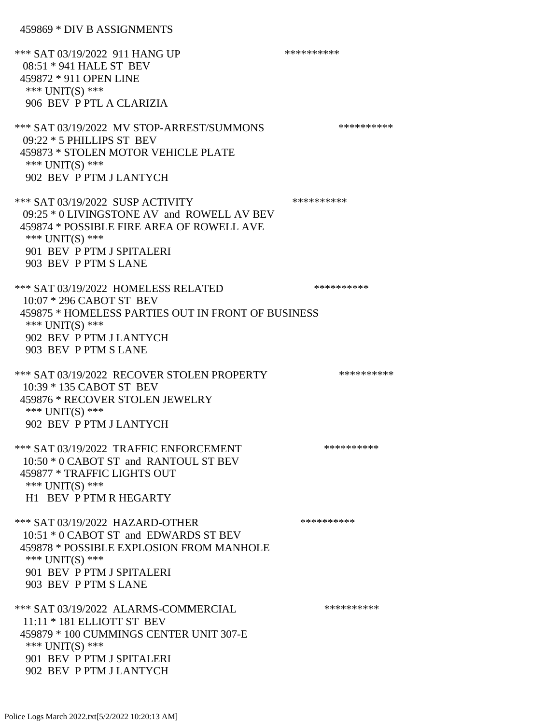459869 \* DIV B ASSIGNMENTS

\*\*\* SAT 03/19/2022 911 HANG UP \*\*\*\*\*\*\*\*\*\*\*\*\* 08:51 \* 941 HALE ST BEV 459872 \* 911 OPEN LINE \*\*\* UNIT(S) \*\*\* 906 BEV P PTL A CLARIZIA \*\*\* SAT 03/19/2022 MV STOP-ARREST/SUMMONS \*\*\*\*\*\*\*\*\*\*\*\*\*\*\* 09:22 \* 5 PHILLIPS ST BEV 459873 \* STOLEN MOTOR VEHICLE PLATE \*\*\* UNIT(S) \*\*\* 902 BEV P PTM J LANTYCH \*\*\* SAT 03/19/2022 SUSP ACTIVITY \*\*\*\*\*\*\*\*\*\*\*\* 09:25 \* 0 LIVINGSTONE AV and ROWELL AV BEV 459874 \* POSSIBLE FIRE AREA OF ROWELL AVE \*\*\* UNIT(S) \*\*\* 901 BEV P PTM J SPITALERI 903 BEV P PTM S LANE \*\*\* SAT 03/19/2022 HOMELESS RELATED \*\*\*\*\*\*\*\*\*\*\*\* 10:07 \* 296 CABOT ST BEV 459875 \* HOMELESS PARTIES OUT IN FRONT OF BUSINESS \*\*\* UNIT(S) \*\*\* 902 BEV P PTM J LANTYCH 903 BEV P PTM S LANE \*\*\* SAT 03/19/2022 RECOVER STOLEN PROPERTY \*\*\*\*\*\*\*\*\*\*\*\*\* 10:39 \* 135 CABOT ST BEV 459876 \* RECOVER STOLEN JEWELRY \*\*\* UNIT(S) \*\*\* 902 BEV P PTM J LANTYCH \*\*\* SAT 03/19/2022 TRAFFIC ENFORCEMENT \*\*\*\*\*\*\*\*\*\*\*\*\* 10:50 \* 0 CABOT ST and RANTOUL ST BEV 459877 \* TRAFFIC LIGHTS OUT \*\*\* UNIT(S) \*\*\* H1 BEV P PTM R HEGARTY \*\*\* SAT 03/19/2022 HAZARD-OTHER \*\*\*\*\*\*\*\*\*\* 10:51 \* 0 CABOT ST and EDWARDS ST BEV 459878 \* POSSIBLE EXPLOSION FROM MANHOLE \*\*\* UNIT(S) \*\*\* 901 BEV P PTM J SPITALERI 903 BEV P PTM S LANE \*\*\* SAT 03/19/2022 ALARMS-COMMERCIAL \*\*\*\*\*\*\*\*\*\* 11:11 \* 181 ELLIOTT ST BEV 459879 \* 100 CUMMINGS CENTER UNIT 307-E \*\*\* UNIT(S) \*\*\* 901 BEV P PTM J SPITALERI 902 BEV P PTM J LANTYCH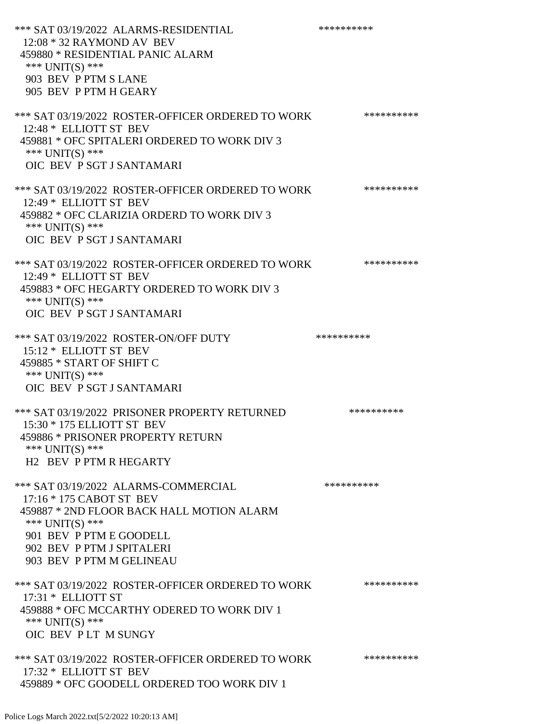| *** SAT 03/19/2022 ALARMS-RESIDENTIAL<br>$12:08 * 32$ RAYMOND AV BEV<br>459880 * RESIDENTIAL PANIC ALARM<br>*** UNIT(S) ***<br>903 BEV P PTM S LANE<br>905 BEV P PTM H GEARY                                         | ********** |
|----------------------------------------------------------------------------------------------------------------------------------------------------------------------------------------------------------------------|------------|
| *** SAT 03/19/2022 ROSTER-OFFICER ORDERED TO WORK<br>12:48 * ELLIOTT ST BEV<br>459881 * OFC SPITALERI ORDERED TO WORK DIV 3<br>*** UNIT(S) ***<br>OIC BEV P SGT J SANTAMARI                                          | ********** |
| *** SAT 03/19/2022 ROSTER-OFFICER ORDERED TO WORK<br>12:49 * ELLIOTT ST BEV<br>459882 * OFC CLARIZIA ORDERD TO WORK DIV 3<br>*** UNIT(S) ***<br>OIC BEV P SGT J SANTAMARI                                            | ********** |
| *** SAT 03/19/2022 ROSTER-OFFICER ORDERED TO WORK<br>12:49 * ELLIOTT ST BEV<br>459883 * OFC HEGARTY ORDERED TO WORK DIV 3<br>*** UNIT(S) ***<br>OIC BEV P SGT J SANTAMARI                                            | ********** |
| *** SAT 03/19/2022 ROSTER-ON/OFF DUTY<br>15:12 * ELLIOTT ST BEV<br>459885 * START OF SHIFT C<br>*** UNIT(S) ***<br>OIC BEV P SGT J SANTAMARI                                                                         | ********** |
| *** SAT 03/19/2022 PRISONER PROPERTY RETURNED<br>15:30 * 175 ELLIOTT ST BEV<br>459886 * PRISONER PROPERTY RETURN<br>*** $UNIT(S)$ ***<br>H2 BEV P PTM R HEGARTY                                                      | ********** |
| *** SAT 03/19/2022 ALARMS-COMMERCIAL<br>17:16 * 175 CABOT ST BEV<br>459887 * 2ND FLOOR BACK HALL MOTION ALARM<br>*** UNIT(S) ***<br>901 BEV P PTM E GOODELL<br>902 BEV P PTM J SPITALERI<br>903 BEV P PTM M GELINEAU | ********** |
| *** SAT 03/19/2022 ROSTER-OFFICER ORDERED TO WORK<br>$17:31 *$ ELLIOTT ST<br>459888 * OFC MCCARTHY ODERED TO WORK DIV 1<br>*** $UNIT(S)$ ***<br>OIC BEV PLT M SUNGY                                                  | ********** |
| *** SAT 03/19/2022 ROSTER-OFFICER ORDERED TO WORK<br>17:32 * ELLIOTT ST BEV<br>459889 * OFC GOODELL ORDERED TOO WORK DIV 1                                                                                           | ********** |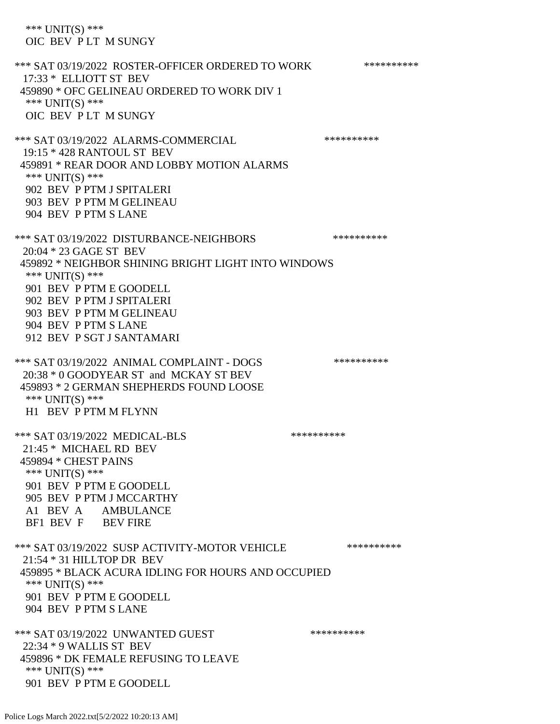\*\*\* UNIT(S) \*\*\* OIC BEV P LT M SUNGY \*\*\* SAT 03/19/2022 ROSTER-OFFICER ORDERED TO WORK \*\*\*\*\*\*\*\*\*\*\* 17:33 \* ELLIOTT ST BEV 459890 \* OFC GELINEAU ORDERED TO WORK DIV 1 \*\*\* UNIT(S) \*\*\* OIC BEV P LT M SUNGY \*\*\* SAT 03/19/2022 ALARMS-COMMERCIAL \*\*\*\*\*\*\*\*\*\* 19:15 \* 428 RANTOUL ST BEV 459891 \* REAR DOOR AND LOBBY MOTION ALARMS \*\*\* UNIT(S) \*\*\* 902 BEV P PTM J SPITALERI 903 BEV P PTM M GELINEAU 904 BEV P PTM S LANE \*\*\* SAT 03/19/2022 DISTURBANCE-NEIGHBORS \*\*\*\*\*\*\*\*\*\*\*\*\* 20:04 \* 23 GAGE ST BEV 459892 \* NEIGHBOR SHINING BRIGHT LIGHT INTO WINDOWS \*\*\* UNIT(S) \*\*\* 901 BEV P PTM E GOODELL 902 BEV P PTM J SPITALERI 903 BEV P PTM M GELINEAU 904 BEV P PTM S LANE 912 BEV P SGT J SANTAMARI \*\*\* SAT 03/19/2022 ANIMAL COMPLAINT - DOGS \*\*\*\*\*\*\*\*\*\*\*\* 20:38 \* 0 GOODYEAR ST and MCKAY ST BEV 459893 \* 2 GERMAN SHEPHERDS FOUND LOOSE \*\*\* UNIT(S) \*\*\* H1 BEV P PTM M FLYNN \*\*\* SAT 03/19/2022 MEDICAL-BLS \*\*\*\*\*\*\*\*\*\* 21:45 \* MICHAEL RD BEV 459894 \* CHEST PAINS \*\*\* UNIT(S) \*\*\* 901 BEV P PTM E GOODELL 905 BEV P PTM J MCCARTHY A1 BEV A AMBULANCE BF1 BEV F BEV FIRE \*\*\* SAT 03/19/2022 SUSP ACTIVITY-MOTOR VEHICLE \*\*\*\*\*\*\*\*\*\*\*\* 21:54 \* 31 HILLTOP DR BEV 459895 \* BLACK ACURA IDLING FOR HOURS AND OCCUPIED \*\*\* UNIT(S) \*\*\* 901 BEV P PTM E GOODELL 904 BEV P PTM S LANE \*\*\* SAT 03/19/2022 UNWANTED GUEST \*\*\*\*\*\*\*\*\*\*\*\*\* 22:34 \* 9 WALLIS ST BEV 459896 \* DK FEMALE REFUSING TO LEAVE \*\*\* UNIT(S) \*\*\* 901 BEV P PTM E GOODELL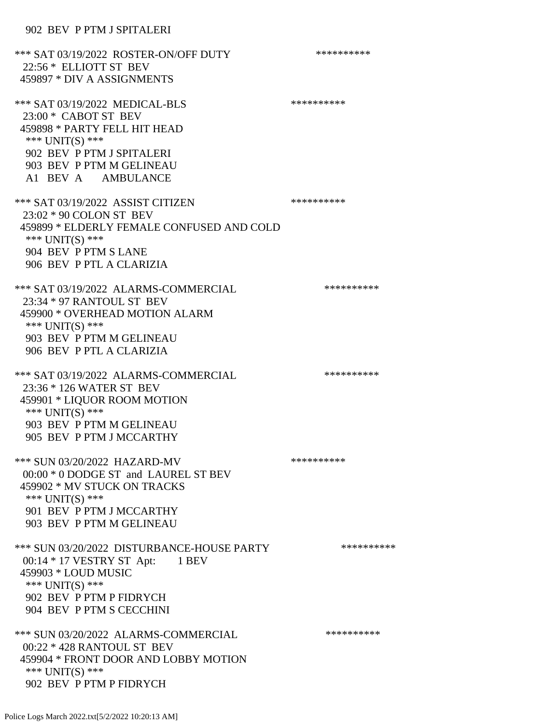\*\*\* SAT 03/19/2022 ROSTER-ON/OFF DUTY \*\*\*\*\*\*\*\*\*\* 22:56 \* ELLIOTT ST BEV 459897 \* DIV A ASSIGNMENTS \*\*\* SAT 03/19/2022 MEDICAL-BLS \*\*\*\*\*\*\*\*\*\* 23:00 \* CABOT ST BEV 459898 \* PARTY FELL HIT HEAD \*\*\* UNIT(S) \*\*\* 902 BEV P PTM J SPITALERI 903 BEV P PTM M GELINEAU A1 BEV A AMBULANCE \*\*\* SAT 03/19/2022 ASSIST CITIZEN \*\*\*\*\*\*\*\*\*\* 23:02 \* 90 COLON ST BEV 459899 \* ELDERLY FEMALE CONFUSED AND COLD \*\*\* UNIT(S) \*\*\* 904 BEV P PTM S LANE 906 BEV P PTL A CLARIZIA \*\*\* SAT 03/19/2022 ALARMS-COMMERCIAL \*\*\*\*\*\*\*\*\*\* 23:34 \* 97 RANTOUL ST BEV 459900 \* OVERHEAD MOTION ALARM \*\*\* UNIT(S) \*\*\* 903 BEV P PTM M GELINEAU 906 BEV P PTL A CLARIZIA \*\*\* SAT 03/19/2022 ALARMS-COMMERCIAL \*\*\*\*\*\*\*\*\*\* 23:36 \* 126 WATER ST BEV 459901 \* LIQUOR ROOM MOTION \*\*\* UNIT(S) \*\*\* 903 BEV P PTM M GELINEAU 905 BEV P PTM J MCCARTHY \*\*\* SUN 03/20/2022 HAZARD-MV \*\*\*\*\*\*\*\*\*\* 00:00 \* 0 DODGE ST and LAUREL ST BEV 459902 \* MV STUCK ON TRACKS \*\*\* UNIT(S) \*\*\* 901 BEV P PTM J MCCARTHY 903 BEV P PTM M GELINEAU \*\*\* SUN 03/20/2022 DISTURBANCE-HOUSE PARTY \*\*\*\*\*\*\*\*\*\*\*\* 00:14 \* 17 VESTRY ST Apt: 1 BEV 459903 \* LOUD MUSIC \*\*\* UNIT(S) \*\*\* 902 BEV P PTM P FIDRYCH 904 BEV P PTM S CECCHINI \*\*\* SUN 03/20/2022 ALARMS-COMMERCIAL \*\*\*\*\*\*\*\*\*\* 00:22 \* 428 RANTOUL ST BEV 459904 \* FRONT DOOR AND LOBBY MOTION \*\*\* UNIT(S) \*\*\* 902 BEV P PTM P FIDRYCH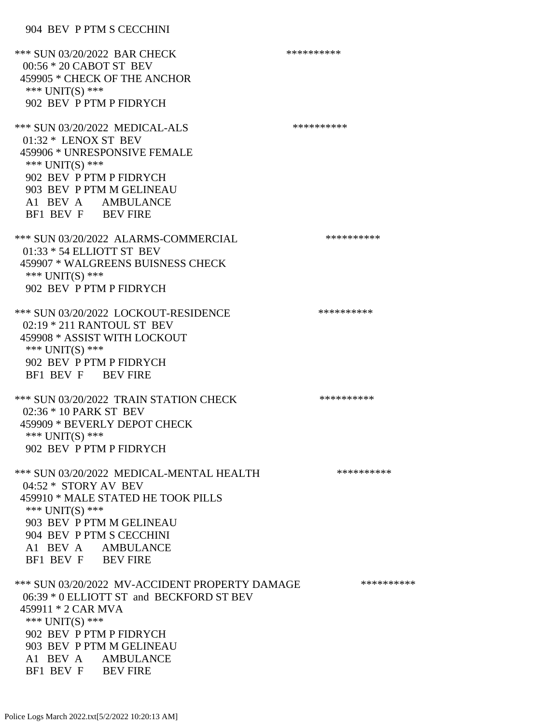#### 904 BEV P PTM S CECCHINI

\*\*\* SUN 03/20/2022 BAR CHECK \*\*\*\*\*\*\*\*\*\*\*\* 00:56 \* 20 CABOT ST BEV 459905 \* CHECK OF THE ANCHOR \*\*\* UNIT(S) \*\*\* 902 BEV P PTM P FIDRYCH \*\*\* SUN 03/20/2022 MEDICAL-ALS \*\*\*\*\*\*\*\*\*\* 01:32 \* LENOX ST BEV 459906 \* UNRESPONSIVE FEMALE \*\*\* UNIT(S) \*\*\* 902 BEV P PTM P FIDRYCH 903 BEV P PTM M GELINEAU A1 BEV A AMBULANCE BF1 BEV F BEV FIRE \*\*\* SUN 03/20/2022 ALARMS-COMMERCIAL \*\*\*\*\*\*\*\*\*\* 01:33 \* 54 ELLIOTT ST BEV 459907 \* WALGREENS BUISNESS CHECK \*\*\* UNIT(S) \*\*\* 902 BEV P PTM P FIDRYCH \*\*\* SUN 03/20/2022 LOCKOUT-RESIDENCE \*\*\*\*\*\*\*\*\*\* 02:19 \* 211 RANTOUL ST BEV 459908 \* ASSIST WITH LOCKOUT \*\*\* UNIT(S) \*\*\* 902 BEV P PTM P FIDRYCH BF1 BEV F BEV FIRE \*\*\* SUN 03/20/2022 TRAIN STATION CHECK \*\*\*\*\*\*\*\*\*\*\*\* 02:36 \* 10 PARK ST BEV 459909 \* BEVERLY DEPOT CHECK \*\*\* UNIT(S) \*\*\* 902 BEV P PTM P FIDRYCH \*\*\* SUN 03/20/2022 MEDICAL-MENTAL HEALTH \*\*\*\*\*\*\*\*\*\* 04:52 \* STORY AV BEV 459910 \* MALE STATED HE TOOK PILLS \*\*\* UNIT(S) \*\*\* 903 BEV P PTM M GELINEAU 904 BEV P PTM S CECCHINI A1 BEV A AMBULANCE BF1 BEV F BEV FIRE \*\*\* SUN 03/20/2022 MV-ACCIDENT PROPERTY DAMAGE \*\*\*\*\*\*\*\*\*\*\*\* 06:39 \* 0 ELLIOTT ST and BECKFORD ST BEV 459911 \* 2 CAR MVA \*\*\* UNIT(S) \*\*\* 902 BEV P PTM P FIDRYCH 903 BEV P PTM M GELINEAU A1 BEV A AMBULANCE BF1 BEV F BEV FIRE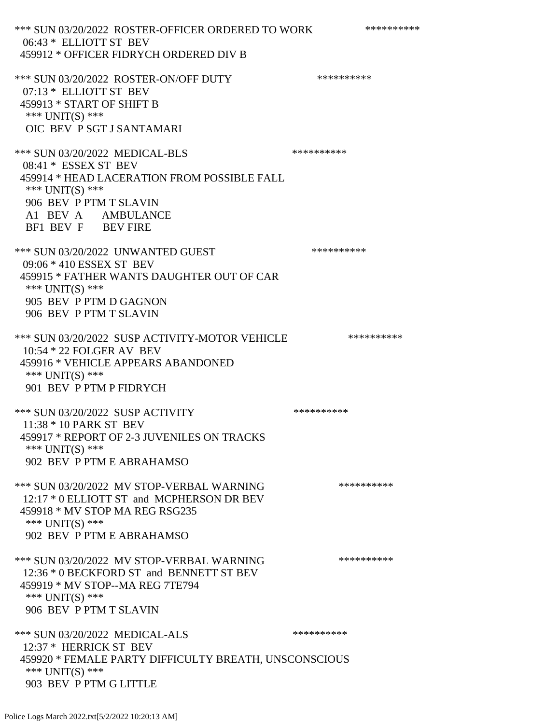\*\*\* SUN 03/20/2022 ROSTER-OFFICER ORDERED TO WORK \*\*\*\*\*\*\*\*\*\*\* 06:43 \* ELLIOTT ST BEV 459912 \* OFFICER FIDRYCH ORDERED DIV B \*\*\* SUN 03/20/2022 ROSTER-ON/OFF DUTY \*\*\*\*\*\*\*\*\*\* 07:13 \* ELLIOTT ST BEV 459913 \* START OF SHIFT B \*\*\* UNIT(S) \*\*\* OIC BEV P SGT J SANTAMARI \*\*\* SUN 03/20/2022 MEDICAL-BLS \*\*\*\*\*\*\*\*\*\*\*\*\* 08:41 \* ESSEX ST BEV 459914 \* HEAD LACERATION FROM POSSIBLE FALL \*\*\* UNIT(S) \*\*\* 906 BEV P PTM T SLAVIN A1 BEV A AMBULANCE BF1 BEV F BEV FIRE \*\*\* SUN 03/20/2022 UNWANTED GUEST \*\*\*\*\*\*\*\*\*\*\*\* 09:06 \* 410 ESSEX ST BEV 459915 \* FATHER WANTS DAUGHTER OUT OF CAR \*\*\* UNIT(S) \*\*\* 905 BEV P PTM D GAGNON 906 BEV P PTM T SLAVIN \*\*\* SUN 03/20/2022 SUSP ACTIVITY-MOTOR VEHICLE \*\*\*\*\*\*\*\*\*\* 10:54 \* 22 FOLGER AV BEV 459916 \* VEHICLE APPEARS ABANDONED \*\*\* UNIT(S) \*\*\* 901 BEV P PTM P FIDRYCH \*\*\* SUN 03/20/2022 SUSP ACTIVITY \*\*\*\*\*\*\*\*\*\*\*\* 11:38 \* 10 PARK ST BEV 459917 \* REPORT OF 2-3 JUVENILES ON TRACKS \*\*\* UNIT(S) \*\*\* 902 BEV P PTM E ABRAHAMSO \*\*\* SUN 03/20/2022 MV STOP-VERBAL WARNING \*\*\*\*\*\*\*\*\*\*\*\* 12:17 \* 0 ELLIOTT ST and MCPHERSON DR BEV 459918 \* MV STOP MA REG RSG235 \*\*\* UNIT(S) \*\*\* 902 BEV P PTM E ABRAHAMSO \*\*\* SUN 03/20/2022 MV STOP-VERBAL WARNING \*\*\*\*\*\*\*\*\*\*\*\* 12:36 \* 0 BECKFORD ST and BENNETT ST BEV 459919 \* MV STOP--MA REG 7TE794 \*\*\* UNIT(S) \*\*\* 906 BEV P PTM T SLAVIN \*\*\* SUN 03/20/2022 MEDICAL-ALS \*\*\*\*\*\*\*\*\*\*\*\*\* 12:37 \* HERRICK ST BEV 459920 \* FEMALE PARTY DIFFICULTY BREATH, UNSCONSCIOUS \*\*\* UNIT(S) \*\*\* 903 BEV P PTM G LITTLE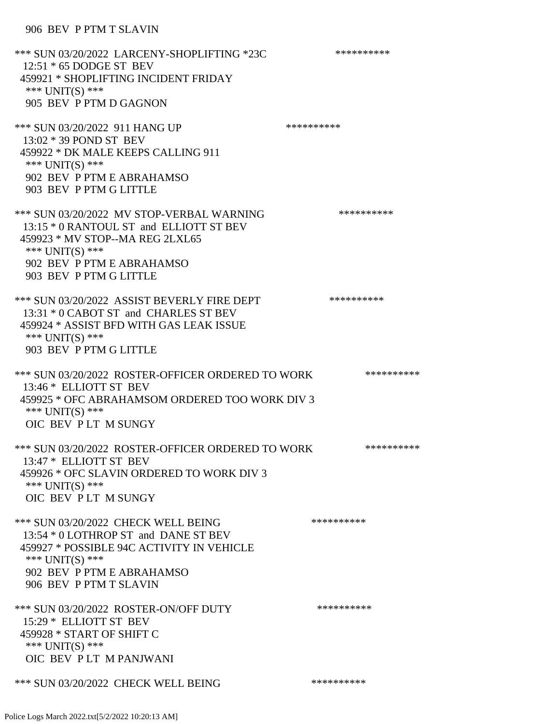906 BEV P PTM T SLAVIN

\*\*\* SUN 03/20/2022 LARCENY-SHOPLIFTING \*23C \*\*\*\*\*\*\*\*\*\* 12:51 \* 65 DODGE ST BEV 459921 \* SHOPLIFTING INCIDENT FRIDAY \*\*\* UNIT(S) \*\*\* 905 BEV P PTM D GAGNON \*\*\* SUN 03/20/2022 911 HANG UP \*\*\*\*\*\*\*\*\*\*\*\* 13:02 \* 39 POND ST BEV 459922 \* DK MALE KEEPS CALLING 911 \*\*\* UNIT(S) \*\*\* 902 BEV P PTM E ABRAHAMSO 903 BEV P PTM G LITTLE \*\*\* SUN 03/20/2022 MV STOP-VERBAL WARNING \*\*\*\*\*\*\*\*\*\*\*\*\* 13:15 \* 0 RANTOUL ST and ELLIOTT ST BEV 459923 \* MV STOP--MA REG 2LXL65 \*\*\* UNIT(S) \*\*\* 902 BEV P PTM E ABRAHAMSO 903 BEV P PTM G LITTLE \*\*\* SUN 03/20/2022 ASSIST BEVERLY FIRE DEPT \*\*\*\*\*\*\*\*\*\* 13:31 \* 0 CABOT ST and CHARLES ST BEV 459924 \* ASSIST BFD WITH GAS LEAK ISSUE \*\*\* UNIT(S) \*\*\* 903 BEV P PTM G LITTLE \*\*\* SUN 03/20/2022 ROSTER-OFFICER ORDERED TO WORK \*\*\*\*\*\*\*\*\*\*\*\* 13:46 \* ELLIOTT ST BEV 459925 \* OFC ABRAHAMSOM ORDERED TOO WORK DIV 3 \*\*\* UNIT(S) \*\*\* OIC BEV P LT M SUNGY \*\*\* SUN 03/20/2022 ROSTER-OFFICER ORDERED TO WORK \*\*\*\*\*\*\*\*\*\*\* 13:47 \* ELLIOTT ST BEV 459926 \* OFC SLAVIN ORDERED TO WORK DIV 3 \*\*\* UNIT(S) \*\*\* OIC BEV P LT M SUNGY \*\*\* SUN 03/20/2022 CHECK WELL BEING \*\*\*\*\*\*\*\*\*\*\*\*\* 13:54 \* 0 LOTHROP ST and DANE ST BEV 459927 \* POSSIBLE 94C ACTIVITY IN VEHICLE \*\*\* UNIT(S) \*\*\* 902 BEV P PTM E ABRAHAMSO 906 BEV P PTM T SLAVIN \*\*\* SUN 03/20/2022 ROSTER-ON/OFF DUTY \*\*\*\*\*\*\*\*\*\* 15:29 \* ELLIOTT ST BEV 459928 \* START OF SHIFT C \*\*\* UNIT(S) \*\*\* OIC BEV P LT M PANJWANI \*\*\* SUN 03/20/2022 CHECK WELL BEING \*\*\*\*\*\*\*\*\*\*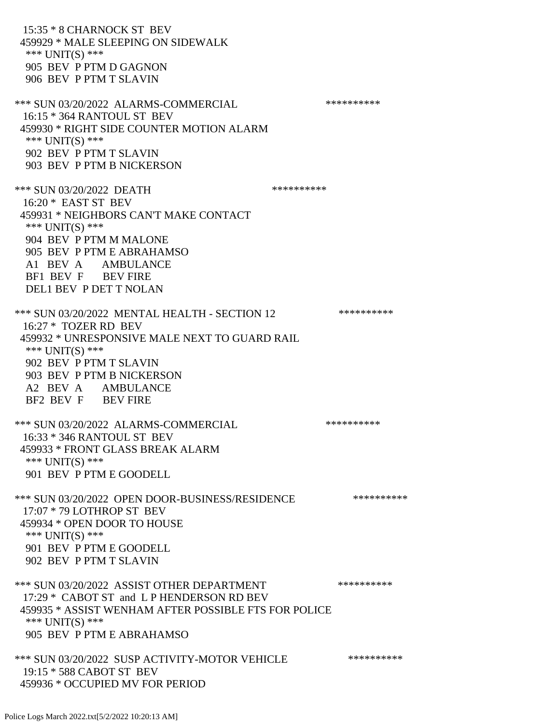15:35 \* 8 CHARNOCK ST BEV 459929 \* MALE SLEEPING ON SIDEWALK \*\*\* UNIT(S) \*\*\* 905 BEV P PTM D GAGNON 906 BEV P PTM T SLAVIN \*\*\* SUN 03/20/2022 ALARMS-COMMERCIAL \*\*\*\*\*\*\*\*\*\* 16:15 \* 364 RANTOUL ST BEV 459930 \* RIGHT SIDE COUNTER MOTION ALARM \*\*\* UNIT(S) \*\*\* 902 BEV P PTM T SLAVIN 903 BEV P PTM B NICKERSON \*\*\* SUN 03/20/2022 DEATH \*\*\*\*\*\*\*\*\*\* 16:20 \* EAST ST BEV 459931 \* NEIGHBORS CAN'T MAKE CONTACT \*\*\* UNIT(S) \*\*\* 904 BEV P PTM M MALONE 905 BEV P PTM E ABRAHAMSO A1 BEV A AMBULANCE BF1 BEV F BEV FIRE DEL1 BEV P DET T NOLAN \*\*\* SUN 03/20/2022 MENTAL HEALTH - SECTION 12 \*\*\*\*\*\*\*\*\*\* 16:27 \* TOZER RD BEV 459932 \* UNRESPONSIVE MALE NEXT TO GUARD RAIL \*\*\* UNIT(S) \*\*\* 902 BEV P PTM T SLAVIN 903 BEV P PTM B NICKERSON A2 BEV A AMBULANCE BF2 BEV F BEV FIRE \*\*\* SUN 03/20/2022 ALARMS-COMMERCIAL \*\*\*\*\*\*\*\*\*\* 16:33 \* 346 RANTOUL ST BEV 459933 \* FRONT GLASS BREAK ALARM \*\*\* UNIT(S) \*\*\* 901 BEV P PTM E GOODELL \*\*\* SUN 03/20/2022 OPEN DOOR-BUSINESS/RESIDENCE \*\*\*\*\*\*\*\*\*\*\* 17:07 \* 79 LOTHROP ST BEV 459934 \* OPEN DOOR TO HOUSE \*\*\* UNIT(S) \*\*\* 901 BEV P PTM E GOODELL 902 BEV P PTM T SLAVIN \*\*\* SUN 03/20/2022 ASSIST OTHER DEPARTMENT \*\*\*\*\*\*\*\*\*\*\*\*\* 17:29 \* CABOT ST and L P HENDERSON RD BEV 459935 \* ASSIST WENHAM AFTER POSSIBLE FTS FOR POLICE \*\*\* UNIT(S) \*\*\* 905 BEV P PTM E ABRAHAMSO \*\*\* SUN 03/20/2022 SUSP ACTIVITY-MOTOR VEHICLE \*\*\*\*\*\*\*\*\*\* 19:15 \* 588 CABOT ST BEV 459936 \* OCCUPIED MV FOR PERIOD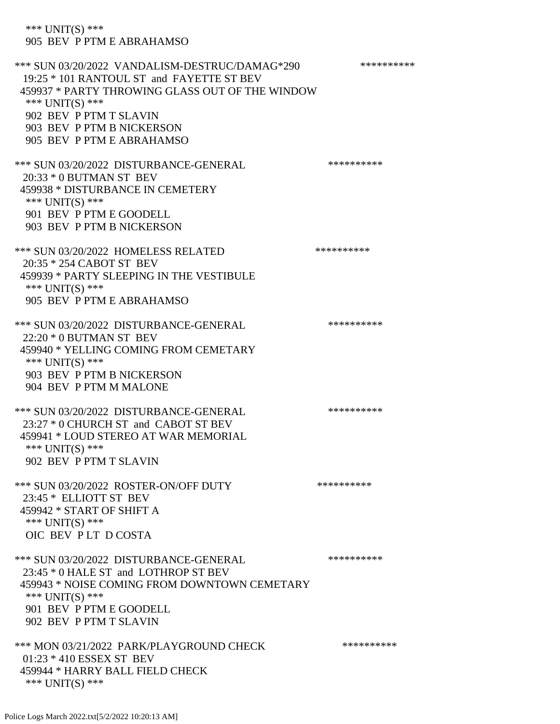\*\*\* UNIT(S) \*\*\* 905 BEV P PTM E ABRAHAMSO

\*\*\* SUN 03/20/2022 VANDALISM-DESTRUC/DAMAG\*290 \*\*\*\*\*\*\*\*\*\* 19:25 \* 101 RANTOUL ST and FAYETTE ST BEV 459937 \* PARTY THROWING GLASS OUT OF THE WINDOW \*\*\* UNIT(S) \*\*\* 902 BEV P PTM T SLAVIN 903 BEV P PTM B NICKERSON 905 BEV P PTM E ABRAHAMSO \*\*\* SUN 03/20/2022 DISTURBANCE-GENERAL \*\*\*\*\*\*\*\*\*\* 20:33 \* 0 BUTMAN ST BEV 459938 \* DISTURBANCE IN CEMETERY \*\*\* UNIT(S) \*\*\* 901 BEV P PTM E GOODELL 903 BEV P PTM B NICKERSON \*\*\* SUN 03/20/2022 HOMELESS RELATED \*\*\*\*\*\*\*\*\*\* 20:35 \* 254 CABOT ST BEV 459939 \* PARTY SLEEPING IN THE VESTIBULE \*\*\* UNIT(S) \*\*\* 905 BEV P PTM E ABRAHAMSO \*\*\* SUN 03/20/2022 DISTURBANCE-GENERAL \*\*\*\*\*\*\*\*\*\* 22:20 \* 0 BUTMAN ST BEV 459940 \* YELLING COMING FROM CEMETARY \*\*\* UNIT(S) \*\*\* 903 BEV P PTM B NICKERSON 904 BEV P PTM M MALONE \*\*\* SUN 03/20/2022 DISTURBANCE-GENERAL \*\*\*\*\*\*\*\*\*\* 23:27 \* 0 CHURCH ST and CABOT ST BEV 459941 \* LOUD STEREO AT WAR MEMORIAL \*\*\* UNIT(S) \*\*\* 902 BEV P PTM T SLAVIN \*\*\* SUN 03/20/2022 ROSTER-ON/OFF DUTY \*\*\*\*\*\*\*\*\*\* 23:45 \* ELLIOTT ST BEV 459942 \* START OF SHIFT A \*\*\* UNIT(S) \*\*\* OIC BEV P LT D COSTA \*\*\* SUN 03/20/2022 DISTURBANCE-GENERAL \*\*\*\*\*\*\*\*\*\* 23:45 \* 0 HALE ST and LOTHROP ST BEV 459943 \* NOISE COMING FROM DOWNTOWN CEMETARY \*\*\* UNIT(S) \*\*\* 901 BEV P PTM E GOODELL 902 BEV P PTM T SLAVIN \*\*\* MON 03/21/2022 PARK/PLAYGROUND CHECK \*\*\*\*\*\*\*\*\*\*\*\* 01:23 \* 410 ESSEX ST BEV 459944 \* HARRY BALL FIELD CHECK \*\*\* UNIT(S) \*\*\*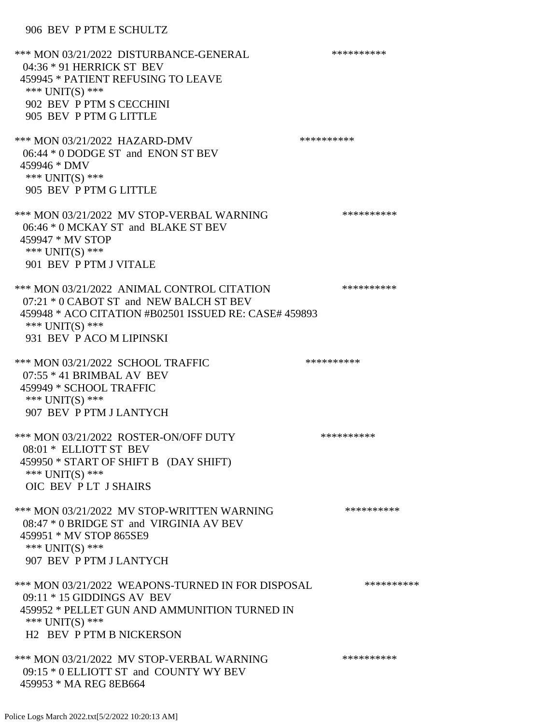# 906 BEV P PTM E SCHULTZ

| *** MON 03/21/2022 DISTURBANCE-GENERAL<br>$04:36 * 91$ HERRICK ST BEV<br>459945 * PATIENT REFUSING TO LEAVE<br>*** UNIT(S) ***<br>902 BEV P PTM S CECCHINI<br>905 BEV P PTM G LITTLE          | ********** |
|-----------------------------------------------------------------------------------------------------------------------------------------------------------------------------------------------|------------|
| *** MON 03/21/2022 HAZARD-DMV<br>06:44 * 0 DODGE ST and ENON ST BEV<br>459946 * DMV<br>*** UNIT(S) ***<br>905 BEV P PTM G LITTLE                                                              | ********** |
| *** MON 03/21/2022 MV STOP-VERBAL WARNING<br>06:46 * 0 MCKAY ST and BLAKE ST BEV<br>459947 * MV STOP<br>*** UNIT(S) ***<br>901 BEV P PTM J VITALE                                             | ********** |
| *** MON 03/21/2022 ANIMAL CONTROL CITATION<br>07:21 * 0 CABOT ST and NEW BALCH ST BEV<br>459948 * ACO CITATION #B02501 ISSUED RE: CASE# 459893<br>*** UNIT(S) ***<br>931 BEV P ACO M LIPINSKI | ********** |
| *** MON 03/21/2022 SCHOOL TRAFFIC<br>$07:55 * 41$ BRIMBAL AV BEV<br>459949 * SCHOOL TRAFFIC<br>*** UNIT(S) ***<br>907 BEV P PTM J LANTYCH                                                     | ********** |
| *** MON 03/21/2022 ROSTER-ON/OFF DUTY<br>08:01 * ELLIOTT ST BEV<br>459950 * START OF SHIFT B (DAY SHIFT)<br>*** UNIT(S) ***<br>OIC BEV PLT JSHAIRS                                            | ********** |
| *** MON 03/21/2022 MV STOP-WRITTEN WARNING<br>08:47 * 0 BRIDGE ST and VIRGINIA AV BEV<br>459951 * MV STOP 865SE9<br>*** UNIT(S) ***<br>907 BEV P PTM J LANTYCH                                | ********** |
| *** MON 03/21/2022 WEAPONS-TURNED IN FOR DISPOSAL<br>$09:11 * 15$ GIDDINGS AV BEV<br>459952 * PELLET GUN AND AMMUNITION TURNED IN<br>*** $UNIT(S)$ ***<br><b>H2 BEV P PTM B NICKERSON</b>     | ********** |
| *** MON 03/21/2022 MV STOP-VERBAL WARNING<br>09:15 * 0 ELLIOTT ST and COUNTY WY BEV<br>459953 * MA REG 8EB664                                                                                 | ********** |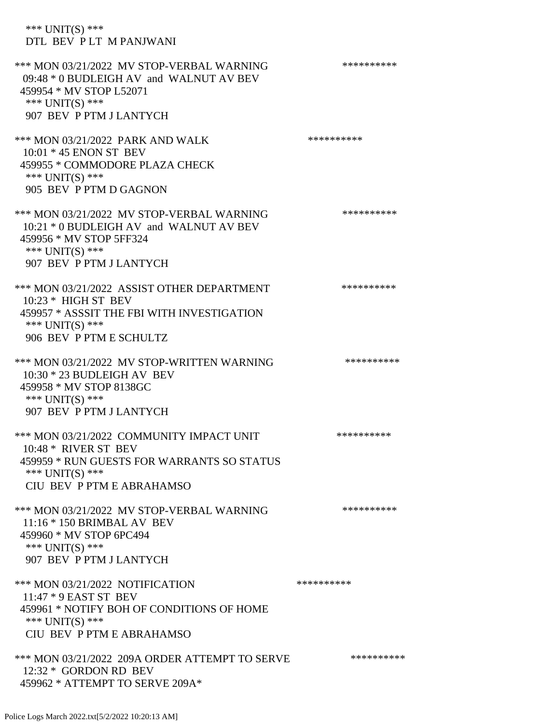\*\*\* UNIT(S) \*\*\* DTL BEV P LT M PANJWANI \*\*\* MON 03/21/2022 MV STOP-VERBAL WARNING \*\*\*\*\*\*\*\*\*\*\*\* 09:48 \* 0 BUDLEIGH AV and WALNUT AV BEV 459954 \* MV STOP L52071 \*\*\* UNIT(S) \*\*\* 907 BEV P PTM J LANTYCH \*\*\* MON 03/21/2022 PARK AND WALK \*\*\*\*\*\*\*\*\*\*\*\*\*\*\*\*\* 10:01 \* 45 ENON ST BEV 459955 \* COMMODORE PLAZA CHECK \*\*\* UNIT(S) \*\*\* 905 BEV P PTM D GAGNON \*\*\* MON 03/21/2022 MV STOP-VERBAL WARNING \*\*\*\*\*\*\*\*\*\*\*\* 10:21 \* 0 BUDLEIGH AV and WALNUT AV BEV 459956 \* MV STOP 5FF324 \*\*\* UNIT(S) \*\*\* 907 BEV P PTM J LANTYCH \*\*\* MON 03/21/2022 ASSIST OTHER DEPARTMENT \*\*\*\*\*\*\*\*\*\*\*\* 10:23 \* HIGH ST BEV 459957 \* ASSSIT THE FBI WITH INVESTIGATION \*\*\* UNIT(S) \*\*\* 906 BEV P PTM E SCHULTZ \*\*\* MON 03/21/2022 MV STOP-WRITTEN WARNING \*\*\*\*\*\*\*\*\*\*\*\* 10:30 \* 23 BUDLEIGH AV BEV 459958 \* MV STOP 8138GC \*\*\* UNIT(S) \*\*\* 907 BEV P PTM J LANTYCH \*\*\* MON 03/21/2022 COMMUNITY IMPACT UNIT \*\*\*\*\*\*\*\*\*\*\*\* 10:48 \* RIVER ST BEV 459959 \* RUN GUESTS FOR WARRANTS SO STATUS \*\*\* UNIT(S) \*\*\* CIU BEV P PTM E ABRAHAMSO \*\*\* MON 03/21/2022 MV STOP-VERBAL WARNING \*\*\*\*\*\*\*\*\*\*\*\* 11:16 \* 150 BRIMBAL AV BEV 459960 \* MV STOP 6PC494 \*\*\* UNIT(S) \*\*\* 907 BEV P PTM J LANTYCH \*\*\* MON 03/21/2022 NOTIFICATION \*\*\*\*\*\*\*\*\*\* 11:47 \* 9 EAST ST BEV 459961 \* NOTIFY BOH OF CONDITIONS OF HOME \*\*\* UNIT(S) \*\*\* CIU BEV P PTM E ABRAHAMSO \*\*\* MON 03/21/2022 209A ORDER ATTEMPT TO SERVE \*\*\*\*\*\*\*\*\*\* 12:32 \* GORDON RD BEV

459962 \* ATTEMPT TO SERVE 209A\*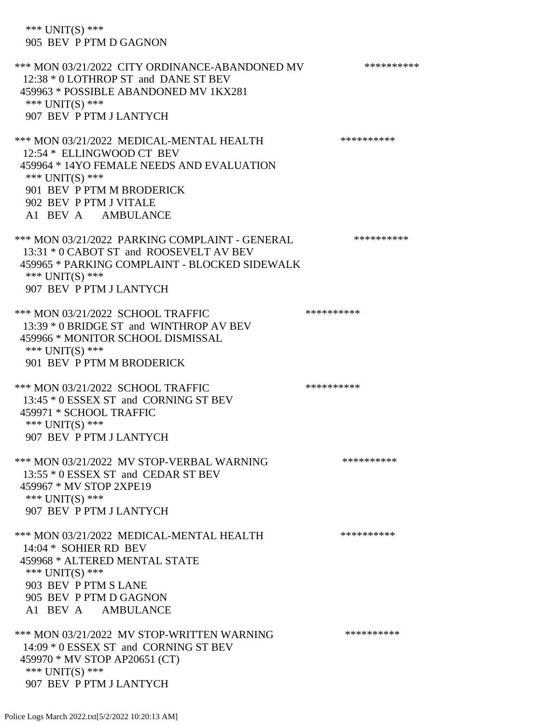\*\*\* UNIT(S) \*\*\* 905 BEV P PTM D GAGNON

\*\*\* MON 03/21/2022 CITY ORDINANCE-ABANDONED MV \*\*\*\*\*\*\*\*\*\* 12:38 \* 0 LOTHROP ST and DANE ST BEV 459963 \* POSSIBLE ABANDONED MV 1KX281 \*\*\* UNIT(S) \*\*\* 907 BEV P PTM J LANTYCH \*\*\* MON 03/21/2022 MEDICAL-MENTAL HEALTH \*\*\*\*\*\*\*\*\*\*\*\* 12:54 \* ELLINGWOOD CT BEV 459964 \* 14YO FEMALE NEEDS AND EVALUATION \*\*\* UNIT(S) \*\*\* 901 BEV P PTM M BRODERICK 902 BEV P PTM J VITALE A1 BEV A AMBULANCE \*\*\* MON 03/21/2022 PARKING COMPLAINT - GENERAL \*\*\*\*\*\*\*\*\*\* 13:31 \* 0 CABOT ST and ROOSEVELT AV BEV 459965 \* PARKING COMPLAINT - BLOCKED SIDEWALK \*\*\* UNIT(S) \*\*\* 907 BEV P PTM J LANTYCH \*\*\* MON 03/21/2022 SCHOOL TRAFFIC \*\*\*\*\*\*\*\*\*\*\*\*\*\*\* 13:39 \* 0 BRIDGE ST and WINTHROP AV BEV 459966 \* MONITOR SCHOOL DISMISSAL \*\*\* UNIT(S) \*\*\* 901 BEV P PTM M BRODERICK \*\*\* MON 03/21/2022 SCHOOL TRAFFIC \*\*\*\*\*\*\*\*\*\*\*\*\* 13:45 \* 0 ESSEX ST and CORNING ST BEV 459971 \* SCHOOL TRAFFIC \*\*\* UNIT(S) \*\*\* 907 BEV P PTM J LANTYCH \*\*\* MON 03/21/2022 MV STOP-VERBAL WARNING \*\*\*\*\*\*\*\*\*\*\*\* 13:55 \* 0 ESSEX ST and CEDAR ST BEV 459967 \* MV STOP 2XPE19 \*\*\* UNIT(S) \*\*\* 907 BEV P PTM J LANTYCH \*\*\* MON 03/21/2022 MEDICAL-MENTAL HEALTH \*\*\*\*\*\*\*\*\*\*\* 14:04 \* SOHIER RD BEV 459968 \* ALTERED MENTAL STATE \*\*\* UNIT(S) \*\*\* 903 BEV P PTM S LANE 905 BEV P PTM D GAGNON A1 BEV A AMBULANCE \*\*\* MON 03/21/2022 MV STOP-WRITTEN WARNING \*\*\*\*\*\*\*\*\*\*\*\* 14:09 \* 0 ESSEX ST and CORNING ST BEV 459970 \* MV STOP AP20651 (CT) \*\*\* UNIT(S) \*\*\* 907 BEV P PTM J LANTYCH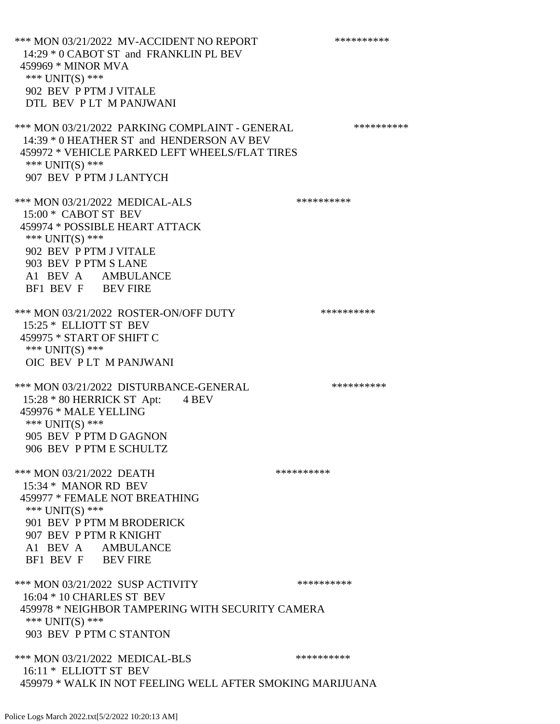\*\*\* MON 03/21/2022 MV-ACCIDENT NO REPORT \*\*\*\*\*\*\*\*\*\*\*\* 14:29 \* 0 CABOT ST and FRANKLIN PL BEV 459969 \* MINOR MVA \*\*\* UNIT(S) \*\*\* 902 BEV P PTM J VITALE DTL BEV P LT M PANJWANI \*\*\* MON 03/21/2022 PARKING COMPLAINT - GENERAL \*\*\*\*\*\*\*\*\*\* 14:39 \* 0 HEATHER ST and HENDERSON AV BEV 459972 \* VEHICLE PARKED LEFT WHEELS/FLAT TIRES \*\*\* UNIT(S) \*\*\* 907 BEV P PTM J LANTYCH \*\*\* MON 03/21/2022 MEDICAL-ALS \*\*\*\*\*\*\*\*\*\*\*\* 15:00 \* CABOT ST BEV 459974 \* POSSIBLE HEART ATTACK \*\*\* UNIT(S) \*\*\* 902 BEV P PTM J VITALE 903 BEV P PTM S LANE A1 BEV A AMBULANCE BF1 BEV F BEV FIRE \*\*\* MON 03/21/2022 ROSTER-ON/OFF DUTY \*\*\*\*\*\*\*\*\*\* 15:25 \* ELLIOTT ST BEV 459975 \* START OF SHIFT C \*\*\* UNIT(S) \*\*\* OIC BEV P LT M PANJWANI \*\*\* MON 03/21/2022 DISTURBANCE-GENERAL \*\*\*\*\*\*\*\*\*\*\*\* 15:28 \* 80 HERRICK ST Apt: 4 BEV 459976 \* MALE YELLING \*\*\* UNIT(S) \*\*\* 905 BEV P PTM D GAGNON 906 BEV P PTM E SCHULTZ \*\*\* MON 03/21/2022 DEATH \*\*\*\*\*\*\*\*\*\*\*\* 15:34 \* MANOR RD BEV 459977 \* FEMALE NOT BREATHING \*\*\* UNIT(S) \*\*\* 901 BEV P PTM M BRODERICK 907 BEV P PTM R KNIGHT A1 BEV A AMBULANCE BF1 BEV F BEV FIRE \*\*\* MON 03/21/2022 SUSP ACTIVITY \*\*\*\*\*\*\*\*\*\*\*\* 16:04 \* 10 CHARLES ST BEV 459978 \* NEIGHBOR TAMPERING WITH SECURITY CAMERA \*\*\* UNIT(S) \*\*\* 903 BEV P PTM C STANTON \*\*\* MON 03/21/2022 MEDICAL-BLS \*\*\*\*\*\*\*\*\*\*\*\* 16:11 \* ELLIOTT ST BEV 459979 \* WALK IN NOT FEELING WELL AFTER SMOKING MARIJUANA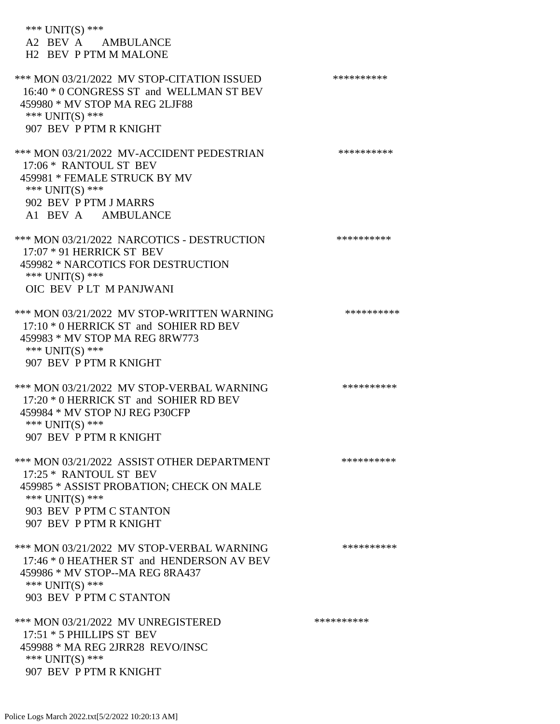| *** UNIT(S) ***<br>A2 BEV A AMBULANCE<br>H <sub>2</sub> BEV P PTM M MALONE                                                                                                               |            |
|------------------------------------------------------------------------------------------------------------------------------------------------------------------------------------------|------------|
| *** MON 03/21/2022 MV STOP-CITATION ISSUED<br>16:40 * 0 CONGRESS ST and WELLMAN ST BEV<br>459980 * MV STOP MA REG 2LJF88<br>*** $UNIT(S)$ ***<br>907 BEV P PTM R KNIGHT                  | ********** |
| *** MON 03/21/2022 MV-ACCIDENT PEDESTRIAN<br>17:06 * RANTOUL ST BEV<br>459981 * FEMALE STRUCK BY MV<br>*** $UNIT(S)$ ***<br>902 BEV P PTM J MARRS<br>A1 BEV A AMBULANCE                  | ********** |
| *** MON 03/21/2022 NARCOTICS - DESTRUCTION<br>17:07 * 91 HERRICK ST BEV<br>459982 * NARCOTICS FOR DESTRUCTION<br>*** UNIT(S) ***<br>OIC BEV PLT M PANJWANI                               | ********** |
| *** MON 03/21/2022 MV STOP-WRITTEN WARNING<br>17:10 * 0 HERRICK ST and SOHIER RD BEV<br>459983 * MV STOP MA REG 8RW773<br>*** $UNIT(S)$ ***<br>907 BEV P PTM R KNIGHT                    | ********** |
| *** MON 03/21/2022 MV STOP-VERBAL WARNING<br>17:20 * 0 HERRICK ST and SOHIER RD BEV<br>459984 * MV STOP NJ REG P30CFP<br>*** UNIT(S) ***<br>907 BEV P PTM R KNIGHT                       | ********** |
| *** MON 03/21/2022 ASSIST OTHER DEPARTMENT<br>17:25 * RANTOUL ST BEV<br>459985 * ASSIST PROBATION; CHECK ON MALE<br>*** UNIT(S) ***<br>903 BEV P PTM C STANTON<br>907 BEV P PTM R KNIGHT | ********** |
| *** MON 03/21/2022 MV STOP-VERBAL WARNING<br>17:46 * 0 HEATHER ST and HENDERSON AV BEV<br>459986 * MV STOP--MA REG 8RA437<br>*** UNIT(S) ***<br>903 BEV P PTM C STANTON                  | ********** |
| *** MON 03/21/2022 MV UNREGISTERED<br>17:51 * 5 PHILLIPS ST BEV<br>459988 * MA REG 2JRR28 REVO/INSC<br>*** $UNIT(S)$ ***<br>907 BEV P PTM R KNIGHT                                       | ********** |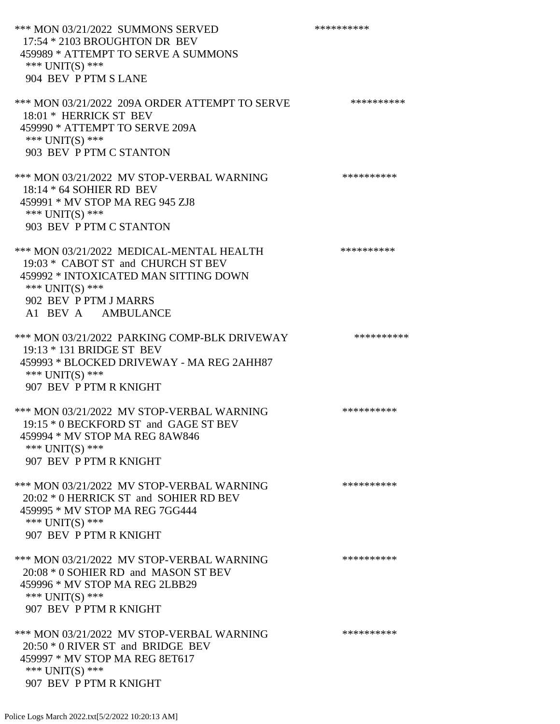\*\*\* MON 03/21/2022 SUMMONS SERVED \*\*\*\*\*\*\*\*\*\* 17:54 \* 2103 BROUGHTON DR BEV 459989 \* ATTEMPT TO SERVE A SUMMONS \*\*\* UNIT(S) \*\*\* 904 BEV P PTM S LANE \*\*\* MON 03/21/2022 209A ORDER ATTEMPT TO SERVE \*\*\*\*\*\*\*\*\*\* 18:01 \* HERRICK ST BEV 459990 \* ATTEMPT TO SERVE 209A \*\*\* UNIT(S) \*\*\* 903 BEV P PTM C STANTON \*\*\* MON 03/21/2022 MV STOP-VERBAL WARNING \*\*\*\*\*\*\*\*\*\*\*\* 18:14 \* 64 SOHIER RD BEV 459991 \* MV STOP MA REG 945 ZJ8 \*\*\* UNIT(S) \*\*\* 903 BEV P PTM C STANTON \*\*\* MON 03/21/2022 MEDICAL-MENTAL HEALTH \*\*\*\*\*\*\*\*\*\* 19:03 \* CABOT ST and CHURCH ST BEV 459992 \* INTOXICATED MAN SITTING DOWN \*\*\* UNIT(S) \*\*\* 902 BEV P PTM J MARRS A1 BEV A AMBULANCE \*\*\* MON 03/21/2022 PARKING COMP-BLK DRIVEWAY \*\*\*\*\*\*\*\*\*\* 19:13 \* 131 BRIDGE ST BEV 459993 \* BLOCKED DRIVEWAY - MA REG 2AHH87 \*\*\* UNIT(S) \*\*\* 907 BEV P PTM R KNIGHT \*\*\* MON 03/21/2022 MV STOP-VERBAL WARNING \*\*\*\*\*\*\*\*\*\*\*\* 19:15 \* 0 BECKFORD ST and GAGE ST BEV 459994 \* MV STOP MA REG 8AW846 \*\*\* UNIT(S) \*\*\* 907 BEV P PTM R KNIGHT \*\*\* MON 03/21/2022 MV STOP-VERBAL WARNING \*\*\*\*\*\*\*\*\*\*\*\*\*\* 20:02 \* 0 HERRICK ST and SOHIER RD BEV 459995 \* MV STOP MA REG 7GG444 \*\*\* UNIT(S) \*\*\* 907 BEV P PTM R KNIGHT \*\*\* MON 03/21/2022 MV STOP-VERBAL WARNING \*\*\*\*\*\*\*\*\*\*\*\*\*\* 20:08 \* 0 SOHIER RD and MASON ST BEV 459996 \* MV STOP MA REG 2LBB29 \*\*\* UNIT(S) \*\*\* 907 BEV P PTM R KNIGHT \*\*\* MON 03/21/2022 MV STOP-VERBAL WARNING \*\*\*\*\*\*\*\*\*\*\*\* 20:50 \* 0 RIVER ST and BRIDGE BEV 459997 \* MV STOP MA REG 8ET617 \*\*\* UNIT(S) \*\*\* 907 BEV P PTM R KNIGHT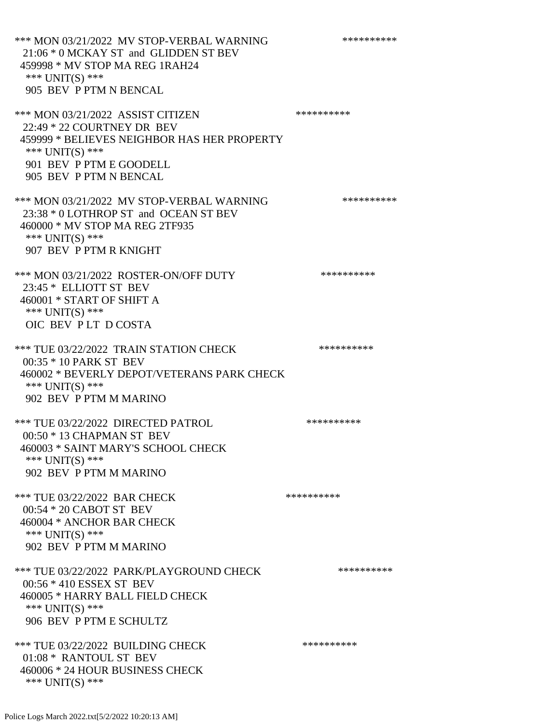\*\*\* MON 03/21/2022 MV STOP-VERBAL WARNING \*\*\*\*\*\*\*\*\*\*\*\* 21:06 \* 0 MCKAY ST and GLIDDEN ST BEV 459998 \* MV STOP MA REG 1RAH24 \*\*\* UNIT(S) \*\*\* 905 BEV P PTM N BENCAL \*\*\* MON 03/21/2022 ASSIST CITIZEN \*\*\*\*\*\*\*\*\*\* 22:49 \* 22 COURTNEY DR BEV 459999 \* BELIEVES NEIGHBOR HAS HER PROPERTY \*\*\* UNIT(S) \*\*\* 901 BEV P PTM E GOODELL 905 BEV P PTM N BENCAL \*\*\* MON 03/21/2022 MV STOP-VERBAL WARNING \*\*\*\*\*\*\*\*\*\*\*\* 23:38 \* 0 LOTHROP ST and OCEAN ST BEV 460000 \* MV STOP MA REG 2TF935 \*\*\* UNIT(S) \*\*\* 907 BEV P PTM R KNIGHT \*\*\* MON 03/21/2022 ROSTER-ON/OFF DUTY \*\*\*\*\*\*\*\*\*\* 23:45 \* ELLIOTT ST BEV 460001 \* START OF SHIFT A \*\*\* UNIT(S) \*\*\* OIC BEV P LT D COSTA \*\*\* TUE 03/22/2022 TRAIN STATION CHECK \*\*\*\*\*\*\*\*\*\*\*\* 00:35 \* 10 PARK ST BEV 460002 \* BEVERLY DEPOT/VETERANS PARK CHECK \*\*\* UNIT(S) \*\*\* 902 BEV P PTM M MARINO \*\*\* TUE 03/22/2022 DIRECTED PATROL \*\*\*\*\*\*\*\*\*\* 00:50 \* 13 CHAPMAN ST BEV 460003 \* SAINT MARY'S SCHOOL CHECK \*\*\* UNIT(S) \*\*\* 902 BEV P PTM M MARINO \*\*\* TUE 03/22/2022 BAR CHECK \*\*\*\*\*\*\*\*\*\*\*\* 00:54 \* 20 CABOT ST BEV 460004 \* ANCHOR BAR CHECK \*\*\* UNIT(S) \*\*\* 902 BEV P PTM M MARINO \*\*\* TUE 03/22/2022 PARK/PLAYGROUND CHECK \*\*\*\*\*\*\*\*\*\* 00:56 \* 410 ESSEX ST BEV 460005 \* HARRY BALL FIELD CHECK \*\*\* UNIT(S) \*\*\* 906 BEV P PTM E SCHULTZ \*\*\* TUE 03/22/2022 BUILDING CHECK \*\*\*\*\*\*\*\*\*\*\*\* 01:08 \* RANTOUL ST BEV 460006 \* 24 HOUR BUSINESS CHECK \*\*\* UNIT(S) \*\*\*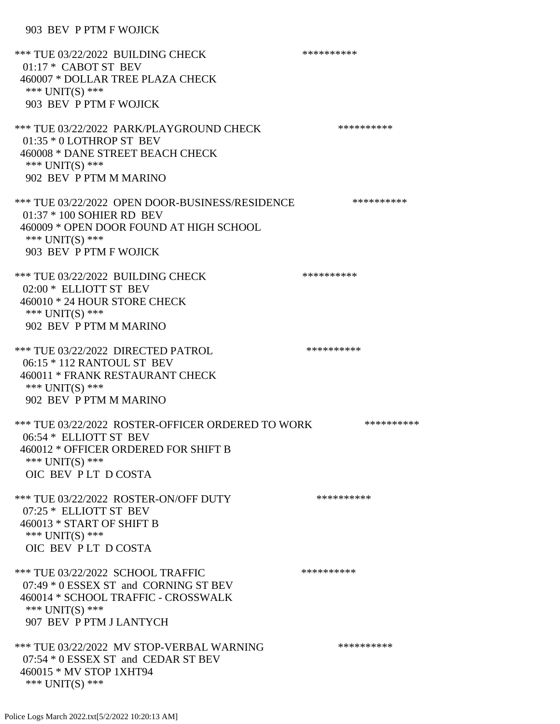### 903 BEV P PTM F WOJICK

| *** TUE 03/22/2022 BUILDING CHECK<br>$01:17*$ CABOT ST BEV<br>460007 * DOLLAR TREE PLAZA CHECK<br>*** UNIT(S) ***<br>903 BEV P PTM F WOJICK                          | ********** |
|----------------------------------------------------------------------------------------------------------------------------------------------------------------------|------------|
| *** TUE 03/22/2022 PARK/PLAYGROUND CHECK<br>01:35 * 0 LOTHROP ST BEV<br>460008 * DANE STREET BEACH CHECK<br>*** UNIT(S) ***<br>902 BEV P PTM M MARINO                | ********** |
| *** TUE 03/22/2022 OPEN DOOR-BUSINESS/RESIDENCE<br>01:37 * 100 SOHIER RD BEV<br>460009 * OPEN DOOR FOUND AT HIGH SCHOOL<br>*** UNIT(S) ***<br>903 BEV P PTM F WOJICK | ********** |
| *** TUE 03/22/2022 BUILDING CHECK<br>02:00 * ELLIOTT ST BEV<br>460010 * 24 HOUR STORE CHECK<br>*** UNIT(S) ***<br>902 BEV P PTM M MARINO                             | ********** |
| *** TUE 03/22/2022 DIRECTED PATROL<br>06:15 * 112 RANTOUL ST BEV<br>460011 * FRANK RESTAURANT CHECK<br>*** UNIT(S) ***<br>902 BEV P PTM M MARINO                     | ********** |
| *** TUE 03/22/2022 ROSTER-OFFICER ORDERED TO WORK<br>06:54 * ELLIOTT ST BEV<br>460012 * OFFICER ORDERED FOR SHIFT B<br>*** UNIT(S) ***<br>OIC BEV PLT DCOSTA         | ********** |
| *** TUE 03/22/2022 ROSTER-ON/OFF DUTY<br>07:25 * ELLIOTT ST BEV<br>460013 * START OF SHIFT B<br>*** UNIT(S) ***<br>OIC BEV PLT DCOSTA                                | ********** |
| *** TUE 03/22/2022 SCHOOL TRAFFIC<br>07:49 * 0 ESSEX ST and CORNING ST BEV<br>460014 * SCHOOL TRAFFIC - CROSSWALK<br>*** $UNIT(S)$ ***<br>907 BEV P PTM J LANTYCH    | ********** |
| *** TUE 03/22/2022 MV STOP-VERBAL WARNING<br>07:54 * 0 ESSEX ST and CEDAR ST BEV<br>460015 * MV STOP 1XHT94<br>*** $UNIT(S)$ ***                                     | ********** |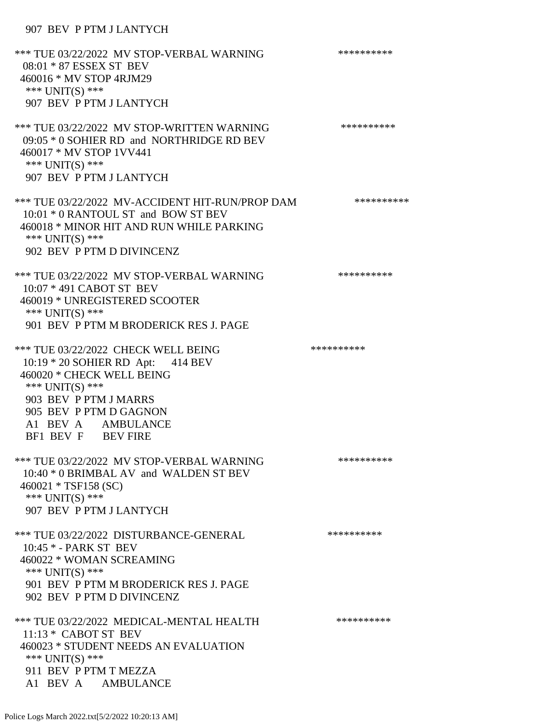# 907 BEV P PTM J LANTYCH

| *** TUE 03/22/2022 MV STOP-VERBAL WARNING<br>08:01 * 87 ESSEX ST BEV<br>460016 * MV STOP 4RJM29<br>*** UNIT(S) ***<br>907 BEV P PTM J LANTYCH                                                                           | ********** |
|-------------------------------------------------------------------------------------------------------------------------------------------------------------------------------------------------------------------------|------------|
| *** TUE 03/22/2022 MV STOP-WRITTEN WARNING<br>09:05 * 0 SOHIER RD and NORTHRIDGE RD BEV<br>460017 * MV STOP 1VV441<br>*** UNIT(S) ***<br>907 BEV P PTM J LANTYCH                                                        | ********** |
| *** TUE 03/22/2022 MV-ACCIDENT HIT-RUN/PROP DAM<br>10:01 * 0 RANTOUL ST and BOW ST BEV<br>460018 * MINOR HIT AND RUN WHILE PARKING<br>*** UNIT(S) ***<br>902 BEV P PTM D DIVINCENZ                                      | ********** |
| *** TUE 03/22/2022 MV STOP-VERBAL WARNING<br>10:07 * 491 CABOT ST BEV<br>460019 * UNREGISTERED SCOOTER<br>*** $UNIT(S)$ ***<br>901 BEV P PTM M BRODERICK RES J. PAGE                                                    | ********** |
| *** TUE 03/22/2022 CHECK WELL BEING<br>10:19 * 20 SOHIER RD Apt: 414 BEV<br>460020 * CHECK WELL BEING<br>*** UNIT(S) ***<br>903 BEV P PTM J MARRS<br>905 BEV P PTM D GAGNON<br>A1 BEV A AMBULANCE<br>BF1 BEV F BEV FIRE | ********** |
| *** TUE 03/22/2022 MV STOP-VERBAL WARNING<br>10:40 * 0 BRIMBAL AV and WALDEN ST BEV<br>$460021 * TSF158 (SC)$<br>*** UNIT(S) ***<br>907 BEV P PTM J LANTYCH                                                             | ********** |
| *** TUE 03/22/2022 DISTURBANCE-GENERAL<br>10:45 * - PARK ST BEV<br>460022 * WOMAN SCREAMING<br>*** $UNIT(S)$ ***<br>901 BEV P PTM M BRODERICK RES J. PAGE<br>902 BEV P PTM D DIVINCENZ                                  | ********** |
| *** TUE 03/22/2022 MEDICAL-MENTAL HEALTH<br>$11:13 *$ CABOT ST BEV<br>460023 * STUDENT NEEDS AN EVALUATION<br>*** $UNIT(S)$ ***<br>911 BEV P PTM T MEZZA<br>A1 BEV A AMBULANCE                                          | ********** |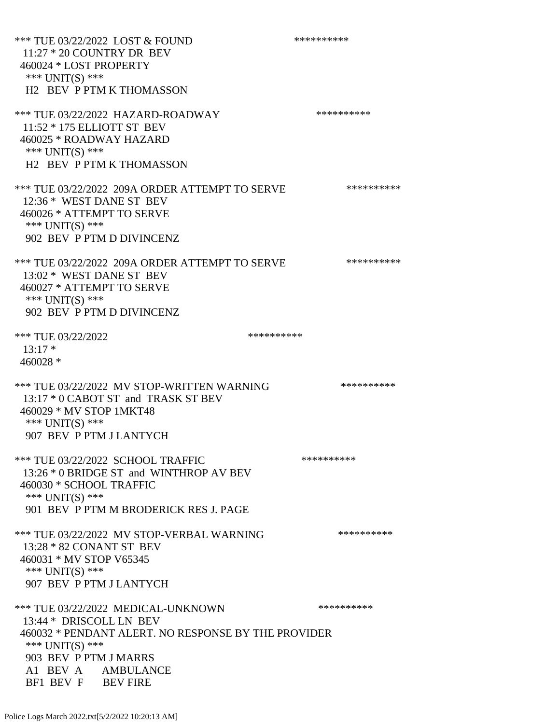\*\*\* TUE 03/22/2022 LOST & FOUND \*\*\*\*\*\*\*\*\*\* 11:27 \* 20 COUNTRY DR BEV 460024 \* LOST PROPERTY \*\*\* UNIT(S) \*\*\* H2 BEV P PTM K THOMASSON \*\*\* TUE 03/22/2022 HAZARD-ROADWAY \*\*\*\*\*\*\*\*\*\* 11:52 \* 175 ELLIOTT ST BEV 460025 \* ROADWAY HAZARD \*\*\* UNIT(S) \*\*\* H2 BEV P PTM K THOMASSON \*\*\* TUE 03/22/2022 209A ORDER ATTEMPT TO SERVE \*\*\*\*\*\*\*\*\*\* 12:36 \* WEST DANE ST BEV 460026 \* ATTEMPT TO SERVE \*\*\* UNIT(S) \*\*\* 902 BEV P PTM D DIVINCENZ \*\*\* TUE 03/22/2022 209A ORDER ATTEMPT TO SERVE \*\*\*\*\*\*\*\*\*\* 13:02 \* WEST DANE ST BEV 460027 \* ATTEMPT TO SERVE \*\*\* UNIT(S) \*\*\* 902 BEV P PTM D DIVINCENZ \*\*\* TUE 03/22/2022 \*\*\*\*\*\*\*\*\*\*  $13:17*$  460028 \* \*\*\* TUE 03/22/2022 MV STOP-WRITTEN WARNING \*\*\*\*\*\*\*\*\*\*\*\*\* 13:17 \* 0 CABOT ST and TRASK ST BEV 460029 \* MV STOP 1MKT48 \*\*\* UNIT(S) \*\*\* 907 BEV P PTM J LANTYCH \*\*\* TUE 03/22/2022 SCHOOL TRAFFIC \*\*\*\*\*\*\*\*\*\*\*\*\* 13:26 \* 0 BRIDGE ST and WINTHROP AV BEV 460030 \* SCHOOL TRAFFIC \*\*\* UNIT(S) \*\*\* 901 BEV P PTM M BRODERICK RES J. PAGE \*\*\* TUE 03/22/2022 MV STOP-VERBAL WARNING \*\*\*\*\*\*\*\*\*\*\*\*\* 13:28 \* 82 CONANT ST BEV 460031 \* MV STOP V65345 \*\*\* UNIT(S) \*\*\* 907 BEV P PTM J LANTYCH \*\*\* TUE 03/22/2022 MEDICAL-UNKNOWN \*\*\*\*\*\*\*\*\*\* 13:44 \* DRISCOLL LN BEV 460032 \* PENDANT ALERT. NO RESPONSE BY THE PROVIDER \*\*\* UNIT(S) \*\*\* 903 BEV P PTM J MARRS A1 BEV A AMBULANCE BF1 BEV F BEV FIRE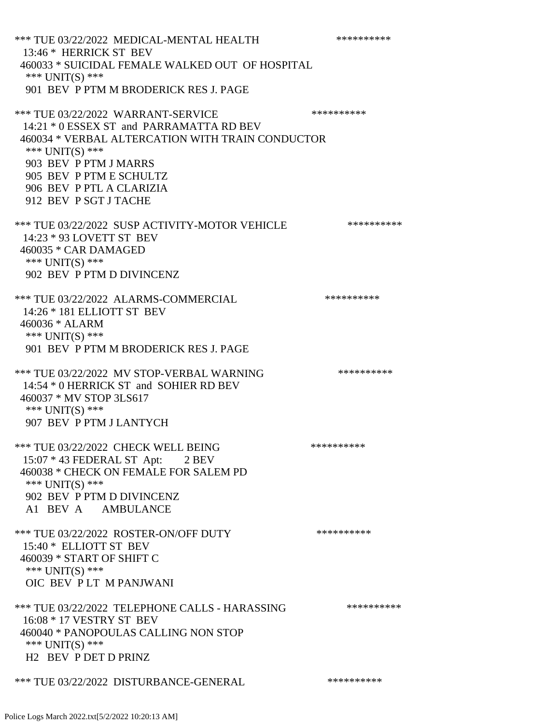\*\*\* TUE 03/22/2022 MEDICAL-MENTAL HEALTH \*\*\*\*\*\*\*\*\*\* 13:46 \* HERRICK ST BEV 460033 \* SUICIDAL FEMALE WALKED OUT OF HOSPITAL \*\*\* UNIT(S) \*\*\* 901 BEV P PTM M BRODERICK RES J. PAGE \*\*\* TUE 03/22/2022 WARRANT-SERVICE \*\*\*\*\*\*\*\*\*\* 14:21 \* 0 ESSEX ST and PARRAMATTA RD BEV 460034 \* VERBAL ALTERCATION WITH TRAIN CONDUCTOR \*\*\* UNIT(S) \*\*\* 903 BEV P PTM J MARRS 905 BEV P PTM E SCHULTZ 906 BEV P PTL A CLARIZIA 912 BEV P SGT J TACHE \*\*\* TUE 03/22/2022 SUSP ACTIVITY-MOTOR VEHICLE \*\*\*\*\*\*\*\*\*\* 14:23 \* 93 LOVETT ST BEV 460035 \* CAR DAMAGED \*\*\* UNIT(S) \*\*\* 902 BEV P PTM D DIVINCENZ \*\*\* TUE 03/22/2022 ALARMS-COMMERCIAL \*\*\*\*\*\*\*\*\*\* 14:26 \* 181 ELLIOTT ST BEV 460036 \* ALARM \*\*\* UNIT(S) \*\*\* 901 BEV P PTM M BRODERICK RES J. PAGE \*\*\* TUE 03/22/2022 MV STOP-VERBAL WARNING \*\*\*\*\*\*\*\*\*\*\*\*\* 14:54 \* 0 HERRICK ST and SOHIER RD BEV 460037 \* MV STOP 3LS617 \*\*\* UNIT(S) \*\*\* 907 BEV P PTM J LANTYCH \*\*\* TUE 03/22/2022 CHECK WELL BEING \*\*\*\*\*\*\*\*\*\*\*\*\* 15:07 \* 43 FEDERAL ST Apt: 2 BEV 460038 \* CHECK ON FEMALE FOR SALEM PD \*\*\* UNIT(S) \*\*\* 902 BEV P PTM D DIVINCENZ A1 BEV A AMBULANCE \*\*\* TUE 03/22/2022 ROSTER-ON/OFF DUTY \*\*\*\*\*\*\*\*\*\* 15:40 \* ELLIOTT ST BEV 460039 \* START OF SHIFT C \*\*\* UNIT(S) \*\*\* OIC BEV P LT M PANJWANI \*\*\* TUE 03/22/2022 TELEPHONE CALLS - HARASSING \*\*\*\*\*\*\*\*\*\* 16:08 \* 17 VESTRY ST BEV 460040 \* PANOPOULAS CALLING NON STOP \*\*\* UNIT(S) \*\*\* H2 BEV P DET D PRINZ \*\*\* TUE 03/22/2022 DISTURBANCE-GENERAL \*\*\*\*\*\*\*\*\*\*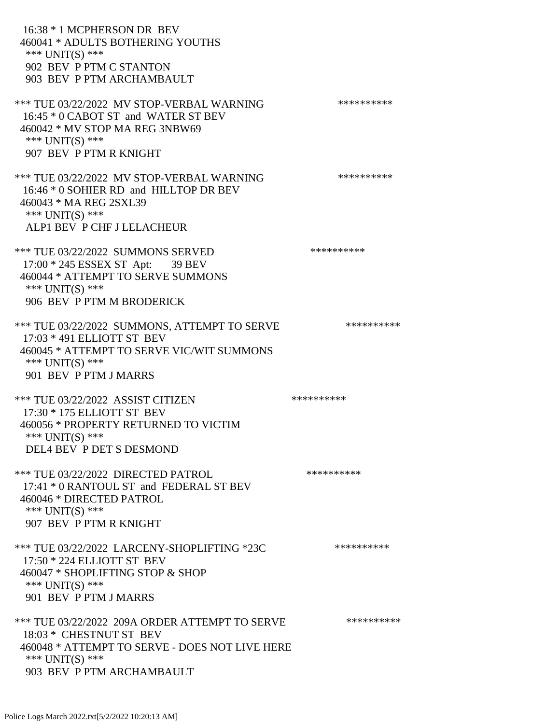16:38 \* 1 MCPHERSON DR BEV 460041 \* ADULTS BOTHERING YOUTHS \*\*\* UNIT(S) \*\*\* 902 BEV P PTM C STANTON 903 BEV P PTM ARCHAMBAULT \*\*\* TUE 03/22/2022 MV STOP-VERBAL WARNING \*\*\*\*\*\*\*\*\*\*\*\*\* 16:45 \* 0 CABOT ST and WATER ST BEV 460042 \* MV STOP MA REG 3NBW69 \*\*\* UNIT(S) \*\*\* 907 BEV P PTM R KNIGHT \*\*\* TUE 03/22/2022 MV STOP-VERBAL WARNING \*\*\*\*\*\*\*\*\*\*\*\*\* 16:46 \* 0 SOHIER RD and HILLTOP DR BEV 460043 \* MA REG 2SXL39 \*\*\* UNIT(S) \*\*\* ALP1 BEV P CHF J LELACHEUR \*\*\* TUE 03/22/2022 SUMMONS SERVED \*\*\*\*\*\*\*\*\*\* 17:00 \* 245 ESSEX ST Apt: 39 BEV 460044 \* ATTEMPT TO SERVE SUMMONS \*\*\* UNIT(S) \*\*\* 906 BEV P PTM M BRODERICK \*\*\* TUE 03/22/2022 SUMMONS, ATTEMPT TO SERVE \*\*\*\*\*\*\*\*\*\* 17:03 \* 491 ELLIOTT ST BEV 460045 \* ATTEMPT TO SERVE VIC/WIT SUMMONS \*\*\* UNIT(S) \*\*\* 901 BEV P PTM J MARRS \*\*\* TUE 03/22/2022 ASSIST CITIZEN \*\*\*\*\*\*\*\*\*\*\*\* 17:30 \* 175 ELLIOTT ST BEV 460056 \* PROPERTY RETURNED TO VICTIM \*\*\* UNIT(S) \*\*\* DEL4 BEV P DET S DESMOND \*\*\* TUE 03/22/2022 DIRECTED PATROL \*\*\*\*\*\*\*\*\*\* 17:41 \* 0 RANTOUL ST and FEDERAL ST BEV 460046 \* DIRECTED PATROL \*\*\* UNIT(S) \*\*\* 907 BEV P PTM R KNIGHT \*\*\* TUE 03/22/2022 LARCENY-SHOPLIFTING \*23C \*\*\*\*\*\*\*\*\*\*\*\*\* 17:50 \* 224 ELLIOTT ST BEV 460047 \* SHOPLIFTING STOP & SHOP \*\*\* UNIT(S) \*\*\* 901 BEV P PTM J MARRS \*\*\* TUE 03/22/2022 209A ORDER ATTEMPT TO SERVE \*\*\*\*\*\*\*\*\*\* 18:03 \* CHESTNUT ST BEV 460048 \* ATTEMPT TO SERVE - DOES NOT LIVE HERE \*\*\* UNIT(S) \*\*\* 903 BEV P PTM ARCHAMBAULT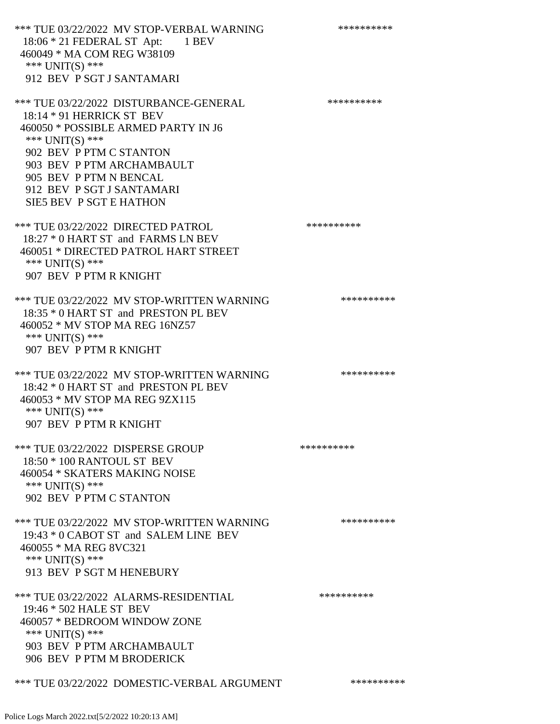\*\*\* TUE 03/22/2022 MV STOP-VERBAL WARNING \*\*\*\*\*\*\*\*\*\*\*\*\* 18:06 \* 21 FEDERAL ST Apt: 1 BEV 460049 \* MA COM REG W38109 \*\*\* UNIT(S) \*\*\* 912 BEV P SGT J SANTAMARI \*\*\* TUE 03/22/2022 DISTURBANCE-GENERAL \*\*\*\*\*\*\*\*\*\* 18:14 \* 91 HERRICK ST BEV 460050 \* POSSIBLE ARMED PARTY IN J6 \*\*\* UNIT(S) \*\*\* 902 BEV P PTM C STANTON 903 BEV P PTM ARCHAMBAULT 905 BEV P PTM N BENCAL 912 BEV P SGT J SANTAMARI SIE5 BEV P SGT E HATHON \*\*\* TUE 03/22/2022 DIRECTED PATROL \*\*\*\*\*\*\*\*\*\* 18:27 \* 0 HART ST and FARMS LN BEV 460051 \* DIRECTED PATROL HART STREET \*\*\* UNIT(S) \*\*\* 907 BEV P PTM R KNIGHT \*\*\* TUE 03/22/2022 MV STOP-WRITTEN WARNING \*\*\*\*\*\*\*\*\*\*\*\*\* 18:35 \* 0 HART ST and PRESTON PL BEV 460052 \* MV STOP MA REG 16NZ57 \*\*\* UNIT(S) \*\*\* 907 BEV P PTM R KNIGHT \*\*\* TUE 03/22/2022 MV STOP-WRITTEN WARNING \*\*\*\*\*\*\*\*\*\* 18:42 \* 0 HART ST and PRESTON PL BEV 460053 \* MV STOP MA REG 9ZX115 \*\*\* UNIT(S) \*\*\* 907 BEV P PTM R KNIGHT \*\*\* TUE 03/22/2022 DISPERSE GROUP \*\*\*\*\*\*\*\*\*\*\*\*\*\*\* 18:50 \* 100 RANTOUL ST BEV 460054 \* SKATERS MAKING NOISE \*\*\* UNIT(S) \*\*\* 902 BEV P PTM C STANTON \*\*\* TUE 03/22/2022 MV STOP-WRITTEN WARNING \*\*\*\*\*\*\*\*\*\*\*\*\* 19:43 \* 0 CABOT ST and SALEM LINE BEV 460055 \* MA REG 8VC321 \*\*\* UNIT(S) \*\*\* 913 BEV P SGT M HENEBURY \*\*\* TUE 03/22/2022 ALARMS-RESIDENTIAL \*\*\*\*\*\*\*\*\*\* 19:46 \* 502 HALE ST BEV 460057 \* BEDROOM WINDOW ZONE \*\*\* UNIT(S) \*\*\* 903 BEV P PTM ARCHAMBAULT 906 BEV P PTM M BRODERICK

\*\*\* TUE 03/22/2022 DOMESTIC-VERBAL ARGUMENT \*\*\*\*\*\*\*\*\*\*\*\*\*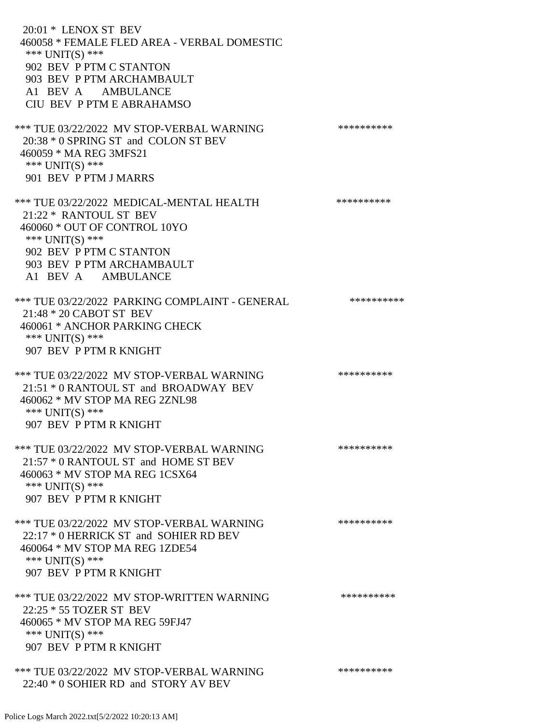20:01 \* LENOX ST BEV 460058 \* FEMALE FLED AREA - VERBAL DOMESTIC \*\*\* UNIT(S) \*\*\* 902 BEV P PTM C STANTON 903 BEV P PTM ARCHAMBAULT A1 BEV A AMBULANCE CIU BEV P PTM E ABRAHAMSO \*\*\* TUE 03/22/2022 MV STOP-VERBAL WARNING \*\*\*\*\*\*\*\*\*\*\*\*\* 20:38 \* 0 SPRING ST and COLON ST BEV 460059 \* MA REG 3MFS21 \*\*\* UNIT(S) \*\*\* 901 BEV P PTM J MARRS \*\*\* TUE 03/22/2022 MEDICAL-MENTAL HEALTH \*\*\*\*\*\*\*\*\*\* 21:22 \* RANTOUL ST BEV 460060 \* OUT OF CONTROL 10YO \*\*\* UNIT(S) \*\*\* 902 BEV P PTM C STANTON 903 BEV P PTM ARCHAMBAULT A1 BEV A AMBULANCE \*\*\* TUE 03/22/2022 PARKING COMPLAINT - GENERAL \*\*\*\*\*\*\*\*\*\* 21:48 \* 20 CABOT ST BEV 460061 \* ANCHOR PARKING CHECK \*\*\* UNIT(S) \*\*\* 907 BEV P PTM R KNIGHT \*\*\* TUE 03/22/2022 MV STOP-VERBAL WARNING \*\*\*\*\*\*\*\*\*\*\*\*\* 21:51 \* 0 RANTOUL ST and BROADWAY BEV 460062 \* MV STOP MA REG 2ZNL98 \*\*\* UNIT(S) \*\*\* 907 BEV P PTM R KNIGHT \*\*\* TUE 03/22/2022 MV STOP-VERBAL WARNING \*\*\*\*\*\*\*\*\*\*\*\*\* 21:57 \* 0 RANTOUL ST and HOME ST BEV 460063 \* MV STOP MA REG 1CSX64 \*\*\* UNIT(S) \*\*\* 907 BEV P PTM R KNIGHT \*\*\* TUE 03/22/2022 MV STOP-VERBAL WARNING \*\*\*\*\*\*\*\*\*\*\*\*\* 22:17 \* 0 HERRICK ST and SOHIER RD BEV 460064 \* MV STOP MA REG 1ZDE54 \*\*\* UNIT(S) \*\*\* 907 BEV P PTM R KNIGHT \*\*\* TUE 03/22/2022 MV STOP-WRITTEN WARNING \*\*\*\*\*\*\*\*\*\*\*\*\* 22:25 \* 55 TOZER ST BEV 460065 \* MV STOP MA REG 59FJ47 \*\*\* UNIT(S) \*\*\* 907 BEV P PTM R KNIGHT \*\*\* TUE 03/22/2022 MV STOP-VERBAL WARNING \*\*\*\*\*\*\*\*\*\*\*\*\* 22:40 \* 0 SOHIER RD and STORY AV BEV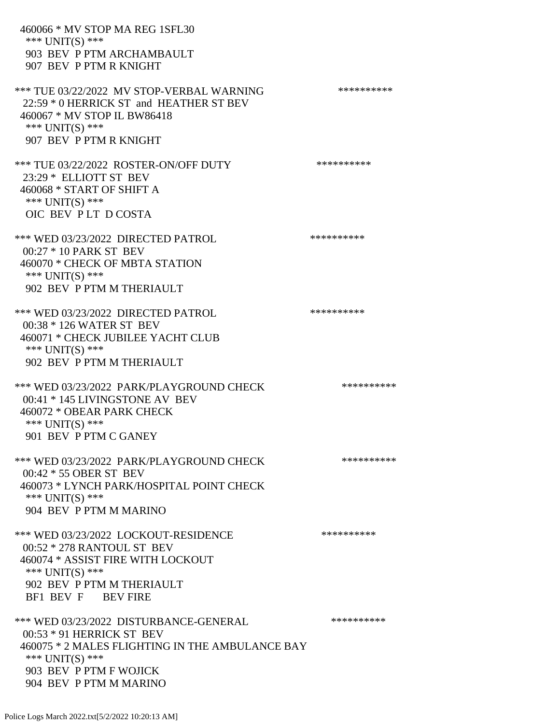460066 \* MV STOP MA REG 1SFL30 \*\*\* UNIT(S) \*\*\* 903 BEV P PTM ARCHAMBAULT 907 BEV P PTM R KNIGHT \*\*\* TUE 03/22/2022 MV STOP-VERBAL WARNING \*\*\*\*\*\*\*\*\*\*\*\*\* 22:59 \* 0 HERRICK ST and HEATHER ST BEV 460067 \* MV STOP IL BW86418 \*\*\* UNIT(S) \*\*\* 907 BEV P PTM R KNIGHT \*\*\* TUE 03/22/2022 ROSTER-ON/OFF DUTY \*\*\*\*\*\*\*\*\*\* 23:29 \* ELLIOTT ST BEV 460068 \* START OF SHIFT A \*\*\* UNIT(S) \*\*\* OIC BEV P LT D COSTA \*\*\* WED 03/23/2022 DIRECTED PATROL \*\*\*\*\*\*\*\*\*\* 00:27 \* 10 PARK ST BEV 460070 \* CHECK OF MBTA STATION \*\*\* UNIT(S) \*\*\* 902 BEV P PTM M THERIAULT \*\*\* WED 03/23/2022 DIRECTED PATROL \*\*\*\*\*\*\*\*\*\* 00:38 \* 126 WATER ST BEV 460071 \* CHECK JUBILEE YACHT CLUB \*\*\* UNIT(S) \*\*\* 902 BEV P PTM M THERIAULT \*\*\* WED 03/23/2022 PARK/PLAYGROUND CHECK \*\*\*\*\*\*\*\*\*\*\*\* 00:41 \* 145 LIVINGSTONE AV BEV 460072 \* OBEAR PARK CHECK \*\*\* UNIT(S) \*\*\* 901 BEV P PTM C GANEY \*\*\* WED 03/23/2022 PARK/PLAYGROUND CHECK \*\*\*\*\*\*\*\*\*\*\* 00:42 \* 55 OBER ST BEV 460073 \* LYNCH PARK/HOSPITAL POINT CHECK \*\*\* UNIT(S) \*\*\* 904 BEV P PTM M MARINO \*\*\* WED 03/23/2022 LOCKOUT-RESIDENCE \*\*\*\*\*\*\*\*\*\* 00:52 \* 278 RANTOUL ST BEV 460074 \* ASSIST FIRE WITH LOCKOUT \*\*\* UNIT(S) \*\*\* 902 BEV P PTM M THERIAULT BF1 BEV F BEV FIRE \*\*\* WED 03/23/2022 DISTURBANCE-GENERAL \*\*\*\*\*\*\*\*\*\*\*\*\* 00:53 \* 91 HERRICK ST BEV 460075 \* 2 MALES FLIGHTING IN THE AMBULANCE BAY \*\*\* UNIT(S) \*\*\* 903 BEV P PTM F WOJICK 904 BEV P PTM M MARINO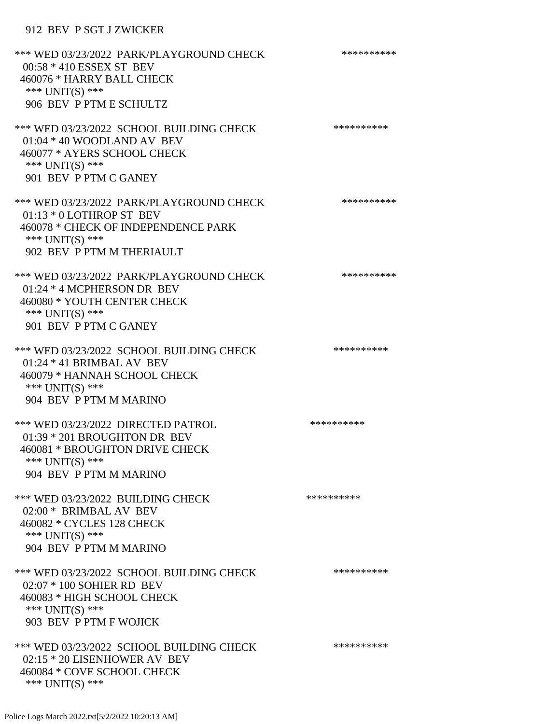# 912 BEV P SGT J ZWICKER

| *** WED 03/23/2022 PARK/PLAYGROUND CHECK<br>00:58 * 410 ESSEX ST BEV<br>460076 * HARRY BALL CHECK<br>*** UNIT(S) ***<br>906 BEV P PTM E SCHULTZ             | ********** |
|-------------------------------------------------------------------------------------------------------------------------------------------------------------|------------|
| *** WED 03/23/2022 SCHOOL BUILDING CHECK<br>01:04 * 40 WOODLAND AV BEV<br>460077 * AYERS SCHOOL CHECK<br>*** UNIT(S) ***<br>901 BEV P PTM C GANEY           | ********** |
| *** WED 03/23/2022 PARK/PLAYGROUND CHECK<br>01:13 * 0 LOTHROP ST BEV<br>460078 * CHECK OF INDEPENDENCE PARK<br>*** UNIT(S) ***<br>902 BEV P PTM M THERIAULT | ********** |
| *** WED 03/23/2022 PARK/PLAYGROUND CHECK<br>01:24 * 4 MCPHERSON DR BEV<br>460080 * YOUTH CENTER CHECK<br>*** UNIT(S) ***<br>901 BEV P PTM C GANEY           | ********** |
| *** WED 03/23/2022 SCHOOL BUILDING CHECK<br>$01:24 * 41$ BRIMBAL AV BEV<br>460079 * HANNAH SCHOOL CHECK<br>*** $UNIT(S)$ ***<br>904 BEV P PTM M MARINO      | ********** |
| *** WED 03/23/2022 DIRECTED PATROL<br>01:39 * 201 BROUGHTON DR BEV<br>460081 * BROUGHTON DRIVE CHECK<br>*** $UNIT(S)$ ***<br>904 BEV P PTM M MARINO         | ********** |
| *** WED 03/23/2022 BUILDING CHECK<br>02:00 * BRIMBAL AV BEV<br>460082 * CYCLES 128 CHECK<br>*** UNIT(S) ***<br>904 BEV P PTM M MARINO                       | ********** |
| *** WED 03/23/2022 SCHOOL BUILDING CHECK<br>02:07 * 100 SOHIER RD BEV<br>460083 * HIGH SCHOOL CHECK<br>*** UNIT(S) ***<br>903 BEV P PTM F WOJICK            | ********** |
| *** WED 03/23/2022 SCHOOL BUILDING CHECK<br>02:15 * 20 EISENHOWER AV BEV<br>460084 * COVE SCHOOL CHECK<br>*** UNIT(S) ***                                   | ********** |

Police Logs March 2022.txt[5/2/2022 10:20:13 AM]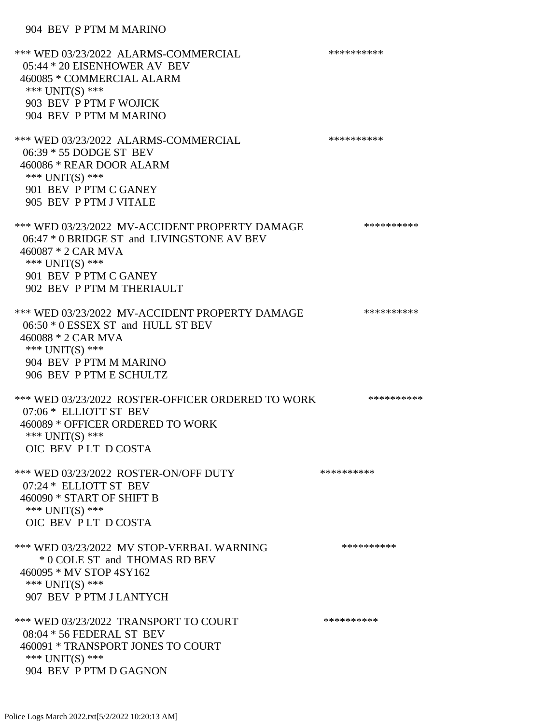## 904 BEV P PTM M MARINO

\*\*\* WED 03/23/2022 ALARMS-COMMERCIAL \*\*\*\*\*\*\*\*\*\* 05:44 \* 20 EISENHOWER AV BEV 460085 \* COMMERCIAL ALARM \*\*\* UNIT(S) \*\*\* 903 BEV P PTM F WOJICK 904 BEV P PTM M MARINO \*\*\* WED 03/23/2022 ALARMS-COMMERCIAL \*\*\*\*\*\*\*\*\*\* 06:39 \* 55 DODGE ST BEV 460086 \* REAR DOOR ALARM \*\*\* UNIT(S) \*\*\* 901 BEV P PTM C GANEY 905 BEV P PTM J VITALE \*\*\* WED 03/23/2022 MV-ACCIDENT PROPERTY DAMAGE \*\*\*\*\*\*\*\*\*\*\*\* 06:47 \* 0 BRIDGE ST and LIVINGSTONE AV BEV 460087 \* 2 CAR MVA \*\*\* UNIT(S) \*\*\* 901 BEV P PTM C GANEY 902 BEV P PTM M THERIAULT \*\*\* WED 03/23/2022 MV-ACCIDENT PROPERTY DAMAGE \*\*\*\*\*\*\*\*\*\*\*\* 06:50 \* 0 ESSEX ST and HULL ST BEV 460088 \* 2 CAR MVA \*\*\* UNIT(S) \*\*\* 904 BEV P PTM M MARINO 906 BEV P PTM E SCHULTZ \*\*\* WED 03/23/2022 ROSTER-OFFICER ORDERED TO WORK \*\*\*\*\*\*\*\*\*\*\* 07:06 \* ELLIOTT ST BEV 460089 \* OFFICER ORDERED TO WORK \*\*\* UNIT(S) \*\*\* OIC BEV P LT D COSTA \*\*\* WED 03/23/2022 ROSTER-ON/OFF DUTY \*\*\*\*\*\*\*\*\*\* 07:24 \* ELLIOTT ST BEV 460090 \* START OF SHIFT B \*\*\* UNIT(S) \*\*\* OIC BEV P LT D COSTA \*\*\* WED 03/23/2022 MV STOP-VERBAL WARNING \*\*\*\*\*\*\*\*\*\*\*\*\* \* 0 COLE ST and THOMAS RD BEV 460095 \* MV STOP 4SY162 \*\*\* UNIT(S) \*\*\* 907 BEV P PTM J LANTYCH \*\*\* WED 03/23/2022 TRANSPORT TO COURT \*\*\*\*\*\*\*\*\*\*\*\*\* 08:04 \* 56 FEDERAL ST BEV 460091 \* TRANSPORT JONES TO COURT \*\*\* UNIT(S) \*\*\* 904 BEV P PTM D GAGNON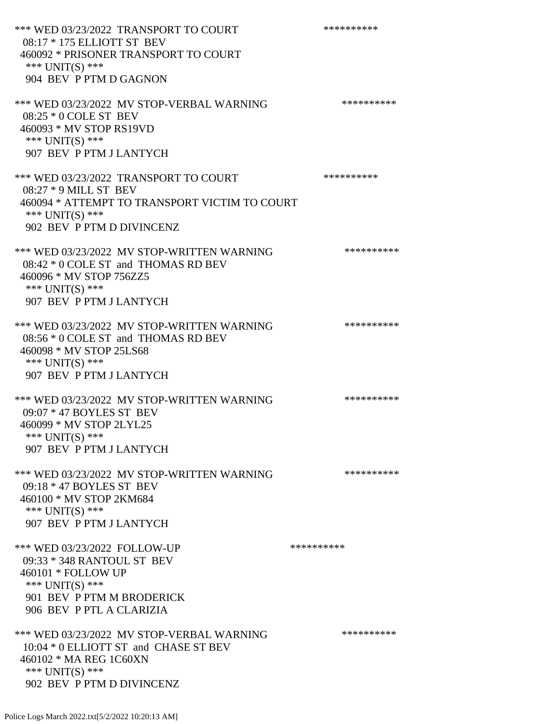\*\*\* WED 03/23/2022 TRANSPORT TO COURT \*\*\*\*\*\*\*\*\*\*\*\* 08:17 \* 175 ELLIOTT ST BEV 460092 \* PRISONER TRANSPORT TO COURT \*\*\* UNIT(S) \*\*\* 904 BEV P PTM D GAGNON \*\*\* WED 03/23/2022 MV STOP-VERBAL WARNING \*\*\*\*\*\*\*\*\*\*\*\*\* 08:25 \* 0 COLE ST BEV 460093 \* MV STOP RS19VD \*\*\* UNIT(S) \*\*\* 907 BEV P PTM J LANTYCH \*\*\* WED 03/23/2022 TRANSPORT TO COURT \*\*\*\*\*\*\*\*\*\* 08:27 \* 9 MILL ST BEV 460094 \* ATTEMPT TO TRANSPORT VICTIM TO COURT \*\*\* UNIT(S) \*\*\* 902 BEV P PTM D DIVINCENZ \*\*\* WED 03/23/2022 MV STOP-WRITTEN WARNING \*\*\*\*\*\*\*\*\*\*\*\* 08:42 \* 0 COLE ST and THOMAS RD BEV 460096 \* MV STOP 756ZZ5 \*\*\* UNIT(S) \*\*\* 907 BEV P PTM J LANTYCH \*\*\* WED 03/23/2022 MV STOP-WRITTEN WARNING \*\*\*\*\*\*\*\*\*\*\*\*\* 08:56 \* 0 COLE ST and THOMAS RD BEV 460098 \* MV STOP 25LS68 \*\*\* UNIT(S) \*\*\* 907 BEV P PTM J LANTYCH \*\*\* WED 03/23/2022 MV STOP-WRITTEN WARNING \*\*\*\*\*\*\*\*\*\*\*\* 09:07 \* 47 BOYLES ST BEV 460099 \* MV STOP 2LYL25 \*\*\* UNIT(S) \*\*\* 907 BEV P PTM J LANTYCH \*\*\* WED 03/23/2022 MV STOP-WRITTEN WARNING \*\*\*\*\*\*\*\*\*\*\*\* 09:18 \* 47 BOYLES ST BEV 460100 \* MV STOP 2KM684 \*\*\* UNIT(S) \*\*\* 907 BEV P PTM J LANTYCH \*\*\* WED 03/23/2022 FOLLOW-UP \*\*\*\*\*\*\*\*\*\*\*\* 09:33 \* 348 RANTOUL ST BEV 460101 \* FOLLOW UP \*\*\* UNIT(S) \*\*\* 901 BEV P PTM M BRODERICK 906 BEV P PTL A CLARIZIA \*\*\* WED 03/23/2022 MV STOP-VERBAL WARNING \*\*\*\*\*\*\*\*\*\*\*\* 10:04 \* 0 ELLIOTT ST and CHASE ST BEV 460102 \* MA REG 1C60XN \*\*\* UNIT(S) \*\*\* 902 BEV P PTM D DIVINCENZ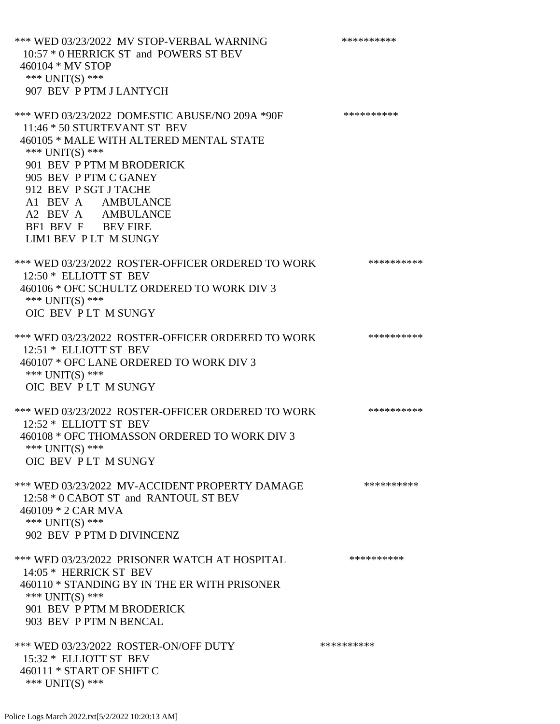\*\*\* WED 03/23/2022 MV STOP-VERBAL WARNING \*\*\*\*\*\*\*\*\*\*\*\* 10:57 \* 0 HERRICK ST and POWERS ST BEV 460104 \* MV STOP \*\*\* UNIT(S) \*\*\* 907 BEV P PTM J LANTYCH \*\*\* WED 03/23/2022 DOMESTIC ABUSE/NO 209A \*90F \*\*\*\*\*\*\*\*\*\*\*\* 11:46 \* 50 STURTEVANT ST BEV 460105 \* MALE WITH ALTERED MENTAL STATE \*\*\* UNIT(S) \*\*\* 901 BEV P PTM M BRODERICK 905 BEV P PTM C GANEY 912 BEV P SGT J TACHE A1 BEV A AMBULANCE A2 BEV A AMBULANCE BF1 BEV F BEV FIRE LIM1 BEV P LT M SUNGY \*\*\* WED 03/23/2022 ROSTER-OFFICER ORDERED TO WORK \*\*\*\*\*\*\*\*\*\*\* 12:50 \* ELLIOTT ST BEV 460106 \* OFC SCHULTZ ORDERED TO WORK DIV 3 \*\*\* UNIT(S) \*\*\* OIC BEV P LT M SUNGY \*\*\* WED 03/23/2022 ROSTER-OFFICER ORDERED TO WORK \*\*\*\*\*\*\*\*\*\*\* 12:51 \* ELLIOTT ST BEV 460107 \* OFC LANE ORDERED TO WORK DIV 3 \*\*\* UNIT(S) \*\*\* OIC BEV P LT M SUNGY \*\*\* WED 03/23/2022 ROSTER-OFFICER ORDERED TO WORK \*\*\*\*\*\*\*\*\*\*\* 12:52 \* ELLIOTT ST BEV 460108 \* OFC THOMASSON ORDERED TO WORK DIV 3 \*\*\* UNIT(S) \*\*\* OIC BEV P LT M SUNGY \*\*\* WED 03/23/2022 MV-ACCIDENT PROPERTY DAMAGE \*\*\*\*\*\*\*\*\*\*\*\* 12:58 \* 0 CABOT ST and RANTOUL ST BEV 460109 \* 2 CAR MVA \*\*\* UNIT(S) \*\*\* 902 BEV P PTM D DIVINCENZ \*\*\* WED 03/23/2022 PRISONER WATCH AT HOSPITAL \*\*\*\*\*\*\*\*\*\*\*\*\* 14:05 \* HERRICK ST BEV 460110 \* STANDING BY IN THE ER WITH PRISONER \*\*\* UNIT(S) \*\*\* 901 BEV P PTM M BRODERICK 903 BEV P PTM N BENCAL \*\*\* WED 03/23/2022 ROSTER-ON/OFF DUTY \*\*\*\*\*\*\*\*\*\* 15:32 \* ELLIOTT ST BEV 460111 \* START OF SHIFT C \*\*\* UNIT(S) \*\*\*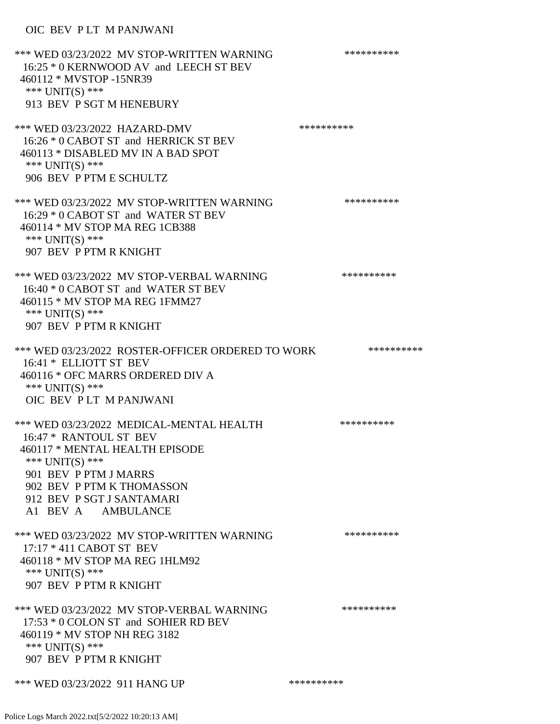## OIC BEV P LT M PANJWANI

| *** WED 03/23/2022 MV STOP-WRITTEN WARNING<br>16:25 * 0 KERNWOOD AV and LEECH ST BEV<br>460112 * MVSTOP -15NR39<br>*** $UNIT(S)$ ***<br>913 BEV P SGT M HENEBURY                                                                   | ********** |  |
|------------------------------------------------------------------------------------------------------------------------------------------------------------------------------------------------------------------------------------|------------|--|
| *** WED 03/23/2022 HAZARD-DMV<br>16:26 * 0 CABOT ST and HERRICK ST BEV<br>460113 * DISABLED MV IN A BAD SPOT<br>*** $UNIT(S)$ ***<br>906 BEV P PTM E SCHULTZ                                                                       | ********** |  |
| *** WED 03/23/2022 MV STOP-WRITTEN WARNING<br>16:29 * 0 CABOT ST and WATER ST BEV<br>460114 * MV STOP MA REG 1CB388<br>*** UNIT(S) ***<br>907 BEV P PTM R KNIGHT                                                                   | ********** |  |
| *** WED 03/23/2022 MV STOP-VERBAL WARNING<br>16:40 * 0 CABOT ST and WATER ST BEV<br>460115 * MV STOP MA REG 1FMM27<br>*** $UNIT(S)$ ***<br>907 BEV P PTM R KNIGHT                                                                  | ********** |  |
| *** WED 03/23/2022 ROSTER-OFFICER ORDERED TO WORK<br>16:41 * ELLIOTT ST BEV<br>460116 * OFC MARRS ORDERED DIV A<br>*** UNIT(S) ***<br>OIC BEV PLT M PANJWANI                                                                       | ********** |  |
| *** WED 03/23/2022 MEDICAL-MENTAL HEALTH<br>16:47 * RANTOUL ST BEV<br>460117 * MENTAL HEALTH EPISODE<br>*** $UNIT(S)$ ***<br>901 BEV P PTM J MARRS<br>902 BEV P PTM K THOMASSON<br>912 BEV P SGT J SANTAMARI<br>A1 BEV A AMBULANCE | ********** |  |
| *** WED 03/23/2022 MV STOP-WRITTEN WARNING<br>17:17 * 411 CABOT ST BEV<br>460118 * MV STOP MA REG 1HLM92<br>*** UNIT(S) ***<br>907 BEV P PTM R KNIGHT                                                                              | ********** |  |
| *** WED 03/23/2022 MV STOP-VERBAL WARNING<br>17:53 * 0 COLON ST and SOHIER RD BEV<br>460119 * MV STOP NH REG 3182<br>*** UNIT(S) ***<br>907 BEV P PTM R KNIGHT                                                                     | ********** |  |
| *** WED 03/23/2022 911 HANG UP                                                                                                                                                                                                     | ********** |  |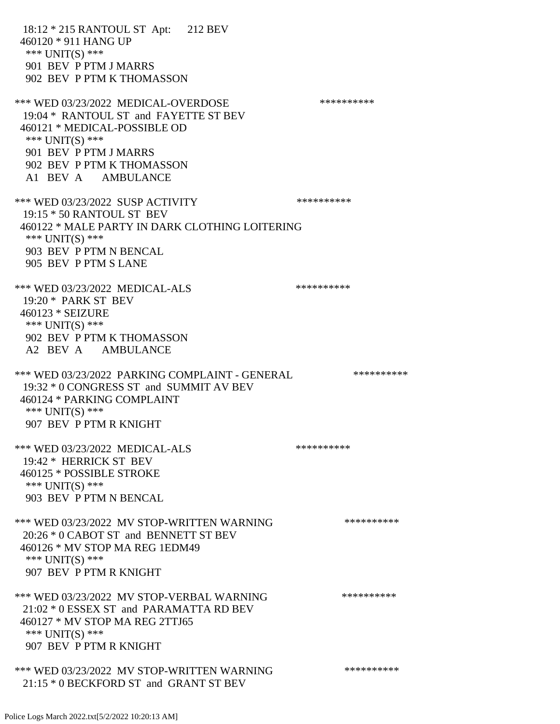18:12 \* 215 RANTOUL ST Apt: 212 BEV 460120 \* 911 HANG UP \*\*\* UNIT(S) \*\*\* 901 BEV P PTM J MARRS 902 BEV P PTM K THOMASSON \*\*\* WED 03/23/2022 MEDICAL-OVERDOSE \*\*\*\*\*\*\*\*\*\* 19:04 \* RANTOUL ST and FAYETTE ST BEV 460121 \* MEDICAL-POSSIBLE OD \*\*\* UNIT(S) \*\*\* 901 BEV P PTM J MARRS 902 BEV P PTM K THOMASSON A1 BEV A AMBULANCE \*\*\* WED 03/23/2022 SUSP ACTIVITY \*\*\*\*\*\*\*\*\*\*\*\* 19:15 \* 50 RANTOUL ST BEV 460122 \* MALE PARTY IN DARK CLOTHING LOITERING \*\*\* UNIT(S) \*\*\* 903 BEV P PTM N BENCAL 905 BEV P PTM S LANE \*\*\* WED 03/23/2022 MEDICAL-ALS \*\*\*\*\*\*\*\*\*\*\*\* 19:20 \* PARK ST BEV 460123 \* SEIZURE \*\*\* UNIT(S) \*\*\* 902 BEV P PTM K THOMASSON A2 BEV A AMBULANCE \*\*\* WED 03/23/2022 PARKING COMPLAINT - GENERAL \*\*\*\*\*\*\*\*\*\* 19:32 \* 0 CONGRESS ST and SUMMIT AV BEV 460124 \* PARKING COMPLAINT \*\*\* UNIT(S) \*\*\* 907 BEV P PTM R KNIGHT \*\*\* WED 03/23/2022 MEDICAL-ALS \*\*\*\*\*\*\*\*\*\*\*\*\* 19:42 \* HERRICK ST BEV 460125 \* POSSIBLE STROKE \*\*\* UNIT(S) \*\*\* 903 BEV P PTM N BENCAL \*\*\* WED 03/23/2022 MV STOP-WRITTEN WARNING \*\*\*\*\*\*\*\*\*\*\*\*\* 20:26 \* 0 CABOT ST and BENNETT ST BEV 460126 \* MV STOP MA REG 1EDM49 \*\*\* UNIT(S) \*\*\* 907 BEV P PTM R KNIGHT \*\*\* WED 03/23/2022 MV STOP-VERBAL WARNING \*\*\*\*\*\*\*\*\*\*\*\* 21:02 \* 0 ESSEX ST and PARAMATTA RD BEV 460127 \* MV STOP MA REG 2TTJ65 \*\*\* UNIT(S) \*\*\* 907 BEV P PTM R KNIGHT \*\*\* WED 03/23/2022 MV STOP-WRITTEN WARNING \*\*\*\*\*\*\*\*\*\*\*\*\* 21:15 \* 0 BECKFORD ST and GRANT ST BEV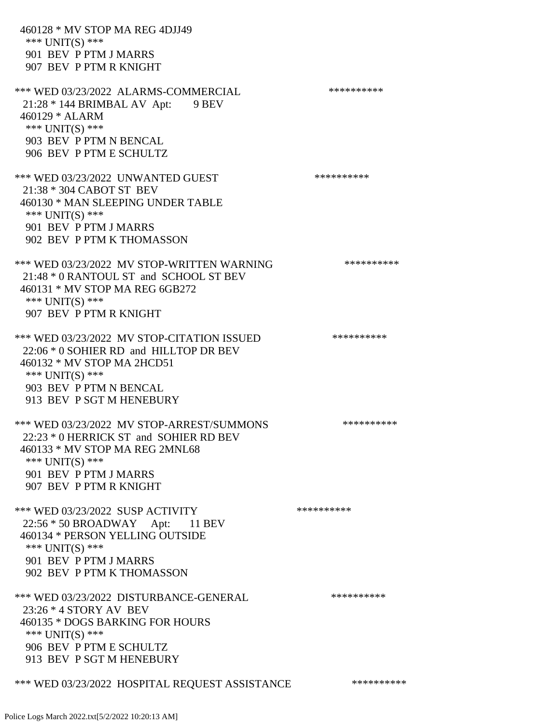460128 \* MV STOP MA REG 4DJJ49 \*\*\* UNIT(S) \*\*\* 901 BEV P PTM J MARRS 907 BEV P PTM R KNIGHT \*\*\* WED 03/23/2022 ALARMS-COMMERCIAL \*\*\*\*\*\*\*\*\*\*\*\*\* 21:28 \* 144 BRIMBAL AV Apt: 9 BEV 460129 \* ALARM \*\*\* UNIT(S) \*\*\* 903 BEV P PTM N BENCAL 906 BEV P PTM E SCHULTZ \*\*\* WED 03/23/2022 UNWANTED GUEST \*\*\*\*\*\*\*\*\*\*\*\*\* 21:38 \* 304 CABOT ST BEV 460130 \* MAN SLEEPING UNDER TABLE \*\*\* UNIT(S) \*\*\* 901 BEV P PTM J MARRS 902 BEV P PTM K THOMASSON \*\*\* WED 03/23/2022 MV STOP-WRITTEN WARNING \*\*\*\*\*\*\*\*\*\*\*\* 21:48 \* 0 RANTOUL ST and SCHOOL ST BEV 460131 \* MV STOP MA REG 6GB272 \*\*\* UNIT(S) \*\*\* 907 BEV P PTM R KNIGHT \*\*\* WED 03/23/2022 MV STOP-CITATION ISSUED \*\*\*\*\*\*\*\*\*\* 22:06 \* 0 SOHIER RD and HILLTOP DR BEV 460132 \* MV STOP MA 2HCD51 \*\*\* UNIT(S) \*\*\* 903 BEV P PTM N BENCAL 913 BEV P SGT M HENEBURY \*\*\* WED 03/23/2022 MV STOP-ARREST/SUMMONS \*\*\*\*\*\*\*\*\*\*\*\*\*\* 22:23 \* 0 HERRICK ST and SOHIER RD BEV 460133 \* MV STOP MA REG 2MNL68 \*\*\* UNIT(S) \*\*\* 901 BEV P PTM J MARRS 907 BEV P PTM R KNIGHT \*\*\* WED 03/23/2022 SUSP ACTIVITY \*\*\*\*\*\*\*\*\*\*\*\* 22:56 \* 50 BROADWAY Apt: 11 BEV 460134 \* PERSON YELLING OUTSIDE \*\*\* UNIT(S) \*\*\* 901 BEV P PTM J MARRS 902 BEV P PTM K THOMASSON \*\*\* WED 03/23/2022 DISTURBANCE-GENERAL \*\*\*\*\*\*\*\*\*\* 23:26 \* 4 STORY AV BEV 460135 \* DOGS BARKING FOR HOURS \*\*\* UNIT(S) \*\*\* 906 BEV P PTM E SCHULTZ 913 BEV P SGT M HENEBURY

\*\*\* WED 03/23/2022 HOSPITAL REQUEST ASSISTANCE \*\*\*\*\*\*\*\*\*\*\*\*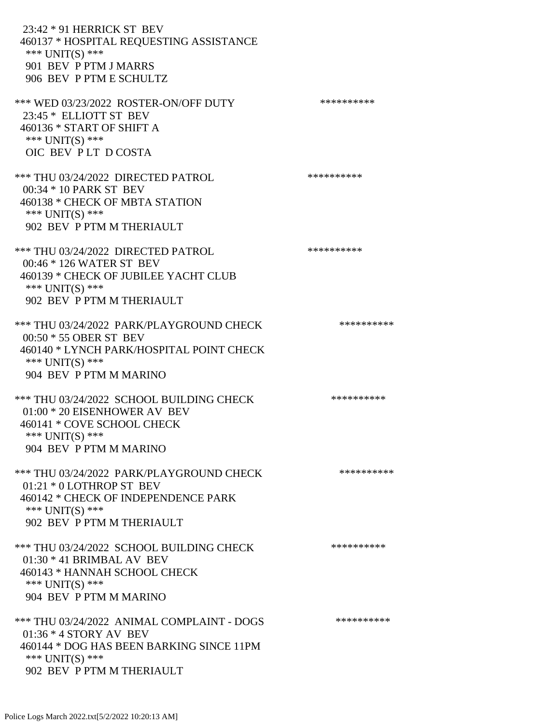23:42 \* 91 HERRICK ST BEV 460137 \* HOSPITAL REQUESTING ASSISTANCE \*\*\* UNIT(S) \*\*\* 901 BEV P PTM J MARRS 906 BEV P PTM E SCHULTZ \*\*\* WED 03/23/2022 ROSTER-ON/OFF DUTY \*\*\*\*\*\*\*\*\*\* 23:45 \* ELLIOTT ST BEV 460136 \* START OF SHIFT A \*\*\* UNIT(S) \*\*\* OIC BEV P LT D COSTA \*\*\* THU 03/24/2022 DIRECTED PATROL \*\*\*\*\*\*\*\*\*\* 00:34 \* 10 PARK ST BEV 460138 \* CHECK OF MBTA STATION \*\*\* UNIT(S) \*\*\* 902 BEV P PTM M THERIAULT \*\*\* THU 03/24/2022 DIRECTED PATROL \*\*\*\*\*\*\*\*\*\* 00:46 \* 126 WATER ST BEV 460139 \* CHECK OF JUBILEE YACHT CLUB \*\*\* UNIT(S) \*\*\* 902 BEV P PTM M THERIAULT \*\*\* THU 03/24/2022 PARK/PLAYGROUND CHECK \*\*\*\*\*\*\*\*\*\*\*\* 00:50 \* 55 OBER ST BEV 460140 \* LYNCH PARK/HOSPITAL POINT CHECK \*\*\* UNIT(S) \*\*\* 904 BEV P PTM M MARINO \*\*\* THU 03/24/2022 SCHOOL BUILDING CHECK \*\*\*\*\*\*\*\*\*\*\* 01:00 \* 20 EISENHOWER AV BEV 460141 \* COVE SCHOOL CHECK \*\*\* UNIT(S) \*\*\* 904 BEV P PTM M MARINO \*\*\* THU 03/24/2022 PARK/PLAYGROUND CHECK \*\*\*\*\*\*\*\*\*\*\*\* 01:21 \* 0 LOTHROP ST BEV 460142 \* CHECK OF INDEPENDENCE PARK \*\*\* UNIT(S) \*\*\* 902 BEV P PTM M THERIAULT \*\*\* THU 03/24/2022 SCHOOL BUILDING CHECK \*\*\*\*\*\*\*\*\*\*\* 01:30 \* 41 BRIMBAL AV BEV 460143 \* HANNAH SCHOOL CHECK \*\*\* UNIT(S) \*\*\* 904 BEV P PTM M MARINO \*\*\* THU 03/24/2022 ANIMAL COMPLAINT - DOGS \*\*\*\*\*\*\*\*\*\*\*\* 01:36 \* 4 STORY AV BEV 460144 \* DOG HAS BEEN BARKING SINCE 11PM \*\*\* UNIT(S) \*\*\* 902 BEV P PTM M THERIAULT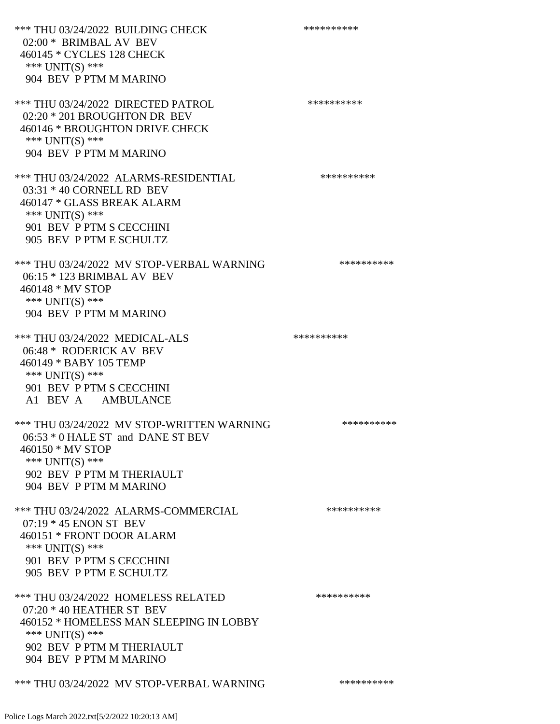\*\*\* THU 03/24/2022 BUILDING CHECK \*\*\*\*\*\*\*\*\*\*\*\* 02:00 \* BRIMBAL AV BEV 460145 \* CYCLES 128 CHECK \*\*\* UNIT(S) \*\*\* 904 BEV P PTM M MARINO \*\*\* THU 03/24/2022 DIRECTED PATROL 02:20 \* 201 BROUGHTON DR BEV 460146 \* BROUGHTON DRIVE CHECK \*\*\* UNIT(S) \*\*\* 904 BEV P PTM M MARINO \*\*\* THU 03/24/2022 ALARMS-RESIDENTIAL \*\*\*\*\*\*\*\*\*\* 03:31 \* 40 CORNELL RD BEV 460147 \* GLASS BREAK ALARM \*\*\* UNIT(S) \*\*\* 901 BEV P PTM S CECCHINI 905 BEV P PTM E SCHULTZ \*\*\* THU 03/24/2022 MV STOP-VERBAL WARNING \*\*\*\*\*\*\*\*\*\*\*\* 06:15 \* 123 BRIMBAL AV BEV 460148 \* MV STOP \*\*\* UNIT(S) \*\*\* 904 BEV P PTM M MARINO \*\*\* THU 03/24/2022 MEDICAL-ALS \*\*\*\*\*\*\*\*\*\* 06:48 \* RODERICK AV BEV 460149 \* BABY 105 TEMP \*\*\* UNIT(S) \*\*\* 901 BEV P PTM S CECCHINI A1 BEV A AMBULANCE \*\*\* THU 03/24/2022 MV STOP-WRITTEN WARNING \*\*\*\*\*\*\*\*\*\*\*\*\*\* 06:53 \* 0 HALE ST and DANE ST BEV 460150 \* MV STOP \*\*\* UNIT(S) \*\*\* 902 BEV P PTM M THERIAULT 904 BEV P PTM M MARINO \*\*\* THU 03/24/2022 ALARMS-COMMERCIAL \*\*\*\*\*\*\*\*\*\* 07:19 \* 45 ENON ST BEV 460151 \* FRONT DOOR ALARM \*\*\* UNIT(S) \*\*\* 901 BEV P PTM S CECCHINI 905 BEV P PTM E SCHULTZ \*\*\* THU 03/24/2022 HOMELESS RELATED \*\*\*\*\*\*\*\*\*\* 07:20 \* 40 HEATHER ST BEV 460152 \* HOMELESS MAN SLEEPING IN LOBBY \*\*\* UNIT(S) \*\*\* 902 BEV P PTM M THERIAULT 904 BEV P PTM M MARINO \*\*\* THU 03/24/2022 MV STOP-VERBAL WARNING \*\*\*\*\*\*\*\*\*\*\*\*\*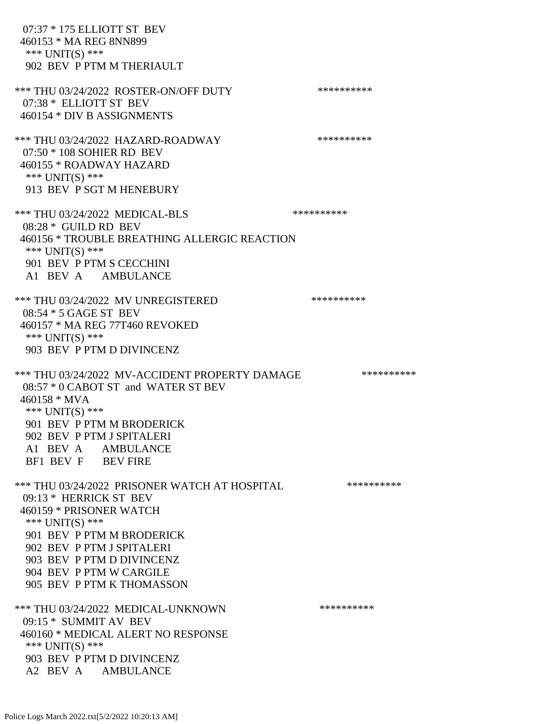07:37 \* 175 ELLIOTT ST BEV 460153 \* MA REG 8NN899 \*\*\* UNIT(S) \*\*\* 902 BEV P PTM M THERIAULT \*\*\* THU 03/24/2022 ROSTER-ON/OFF DUTY \*\*\*\*\*\*\*\*\*\* 07:38 \* ELLIOTT ST BEV 460154 \* DIV B ASSIGNMENTS \*\*\* THU 03/24/2022 HAZARD-ROADWAY \*\*\*\*\*\*\*\*\*\* 07:50 \* 108 SOHIER RD BEV 460155 \* ROADWAY HAZARD \*\*\* UNIT(S) \*\*\* 913 BEV P SGT M HENEBURY \*\*\* THU 03/24/2022 MEDICAL-BLS \*\*\*\*\*\*\*\*\*\* 08:28 \* GUILD RD BEV 460156 \* TROUBLE BREATHING ALLERGIC REACTION \*\*\* UNIT(S) \*\*\* 901 BEV P PTM S CECCHINI A1 BEV A AMBULANCE \*\*\* THU 03/24/2022 MV UNREGISTERED \*\*\*\*\*\*\*\*\*\* 08:54 \* 5 GAGE ST BEV 460157 \* MA REG 77T460 REVOKED \*\*\* UNIT(S) \*\*\* 903 BEV P PTM D DIVINCENZ \*\*\* THU 03/24/2022 MV-ACCIDENT PROPERTY DAMAGE \*\*\*\*\*\*\*\*\*\*\*\* 08:57 \* 0 CABOT ST and WATER ST BEV 460158 \* MVA \*\*\* UNIT(S) \*\*\* 901 BEV P PTM M BRODERICK 902 BEV P PTM J SPITALERI A1 BEV A AMBULANCE BF1 BEV F BEV FIRE \*\*\* THU 03/24/2022 PRISONER WATCH AT HOSPITAL \*\*\*\*\*\*\*\*\*\* 09:13 \* HERRICK ST BEV 460159 \* PRISONER WATCH \*\*\* UNIT(S) \*\*\* 901 BEV P PTM M BRODERICK 902 BEV P PTM J SPITALERI 903 BEV P PTM D DIVINCENZ 904 BEV P PTM W CARGILE 905 BEV P PTM K THOMASSON \*\*\* THU 03/24/2022 MEDICAL-UNKNOWN \*\*\*\*\*\*\*\*\*\* 09:15 \* SUMMIT AV BEV 460160 \* MEDICAL ALERT NO RESPONSE \*\*\* UNIT(S) \*\*\* 903 BEV P PTM D DIVINCENZ A2 BEV A AMBULANCE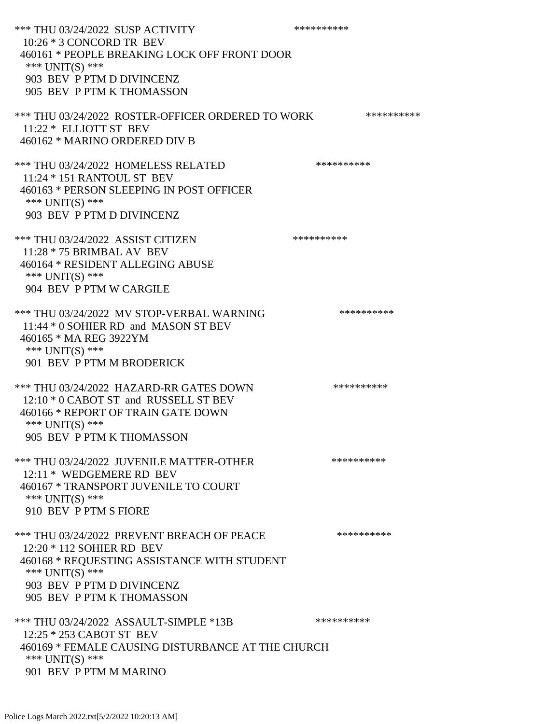\*\*\* THU 03/24/2022 SUSP ACTIVITY \*\*\*\*\*\*\*\*\*\*\*\* 10:26 \* 3 CONCORD TR BEV 460161 \* PEOPLE BREAKING LOCK OFF FRONT DOOR \*\*\* UNIT(S) \*\*\* 903 BEV P PTM D DIVINCENZ 905 BEV P PTM K THOMASSON \*\*\* THU 03/24/2022 ROSTER-OFFICER ORDERED TO WORK \*\*\*\*\*\*\*\*\*\*\* 11:22 \* ELLIOTT ST BEV 460162 \* MARINO ORDERED DIV B \*\*\* THU 03/24/2022 HOMELESS RELATED \*\*\*\*\*\*\*\*\*\* 11:24 \* 151 RANTOUL ST BEV 460163 \* PERSON SLEEPING IN POST OFFICER \*\*\* UNIT(S) \*\*\* 903 BEV P PTM D DIVINCENZ \*\*\* THU 03/24/2022 ASSIST CITIZEN \*\*\*\*\*\*\*\*\*\* 11:28 \* 75 BRIMBAL AV BEV 460164 \* RESIDENT ALLEGING ABUSE \*\*\* UNIT(S) \*\*\* 904 BEV P PTM W CARGILE \*\*\* THU 03/24/2022 MV STOP-VERBAL WARNING \*\*\*\*\*\*\*\*\*\*\*\*\*\*\* 11:44 \* 0 SOHIER RD and MASON ST BEV 460165 \* MA REG 3922YM \*\*\* UNIT(S) \*\*\* 901 BEV P PTM M BRODERICK \*\*\* THU 03/24/2022 HAZARD-RR GATES DOWN \*\*\*\*\*\*\*\*\*\* 12:10 \* 0 CABOT ST and RUSSELL ST BEV 460166 \* REPORT OF TRAIN GATE DOWN \*\*\* UNIT(S) \*\*\* 905 BEV P PTM K THOMASSON \*\*\* THU 03/24/2022 JUVENILE MATTER-OTHER \*\*\*\*\*\*\*\*\*\*\*\* 12:11 \* WEDGEMERE RD BEV 460167 \* TRANSPORT JUVENILE TO COURT \*\*\* UNIT(S) \*\*\* 910 BEV P PTM S FIORE \*\*\* THU 03/24/2022 PREVENT BREACH OF PEACE \*\*\*\*\*\*\*\*\*\* 12:20 \* 112 SOHIER RD BEV 460168 \* REQUESTING ASSISTANCE WITH STUDENT \*\*\* UNIT(S) \*\*\* 903 BEV P PTM D DIVINCENZ 905 BEV P PTM K THOMASSON \*\*\* THU 03/24/2022 ASSAULT-SIMPLE \*13B \*\*\*\*\*\*\*\*\*\*\*\* 12:25 \* 253 CABOT ST BEV 460169 \* FEMALE CAUSING DISTURBANCE AT THE CHURCH \*\*\* UNIT(S) \*\*\* 901 BEV P PTM M MARINO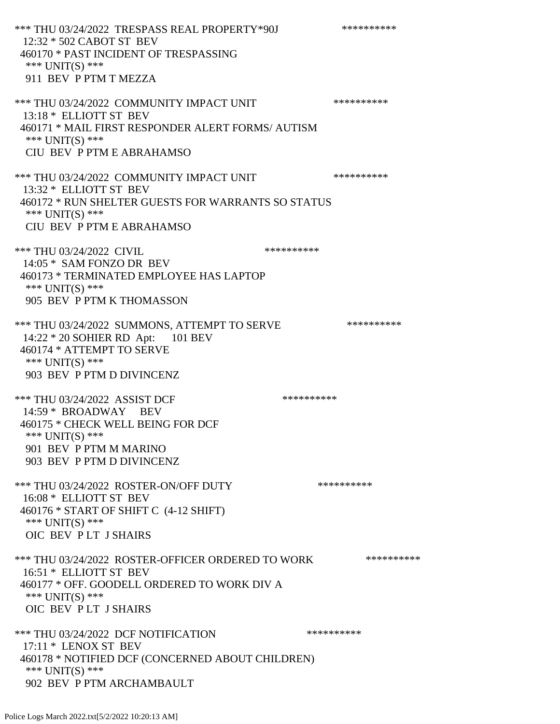\*\*\* THU 03/24/2022 TRESPASS REAL PROPERTY\*90J \*\*\*\*\*\*\*\*\*\*\*\* 12:32 \* 502 CABOT ST BEV 460170 \* PAST INCIDENT OF TRESPASSING \*\*\* UNIT(S) \*\*\* 911 BEV P PTM T MEZZA \*\*\* THU 03/24/2022 COMMUNITY IMPACT UNIT \*\*\*\*\*\*\*\*\*\*\*\*\* 13:18 \* ELLIOTT ST BEV 460171 \* MAIL FIRST RESPONDER ALERT FORMS/ AUTISM \*\*\* UNIT(S) \*\*\* CIU BEV P PTM E ABRAHAMSO \*\*\* THU 03/24/2022 COMMUNITY IMPACT UNIT \*\*\*\*\*\*\*\*\*\*\*\*\* 13:32 \* ELLIOTT ST BEV 460172 \* RUN SHELTER GUESTS FOR WARRANTS SO STATUS \*\*\* UNIT(S) \*\*\* CIU BEV P PTM E ABRAHAMSO \*\*\* THU 03/24/2022 CIVIL \*\*\*\*\*\*\*\*\*\*\* 14:05 \* SAM FONZO DR BEV 460173 \* TERMINATED EMPLOYEE HAS LAPTOP \*\*\* UNIT(S) \*\*\* 905 BEV P PTM K THOMASSON \*\*\* THU 03/24/2022 SUMMONS, ATTEMPT TO SERVE \*\*\*\*\*\*\*\*\*\* 14:22 \* 20 SOHIER RD Apt: 101 BEV 460174 \* ATTEMPT TO SERVE \*\*\* UNIT(S) \*\*\* 903 BEV P PTM D DIVINCENZ \*\*\* THU 03/24/2022 ASSIST DCF \*\*\*\*\*\*\*\*\*\*\*\*\*\* 14:59 \* BROADWAY BEV 460175 \* CHECK WELL BEING FOR DCF \*\*\* UNIT(S) \*\*\* 901 BEV P PTM M MARINO 903 BEV P PTM D DIVINCENZ \*\*\* THU 03/24/2022 ROSTER-ON/OFF DUTY \*\*\*\*\*\*\*\*\*\* 16:08 \* ELLIOTT ST BEV 460176 \* START OF SHIFT C (4-12 SHIFT) \*\*\* UNIT(S) \*\*\* OIC BEV P LT J SHAIRS \*\*\* THU 03/24/2022 ROSTER-OFFICER ORDERED TO WORK \*\*\*\*\*\*\*\*\*\*\*\* 16:51 \* ELLIOTT ST BEV 460177 \* OFF. GOODELL ORDERED TO WORK DIV A \*\*\* UNIT(S) \*\*\* OIC BEV P LT J SHAIRS \*\*\* THU 03/24/2022 DCF NOTIFICATION \*\*\*\*\*\*\*\*\*\* 17:11 \* LENOX ST BEV 460178 \* NOTIFIED DCF (CONCERNED ABOUT CHILDREN) \*\*\* UNIT(S) \*\*\* 902 BEV P PTM ARCHAMBAULT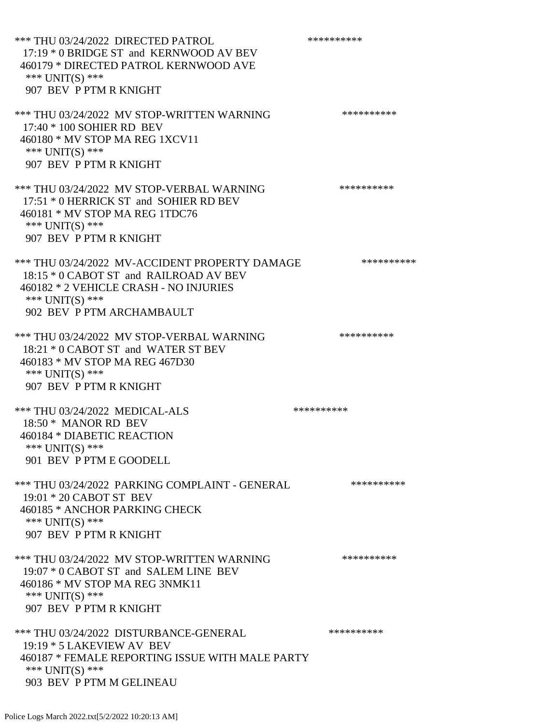\*\*\* THU 03/24/2022 DIRECTED PATROL \*\*\*\*\*\*\*\*\*\* 17:19 \* 0 BRIDGE ST and KERNWOOD AV BEV 460179 \* DIRECTED PATROL KERNWOOD AVE \*\*\* UNIT(S) \*\*\* 907 BEV P PTM R KNIGHT \*\*\* THU 03/24/2022 MV STOP-WRITTEN WARNING \*\*\*\*\*\*\*\*\*\*\*\* 17:40 \* 100 SOHIER RD BEV 460180 \* MV STOP MA REG 1XCV11 \*\*\* UNIT(S) \*\*\* 907 BEV P PTM R KNIGHT \*\*\* THU 03/24/2022 MV STOP-VERBAL WARNING \*\*\*\*\*\*\*\*\*\*\*\* 17:51 \* 0 HERRICK ST and SOHIER RD BEV 460181 \* MV STOP MA REG 1TDC76 \*\*\* UNIT(S) \*\*\* 907 BEV P PTM R KNIGHT \*\*\* THU 03/24/2022 MV-ACCIDENT PROPERTY DAMAGE \*\*\*\*\*\*\*\*\*\* 18:15 \* 0 CABOT ST and RAILROAD AV BEV 460182 \* 2 VEHICLE CRASH - NO INJURIES \*\*\* UNIT(S) \*\*\* 902 BEV P PTM ARCHAMBAULT \*\*\* THU 03/24/2022 MV STOP-VERBAL WARNING \*\*\*\*\*\*\*\*\*\*\*\*\* 18:21 \* 0 CABOT ST and WATER ST BEV 460183 \* MV STOP MA REG 467D30 \*\*\* UNIT(S) \*\*\* 907 BEV P PTM R KNIGHT \*\*\* THU 03/24/2022 MEDICAL-ALS \*\*\*\*\*\*\*\*\*\*\*\* 18:50 \* MANOR RD BEV 460184 \* DIABETIC REACTION \*\*\* UNIT(S) \*\*\* 901 BEV P PTM E GOODELL \*\*\* THU 03/24/2022 PARKING COMPLAINT - GENERAL \*\*\*\*\*\*\*\*\*\* 19:01 \* 20 CABOT ST BEV 460185 \* ANCHOR PARKING CHECK \*\*\* UNIT(S) \*\*\* 907 BEV P PTM R KNIGHT \*\*\* THU 03/24/2022 MV STOP-WRITTEN WARNING \*\*\*\*\*\*\*\*\*\*\*\* 19:07 \* 0 CABOT ST and SALEM LINE BEV 460186 \* MV STOP MA REG 3NMK11 \*\*\* UNIT(S) \*\*\* 907 BEV P PTM R KNIGHT \*\*\* THU 03/24/2022 DISTURBANCE-GENERAL \*\*\*\*\*\*\*\*\*\* 19:19 \* 5 LAKEVIEW AV BEV 460187 \* FEMALE REPORTING ISSUE WITH MALE PARTY \*\*\* UNIT(S) \*\*\* 903 BEV P PTM M GELINEAU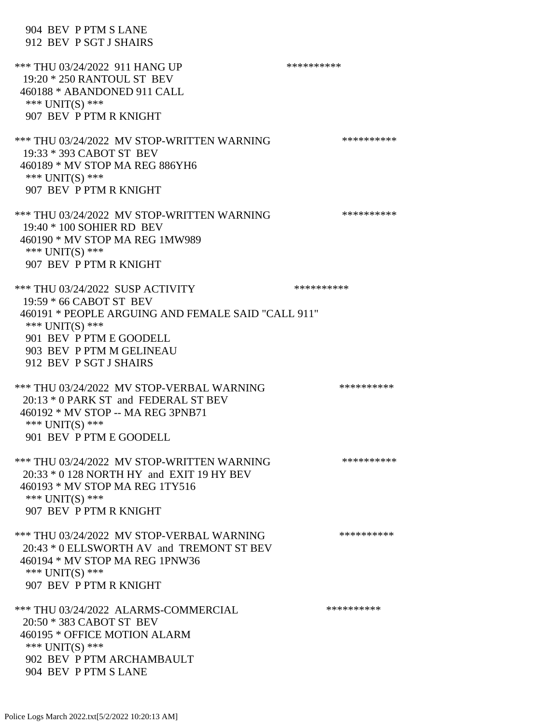|                   | 904 BEV P PTM S LANE<br>912 BEV P SGT J SHAIRS                                                                                                                                                     |            |
|-------------------|----------------------------------------------------------------------------------------------------------------------------------------------------------------------------------------------------|------------|
| *** $UNIT(S)$ *** | *** THU 03/24/2022 911 HANG UP<br>19:20 * 250 RANTOUL ST BEV<br>460188 * ABANDONED 911 CALL<br>907 BEV P PTM R KNIGHT                                                                              | ********** |
| *** $UNIT(S)$ *** | *** THU 03/24/2022 MV STOP-WRITTEN WARNING<br>19:33 * 393 CABOT ST BEV<br>460189 * MV STOP MA REG 886YH6<br>907 BEV P PTM R KNIGHT                                                                 | ********** |
| *** UNIT(S) ***   | *** THU 03/24/2022 MV STOP-WRITTEN WARNING<br>19:40 * 100 SOHIER RD BEV<br>460190 * MV STOP MA REG 1MW989<br>907 BEV P PTM R KNIGHT                                                                | ********** |
| *** $UNIT(S)$ *** | *** THU 03/24/2022 SUSP ACTIVITY<br>19:59 * 66 CABOT ST BEV<br>460191 * PEOPLE ARGUING AND FEMALE SAID "CALL 911"<br>901 BEV P PTM E GOODELL<br>903 BEV P PTM M GELINEAU<br>912 BEV P SGT J SHAIRS | ********** |
| *** $UNIT(S)$ *** | *** THU 03/24/2022 MV STOP-VERBAL WARNING<br>20:13 * 0 PARK ST and FEDERAL ST BEV<br>460192 * MV STOP -- MA REG 3PNB71<br>901 BEV P PTM E GOODELL                                                  | ********** |
| *** $UNIT(S)$ *** | *** THU 03/24/2022 MV STOP-WRITTEN WARNING<br>20:33 * 0 128 NORTH HY and EXIT 19 HY BEV<br>460193 * MV STOP MA REG 1TY516<br>907 BEV P PTM R KNIGHT                                                | ********** |
| *** $UNIT(S)$ *** | *** THU 03/24/2022 MV STOP-VERBAL WARNING<br>20:43 * 0 ELLSWORTH AV and TREMONT ST BEV<br>460194 * MV STOP MA REG 1PNW36<br>907 BEV P PTM R KNIGHT                                                 | ********** |
| *** $UNIT(S)$ *** | *** THU 03/24/2022 ALARMS-COMMERCIAL<br>20:50 * 383 CABOT ST BEV<br>460195 * OFFICE MOTION ALARM<br>902 BEV P PTM ARCHAMBAULT<br>904 BEV P PTM S LANE                                              | ********** |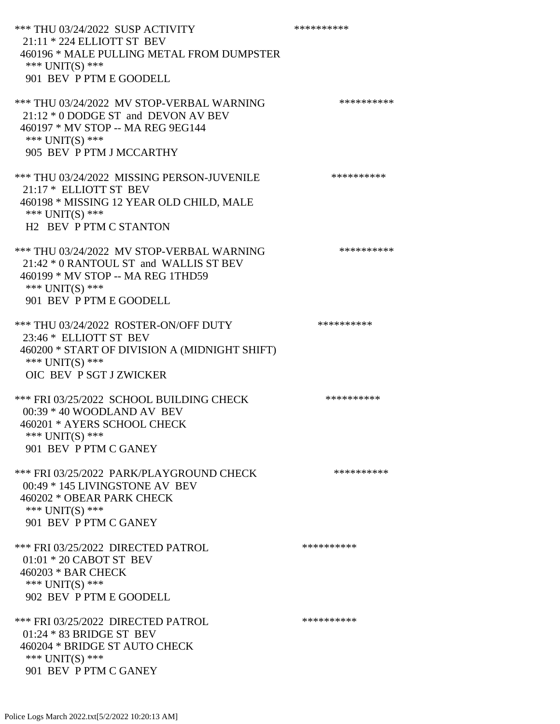\*\*\* THU 03/24/2022 SUSP ACTIVITY \*\*\*\*\*\*\*\*\*\*\*\*\*\*\*\* 21:11 \* 224 ELLIOTT ST BEV 460196 \* MALE PULLING METAL FROM DUMPSTER \*\*\* UNIT(S) \*\*\* 901 BEV P PTM E GOODELL \*\*\* THU 03/24/2022 MV STOP-VERBAL WARNING \*\*\*\*\*\*\*\*\*\*\*\*\* 21:12 \* 0 DODGE ST and DEVON AV BEV 460197 \* MV STOP -- MA REG 9EG144 \*\*\* UNIT(S) \*\*\* 905 BEV P PTM J MCCARTHY \*\*\* THU 03/24/2022 MISSING PERSON-JUVENILE \*\*\*\*\*\*\*\*\*\*\*\* 21:17 \* ELLIOTT ST BEV 460198 \* MISSING 12 YEAR OLD CHILD, MALE \*\*\* UNIT(S) \*\*\* H2 BEV P PTM C STANTON \*\*\* THU 03/24/2022 MV STOP-VERBAL WARNING \*\*\*\*\*\*\*\*\*\*\*\* 21:42 \* 0 RANTOUL ST and WALLIS ST BEV 460199 \* MV STOP -- MA REG 1THD59 \*\*\* UNIT(S) \*\*\* 901 BEV P PTM E GOODELL \*\*\* THU 03/24/2022 ROSTER-ON/OFF DUTY \*\*\*\*\*\*\*\*\*\* 23:46 \* ELLIOTT ST BEV 460200 \* START OF DIVISION A (MIDNIGHT SHIFT) \*\*\* UNIT(S) \*\*\* OIC BEV P SGT J ZWICKER \*\*\* FRI 03/25/2022 SCHOOL BUILDING CHECK \*\*\*\*\*\*\*\*\*\*\* 00:39 \* 40 WOODLAND AV BEV 460201 \* AYERS SCHOOL CHECK \*\*\* UNIT(S) \*\*\* 901 BEV P PTM C GANEY \*\*\* FRI 03/25/2022 PARK/PLAYGROUND CHECK \*\*\*\*\*\*\*\*\*\* 00:49 \* 145 LIVINGSTONE AV BEV 460202 \* OBEAR PARK CHECK \*\*\* UNIT(S) \*\*\* 901 BEV P PTM C GANEY \*\*\* FRI 03/25/2022 DIRECTED PATROL \*\*\*\*\*\*\*\*\*\* 01:01 \* 20 CABOT ST BEV 460203 \* BAR CHECK \*\*\* UNIT(S) \*\*\* 902 BEV P PTM E GOODELL \*\*\* FRI 03/25/2022 DIRECTED PATROL \*\*\*\*\*\*\*\*\*\* 01:24 \* 83 BRIDGE ST BEV 460204 \* BRIDGE ST AUTO CHECK \*\*\* UNIT(S) \*\*\* 901 BEV P PTM C GANEY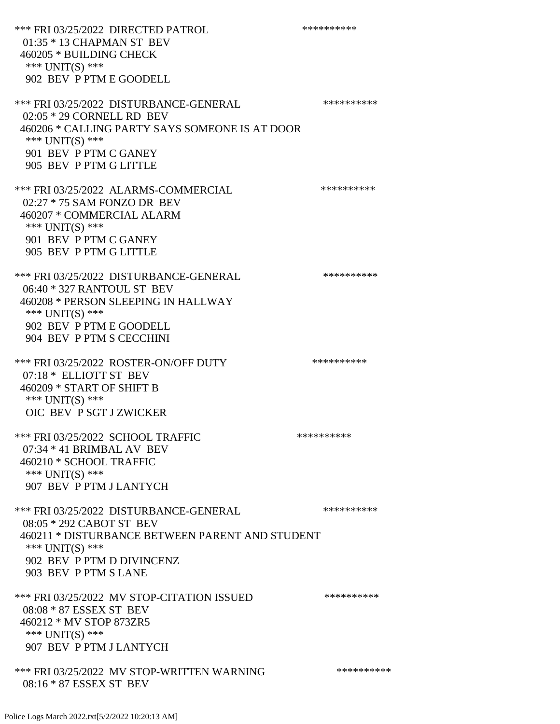\*\*\* FRI 03/25/2022 DIRECTED PATROL \*\*\*\*\*\*\*\*\*\* 01:35 \* 13 CHAPMAN ST BEV 460205 \* BUILDING CHECK \*\*\* UNIT(S) \*\*\* 902 BEV P PTM E GOODELL \*\*\* FRI 03/25/2022 DISTURBANCE-GENERAL \*\*\*\*\*\*\*\*\*\* 02:05 \* 29 CORNELL RD BEV 460206 \* CALLING PARTY SAYS SOMEONE IS AT DOOR \*\*\* UNIT(S) \*\*\* 901 BEV P PTM C GANEY 905 BEV P PTM G LITTLE \*\*\* FRI 03/25/2022 ALARMS-COMMERCIAL \*\*\*\*\*\*\*\*\*\* 02:27 \* 75 SAM FONZO DR BEV 460207 \* COMMERCIAL ALARM \*\*\* UNIT(S) \*\*\* 901 BEV P PTM C GANEY 905 BEV P PTM G LITTLE \*\*\* FRI 03/25/2022 DISTURBANCE-GENERAL \*\*\*\*\*\*\*\*\*\* 06:40 \* 327 RANTOUL ST BEV 460208 \* PERSON SLEEPING IN HALLWAY \*\*\* UNIT(S) \*\*\* 902 BEV P PTM E GOODELL 904 BEV P PTM S CECCHINI \*\*\* FRI 03/25/2022 ROSTER-ON/OFF DUTY \*\*\*\*\*\*\*\*\*\* 07:18 \* ELLIOTT ST BEV 460209 \* START OF SHIFT B \*\*\* UNIT(S) \*\*\* OIC BEV P SGT J ZWICKER \*\*\* FRI 03/25/2022 SCHOOL TRAFFIC \*\*\*\*\*\*\*\*\*\*\*\*\*\*\* 07:34 \* 41 BRIMBAL AV BEV 460210 \* SCHOOL TRAFFIC \*\*\* UNIT(S) \*\*\* 907 BEV P PTM J LANTYCH \*\*\* FRI 03/25/2022 DISTURBANCE-GENERAL \*\*\*\*\*\*\*\*\*\* 08:05 \* 292 CABOT ST BEV 460211 \* DISTURBANCE BETWEEN PARENT AND STUDENT \*\*\* UNIT(S) \*\*\* 902 BEV P PTM D DIVINCENZ 903 BEV P PTM S LANE \*\*\* FRI 03/25/2022 MV STOP-CITATION ISSUED \*\*\*\*\*\*\*\*\*\* 08:08 \* 87 ESSEX ST BEV 460212 \* MV STOP 873ZR5 \*\*\* UNIT(S) \*\*\* 907 BEV P PTM J LANTYCH \*\*\* FRI 03/25/2022 MV STOP-WRITTEN WARNING \*\*\*\*\*\*\*\*\*\*\*\* 08:16 \* 87 ESSEX ST BEV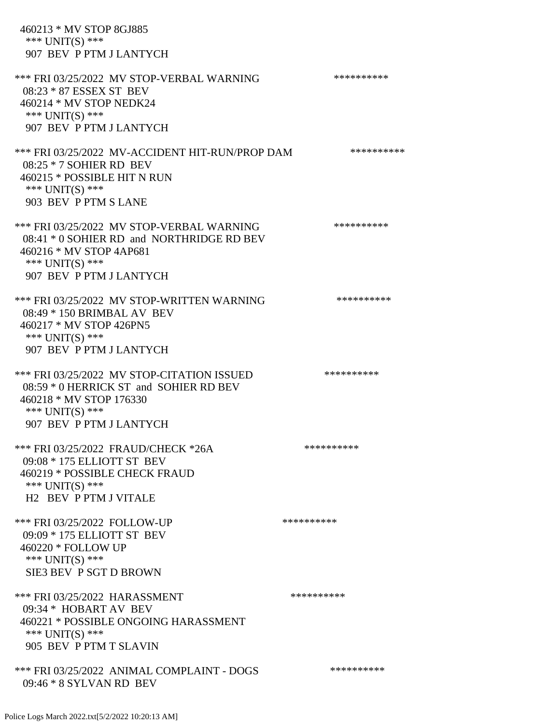460213 \* MV STOP 8GJ885

\*\*\* UNIT(S) \*\*\*

 907 BEV P PTM J LANTYCH \*\*\* FRI 03/25/2022 MV STOP-VERBAL WARNING \*\*\*\*\*\*\*\*\*\*\*\*\* 08:23 \* 87 ESSEX ST BEV 460214 \* MV STOP NEDK24 \*\*\* UNIT(S) \*\*\* 907 BEV P PTM J LANTYCH \*\*\* FRI 03/25/2022 MV-ACCIDENT HIT-RUN/PROP DAM \*\*\*\*\*\*\*\*\*\* 08:25 \* 7 SOHIER RD BEV 460215 \* POSSIBLE HIT N RUN \*\*\* UNIT(S) \*\*\* 903 BEV P PTM S LANE \*\*\* FRI 03/25/2022 MV STOP-VERBAL WARNING \*\*\*\*\*\*\*\*\*\*\*\*\* 08:41 \* 0 SOHIER RD and NORTHRIDGE RD BEV 460216 \* MV STOP 4AP681 \*\*\* UNIT(S) \*\*\* 907 BEV P PTM J LANTYCH \*\*\* FRI 03/25/2022 MV STOP-WRITTEN WARNING \*\*\*\*\*\*\*\*\*\*\*\*\* 08:49 \* 150 BRIMBAL AV BEV 460217 \* MV STOP 426PN5 \*\*\* UNIT(S) \*\*\* 907 BEV P PTM J LANTYCH \*\*\* FRI 03/25/2022 MV STOP-CITATION ISSUED \*\*\*\*\*\*\*\*\*\* 08:59 \* 0 HERRICK ST and SOHIER RD BEV 460218 \* MV STOP 176330 \*\*\* UNIT(S) \*\*\* 907 BEV P PTM J LANTYCH \*\*\* FRI 03/25/2022 FRAUD/CHECK \*26A \*\*\*\*\*\*\*\*\*\* 09:08 \* 175 ELLIOTT ST BEV 460219 \* POSSIBLE CHECK FRAUD \*\*\* UNIT(S) \*\*\* H2 BEV P PTM J VITALE \*\*\* FRI 03/25/2022 FOLLOW-UP \*\*\*\*\*\*\*\*\*\*\*\* 09:09 \* 175 ELLIOTT ST BEV 460220 \* FOLLOW UP \*\*\* UNIT(S) \*\*\* SIE3 BEV P SGT D BROWN \*\*\* FRI 03/25/2022 HARASSMENT \*\*\*\*\*\*\*\*\*\*\*\*\*\*\*\*\*\*\*\*\*\* 09:34 \* HOBART AV BEV 460221 \* POSSIBLE ONGOING HARASSMENT \*\*\* UNIT(S) \*\*\* 905 BEV P PTM T SLAVIN \*\*\* FRI 03/25/2022 ANIMAL COMPLAINT - DOGS \*\*\*\*\*\*\*\*\*\* 09:46 \* 8 SYLVAN RD BEV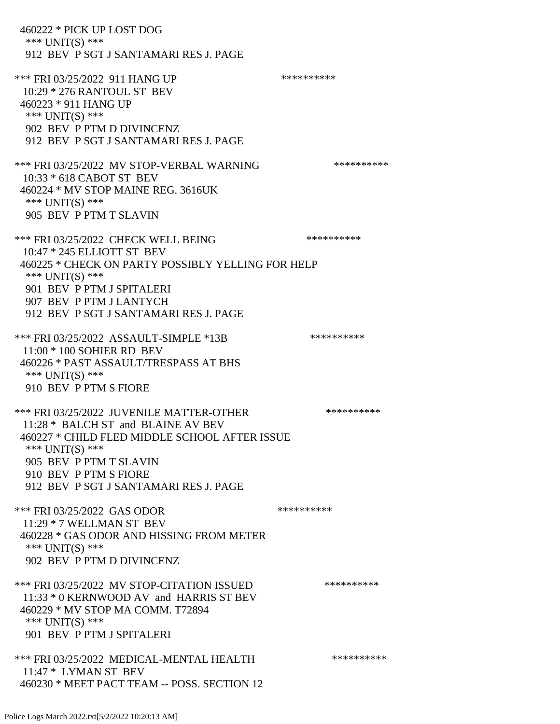460222 \* PICK UP LOST DOG \*\*\* UNIT(S) \*\*\* 912 BEV P SGT J SANTAMARI RES J. PAGE \*\*\* FRI 03/25/2022 911 HANG UP \*\*\*\*\*\*\*\*\*\*\*\*\* 10:29 \* 276 RANTOUL ST BEV 460223 \* 911 HANG UP \*\*\* UNIT(S) \*\*\* 902 BEV P PTM D DIVINCENZ 912 BEV P SGT J SANTAMARI RES J. PAGE \*\*\* FRI 03/25/2022 MV STOP-VERBAL WARNING \*\*\*\*\*\*\*\*\*\*\*\* 10:33 \* 618 CABOT ST BEV 460224 \* MV STOP MAINE REG. 3616UK \*\*\* UNIT(S) \*\*\* 905 BEV P PTM T SLAVIN \*\*\* FRI 03/25/2022 CHECK WELL BEING \*\*\*\*\*\*\*\*\*\*\*\*\*\* 10:47 \* 245 ELLIOTT ST BEV 460225 \* CHECK ON PARTY POSSIBLY YELLING FOR HELP \*\*\* UNIT(S) \*\*\* 901 BEV P PTM J SPITALERI 907 BEV P PTM J LANTYCH 912 BEV P SGT J SANTAMARI RES J. PAGE \*\*\* FRI 03/25/2022 ASSAULT-SIMPLE \*13B \*\*\*\*\*\*\*\*\*\*\*\*\* 11:00 \* 100 SOHIER RD BEV 460226 \* PAST ASSAULT/TRESPASS AT BHS \*\*\* UNIT(S) \*\*\* 910 BEV P PTM S FIORE \*\*\* FRI 03/25/2022 JUVENILE MATTER-OTHER \*\*\*\*\*\*\*\*\*\*\*\* 11:28 \* BALCH ST and BLAINE AV BEV 460227 \* CHILD FLED MIDDLE SCHOOL AFTER ISSUE \*\*\* UNIT(S) \*\*\* 905 BEV P PTM T SLAVIN 910 BEV P PTM S FIORE 912 BEV P SGT J SANTAMARI RES J. PAGE \*\*\* FRI 03/25/2022 GAS ODOR \*\*\*\*\*\*\*\*\*\*\*\* 11:29 \* 7 WELLMAN ST BEV 460228 \* GAS ODOR AND HISSING FROM METER \*\*\* UNIT(S) \*\*\* 902 BEV P PTM D DIVINCENZ \*\*\* FRI 03/25/2022 MV STOP-CITATION ISSUED \*\*\*\*\*\*\*\*\*\* 11:33 \* 0 KERNWOOD AV and HARRIS ST BEV 460229 \* MV STOP MA COMM. T72894 \*\*\* UNIT(S) \*\*\* 901 BEV P PTM J SPITALERI \*\*\* FRI 03/25/2022 MEDICAL-MENTAL HEALTH \*\*\*\*\*\*\*\*\*\* 11:47 \* LYMAN ST BEV 460230 \* MEET PACT TEAM -- POSS. SECTION 12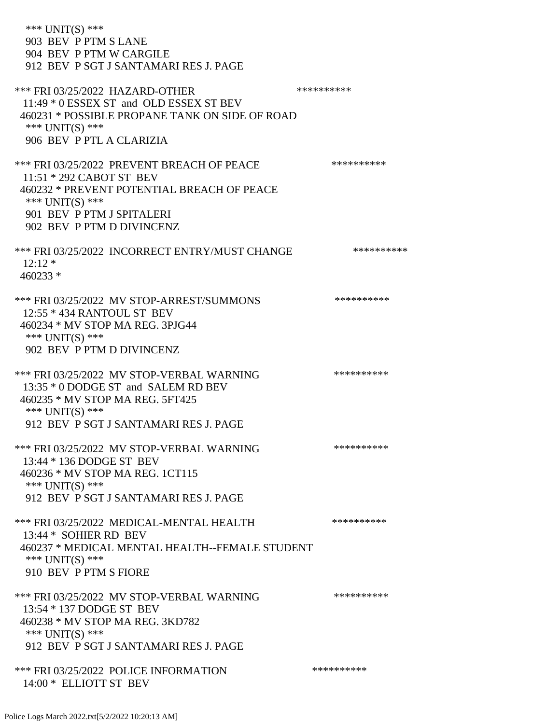| *** $UNIT(S)$ ***<br>903 BEV P PTM S LANE<br>904 BEV P PTM W CARGILE<br>912 BEV P SGT J SANTAMARI RES J. PAGE                                                                                     |            |
|---------------------------------------------------------------------------------------------------------------------------------------------------------------------------------------------------|------------|
| *** FRI 03/25/2022 HAZARD-OTHER<br>11:49 * 0 ESSEX ST and OLD ESSEX ST BEV<br>460231 * POSSIBLE PROPANE TANK ON SIDE OF ROAD<br>*** $UNIT(S)$ ***<br>906 BEV P PTL A CLARIZIA                     | ********** |
| *** FRI 03/25/2022 PREVENT BREACH OF PEACE<br>11:51 * 292 CABOT ST BEV<br>460232 * PREVENT POTENTIAL BREACH OF PEACE<br>*** UNIT(S) ***<br>901 BEV P PTM J SPITALERI<br>902 BEV P PTM D DIVINCENZ | ********** |
| *** FRI 03/25/2022 INCORRECT ENTRY/MUST CHANGE<br>$12:12*$<br>$460233*$                                                                                                                           | ********** |
| *** FRI 03/25/2022 MV STOP-ARREST/SUMMONS<br>12:55 * 434 RANTOUL ST BEV<br>460234 * MV STOP MA REG. 3PJG44<br>*** $UNIT(S)$ ***<br>902 BEV P PTM D DIVINCENZ                                      | ********** |
| *** FRI 03/25/2022 MV STOP-VERBAL WARNING<br>13:35 * 0 DODGE ST and SALEM RD BEV<br>460235 * MV STOP MA REG. 5FT425<br>*** $UNIT(S)$ ***<br>912 BEV P SGT J SANTAMARI RES J. PAGE                 | ********** |
| *** FRI 03/25/2022 MV STOP-VERBAL WARNING<br>13:44 * 136 DODGE ST BEV<br>460236 * MV STOP MA REG. 1CT115<br>*** UNIT(S) ***<br>912 BEV P SGT J SANTAMARI RES J. PAGE                              | ********** |
| *** FRI 03/25/2022 MEDICAL-MENTAL HEALTH<br>13:44 * SOHIER RD BEV<br>460237 * MEDICAL MENTAL HEALTH--FEMALE STUDENT<br>*** UNIT(S) ***<br>910 BEV P PTM S FIORE                                   | ********** |
| *** FRI 03/25/2022 MV STOP-VERBAL WARNING<br>13:54 * 137 DODGE ST BEV<br>460238 * MV STOP MA REG. 3KD782<br>*** UNIT(S) ***                                                                       | ********** |
| 912 BEV P SGT J SANTAMARI RES J. PAGE                                                                                                                                                             |            |
| *** FRI 03/25/2022 POLICE INFORMATION<br>14:00 * ELLIOTT ST BEV                                                                                                                                   | ********** |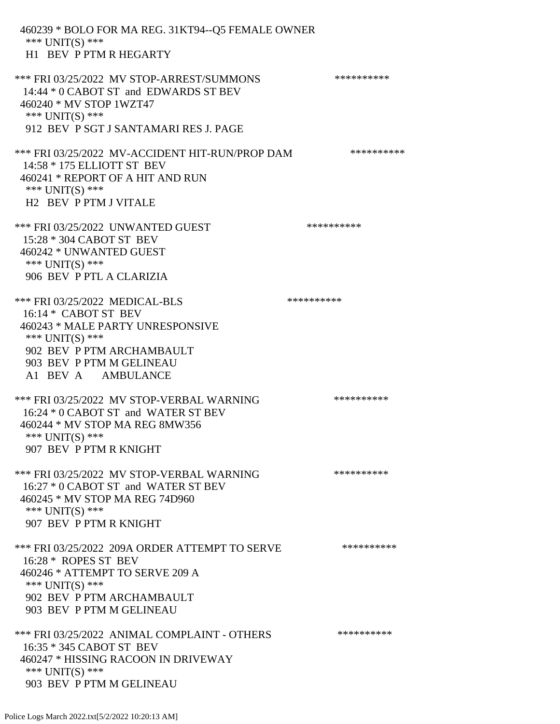460239 \* BOLO FOR MA REG. 31KT94--Q5 FEMALE OWNER \*\*\* UNIT(S) \*\*\* H1 BEV P PTM R HEGARTY \*\*\* FRI 03/25/2022 MV STOP-ARREST/SUMMONS \*\*\*\*\*\*\*\*\*\* 14:44 \* 0 CABOT ST and EDWARDS ST BEV 460240 \* MV STOP 1WZT47 \*\*\* UNIT(S) \*\*\* 912 BEV P SGT J SANTAMARI RES J. PAGE \*\*\* FRI 03/25/2022 MV-ACCIDENT HIT-RUN/PROP DAM \*\*\*\*\*\*\*\*\*\* 14:58 \* 175 ELLIOTT ST BEV 460241 \* REPORT OF A HIT AND RUN \*\*\* UNIT(S) \*\*\* H2 BEV P PTM J VITALE \*\*\* FRI 03/25/2022 UNWANTED GUEST \*\*\*\*\*\*\*\*\*\* 15:28 \* 304 CABOT ST BEV 460242 \* UNWANTED GUEST \*\*\* UNIT(S) \*\*\* 906 BEV P PTL A CLARIZIA \*\*\* FRI 03/25/2022 MEDICAL-BLS \*\*\*\*\*\*\*\*\*\*\*\*\* 16:14 \* CABOT ST BEV 460243 \* MALE PARTY UNRESPONSIVE \*\*\* UNIT(S) \*\*\* 902 BEV P PTM ARCHAMBAULT 903 BEV P PTM M GELINEAU A1 BEV A AMBULANCE \*\*\* FRI 03/25/2022 MV STOP-VERBAL WARNING \*\*\*\*\*\*\*\*\*\*\*\*\* 16:24 \* 0 CABOT ST and WATER ST BEV 460244 \* MV STOP MA REG 8MW356 \*\*\* UNIT(S) \*\*\* 907 BEV P PTM R KNIGHT \*\*\* FRI 03/25/2022 MV STOP-VERBAL WARNING \*\*\*\*\*\*\*\*\*\*\*\*\* 16:27 \* 0 CABOT ST and WATER ST BEV 460245 \* MV STOP MA REG 74D960 \*\*\* UNIT(S) \*\*\* 907 BEV P PTM R KNIGHT \*\*\* FRI 03/25/2022 209A ORDER ATTEMPT TO SERVE \*\*\*\*\*\*\*\*\*\* 16:28 \* ROPES ST BEV 460246 \* ATTEMPT TO SERVE 209 A \*\*\* UNIT(S) \*\*\* 902 BEV P PTM ARCHAMBAULT 903 BEV P PTM M GELINEAU \*\*\* FRI 03/25/2022 ANIMAL COMPLAINT - OTHERS \*\*\*\*\*\*\*\*\*\*\*\* 16:35 \* 345 CABOT ST BEV 460247 \* HISSING RACOON IN DRIVEWAY \*\*\* UNIT(S) \*\*\* 903 BEV P PTM M GELINEAU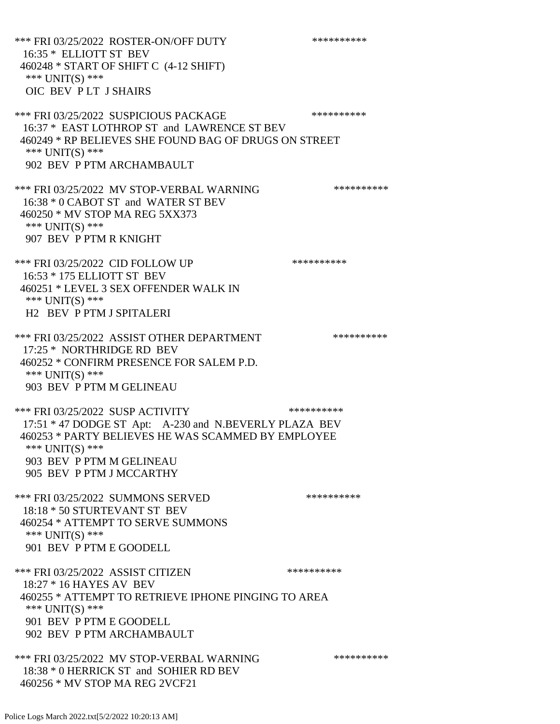\*\*\* FRI 03/25/2022 ROSTER-ON/OFF DUTY \*\*\*\*\*\*\*\*\*\* 16:35 \* ELLIOTT ST BEV 460248 \* START OF SHIFT C (4-12 SHIFT) \*\*\* UNIT(S) \*\*\* OIC BEV P LT J SHAIRS \*\*\* FRI 03/25/2022 SUSPICIOUS PACKAGE \*\*\*\*\*\*\*\*\*\*\*\*\* 16:37 \* EAST LOTHROP ST and LAWRENCE ST BEV 460249 \* RP BELIEVES SHE FOUND BAG OF DRUGS ON STREET \*\*\* UNIT(S) \*\*\* 902 BEV P PTM ARCHAMBAULT \*\*\* FRI 03/25/2022 MV STOP-VERBAL WARNING \*\*\*\*\*\*\*\*\*\*\*\*\* 16:38 \* 0 CABOT ST and WATER ST BEV 460250 \* MV STOP MA REG 5XX373 \*\*\* UNIT(S) \*\*\* 907 BEV P PTM R KNIGHT \*\*\* FRI 03/25/2022 CID FOLLOW UP \*\*\*\*\*\*\*\*\*\* 16:53 \* 175 ELLIOTT ST BEV 460251 \* LEVEL 3 SEX OFFENDER WALK IN \*\*\* UNIT(S) \*\*\* H2 BEV P PTM J SPITALERI \*\*\* FRI 03/25/2022 ASSIST OTHER DEPARTMENT \*\*\*\*\*\*\*\*\*\*\*\*\* 17:25 \* NORTHRIDGE RD BEV 460252 \* CONFIRM PRESENCE FOR SALEM P.D. \*\*\* UNIT(S) \*\*\* 903 BEV P PTM M GELINEAU \*\*\* FRI 03/25/2022 SUSP ACTIVITY \*\*\*\*\*\*\*\*\*\*\*\* 17:51 \* 47 DODGE ST Apt: A-230 and N.BEVERLY PLAZA BEV 460253 \* PARTY BELIEVES HE WAS SCAMMED BY EMPLOYEE \*\*\* UNIT(S) \*\*\* 903 BEV P PTM M GELINEAU 905 BEV P PTM J MCCARTHY \*\*\* FRI 03/25/2022 SUMMONS SERVED \*\*\*\*\*\*\*\*\*\* 18:18 \* 50 STURTEVANT ST BEV 460254 \* ATTEMPT TO SERVE SUMMONS \*\*\* UNIT(S) \*\*\* 901 BEV P PTM E GOODELL \*\*\* FRI 03/25/2022 ASSIST CITIZEN \*\*\*\*\*\*\*\*\*\* 18:27 \* 16 HAYES AV BEV 460255 \* ATTEMPT TO RETRIEVE IPHONE PINGING TO AREA \*\*\* UNIT(S) \*\*\* 901 BEV P PTM E GOODELL 902 BEV P PTM ARCHAMBAULT \*\*\* FRI 03/25/2022 MV STOP-VERBAL WARNING \*\*\*\*\*\*\*\*\*\*\*\*\* 18:38 \* 0 HERRICK ST and SOHIER RD BEV 460256 \* MV STOP MA REG 2VCF21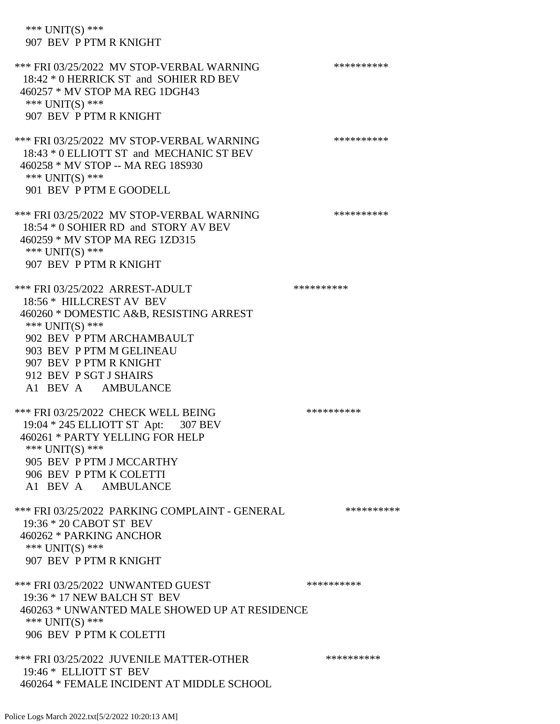\*\*\* UNIT(S) \*\*\* 907 BEV P PTM R KNIGHT \*\*\* FRI 03/25/2022 MV STOP-VERBAL WARNING \*\*\*\*\*\*\*\*\*\*\*\* 18:42 \* 0 HERRICK ST and SOHIER RD BEV 460257 \* MV STOP MA REG 1DGH43 \*\*\* UNIT(S) \*\*\* 907 BEV P PTM R KNIGHT \*\*\* FRI 03/25/2022 MV STOP-VERBAL WARNING \*\*\*\*\*\*\*\*\*\*\*\*\* 18:43 \* 0 ELLIOTT ST and MECHANIC ST BEV 460258 \* MV STOP -- MA REG 18S930 \*\*\* UNIT(S) \*\*\* 901 BEV P PTM E GOODELL \*\*\* FRI 03/25/2022 MV STOP-VERBAL WARNING \*\*\*\*\*\*\*\*\*\*\*\*\* 18:54 \* 0 SOHIER RD and STORY AV BEV 460259 \* MV STOP MA REG 1ZD315 \*\*\* UNIT(S) \*\*\* 907 BEV P PTM R KNIGHT \*\*\* FRI 03/25/2022 ARREST-ADULT \*\*\*\*\*\*\*\*\*\*\*\* 18:56 \* HILLCREST AV BEV 460260 \* DOMESTIC A&B, RESISTING ARREST \*\*\* UNIT(S) \*\*\* 902 BEV P PTM ARCHAMBAULT 903 BEV P PTM M GELINEAU 907 BEV P PTM R KNIGHT 912 BEV P SGT J SHAIRS A1 BEV A AMBULANCE \*\*\* FRI 03/25/2022 CHECK WELL BEING \*\*\*\*\*\*\*\*\*\* 19:04 \* 245 ELLIOTT ST Apt: 307 BEV 460261 \* PARTY YELLING FOR HELP \*\*\* UNIT(S) \*\*\* 905 BEV P PTM J MCCARTHY 906 BEV P PTM K COLETTI A1 BEV A AMBULANCE \*\*\* FRI 03/25/2022 PARKING COMPLAINT - GENERAL \*\*\*\*\*\*\*\*\*\* 19:36 \* 20 CABOT ST BEV 460262 \* PARKING ANCHOR \*\*\* UNIT(S) \*\*\* 907 BEV P PTM R KNIGHT \*\*\* FRI 03/25/2022 UNWANTED GUEST \*\*\*\*\*\*\*\*\*\*\*\*\* 19:36 \* 17 NEW BALCH ST BEV 460263 \* UNWANTED MALE SHOWED UP AT RESIDENCE \*\*\* UNIT(S) \*\*\* 906 BEV P PTM K COLETTI \*\*\* FRI 03/25/2022 JUVENILE MATTER-OTHER \*\*\*\*\*\*\*\*\*\* 19:46 \* ELLIOTT ST BEV 460264 \* FEMALE INCIDENT AT MIDDLE SCHOOL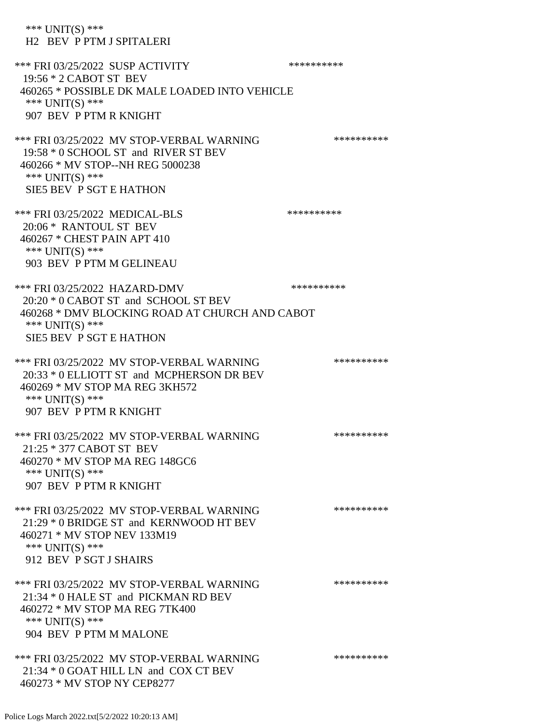\*\*\* UNIT(S) \*\*\* H2 BEV P PTM J SPITALERI \*\*\* FRI 03/25/2022 SUSP ACTIVITY \*\*\*\*\*\*\*\*\*\*\*\* 19:56 \* 2 CABOT ST BEV 460265 \* POSSIBLE DK MALE LOADED INTO VEHICLE \*\*\* UNIT(S) \*\*\* 907 BEV P PTM R KNIGHT \*\*\* FRI 03/25/2022 MV STOP-VERBAL WARNING \*\*\*\*\*\*\*\*\*\*\*\*\*\* 19:58 \* 0 SCHOOL ST and RIVER ST BEV 460266 \* MV STOP--NH REG 5000238 \*\*\* UNIT(S) \*\*\* SIE5 BEV P SGT E HATHON \*\*\* FRI 03/25/2022 MEDICAL-BLS \*\*\*\*\*\*\*\*\*\*\*\*\* 20:06 \* RANTOUL ST BEV 460267 \* CHEST PAIN APT 410 \*\*\* UNIT(S) \*\*\* 903 BEV P PTM M GELINEAU \*\*\* FRI 03/25/2022 HAZARD-DMV \*\*\*\*\*\*\*\*\*\*\*\* 20:20 \* 0 CABOT ST and SCHOOL ST BEV 460268 \* DMV BLOCKING ROAD AT CHURCH AND CABOT \*\*\* UNIT(S) \*\*\* SIE5 BEV P SGT E HATHON \*\*\* FRI 03/25/2022 MV STOP-VERBAL WARNING \*\*\*\*\*\*\*\*\*\*\*\*\* 20:33 \* 0 ELLIOTT ST and MCPHERSON DR BEV 460269 \* MV STOP MA REG 3KH572 \*\*\* UNIT(S) \*\*\* 907 BEV P PTM R KNIGHT \*\*\* FRI 03/25/2022 MV STOP-VERBAL WARNING \*\*\*\*\*\*\*\*\*\*\*\* 21:25 \* 377 CABOT ST BEV 460270 \* MV STOP MA REG 148GC6 \*\*\* UNIT(S) \*\*\* 907 BEV P PTM R KNIGHT \*\*\* FRI 03/25/2022 MV STOP-VERBAL WARNING \*\*\*\*\*\*\*\*\*\*\*\*\* 21:29 \* 0 BRIDGE ST and KERNWOOD HT BEV 460271 \* MV STOP NEV 133M19 \*\*\* UNIT(S) \*\*\* 912 BEV P SGT J SHAIRS \*\*\* FRI 03/25/2022 MV STOP-VERBAL WARNING \*\*\*\*\*\*\*\*\*\*\*\*\* 21:34 \* 0 HALE ST and PICKMAN RD BEV 460272 \* MV STOP MA REG 7TK400 \*\*\* UNIT(S) \*\*\* 904 BEV P PTM M MALONE \*\*\* FRI 03/25/2022 MV STOP-VERBAL WARNING \*\*\*\*\*\*\*\*\*\*\*\*\* 21:34 \* 0 GOAT HILL LN and COX CT BEV 460273 \* MV STOP NY CEP8277

Police Logs March 2022.txt[5/2/2022 10:20:13 AM]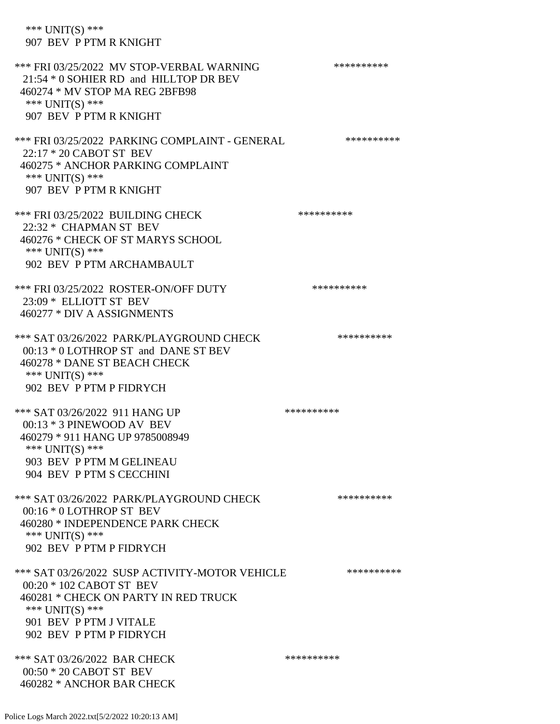\*\*\* UNIT(S) \*\*\* 907 BEV P PTM R KNIGHT \*\*\* FRI 03/25/2022 MV STOP-VERBAL WARNING \*\*\*\*\*\*\*\*\*\*\*\* 21:54 \* 0 SOHIER RD and HILLTOP DR BEV 460274 \* MV STOP MA REG 2BFB98 \*\*\* UNIT(S) \*\*\* 907 BEV P PTM R KNIGHT \*\*\* FRI 03/25/2022 PARKING COMPLAINT - GENERAL \*\*\*\*\*\*\*\*\*\* 22:17 \* 20 CABOT ST BEV 460275 \* ANCHOR PARKING COMPLAINT \*\*\* UNIT(S) \*\*\* 907 BEV P PTM R KNIGHT \*\*\* FRI 03/25/2022 BUILDING CHECK \*\*\*\*\*\*\*\*\*\*\*\*\* 22:32 \* CHAPMAN ST BEV 460276 \* CHECK OF ST MARYS SCHOOL \*\*\* UNIT(S) \*\*\* 902 BEV P PTM ARCHAMBAULT \*\*\* FRI 03/25/2022 ROSTER-ON/OFF DUTY \*\*\*\*\*\*\*\*\*\* 23:09 \* ELLIOTT ST BEV 460277 \* DIV A ASSIGNMENTS \*\*\* SAT 03/26/2022 PARK/PLAYGROUND CHECK \*\*\*\*\*\*\*\*\*\*\*\* 00:13 \* 0 LOTHROP ST and DANE ST BEV 460278 \* DANE ST BEACH CHECK \*\*\* UNIT(S) \*\*\* 902 BEV P PTM P FIDRYCH \*\*\* SAT 03/26/2022 911 HANG UP \*\*\*\*\*\*\*\*\*\*\*\* 00:13 \* 3 PINEWOOD AV BEV 460279 \* 911 HANG UP 9785008949 \*\*\* UNIT(S) \*\*\* 903 BEV P PTM M GELINEAU 904 BEV P PTM S CECCHINI \*\*\* SAT 03/26/2022 PARK/PLAYGROUND CHECK \*\*\*\*\*\*\*\*\*\*\*\* 00:16 \* 0 LOTHROP ST BEV 460280 \* INDEPENDENCE PARK CHECK \*\*\* UNIT(S) \*\*\* 902 BEV P PTM P FIDRYCH \*\*\* SAT 03/26/2022 SUSP ACTIVITY-MOTOR VEHICLE \*\*\*\*\*\*\*\*\*\* 00:20 \* 102 CABOT ST BEV 460281 \* CHECK ON PARTY IN RED TRUCK \*\*\* UNIT(S) \*\*\* 901 BEV P PTM J VITALE 902 BEV P PTM P FIDRYCH \*\*\* SAT 03/26/2022 BAR CHECK \*\*\*\*\*\*\*\*\*\*\*\*\*\*\* 00:50 \* 20 CABOT ST BEV 460282 \* ANCHOR BAR CHECK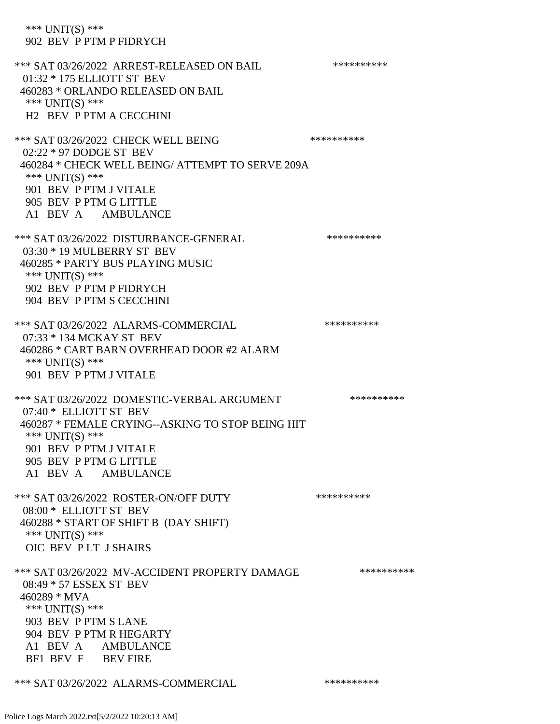\*\*\* UNIT(S) \*\*\* 902 BEV P PTM P FIDRYCH \*\*\* SAT 03/26/2022 ARREST-RELEASED ON BAIL \*\*\*\*\*\*\*\*\*\*\*\* 01:32 \* 175 ELLIOTT ST BEV 460283 \* ORLANDO RELEASED ON BAIL \*\*\* UNIT(S) \*\*\* H2 BEV P PTM A CECCHINI \*\*\* SAT 03/26/2022 CHECK WELL BEING \*\*\*\*\*\*\*\*\*\* 02:22 \* 97 DODGE ST BEV 460284 \* CHECK WELL BEING/ ATTEMPT TO SERVE 209A \*\*\* UNIT(S) \*\*\* 901 BEV P PTM J VITALE 905 BEV P PTM G LITTLE A1 BEV A AMBULANCE \*\*\* SAT 03/26/2022 DISTURBANCE-GENERAL \*\*\*\*\*\*\*\*\*\* 03:30 \* 19 MULBERRY ST BEV 460285 \* PARTY BUS PLAYING MUSIC \*\*\* UNIT(S) \*\*\* 902 BEV P PTM P FIDRYCH 904 BEV P PTM S CECCHINI \*\*\* SAT 03/26/2022 ALARMS-COMMERCIAL \*\*\*\*\*\*\*\*\*\* 07:33 \* 134 MCKAY ST BEV 460286 \* CART BARN OVERHEAD DOOR #2 ALARM \*\*\* UNIT(S) \*\*\* 901 BEV P PTM J VITALE \*\*\* SAT 03/26/2022 DOMESTIC-VERBAL ARGUMENT \*\*\*\*\*\*\*\*\*\*\*\*\* 07:40 \* ELLIOTT ST BEV 460287 \* FEMALE CRYING--ASKING TO STOP BEING HIT \*\*\* UNIT(S) \*\*\* 901 BEV P PTM J VITALE 905 BEV P PTM G LITTLE A1 BEV A AMBULANCE \*\*\* SAT 03/26/2022 ROSTER-ON/OFF DUTY \*\*\*\*\*\*\*\*\*\*\*\* 08:00 \* ELLIOTT ST BEV 460288 \* START OF SHIFT B (DAY SHIFT) \*\*\* UNIT(S) \*\*\* OIC BEV P LT J SHAIRS \*\*\* SAT 03/26/2022 MV-ACCIDENT PROPERTY DAMAGE \*\*\*\*\*\*\*\*\*\* 08:49 \* 57 ESSEX ST BEV 460289 \* MVA \*\*\* UNIT(S) \*\*\* 903 BEV P PTM S LANE 904 BEV P PTM R HEGARTY A1 BEV A AMBULANCE BF1 BEV F BEV FIRE \*\*\* SAT 03/26/2022 ALARMS-COMMERCIAL \*\*\*\*\*\*\*\*\*\*

Police Logs March 2022.txt[5/2/2022 10:20:13 AM]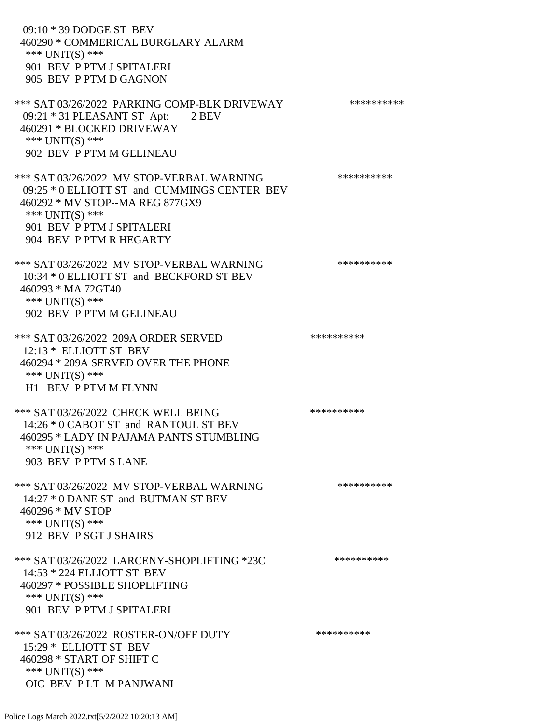09:10 \* 39 DODGE ST BEV 460290 \* COMMERICAL BURGLARY ALARM \*\*\* UNIT(S) \*\*\* 901 BEV P PTM J SPITALERI 905 BEV P PTM D GAGNON \*\*\* SAT 03/26/2022 PARKING COMP-BLK DRIVEWAY \*\*\*\*\*\*\*\*\*\*\*\* 09:21 \* 31 PLEASANT ST Apt: 2 BEV 460291 \* BLOCKED DRIVEWAY \*\*\* UNIT(S) \*\*\* 902 BEV P PTM M GELINEAU \*\*\* SAT 03/26/2022 MV STOP-VERBAL WARNING \*\*\*\*\*\*\*\*\*\*\*\*\* 09:25 \* 0 ELLIOTT ST and CUMMINGS CENTER BEV 460292 \* MV STOP--MA REG 877GX9 \*\*\* UNIT(S) \*\*\* 901 BEV P PTM J SPITALERI 904 BEV P PTM R HEGARTY \*\*\* SAT 03/26/2022 MV STOP-VERBAL WARNING \*\*\*\*\*\*\*\*\*\*\*\*\*\* 10:34 \* 0 ELLIOTT ST and BECKFORD ST BEV 460293 \* MA 72GT40 \*\*\* UNIT(S) \*\*\* 902 BEV P PTM M GELINEAU \*\*\* SAT 03/26/2022 209A ORDER SERVED \*\*\*\*\*\*\*\*\*\* 12:13 \* ELLIOTT ST BEV 460294 \* 209A SERVED OVER THE PHONE \*\*\* UNIT(S) \*\*\* H1 BEV P PTM M FLYNN \*\*\* SAT 03/26/2022 CHECK WELL BEING \*\*\*\*\*\*\*\*\*\*\*\*\* 14:26 \* 0 CABOT ST and RANTOUL ST BEV 460295 \* LADY IN PAJAMA PANTS STUMBLING \*\*\* UNIT(S) \*\*\* 903 BEV P PTM S LANE \*\*\* SAT 03/26/2022 MV STOP-VERBAL WARNING \*\*\*\*\*\*\*\*\*\*\*\*\*\* 14:27 \* 0 DANE ST and BUTMAN ST BEV 460296 \* MV STOP \*\*\* UNIT(S) \*\*\* 912 BEV P SGT J SHAIRS \*\*\* SAT 03/26/2022 LARCENY-SHOPLIFTING \*23C \*\*\*\*\*\*\*\*\*\*\*\*\* 14:53 \* 224 ELLIOTT ST BEV 460297 \* POSSIBLE SHOPLIFTING \*\*\* UNIT(S) \*\*\* 901 BEV P PTM J SPITALERI \*\*\* SAT 03/26/2022 ROSTER-ON/OFF DUTY \*\*\*\*\*\*\*\*\*\* 15:29 \* ELLIOTT ST BEV 460298 \* START OF SHIFT C \*\*\* UNIT(S) \*\*\* OIC BEV P LT M PANJWANI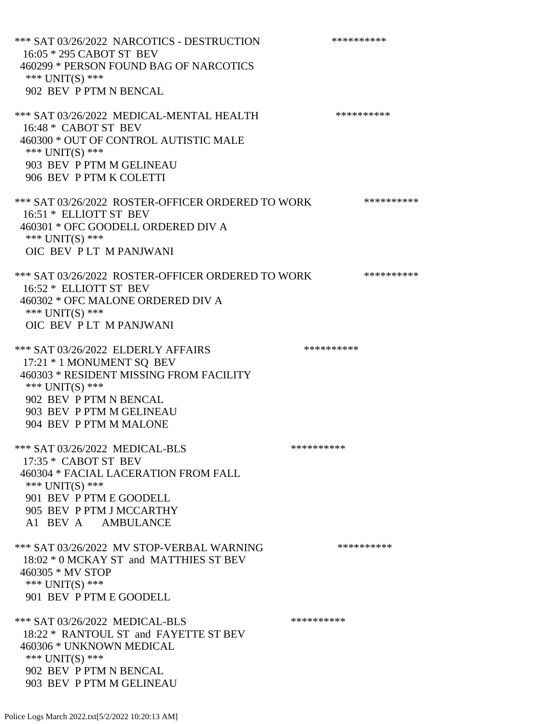\*\*\* SAT 03/26/2022 NARCOTICS - DESTRUCTION \*\*\*\*\*\*\*\*\*\* 16:05 \* 295 CABOT ST BEV 460299 \* PERSON FOUND BAG OF NARCOTICS \*\*\* UNIT(S) \*\*\* 902 BEV P PTM N BENCAL \*\*\* SAT 03/26/2022 MEDICAL-MENTAL HEALTH \*\*\*\*\*\*\*\*\*\*\*\* 16:48 \* CABOT ST BEV 460300 \* OUT OF CONTROL AUTISTIC MALE \*\*\* UNIT(S) \*\*\* 903 BEV P PTM M GELINEAU 906 BEV P PTM K COLETTI \*\*\* SAT 03/26/2022 ROSTER-OFFICER ORDERED TO WORK \*\*\*\*\*\*\*\*\*\*\* 16:51 \* ELLIOTT ST BEV 460301 \* OFC GOODELL ORDERED DIV A \*\*\* UNIT(S) \*\*\* OIC BEV P LT M PANJWANI \*\*\* SAT 03/26/2022 ROSTER-OFFICER ORDERED TO WORK \*\*\*\*\*\*\*\*\*\*\* 16:52 \* ELLIOTT ST BEV 460302 \* OFC MALONE ORDERED DIV A \*\*\* UNIT(S) \*\*\* OIC BEV P LT M PANJWANI \*\*\* SAT 03/26/2022 ELDERLY AFFAIRS \*\*\*\*\*\*\*\*\*\* 17:21 \* 1 MONUMENT SQ BEV 460303 \* RESIDENT MISSING FROM FACILITY \*\*\* UNIT(S) \*\*\* 902 BEV P PTM N BENCAL 903 BEV P PTM M GELINEAU 904 BEV P PTM M MALONE \*\*\* SAT 03/26/2022 MEDICAL-BLS \*\*\*\*\*\*\*\*\*\*\*\*\* 17:35 \* CABOT ST BEV 460304 \* FACIAL LACERATION FROM FALL \*\*\* UNIT(S) \*\*\* 901 BEV P PTM E GOODELL 905 BEV P PTM J MCCARTHY A1 BEV A AMBULANCE \*\*\* SAT 03/26/2022 MV STOP-VERBAL WARNING \*\*\*\*\*\*\*\*\*\*\*\*\* 18:02 \* 0 MCKAY ST and MATTHIES ST BEV 460305 \* MV STOP \*\*\* UNIT(S) \*\*\* 901 BEV P PTM E GOODELL \*\*\* SAT 03/26/2022 MEDICAL-BLS \*\*\*\*\*\*\*\*\*\* 18:22 \* RANTOUL ST and FAYETTE ST BEV 460306 \* UNKNOWN MEDICAL \*\*\* UNIT(S) \*\*\* 902 BEV P PTM N BENCAL 903 BEV P PTM M GELINEAU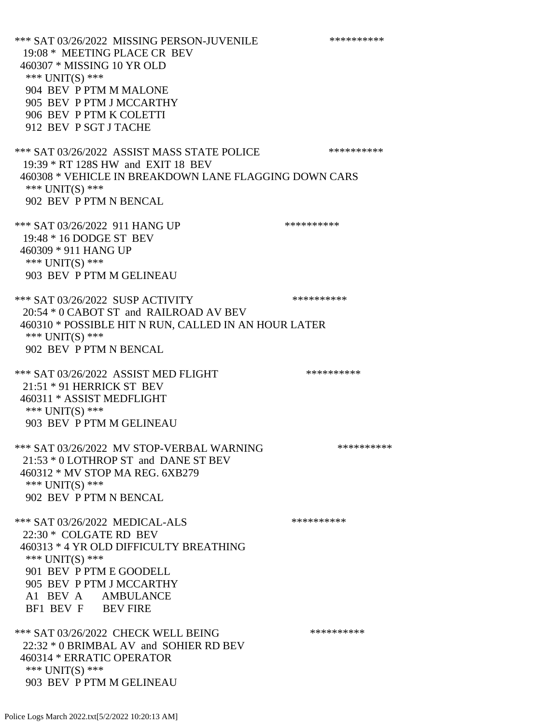\*\*\* SAT 03/26/2022 MISSING PERSON-JUVENILE \*\*\*\*\*\*\*\*\*\* 19:08 \* MEETING PLACE CR BEV 460307 \* MISSING 10 YR OLD \*\*\* UNIT(S) \*\*\* 904 BEV P PTM M MALONE 905 BEV P PTM J MCCARTHY 906 BEV P PTM K COLETTI 912 BEV P SGT J TACHE \*\*\* SAT 03/26/2022 ASSIST MASS STATE POLICE \*\*\*\*\*\*\*\*\*\* 19:39 \* RT 128S HW and EXIT 18 BEV 460308 \* VEHICLE IN BREAKDOWN LANE FLAGGING DOWN CARS \*\*\* UNIT(S) \*\*\* 902 BEV P PTM N BENCAL \*\*\* SAT 03/26/2022 911 HANG UP \*\*\*\*\*\*\*\*\*\*\*\* 19:48 \* 16 DODGE ST BEV 460309 \* 911 HANG UP \*\*\* UNIT(S) \*\*\* 903 BEV P PTM M GELINEAU \*\*\* SAT 03/26/2022 SUSP ACTIVITY \*\*\*\*\*\*\*\*\*\*\*\*\* 20:54 \* 0 CABOT ST and RAILROAD AV BEV 460310 \* POSSIBLE HIT N RUN, CALLED IN AN HOUR LATER \*\*\* UNIT(S) \*\*\* 902 BEV P PTM N BENCAL \*\*\* SAT 03/26/2022 ASSIST MED FLIGHT \*\*\*\*\*\*\*\*\*\*\*\*\*\*\* 21:51 \* 91 HERRICK ST BEV 460311 \* ASSIST MEDFLIGHT \*\*\*  $UNIT(S)$  \*\*\* 903 BEV P PTM M GELINEAU \*\*\* SAT 03/26/2022 MV STOP-VERBAL WARNING \*\*\*\*\*\*\*\*\*\*\*\*\* 21:53 \* 0 LOTHROP ST and DANE ST BEV 460312 \* MV STOP MA REG. 6XB279 \*\*\* UNIT(S) \*\*\* 902 BEV P PTM N BENCAL \*\*\* SAT 03/26/2022 MEDICAL-ALS \*\*\*\*\*\*\*\*\*\*\*\*\* 22:30 \* COLGATE RD BEV 460313 \* 4 YR OLD DIFFICULTY BREATHING \*\*\* UNIT(S) \*\*\* 901 BEV P PTM E GOODELL 905 BEV P PTM J MCCARTHY A1 BEV A AMBULANCE BF1 BEV F BEV FIRE \*\*\* SAT 03/26/2022 CHECK WELL BEING \*\*\*\*\*\*\*\*\*\*\*\*\* 22:32 \* 0 BRIMBAL AV and SOHIER RD BEV 460314 \* ERRATIC OPERATOR \*\*\* UNIT(S) \*\*\* 903 BEV P PTM M GELINEAU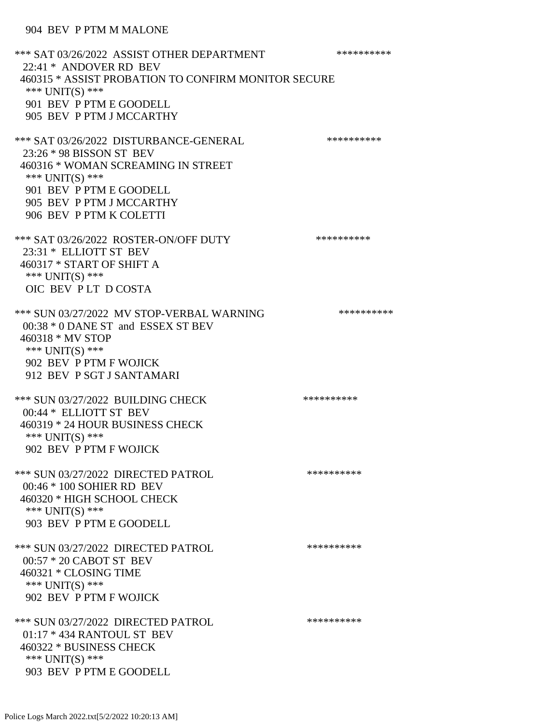## 904 BEV P PTM M MALONE

\*\*\* SAT 03/26/2022 ASSIST OTHER DEPARTMENT \*\*\*\*\*\*\*\*\*\*\*\*\* 22:41 \* ANDOVER RD BEV 460315 \* ASSIST PROBATION TO CONFIRM MONITOR SECURE \*\*\* UNIT(S) \*\*\* 901 BEV P PTM E GOODELL 905 BEV P PTM J MCCARTHY \*\*\* SAT 03/26/2022 DISTURBANCE-GENERAL \*\*\*\*\*\*\*\*\*\* 23:26 \* 98 BISSON ST BEV 460316 \* WOMAN SCREAMING IN STREET \*\*\* UNIT(S) \*\*\* 901 BEV P PTM E GOODELL 905 BEV P PTM J MCCARTHY 906 BEV P PTM K COLETTI \*\*\* SAT 03/26/2022 ROSTER-ON/OFF DUTY \*\*\*\*\*\*\*\*\*\* 23:31 \* ELLIOTT ST BEV 460317 \* START OF SHIFT A \*\*\* UNIT(S) \*\*\* OIC BEV P LT D COSTA \*\*\* SUN 03/27/2022 MV STOP-VERBAL WARNING \*\*\*\*\*\*\*\*\*\*\*\*\* 00:38 \* 0 DANE ST and ESSEX ST BEV 460318 \* MV STOP \*\*\* UNIT(S) \*\*\* 902 BEV P PTM F WOJICK 912 BEV P SGT J SANTAMARI \*\*\* SUN 03/27/2022 BUILDING CHECK \*\*\*\*\*\*\*\*\*\*\*\* 00:44 \* ELLIOTT ST BEV 460319 \* 24 HOUR BUSINESS CHECK \*\*\* UNIT(S) \*\*\* 902 BEV P PTM F WOJICK \*\*\* SUN 03/27/2022 DIRECTED PATROL \*\*\*\*\*\*\*\*\*\* 00:46 \* 100 SOHIER RD BEV 460320 \* HIGH SCHOOL CHECK \*\*\* UNIT(S) \*\*\* 903 BEV P PTM E GOODELL \*\*\* SUN 03/27/2022 DIRECTED PATROL \*\*\*\*\*\*\*\*\*\* 00:57 \* 20 CABOT ST BEV 460321 \* CLOSING TIME \*\*\* UNIT(S) \*\*\* 902 BEV P PTM F WOJICK \*\*\* SUN 03/27/2022 DIRECTED PATROL \*\*\*\*\*\*\*\*\*\* 01:17 \* 434 RANTOUL ST BEV 460322 \* BUSINESS CHECK \*\*\* UNIT(S) \*\*\* 903 BEV P PTM E GOODELL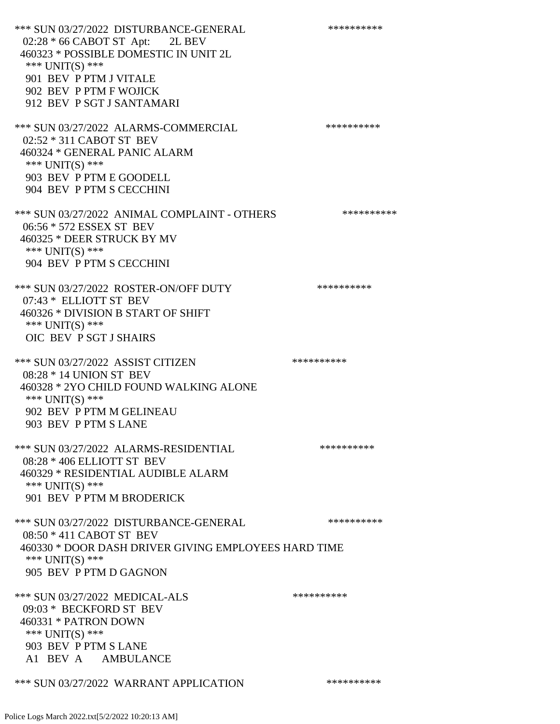\*\*\* SUN 03/27/2022 DISTURBANCE-GENERAL \*\*\*\*\*\*\*\*\*\* 02:28 \* 66 CABOT ST Apt: 2L BEV 460323 \* POSSIBLE DOMESTIC IN UNIT 2L \*\*\* UNIT(S) \*\*\* 901 BEV P PTM J VITALE 902 BEV P PTM F WOJICK 912 BEV P SGT J SANTAMARI \*\*\* SUN 03/27/2022 ALARMS-COMMERCIAL \*\*\*\*\*\*\*\*\*\* 02:52 \* 311 CABOT ST BEV 460324 \* GENERAL PANIC ALARM \*\*\* UNIT(S) \*\*\* 903 BEV P PTM E GOODELL 904 BEV P PTM S CECCHINI \*\*\* SUN 03/27/2022 ANIMAL COMPLAINT - OTHERS \*\*\*\*\*\*\*\*\*\*\*\* 06:56 \* 572 ESSEX ST BEV 460325 \* DEER STRUCK BY MV \*\*\* UNIT(S) \*\*\* 904 BEV P PTM S CECCHINI \*\*\* SUN 03/27/2022 ROSTER-ON/OFF DUTY \*\*\*\*\*\*\*\*\*\* 07:43 \* ELLIOTT ST BEV 460326 \* DIVISION B START OF SHIFT \*\*\* UNIT(S) \*\*\* OIC BEV P SGT J SHAIRS \*\*\* SUN 03/27/2022 ASSIST CITIZEN \*\*\*\*\*\*\*\*\*\*\*\* 08:28 \* 14 UNION ST BEV 460328 \* 2YO CHILD FOUND WALKING ALONE \*\*\* UNIT(S) \*\*\* 902 BEV P PTM M GELINEAU 903 BEV P PTM S LANE \*\*\* SUN 03/27/2022 ALARMS-RESIDENTIAL \*\*\*\*\*\*\*\*\*\* 08:28 \* 406 ELLIOTT ST BEV 460329 \* RESIDENTIAL AUDIBLE ALARM \*\*\* UNIT(S) \*\*\* 901 BEV P PTM M BRODERICK \*\*\* SUN 03/27/2022 DISTURBANCE-GENERAL \*\*\*\*\*\*\*\*\*\* 08:50 \* 411 CABOT ST BEV 460330 \* DOOR DASH DRIVER GIVING EMPLOYEES HARD TIME \*\*\* UNIT(S) \*\*\* 905 BEV P PTM D GAGNON \*\*\* SUN 03/27/2022 MEDICAL-ALS \*\*\*\*\*\*\*\*\*\*\*\* 09:03 \* BECKFORD ST BEV 460331 \* PATRON DOWN \*\*\* UNIT(S) \*\*\* 903 BEV P PTM S LANE A1 BEV A AMBULANCE

\*\*\* SUN 03/27/2022 WARRANT APPLICATION \*\*\*\*\*\*\*\*\*\*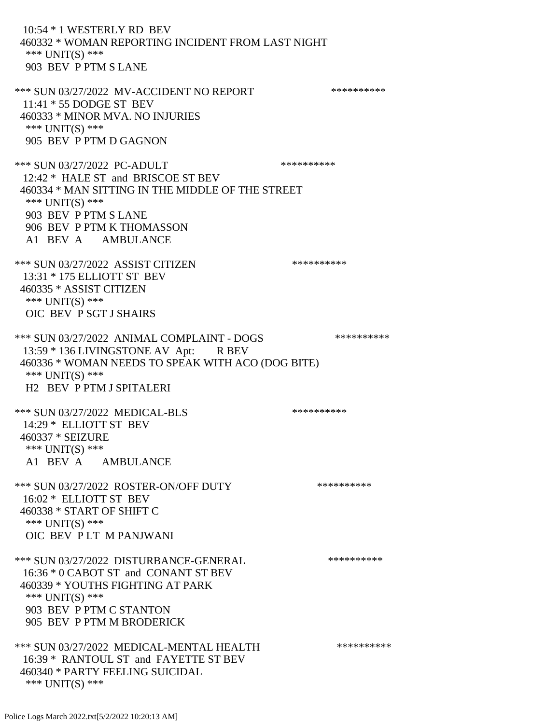10:54 \* 1 WESTERLY RD BEV 460332 \* WOMAN REPORTING INCIDENT FROM LAST NIGHT \*\*\* UNIT(S) \*\*\* 903 BEV P PTM S LANE \*\*\* SUN 03/27/2022 MV-ACCIDENT NO REPORT \*\*\*\*\*\*\*\*\*\*\*\*\* 11:41 \* 55 DODGE ST BEV 460333 \* MINOR MVA. NO INJURIES \*\*\* UNIT(S) \*\*\* 905 BEV P PTM D GAGNON

\*\*\* SUN 03/27/2022 PC-ADULT \*\*\*\*\*\*\*\*\*\*\*\* 12:42 \* HALE ST and BRISCOE ST BEV 460334 \* MAN SITTING IN THE MIDDLE OF THE STREET \*\*\* UNIT(S) \*\*\* 903 BEV P PTM S LANE 906 BEV P PTM K THOMASSON A1 BEV A AMBULANCE

\*\*\* SUN 03/27/2022 ASSIST CITIZEN \*\*\*\*\*\*\*\*\*\*\*\* 13:31 \* 175 ELLIOTT ST BEV 460335 \* ASSIST CITIZEN \*\*\* UNIT(S) \*\*\* OIC BEV P SGT J SHAIRS

\*\*\* SUN 03/27/2022 ANIMAL COMPLAINT - DOGS \*\*\*\*\*\*\*\*\*\* 13:59 \* 136 LIVINGSTONE AV Apt: R BEV 460336 \* WOMAN NEEDS TO SPEAK WITH ACO (DOG BITE) \*\*\* UNIT(S) \*\*\* H2 BEV P PTM J SPITALERI

\*\*\* SUN 03/27/2022 MEDICAL-BLS \*\*\*\*\*\*\*\*\*\*\*\*\* 14:29 \* ELLIOTT ST BEV 460337 \* SEIZURE \*\*\* UNIT(S) \*\*\* A1 BEV A AMBULANCE

\*\*\* SUN 03/27/2022 ROSTER-ON/OFF DUTY \*\*\*\*\*\*\*\*\*\* 16:02 \* ELLIOTT ST BEV 460338 \* START OF SHIFT C \*\*\* UNIT(S) \*\*\* OIC BEV P LT M PANJWANI

\*\*\* SUN 03/27/2022 DISTURBANCE-GENERAL \*\*\*\*\*\*\*\*\*\* 16:36 \* 0 CABOT ST and CONANT ST BEV 460339 \* YOUTHS FIGHTING AT PARK \*\*\* UNIT(S) \*\*\* 903 BEV P PTM C STANTON 905 BEV P PTM M BRODERICK

\*\*\* SUN 03/27/2022 MEDICAL-MENTAL HEALTH \*\*\*\*\*\*\*\*\*\* 16:39 \* RANTOUL ST and FAYETTE ST BEV 460340 \* PARTY FEELING SUICIDAL \*\*\* UNIT(S) \*\*\*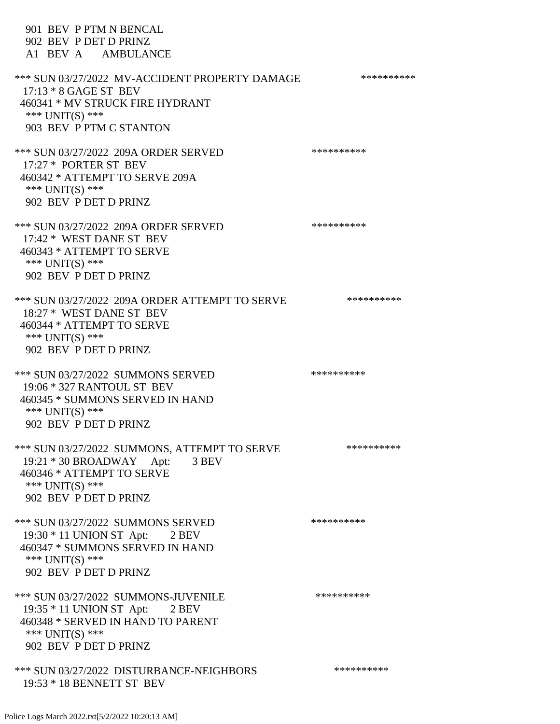901 BEV P PTM N BENCAL 902 BEV P DET D PRINZ A1 BEV A AMBULANCE \*\*\* SUN 03/27/2022 MV-ACCIDENT PROPERTY DAMAGE \*\*\*\*\*\*\*\*\*\*\*\* 17:13 \* 8 GAGE ST BEV 460341 \* MV STRUCK FIRE HYDRANT \*\*\* UNIT(S) \*\*\* 903 BEV P PTM C STANTON \*\*\* SUN 03/27/2022 209A ORDER SERVED \*\*\*\*\*\*\*\*\*\* 17:27 \* PORTER ST BEV 460342 \* ATTEMPT TO SERVE 209A \*\*\* UNIT(S) \*\*\* 902 BEV P DET D PRINZ \*\*\* SUN 03/27/2022 209A ORDER SERVED \*\*\*\*\*\*\*\*\*\* 17:42 \* WEST DANE ST BEV 460343 \* ATTEMPT TO SERVE \*\*\* UNIT(S) \*\*\* 902 BEV P DET D PRINZ \*\*\* SUN 03/27/2022 209A ORDER ATTEMPT TO SERVE \*\*\*\*\*\*\*\*\*\* 18:27 \* WEST DANE ST BEV 460344 \* ATTEMPT TO SERVE \*\*\* UNIT(S) \*\*\* 902 BEV P DET D PRINZ \*\*\* SUN 03/27/2022 SUMMONS SERVED \*\*\*\*\*\*\*\*\*\* 19:06 \* 327 RANTOUL ST BEV 460345 \* SUMMONS SERVED IN HAND \*\*\* UNIT(S) \*\*\* 902 BEV P DET D PRINZ \*\*\* SUN 03/27/2022 SUMMONS, ATTEMPT TO SERVE \*\*\*\*\*\*\*\*\*\* 19:21 \* 30 BROADWAY Apt: 3 BEV 460346 \* ATTEMPT TO SERVE \*\*\* UNIT(S) \*\*\* 902 BEV P DET D PRINZ \*\*\* SUN 03/27/2022 SUMMONS SERVED \*\*\*\*\*\*\*\*\*\*\*\* 19:30 \* 11 UNION ST Apt: 2 BEV 460347 \* SUMMONS SERVED IN HAND \*\*\* UNIT(S) \*\*\* 902 BEV P DET D PRINZ \*\*\* SUN 03/27/2022 SUMMONS-JUVENILE \*\*\*\*\*\*\*\*\*\* 19:35 \* 11 UNION ST Apt: 2 BEV 460348 \* SERVED IN HAND TO PARENT \*\*\* UNIT(S) \*\*\* 902 BEV P DET D PRINZ \*\*\* SUN 03/27/2022 DISTURBANCE-NEIGHBORS \*\*\*\*\*\*\*\*\*\*\*\* 19:53 \* 18 BENNETT ST BEV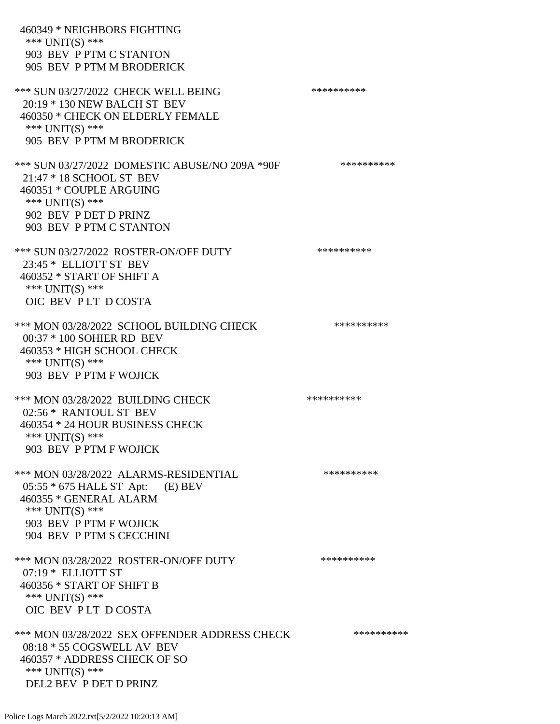460349 \* NEIGHBORS FIGHTING \*\*\* UNIT(S) \*\*\* 903 BEV P PTM C STANTON 905 BEV P PTM M BRODERICK \*\*\* SUN 03/27/2022 CHECK WELL BEING \*\*\*\*\*\*\*\*\*\*\*\* 20:19 \* 130 NEW BALCH ST BEV 460350 \* CHECK ON ELDERLY FEMALE \*\*\* UNIT(S) \*\*\* 905 BEV P PTM M BRODERICK \*\*\* SUN 03/27/2022 DOMESTIC ABUSE/NO 209A \*90F \*\*\*\*\*\*\*\*\*\*\* 21:47 \* 18 SCHOOL ST BEV 460351 \* COUPLE ARGUING \*\*\* UNIT(S) \*\*\* 902 BEV P DET D PRINZ 903 BEV P PTM C STANTON \*\*\* SUN 03/27/2022 ROSTER-ON/OFF DUTY \*\*\*\*\*\*\*\*\*\*\*\* 23:45 \* ELLIOTT ST BEV 460352 \* START OF SHIFT A \*\*\* UNIT(S) \*\*\* OIC BEV P LT D COSTA \*\*\* MON 03/28/2022 SCHOOL BUILDING CHECK \*\*\*\*\*\*\*\*\*\*\* 00:37 \* 100 SOHIER RD BEV 460353 \* HIGH SCHOOL CHECK \*\*\* UNIT(S) \*\*\* 903 BEV P PTM F WOJICK \*\*\* MON 03/28/2022 BUILDING CHECK \*\*\*\*\*\*\*\*\*\*\* 02:56 \* RANTOUL ST BEV 460354 \* 24 HOUR BUSINESS CHECK \*\*\* UNIT(S) \*\*\* 903 BEV P PTM F WOJICK \*\*\* MON 03/28/2022 ALARMS-RESIDENTIAL \*\*\*\*\*\*\*\*\*\* 05:55 \* 675 HALE ST Apt: (E) BEV 460355 \* GENERAL ALARM \*\*\* UNIT(S) \*\*\* 903 BEV P PTM F WOJICK 904 BEV P PTM S CECCHINI \*\*\* MON 03/28/2022 ROSTER-ON/OFF DUTY \*\*\*\*\*\*\*\*\*\* 07:19 \* ELLIOTT ST 460356 \* START OF SHIFT B \*\*\* UNIT(S) \*\*\* OIC BEV P LT D COSTA \*\*\* MON 03/28/2022 SEX OFFENDER ADDRESS CHECK \*\*\*\*\*\*\*\*\*\*\*\* 08:18 \* 55 COGSWELL AV BEV 460357 \* ADDRESS CHECK OF SO \*\*\* UNIT(S) \*\*\* DEL2 BEV P DET D PRINZ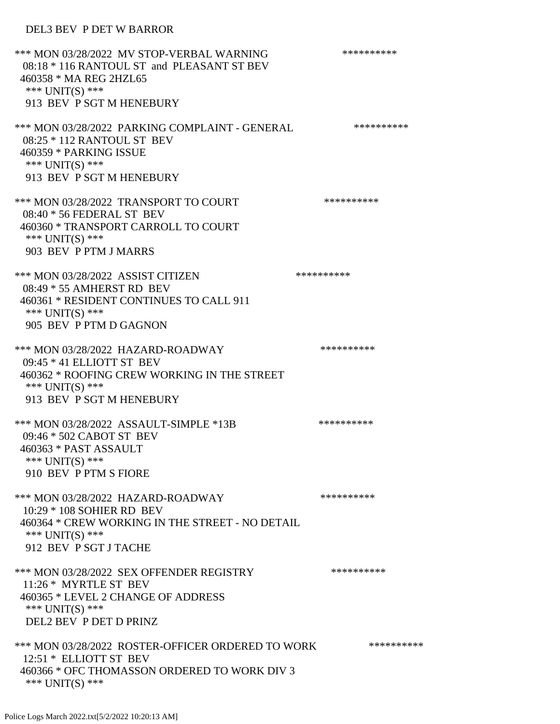## DEL3 BEV P DET W BARROR

\*\*\* MON 03/28/2022 MV STOP-VERBAL WARNING \*\*\*\*\*\*\*\*\*\*\*\*\*\*\* 08:18 \* 116 RANTOUL ST and PLEASANT ST BEV 460358 \* MA REG 2HZL65 \*\*\* UNIT(S) \*\*\* 913 BEV P SGT M HENEBURY \*\*\* MON 03/28/2022 PARKING COMPLAINT - GENERAL \*\*\*\*\*\*\*\*\*\* 08:25 \* 112 RANTOUL ST BEV 460359 \* PARKING ISSUE \*\*\* UNIT(S) \*\*\* 913 BEV P SGT M HENEBURY \*\*\* MON 03/28/2022 TRANSPORT TO COURT \*\*\*\*\*\*\*\*\*\*\*\* 08:40 \* 56 FEDERAL ST BEV 460360 \* TRANSPORT CARROLL TO COURT \*\*\* UNIT(S) \*\*\* 903 BEV P PTM J MARRS \*\*\* MON 03/28/2022 ASSIST CITIZEN \*\*\*\*\*\*\*\*\*\* 08:49 \* 55 AMHERST RD BEV 460361 \* RESIDENT CONTINUES TO CALL 911 \*\*\* UNIT(S) \*\*\* 905 BEV P PTM D GAGNON \*\*\* MON 03/28/2022 HAZARD-ROADWAY \*\*\*\*\*\*\*\*\*\* 09:45 \* 41 ELLIOTT ST BEV 460362 \* ROOFING CREW WORKING IN THE STREET \*\*\* UNIT(S) \*\*\* 913 BEV P SGT M HENEBURY \*\*\* MON 03/28/2022 ASSAULT-SIMPLE \*13B \*\*\*\*\*\*\*\*\*\*\*\* 09:46 \* 502 CABOT ST BEV 460363 \* PAST ASSAULT \*\*\* UNIT(S) \*\*\* 910 BEV P PTM S FIORE \*\*\* MON 03/28/2022 HAZARD-ROADWAY \*\*\*\*\*\*\*\*\*\* 10:29 \* 108 SOHIER RD BEV 460364 \* CREW WORKING IN THE STREET - NO DETAIL \*\*\* UNIT(S) \*\*\* 912 BEV P SGT J TACHE \*\*\* MON 03/28/2022 SEX OFFENDER REGISTRY \*\*\*\*\*\*\*\*\*\*\*\* 11:26 \* MYRTLE ST BEV 460365 \* LEVEL 2 CHANGE OF ADDRESS \*\*\* UNIT(S) \*\*\* DEL2 BEV P DET D PRINZ \*\*\* MON 03/28/2022 ROSTER-OFFICER ORDERED TO WORK \*\*\*\*\*\*\*\*\*\*\* 12:51 \* ELLIOTT ST BEV 460366 \* OFC THOMASSON ORDERED TO WORK DIV 3 \*\*\* UNIT(S) \*\*\*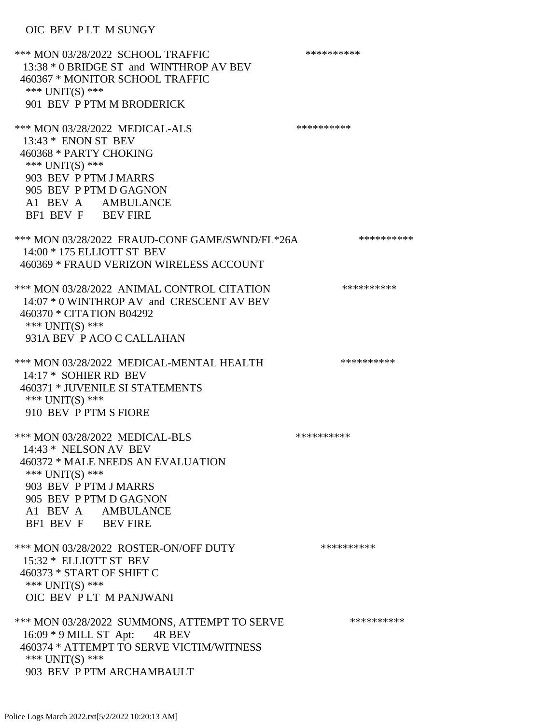OIC BEV P LT M SUNGY

\*\*\* MON 03/28/2022 SCHOOL TRAFFIC \*\*\*\*\*\*\*\*\*\*\*\*\*\* 13:38 \* 0 BRIDGE ST and WINTHROP AV BEV 460367 \* MONITOR SCHOOL TRAFFIC \*\*\* UNIT(S) \*\*\* 901 BEV P PTM M BRODERICK \*\*\* MON 03/28/2022 MEDICAL-ALS \*\*\*\*\*\*\*\*\*\*\*\*\*\* 13:43 \* ENON ST BEV 460368 \* PARTY CHOKING \*\*\* UNIT(S) \*\*\* 903 BEV P PTM J MARRS 905 BEV P PTM D GAGNON A1 BEV A AMBULANCE BF1 BEV F BEV FIRE \*\*\* MON 03/28/2022 FRAUD-CONF GAME/SWND/FL\*26A \*\*\*\*\*\*\*\*\*\* 14:00 \* 175 ELLIOTT ST BEV 460369 \* FRAUD VERIZON WIRELESS ACCOUNT \*\*\* MON 03/28/2022 ANIMAL CONTROL CITATION \*\*\*\*\*\*\*\*\*\* 14:07 \* 0 WINTHROP AV and CRESCENT AV BEV 460370 \* CITATION B04292 \*\*\* UNIT(S) \*\*\* 931A BEV P ACO C CALLAHAN \*\*\* MON 03/28/2022 MEDICAL-MENTAL HEALTH \*\*\*\*\*\*\*\*\*\*\*\* 14:17 \* SOHIER RD BEV 460371 \* JUVENILE SI STATEMENTS \*\*\* UNIT(S) \*\*\* 910 BEV P PTM S FIORE \*\*\* MON 03/28/2022 MEDICAL-BLS \*\*\*\*\*\*\*\*\*\*\*\*\* 14:43 \* NELSON AV BEV 460372 \* MALE NEEDS AN EVALUATION \*\*\* UNIT(S) \*\*\* 903 BEV P PTM J MARRS 905 BEV P PTM D GAGNON A1 BEV A AMBULANCE BF1 BEV F BEV FIRE \*\*\* MON 03/28/2022 ROSTER-ON/OFF DUTY \*\*\*\*\*\*\*\*\*\* 15:32 \* ELLIOTT ST BEV 460373 \* START OF SHIFT C \*\*\* UNIT(S) \*\*\* OIC BEV P LT M PANJWANI \*\*\* MON 03/28/2022 SUMMONS, ATTEMPT TO SERVE \*\*\*\*\*\*\*\*\*\*\*\*\* 16:09 \* 9 MILL ST Apt: 4R BEV 460374 \* ATTEMPT TO SERVE VICTIM/WITNESS \*\*\* UNIT(S) \*\*\* 903 BEV P PTM ARCHAMBAULT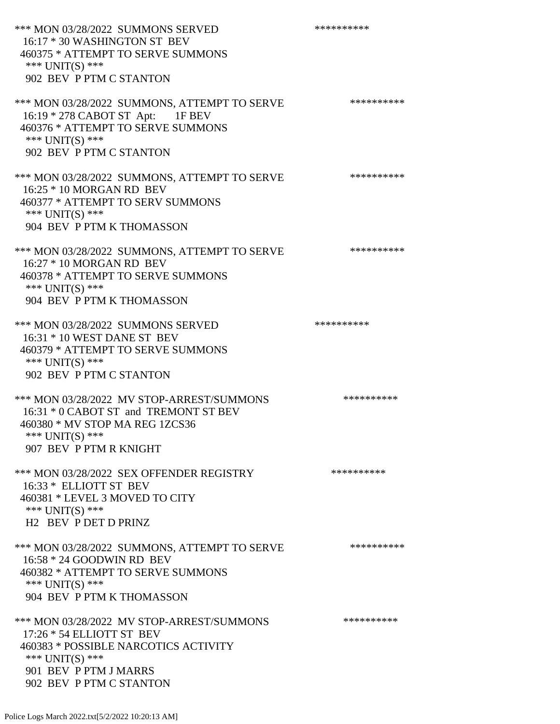| *** MON 03/28/2022 SUMMONS SERVED<br>16:17 * 30 WASHINGTON ST BEV<br>460375 * ATTEMPT TO SERVE SUMMONS<br>*** UNIT(S) ***<br>902 BEV P PTM C STANTON                                  | ********** |
|---------------------------------------------------------------------------------------------------------------------------------------------------------------------------------------|------------|
| *** MON 03/28/2022 SUMMONS, ATTEMPT TO SERVE<br>16:19 * 278 CABOT ST Apt: 1F BEV<br>460376 * ATTEMPT TO SERVE SUMMONS<br>*** $UNIT(S)$ ***<br>902 BEV P PTM C STANTON                 | ********** |
| *** MON 03/28/2022 SUMMONS, ATTEMPT TO SERVE<br>16:25 * 10 MORGAN RD BEV<br>460377 * ATTEMPT TO SERV SUMMONS<br>*** UNIT(S) ***<br>904 BEV P PTM K THOMASSON                          | ********** |
| *** MON 03/28/2022 SUMMONS, ATTEMPT TO SERVE<br>16:27 * 10 MORGAN RD BEV<br>460378 * ATTEMPT TO SERVE SUMMONS<br>*** UNIT(S) ***<br>904 BEV P PTM K THOMASSON                         | ********** |
| *** MON 03/28/2022 SUMMONS SERVED<br>16:31 * 10 WEST DANE ST BEV<br>460379 * ATTEMPT TO SERVE SUMMONS<br>*** UNIT(S) ***<br>902 BEV P PTM C STANTON                                   | ********** |
| *** MON 03/28/2022 MV STOP-ARREST/SUMMONS<br>16:31 * 0 CABOT ST and TREMONT ST BEV<br>460380 * MV STOP MA REG 1ZCS36<br>*** UNIT(S) ***<br>907 BEV P PTM R KNIGHT                     | ********** |
| *** MON 03/28/2022 SEX OFFENDER REGISTRY<br>16:33 * ELLIOTT ST BEV<br>460381 * LEVEL 3 MOVED TO CITY<br>*** UNIT(S) ***<br><b>H2 BEV P DET D PRINZ</b>                                | ********** |
| *** MON 03/28/2022 SUMMONS, ATTEMPT TO SERVE<br>16:58 * 24 GOODWIN RD BEV<br>460382 * ATTEMPT TO SERVE SUMMONS<br>*** $UNIT(S)$ ***<br>904 BEV P PTM K THOMASSON                      | ********** |
| *** MON 03/28/2022 MV STOP-ARREST/SUMMONS<br>17:26 * 54 ELLIOTT ST BEV<br>460383 * POSSIBLE NARCOTICS ACTIVITY<br>*** UNIT(S) ***<br>901 BEV P PTM J MARRS<br>902 BEV P PTM C STANTON | ********** |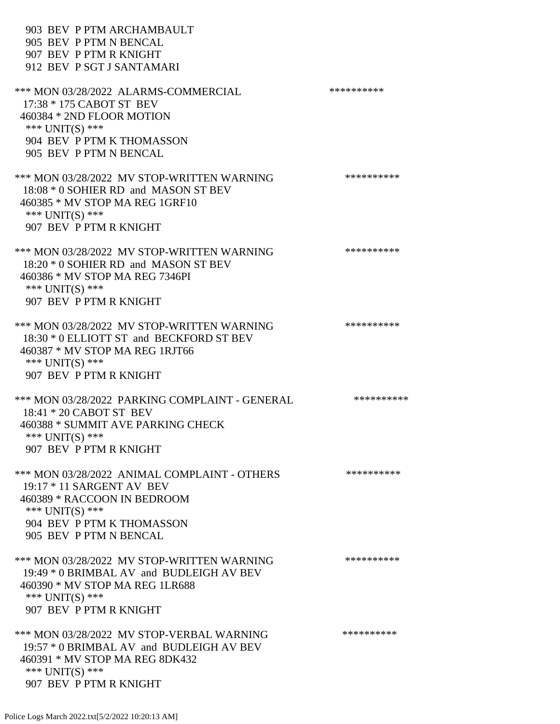| 903 BEV P PTM ARCHAMBAULT<br>905 BEV P PTM N BENCAL<br>907 BEV P PTM R KNIGHT<br>912 BEV P SGT J SANTAMARI                                                                             |            |
|----------------------------------------------------------------------------------------------------------------------------------------------------------------------------------------|------------|
| *** MON 03/28/2022 ALARMS-COMMERCIAL<br>17:38 * 175 CABOT ST BEV<br>460384 * 2ND FLOOR MOTION<br>*** UNIT(S) ***<br>904 BEV P PTM K THOMASSON<br>905 BEV P PTM N BENCAL                | ********** |
| *** MON 03/28/2022 MV STOP-WRITTEN WARNING<br>18:08 * 0 SOHIER RD and MASON ST BEV<br>460385 * MV STOP MA REG 1GRF10<br>*** $UNIT(S)$ ***<br>907 BEV P PTM R KNIGHT                    | ********** |
| *** MON 03/28/2022 MV STOP-WRITTEN WARNING<br>18:20 * 0 SOHIER RD and MASON ST BEV<br>460386 * MV STOP MA REG 7346PI<br>*** UNIT(S) ***<br>907 BEV P PTM R KNIGHT                      | ********** |
| *** MON 03/28/2022 MV STOP-WRITTEN WARNING<br>18:30 * 0 ELLIOTT ST and BECKFORD ST BEV<br>460387 * MV STOP MA REG 1RJT66<br>*** UNIT(S) ***<br>907 BEV P PTM R KNIGHT                  | ********** |
| *** MON 03/28/2022 PARKING COMPLAINT - GENERAL<br>18:41 * 20 CABOT ST BEV<br>460388 * SUMMIT AVE PARKING CHECK<br>*** UNIT(S) ***<br>907 BEV P PTM R KNIGHT                            | ********** |
| *** MON 03/28/2022 ANIMAL COMPLAINT - OTHERS<br>$19:17 * 11$ SARGENT AV BEV<br>460389 * RACCOON IN BEDROOM<br>*** $UNIT(S)$ ***<br>904 BEV P PTM K THOMASSON<br>905 BEV P PTM N BENCAL | ********** |
| *** MON 03/28/2022 MV STOP-WRITTEN WARNING<br>19:49 * 0 BRIMBAL AV and BUDLEIGH AV BEV<br>460390 * MV STOP MA REG 1LR688<br>*** UNIT(S) ***<br>907 BEV P PTM R KNIGHT                  | ********** |
| *** MON 03/28/2022 MV STOP-VERBAL WARNING<br>19:57 * 0 BRIMBAL AV and BUDLEIGH AV BEV<br>460391 * MV STOP MA REG 8DK432<br>*** UNIT(S) ***<br>907 BEV P PTM R KNIGHT                   | ********** |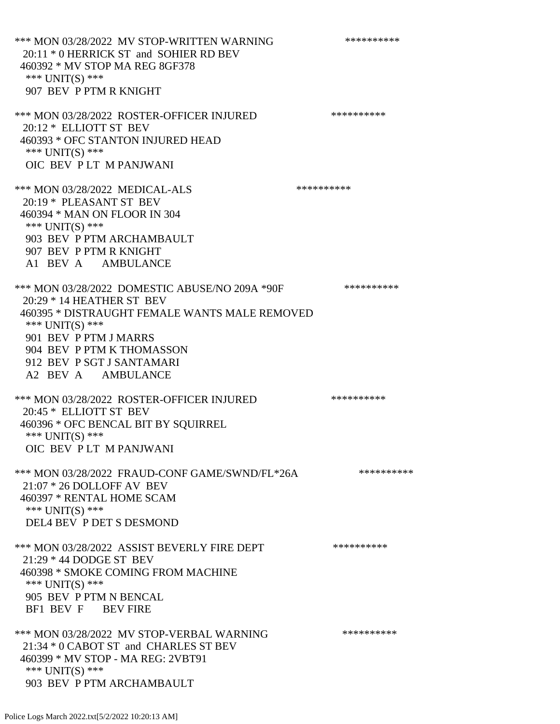\*\*\* MON 03/28/2022 MV STOP-WRITTEN WARNING \*\*\*\*\*\*\*\*\*\*\*\* 20:11 \* 0 HERRICK ST and SOHIER RD BEV 460392 \* MV STOP MA REG 8GF378 \*\*\* UNIT(S) \*\*\* 907 BEV P PTM R KNIGHT \*\*\* MON 03/28/2022 ROSTER-OFFICER INJURED \*\*\*\*\*\*\*\*\*\* 20:12 \* ELLIOTT ST BEV 460393 \* OFC STANTON INJURED HEAD \*\*\* UNIT(S) \*\*\* OIC BEV P LT M PANJWANI \*\*\* MON 03/28/2022 MEDICAL-ALS \*\*\*\*\*\*\*\*\*\* 20:19 \* PLEASANT ST BEV 460394 \* MAN ON FLOOR IN 304 \*\*\* UNIT(S) \*\*\* 903 BEV P PTM ARCHAMBAULT 907 BEV P PTM R KNIGHT A1 BEV A AMBULANCE \*\*\* MON 03/28/2022 DOMESTIC ABUSE/NO 209A \*90F \*\*\*\*\*\*\*\*\*\*\*\* 20:29 \* 14 HEATHER ST BEV 460395 \* DISTRAUGHT FEMALE WANTS MALE REMOVED \*\*\* UNIT(S) \*\*\* 901 BEV P PTM J MARRS 904 BEV P PTM K THOMASSON 912 BEV P SGT J SANTAMARI A2 BEV A AMBULANCE \*\*\* MON 03/28/2022 ROSTER-OFFICER INJURED \*\*\*\*\*\*\*\*\*\* 20:45 \* ELLIOTT ST BEV 460396 \* OFC BENCAL BIT BY SQUIRREL \*\*\* UNIT(S) \*\*\* OIC BEV P LT M PANJWANI \*\*\* MON 03/28/2022 FRAUD-CONF GAME/SWND/FL\*26A \*\*\*\*\*\*\*\*\*\* 21:07 \* 26 DOLLOFF AV BEV 460397 \* RENTAL HOME SCAM \*\*\* UNIT(S) \*\*\* DEL4 BEV P DET S DESMOND \*\*\* MON 03/28/2022 ASSIST BEVERLY FIRE DEPT \*\*\*\*\*\*\*\*\*\*\*\* 21:29 \* 44 DODGE ST BEV 460398 \* SMOKE COMING FROM MACHINE \*\*\* UNIT(S) \*\*\* 905 BEV P PTM N BENCAL BF1 BEV F BEV FIRE \*\*\* MON 03/28/2022 MV STOP-VERBAL WARNING \*\*\*\*\*\*\*\*\*\*\*\* 21:34 \* 0 CABOT ST and CHARLES ST BEV 460399 \* MV STOP - MA REG: 2VBT91 \*\*\* UNIT(S) \*\*\* 903 BEV P PTM ARCHAMBAULT

Police Logs March 2022.txt[5/2/2022 10:20:13 AM]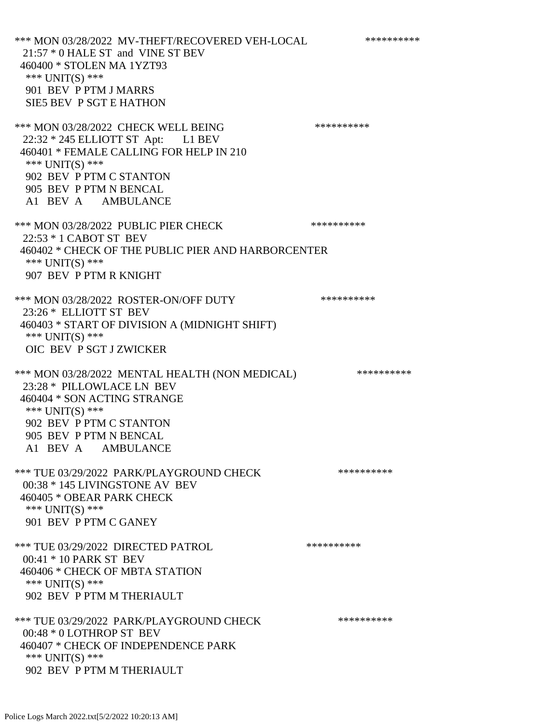\*\*\* MON 03/28/2022 MV-THEFT/RECOVERED VEH-LOCAL \*\*\*\*\*\*\*\*\*\* 21:57 \* 0 HALE ST and VINE ST BEV 460400 \* STOLEN MA 1YZT93 \*\*\* UNIT(S) \*\*\* 901 BEV P PTM J MARRS SIE5 BEV P SGT E HATHON \*\*\* MON 03/28/2022 CHECK WELL BEING \*\*\*\*\*\*\*\*\*\* 22:32 \* 245 ELLIOTT ST Apt: L1 BEV 460401 \* FEMALE CALLING FOR HELP IN 210 \*\*\* UNIT(S) \*\*\* 902 BEV P PTM C STANTON 905 BEV P PTM N BENCAL A1 BEV A AMBULANCE \*\*\* MON 03/28/2022 PUBLIC PIER CHECK \*\*\*\*\*\*\*\*\*\*\*\* 22:53 \* 1 CABOT ST BEV 460402 \* CHECK OF THE PUBLIC PIER AND HARBORCENTER \*\*\* UNIT(S) \*\*\* 907 BEV P PTM R KNIGHT \*\*\* MON 03/28/2022 ROSTER-ON/OFF DUTY \*\*\*\*\*\*\*\*\*\* 23:26 \* ELLIOTT ST BEV 460403 \* START OF DIVISION A (MIDNIGHT SHIFT) \*\*\* UNIT(S) \*\*\* OIC BEV P SGT J ZWICKER \*\*\* MON 03/28/2022 MENTAL HEALTH (NON MEDICAL) \*\*\*\*\*\*\*\*\*\* 23:28 \* PILLOWLACE LN BEV 460404 \* SON ACTING STRANGE \*\*\* UNIT(S) \*\*\* 902 BEV P PTM C STANTON 905 BEV P PTM N BENCAL A1 BEV A AMBULANCE \*\*\* TUE 03/29/2022 PARK/PLAYGROUND CHECK \*\*\*\*\*\*\*\*\*\*\*\* 00:38 \* 145 LIVINGSTONE AV BEV 460405 \* OBEAR PARK CHECK \*\*\* UNIT(S) \*\*\* 901 BEV P PTM C GANEY \*\*\* TUE 03/29/2022 DIRECTED PATROL \*\*\*\*\*\*\*\*\*\* 00:41 \* 10 PARK ST BEV 460406 \* CHECK OF MBTA STATION \*\*\* UNIT(S) \*\*\* 902 BEV P PTM M THERIAULT \*\*\* TUE 03/29/2022 PARK/PLAYGROUND CHECK \*\*\*\*\*\*\*\*\*\* 00:48 \* 0 LOTHROP ST BEV 460407 \* CHECK OF INDEPENDENCE PARK \*\*\* UNIT(S) \*\*\* 902 BEV P PTM M THERIAULT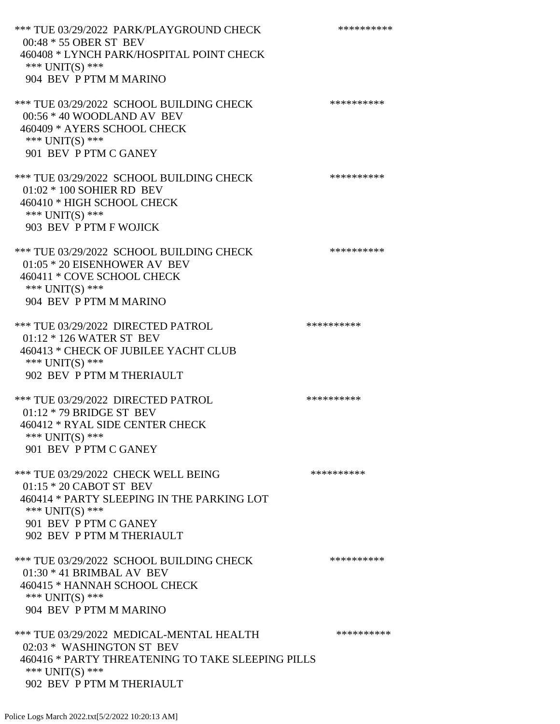\*\*\* TUE 03/29/2022 PARK/PLAYGROUND CHECK \*\*\*\*\*\*\*\*\*\*\*\* 00:48 \* 55 OBER ST BEV 460408 \* LYNCH PARK/HOSPITAL POINT CHECK \*\*\* UNIT(S) \*\*\* 904 BEV P PTM M MARINO \*\*\* TUE 03/29/2022 SCHOOL BUILDING CHECK \*\*\*\*\*\*\*\*\*\* 00:56 \* 40 WOODLAND AV BEV 460409 \* AYERS SCHOOL CHECK \*\*\* UNIT(S) \*\*\* 901 BEV P PTM C GANEY \*\*\* TUE 03/29/2022 SCHOOL BUILDING CHECK \*\*\*\*\*\*\*\*\*\*\*\* 01:02 \* 100 SOHIER RD BEV 460410 \* HIGH SCHOOL CHECK \*\*\* UNIT(S) \*\*\* 903 BEV P PTM F WOJICK \*\*\* TUE 03/29/2022 SCHOOL BUILDING CHECK \*\*\*\*\*\*\*\*\*\*\* 01:05 \* 20 EISENHOWER AV BEV 460411 \* COVE SCHOOL CHECK \*\*\* UNIT(S) \*\*\* 904 BEV P PTM M MARINO \*\*\* TUE 03/29/2022 DIRECTED PATROL \*\*\*\*\*\*\*\*\*\* 01:12 \* 126 WATER ST BEV 460413 \* CHECK OF JUBILEE YACHT CLUB \*\*\* UNIT(S) \*\*\* 902 BEV P PTM M THERIAULT \*\*\* TUE 03/29/2022 DIRECTED PATROL \*\*\*\*\*\*\*\*\*\* 01:12 \* 79 BRIDGE ST BEV 460412 \* RYAL SIDE CENTER CHECK \*\*\* UNIT(S) \*\*\* 901 BEV P PTM C GANEY \*\*\* TUE 03/29/2022 CHECK WELL BEING \*\*\*\*\*\*\*\*\*\*\*\*\*\* 01:15 \* 20 CABOT ST BEV 460414 \* PARTY SLEEPING IN THE PARKING LOT \*\*\* UNIT(S) \*\*\* 901 BEV P PTM C GANEY 902 BEV P PTM M THERIAULT \*\*\* TUE 03/29/2022 SCHOOL BUILDING CHECK \*\*\*\*\*\*\*\*\*\*\* 01:30 \* 41 BRIMBAL AV BEV 460415 \* HANNAH SCHOOL CHECK \*\*\* UNIT(S) \*\*\* 904 BEV P PTM M MARINO \*\*\* TUE 03/29/2022 MEDICAL-MENTAL HEALTH \*\*\*\*\*\*\*\*\*\* 02:03 \* WASHINGTON ST BEV 460416 \* PARTY THREATENING TO TAKE SLEEPING PILLS \*\*\* UNIT(S) \*\*\*

902 BEV P PTM M THERIAULT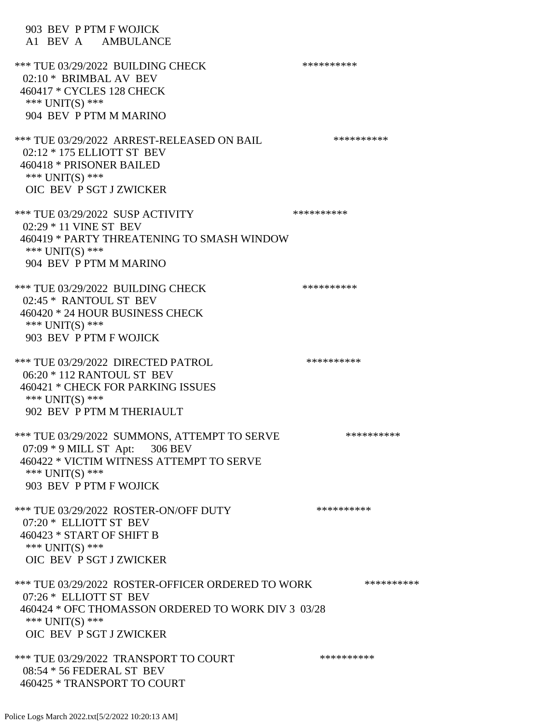903 BEV P PTM F WOJICK A1 BEV A AMBULANCE \*\*\* TUE 03/29/2022 BUILDING CHECK \*\*\*\*\*\*\*\*\*\*\*\* 02:10 \* BRIMBAL AV BEV 460417 \* CYCLES 128 CHECK \*\*\* UNIT(S) \*\*\* 904 BEV P PTM M MARINO \*\*\* TUE 03/29/2022 ARREST-RELEASED ON BAIL \*\*\*\*\*\*\*\*\*\* 02:12 \* 175 ELLIOTT ST BEV 460418 \* PRISONER BAILED \*\*\* UNIT(S) \*\*\* OIC BEV P SGT J ZWICKER \*\*\* TUE 03/29/2022 SUSP ACTIVITY \*\*\*\*\*\*\*\*\*\*\*\* 02:29 \* 11 VINE ST BEV 460419 \* PARTY THREATENING TO SMASH WINDOW \*\*\* UNIT(S) \*\*\* 904 BEV P PTM M MARINO \*\*\* TUE 03/29/2022 BUILDING CHECK \*\*\*\*\*\*\*\*\*\*\*\* 02:45 \* RANTOUL ST BEV 460420 \* 24 HOUR BUSINESS CHECK \*\*\* UNIT(S) \*\*\* 903 BEV P PTM F WOJICK \*\*\* TUE 03/29/2022 DIRECTED PATROL \*\*\*\*\*\*\*\*\*\* 06:20 \* 112 RANTOUL ST BEV 460421 \* CHECK FOR PARKING ISSUES \*\*\* UNIT(S) \*\*\* 902 BEV P PTM M THERIAULT \*\*\* TUE 03/29/2022 SUMMONS, ATTEMPT TO SERVE \*\*\*\*\*\*\*\*\*\* 07:09 \* 9 MILL ST Apt: 306 BEV 460422 \* VICTIM WITNESS ATTEMPT TO SERVE \*\*\* UNIT(S) \*\*\* 903 BEV P PTM F WOJICK \*\*\* TUE 03/29/2022 ROSTER-ON/OFF DUTY \*\*\*\*\*\*\*\*\*\* 07:20 \* ELLIOTT ST BEV 460423 \* START OF SHIFT B \*\*\* UNIT(S) \*\*\* OIC BEV P SGT J ZWICKER \*\*\* TUE 03/29/2022 ROSTER-OFFICER ORDERED TO WORK \*\*\*\*\*\*\*\*\*\*\* 07:26 \* ELLIOTT ST BEV 460424 \* OFC THOMASSON ORDERED TO WORK DIV 3 03/28 \*\*\* UNIT(S) \*\*\* OIC BEV P SGT J ZWICKER \*\*\* TUE 03/29/2022 TRANSPORT TO COURT \*\*\*\*\*\*\*\*\*\*\*\*\*\* 08:54 \* 56 FEDERAL ST BEV

460425 \* TRANSPORT TO COURT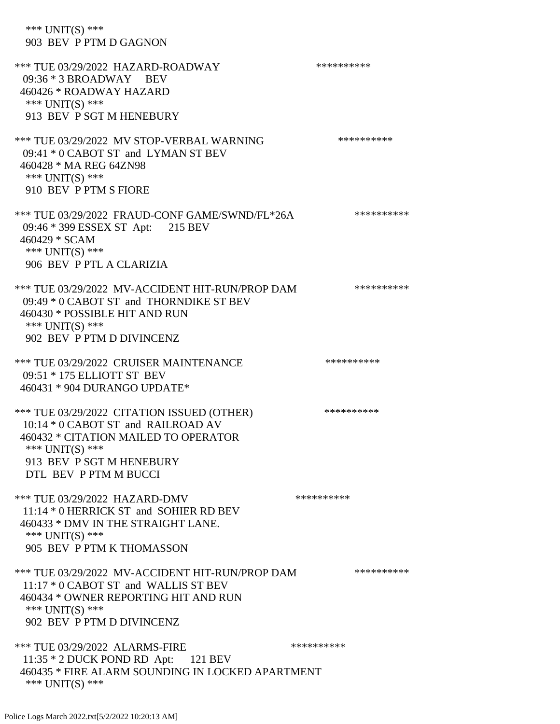\*\*\* UNIT(S) \*\*\* 903 BEV P PTM D GAGNON \*\*\* TUE 03/29/2022 HAZARD-ROADWAY \*\*\*\*\*\*\*\*\*\*\*\*\* 09:36 \* 3 BROADWAY BEV 460426 \* ROADWAY HAZARD \*\*\* UNIT(S) \*\*\* 913 BEV P SGT M HENEBURY \*\*\* TUE 03/29/2022 MV STOP-VERBAL WARNING \*\*\*\*\*\*\*\*\*\*\*\*\* 09:41 \* 0 CABOT ST and LYMAN ST BEV 460428 \* MA REG 64ZN98 \*\*\* UNIT(S) \*\*\* 910 BEV P PTM S FIORE \*\*\* TUE 03/29/2022 FRAUD-CONF GAME/SWND/FL\*26A \*\*\*\*\*\*\*\*\*\* 09:46 \* 399 ESSEX ST Apt: 215 BEV 460429 \* SCAM \*\*\* UNIT(S) \*\*\* 906 BEV P PTL A CLARIZIA \*\*\* TUE 03/29/2022 MV-ACCIDENT HIT-RUN/PROP DAM \*\*\*\*\*\*\*\*\*\* 09:49 \* 0 CABOT ST and THORNDIKE ST BEV 460430 \* POSSIBLE HIT AND RUN \*\*\* UNIT(S) \*\*\* 902 BEV P PTM D DIVINCENZ \*\*\* TUE 03/29/2022 CRUISER MAINTENANCE \*\*\*\*\*\*\*\*\*\*\*\* 09:51 \* 175 ELLIOTT ST BEV 460431 \* 904 DURANGO UPDATE\* \*\*\* TUE 03/29/2022 CITATION ISSUED (OTHER) \*\*\*\*\*\*\*\*\*\* 10:14 \* 0 CABOT ST and RAILROAD AV 460432 \* CITATION MAILED TO OPERATOR \*\*\* UNIT(S) \*\*\* 913 BEV P SGT M HENEBURY DTL BEV P PTM M BUCCI \*\*\* TUE 03/29/2022 HAZARD-DMV \*\*\*\*\*\*\*\*\*\*\*\* 11:14 \* 0 HERRICK ST and SOHIER RD BEV 460433 \* DMV IN THE STRAIGHT LANE. \*\*\* UNIT(S) \*\*\* 905 BEV P PTM K THOMASSON \*\*\* TUE 03/29/2022 MV-ACCIDENT HIT-RUN/PROP DAM \*\*\*\*\*\*\*\*\*\* 11:17 \* 0 CABOT ST and WALLIS ST BEV 460434 \* OWNER REPORTING HIT AND RUN \*\*\* UNIT(S) \*\*\* 902 BEV P PTM D DIVINCENZ \*\*\* TUE 03/29/2022 ALARMS-FIRE \*\*\*\*\*\*\*\*\*\* 11:35 \* 2 DUCK POND RD Apt: 121 BEV 460435 \* FIRE ALARM SOUNDING IN LOCKED APARTMENT \*\*\* UNIT(S) \*\*\*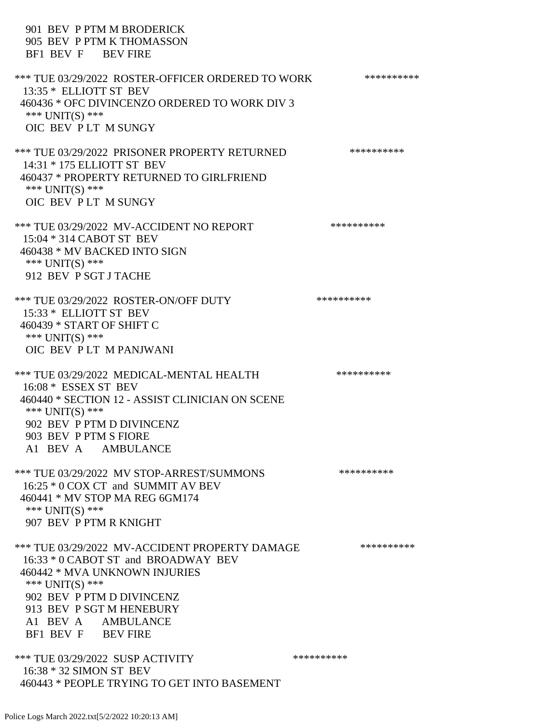901 BEV P PTM M BRODERICK 905 BEV P PTM K THOMASSON BF1 BEV F BEV FIRE \*\*\* TUE 03/29/2022 ROSTER-OFFICER ORDERED TO WORK \*\*\*\*\*\*\*\*\*\*\* 13:35 \* ELLIOTT ST BEV 460436 \* OFC DIVINCENZO ORDERED TO WORK DIV 3 \*\*\* UNIT(S) \*\*\* OIC BEV P LT M SUNGY \*\*\* TUE 03/29/2022 PRISONER PROPERTY RETURNED \*\*\*\*\*\*\*\*\*\* 14:31 \* 175 ELLIOTT ST BEV 460437 \* PROPERTY RETURNED TO GIRLFRIEND \*\*\* UNIT(S) \*\*\* OIC BEV P LT M SUNGY \*\*\* TUE 03/29/2022 MV-ACCIDENT NO REPORT \*\*\*\*\*\*\*\*\*\*\*\* 15:04 \* 314 CABOT ST BEV 460438 \* MV BACKED INTO SIGN \*\*\* UNIT(S) \*\*\* 912 BEV P SGT J TACHE \*\*\* TUE 03/29/2022 ROSTER-ON/OFF DUTY \*\*\*\*\*\*\*\*\*\* 15:33 \* ELLIOTT ST BEV 460439 \* START OF SHIFT C \*\*\* UNIT(S) \*\*\* OIC BEV P LT M PANJWANI \*\*\* TUE 03/29/2022 MEDICAL-MENTAL HEALTH \*\*\*\*\*\*\*\*\*\* 16:08 \* ESSEX ST BEV 460440 \* SECTION 12 - ASSIST CLINICIAN ON SCENE \*\*\* UNIT(S) \*\*\* 902 BEV P PTM D DIVINCENZ 903 BEV P PTM S FIORE A1 BEV A AMBULANCE \*\*\* TUE 03/29/2022 MV STOP-ARREST/SUMMONS \*\*\*\*\*\*\*\*\*\*\*\*\*\* 16:25 \* 0 COX CT and SUMMIT AV BEV 460441 \* MV STOP MA REG 6GM174 \*\*\* UNIT(S) \*\*\* 907 BEV P PTM R KNIGHT \*\*\* TUE 03/29/2022 MV-ACCIDENT PROPERTY DAMAGE \*\*\*\*\*\*\*\*\*\* 16:33 \* 0 CABOT ST and BROADWAY BEV 460442 \* MVA UNKNOWN INJURIES \*\*\* UNIT(S) \*\*\* 902 BEV P PTM D DIVINCENZ 913 BEV P SGT M HENEBURY A1 BEV A AMBULANCE BF1 BEV F BEV FIRE \*\*\* TUE 03/29/2022 SUSP ACTIVITY \*\*\*\*\*\*\*\*\*\*\*\* 16:38 \* 32 SIMON ST BEV 460443 \* PEOPLE TRYING TO GET INTO BASEMENT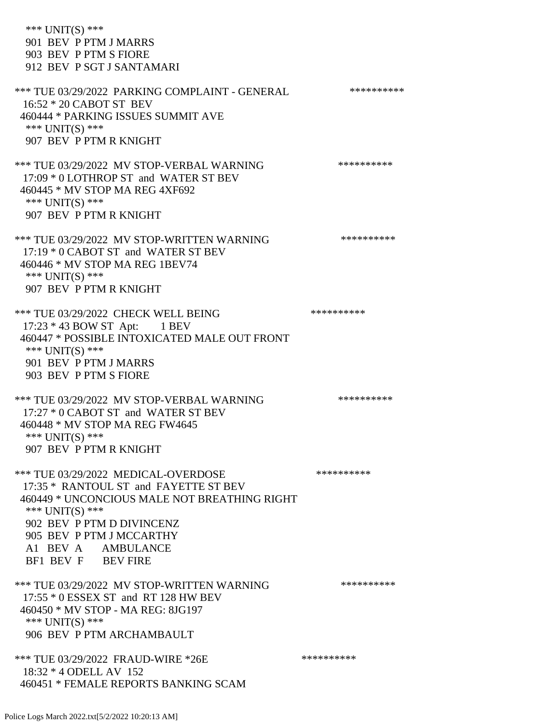\*\*\* UNIT(S) \*\*\* 901 BEV P PTM J MARRS 903 BEV P PTM S FIORE 912 BEV P SGT J SANTAMARI \*\*\* TUE 03/29/2022 PARKING COMPLAINT - GENERAL \*\*\*\*\*\*\*\*\*\* 16:52 \* 20 CABOT ST BEV 460444 \* PARKING ISSUES SUMMIT AVE \*\*\* UNIT(S) \*\*\* 907 BEV P PTM R KNIGHT \*\*\* TUE 03/29/2022 MV STOP-VERBAL WARNING \*\*\*\*\*\*\*\*\*\*\*\*\* 17:09 \* 0 LOTHROP ST and WATER ST BEV 460445 \* MV STOP MA REG 4XF692 \*\*\* UNIT(S) \*\*\* 907 BEV P PTM R KNIGHT \*\*\* TUE 03/29/2022 MV STOP-WRITTEN WARNING \*\*\*\*\*\*\*\*\*\*\*\*\* 17:19 \* 0 CABOT ST and WATER ST BEV 460446 \* MV STOP MA REG 1BEV74 \*\*\* UNIT(S) \*\*\* 907 BEV P PTM R KNIGHT \*\*\* TUE 03/29/2022 CHECK WELL BEING \*\*\*\*\*\*\*\*\*\*\*\*\*\*\*\*\* 17:23 \* 43 BOW ST Apt: 1 BEV 460447 \* POSSIBLE INTOXICATED MALE OUT FRONT \*\*\* UNIT(S) \*\*\* 901 BEV P PTM J MARRS 903 BEV P PTM S FIORE \*\*\* TUE 03/29/2022 MV STOP-VERBAL WARNING \*\*\*\*\*\*\*\*\*\*\*\*\*\* 17:27 \* 0 CABOT ST and WATER ST BEV 460448 \* MV STOP MA REG FW4645 \*\*\* UNIT(S) \*\*\* 907 BEV P PTM R KNIGHT \*\*\* TUE 03/29/2022 MEDICAL-OVERDOSE \*\*\*\*\*\*\*\*\*\* 17:35 \* RANTOUL ST and FAYETTE ST BEV 460449 \* UNCONCIOUS MALE NOT BREATHING RIGHT \*\*\* UNIT(S) \*\*\* 902 BEV P PTM D DIVINCENZ 905 BEV P PTM J MCCARTHY A1 BEV A AMBULANCE BF1 BEV F BEV FIRE \*\*\* TUE 03/29/2022 MV STOP-WRITTEN WARNING \*\*\*\*\*\*\*\*\*\*\*\*\* 17:55 \* 0 ESSEX ST and RT 128 HW BEV 460450 \* MV STOP - MA REG: 8JG197 \*\*\* UNIT(S) \*\*\* 906 BEV P PTM ARCHAMBAULT \*\*\* TUE 03/29/2022 FRAUD-WIRE \*26E \*\*\*\*\*\*\*\*\*\*\*\*\*\*\*\*\*\*\*\*\* 18:32 \* 4 ODELL AV 152 460451 \* FEMALE REPORTS BANKING SCAM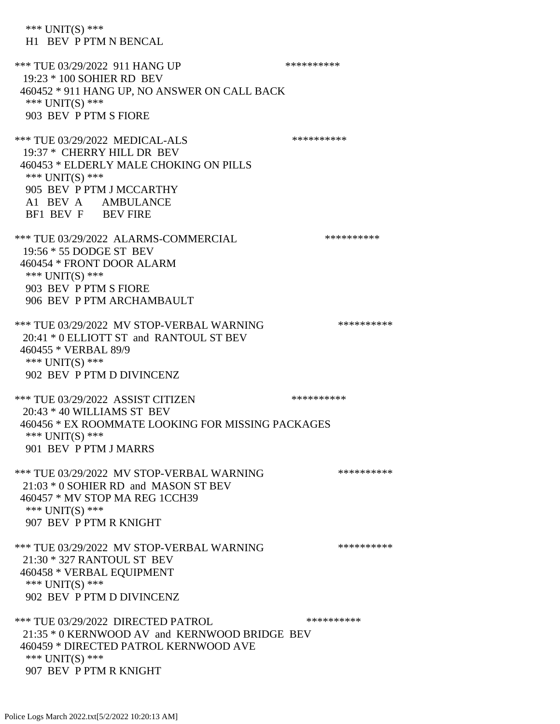\*\*\* UNIT(S) \*\*\* H1 BEV P PTM N BENCAL \*\*\* TUE 03/29/2022 911 HANG UP \*\*\*\*\*\*\*\*\*\*\*\* 19:23 \* 100 SOHIER RD BEV 460452 \* 911 HANG UP, NO ANSWER ON CALL BACK \*\*\* UNIT(S) \*\*\* 903 BEV P PTM S FIORE \*\*\* TUE 03/29/2022 MEDICAL-ALS \*\*\*\*\*\*\*\*\*\*\*\*\* 19:37 \* CHERRY HILL DR BEV 460453 \* ELDERLY MALE CHOKING ON PILLS \*\*\* UNIT(S) \*\*\* 905 BEV P PTM J MCCARTHY A1 BEV A AMBULANCE BF1 BEV F BEV FIRE \*\*\* TUE 03/29/2022 ALARMS-COMMERCIAL \*\*\*\*\*\*\*\*\*\* 19:56 \* 55 DODGE ST BEV 460454 \* FRONT DOOR ALARM \*\*\* UNIT(S) \*\*\* 903 BEV P PTM S FIORE 906 BEV P PTM ARCHAMBAULT \*\*\* TUE 03/29/2022 MV STOP-VERBAL WARNING \*\*\*\*\*\*\*\*\*\*\*\*\* 20:41 \* 0 ELLIOTT ST and RANTOUL ST BEV 460455 \* VERBAL 89/9 \*\*\* UNIT(S) \*\*\* 902 BEV P PTM D DIVINCENZ \*\*\* TUE 03/29/2022 ASSIST CITIZEN \*\*\*\*\*\*\*\*\*\*\*\* 20:43 \* 40 WILLIAMS ST BEV 460456 \* EX ROOMMATE LOOKING FOR MISSING PACKAGES \*\*\* UNIT(S) \*\*\* 901 BEV P PTM J MARRS \*\*\* TUE 03/29/2022 MV STOP-VERBAL WARNING \*\*\*\*\*\*\*\*\*\*\*\*\* 21:03 \* 0 SOHIER RD and MASON ST BEV 460457 \* MV STOP MA REG 1CCH39 \*\*\* UNIT(S) \*\*\* 907 BEV P PTM R KNIGHT \*\*\* TUE 03/29/2022 MV STOP-VERBAL WARNING \*\*\*\*\*\*\*\*\*\*\*\*\* 21:30 \* 327 RANTOUL ST BEV 460458 \* VERBAL EQUIPMENT \*\*\* UNIT(S) \*\*\* 902 BEV P PTM D DIVINCENZ \*\*\* TUE 03/29/2022 DIRECTED PATROL \*\*\*\*\*\*\*\*\*\* 21:35 \* 0 KERNWOOD AV and KERNWOOD BRIDGE BEV 460459 \* DIRECTED PATROL KERNWOOD AVE \*\*\* UNIT(S) \*\*\* 907 BEV P PTM R KNIGHT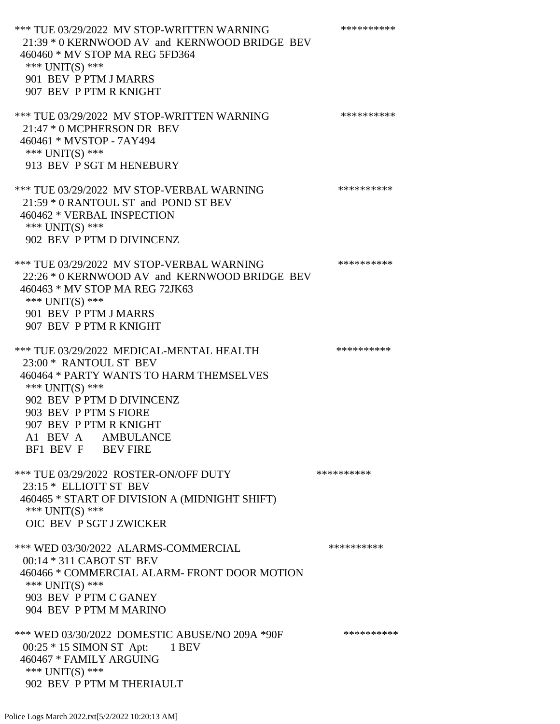\*\*\* TUE 03/29/2022 MV STOP-WRITTEN WARNING \*\*\*\*\*\*\*\*\*\*\*\*\* 21:39 \* 0 KERNWOOD AV and KERNWOOD BRIDGE BEV 460460 \* MV STOP MA REG 5FD364 \*\*\* UNIT(S) \*\*\* 901 BEV P PTM J MARRS 907 BEV P PTM R KNIGHT \*\*\* TUE 03/29/2022 MV STOP-WRITTEN WARNING \*\*\*\*\*\*\*\*\*\*\*\*\* 21:47 \* 0 MCPHERSON DR BEV 460461 \* MVSTOP - 7AY494 \*\*\* UNIT(S) \*\*\* 913 BEV P SGT M HENEBURY \*\*\* TUE 03/29/2022 MV STOP-VERBAL WARNING \*\*\*\*\*\*\*\*\*\*\*\*\* 21:59 \* 0 RANTOUL ST and POND ST BEV 460462 \* VERBAL INSPECTION \*\*\* UNIT(S) \*\*\* 902 BEV P PTM D DIVINCENZ \*\*\* TUE 03/29/2022 MV STOP-VERBAL WARNING \*\*\*\*\*\*\*\*\*\*\*\*\*\* 22:26 \* 0 KERNWOOD AV and KERNWOOD BRIDGE BEV 460463 \* MV STOP MA REG 72JK63 \*\*\* UNIT(S) \*\*\* 901 BEV P PTM J MARRS 907 BEV P PTM R KNIGHT \*\*\* TUE 03/29/2022 MEDICAL-MENTAL HEALTH \*\*\*\*\*\*\*\*\*\* 23:00 \* RANTOUL ST BEV 460464 \* PARTY WANTS TO HARM THEMSELVES \*\*\* UNIT(S) \*\*\* 902 BEV P PTM D DIVINCENZ 903 BEV P PTM S FIORE 907 BEV P PTM R KNIGHT A1 BEV A AMBULANCE BF1 BEV F BEV FIRE \*\*\* TUE 03/29/2022 ROSTER-ON/OFF DUTY \*\*\*\*\*\*\*\*\*\* 23:15 \* ELLIOTT ST BEV 460465 \* START OF DIVISION A (MIDNIGHT SHIFT) \*\*\* UNIT(S) \*\*\* OIC BEV P SGT J ZWICKER \*\*\* WED 03/30/2022 ALARMS-COMMERCIAL \*\*\*\*\*\*\*\*\*\* 00:14 \* 311 CABOT ST BEV 460466 \* COMMERCIAL ALARM- FRONT DOOR MOTION \*\*\* UNIT(S) \*\*\* 903 BEV P PTM C GANEY 904 BEV P PTM M MARINO \*\*\* WED 03/30/2022 DOMESTIC ABUSE/NO 209A \*90F \*\*\*\*\*\*\*\*\*\* 00:25 \* 15 SIMON ST Apt: 1 BEV 460467 \* FAMILY ARGUING \*\*\* UNIT(S) \*\*\* 902 BEV P PTM M THERIAULT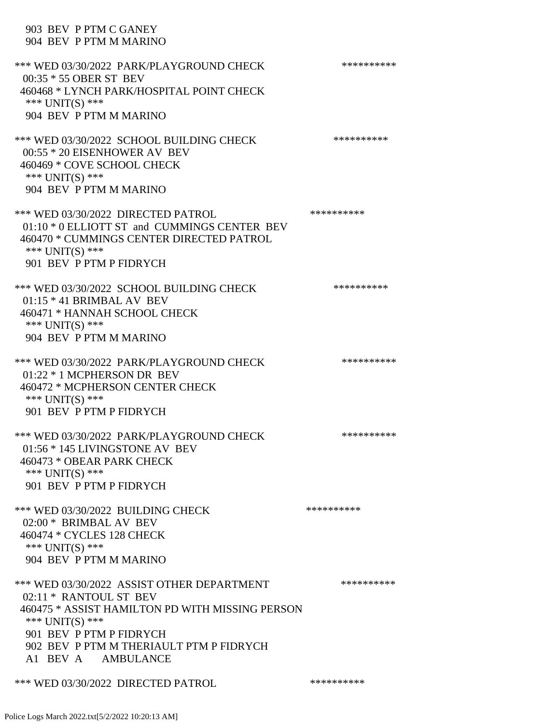## 903 BEV P PTM C GANEY 904 BEV P PTM M MARINO

| *** WED 03/30/2022 PARK/PLAYGROUND CHECK<br>00:35 * 55 OBER ST BEV<br>460468 * LYNCH PARK/HOSPITAL POINT CHECK<br>*** $UNIT(S)$ ***<br>904 BEV P PTM M MARINO                                                                            | ********** |
|------------------------------------------------------------------------------------------------------------------------------------------------------------------------------------------------------------------------------------------|------------|
| *** WED 03/30/2022 SCHOOL BUILDING CHECK<br>00:55 * 20 EISENHOWER AV BEV<br>460469 * COVE SCHOOL CHECK<br>*** UNIT(S) ***<br>904 BEV P PTM M MARINO                                                                                      | ********** |
| *** WED 03/30/2022 DIRECTED PATROL<br>01:10 * 0 ELLIOTT ST and CUMMINGS CENTER BEV<br>460470 * CUMMINGS CENTER DIRECTED PATROL<br>*** $UNIT(S)$ ***<br>901 BEV P PTM P FIDRYCH                                                           | ********** |
| *** WED 03/30/2022 SCHOOL BUILDING CHECK<br>$01:15 * 41$ BRIMBAL AV BEV<br>460471 * HANNAH SCHOOL CHECK<br>*** UNIT(S) ***<br>904 BEV P PTM M MARINO                                                                                     | ********** |
| *** WED 03/30/2022 PARK/PLAYGROUND CHECK<br>01:22 * 1 MCPHERSON DR BEV<br>460472 * MCPHERSON CENTER CHECK<br>*** UNIT(S) ***<br>901 BEV P PTM P FIDRYCH                                                                                  | ********** |
| *** WED 03/30/2022 PARK/PLAYGROUND CHECK<br>01:56 * 145 LIVINGSTONE AV BEV<br>460473 * OBEAR PARK CHECK<br>*** UNIT(S) ***<br>901 BEV P PTM P FIDRYCH                                                                                    | ********** |
| *** WED 03/30/2022 BUILDING CHECK<br>02:00 * BRIMBAL AV BEV<br>460474 * CYCLES 128 CHECK<br>*** $UNIT(S)$ ***<br>904 BEV P PTM M MARINO                                                                                                  | ********** |
| *** WED 03/30/2022 ASSIST OTHER DEPARTMENT<br>02:11 * RANTOUL ST BEV<br>460475 * ASSIST HAMILTON PD WITH MISSING PERSON<br>*** $UNIT(S)$ ***<br>901 BEV P PTM P FIDRYCH<br>902 BEV P PTM M THERIAULT PTM P FIDRYCH<br>A1 BEV A AMBULANCE | ********** |
| *** WED 03/30/2022 DIRECTED PATROL                                                                                                                                                                                                       | ********** |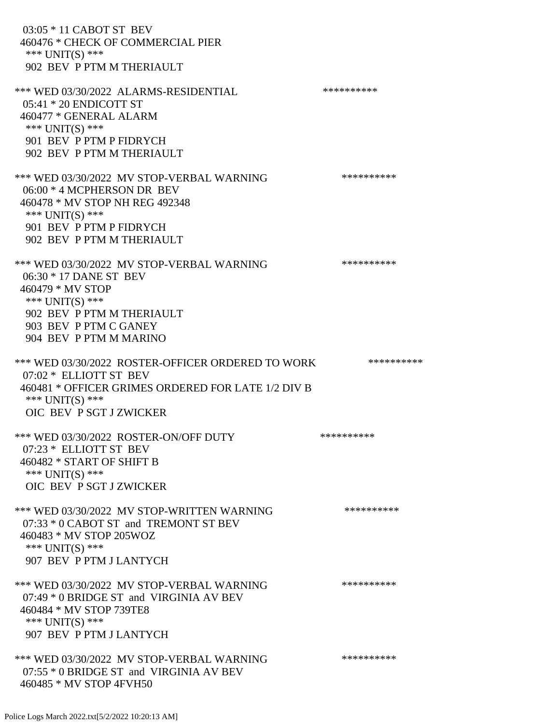03:05 \* 11 CABOT ST BEV 460476 \* CHECK OF COMMERCIAL PIER \*\*\* UNIT(S) \*\*\* 902 BEV P PTM M THERIAULT \*\*\* WED 03/30/2022 ALARMS-RESIDENTIAL \*\*\*\*\*\*\*\*\*\* 05:41 \* 20 ENDICOTT ST 460477 \* GENERAL ALARM \*\*\* UNIT(S) \*\*\* 901 BEV P PTM P FIDRYCH 902 BEV P PTM M THERIAULT \*\*\* WED 03/30/2022 MV STOP-VERBAL WARNING \*\*\*\*\*\*\*\*\*\*\*\* 06:00 \* 4 MCPHERSON DR BEV 460478 \* MV STOP NH REG 492348 \*\*\* UNIT(S) \*\*\* 901 BEV P PTM P FIDRYCH 902 BEV P PTM M THERIAULT \*\*\* WED 03/30/2022 MV STOP-VERBAL WARNING \*\*\*\*\*\*\*\*\*\*\*\* 06:30 \* 17 DANE ST BEV 460479 \* MV STOP \*\*\* UNIT(S) \*\*\* 902 BEV P PTM M THERIAULT 903 BEV P PTM C GANEY 904 BEV P PTM M MARINO \*\*\* WED 03/30/2022 ROSTER-OFFICER ORDERED TO WORK \*\*\*\*\*\*\*\*\*\*\* 07:02 \* ELLIOTT ST BEV 460481 \* OFFICER GRIMES ORDERED FOR LATE 1/2 DIV B \*\*\* UNIT(S) \*\*\* OIC BEV P SGT J ZWICKER \*\*\* WED 03/30/2022 ROSTER-ON/OFF DUTY \*\*\*\*\*\*\*\*\*\* 07:23 \* ELLIOTT ST BEV 460482 \* START OF SHIFT B \*\*\* UNIT(S) \*\*\* OIC BEV P SGT J ZWICKER \*\*\* WED 03/30/2022 MV STOP-WRITTEN WARNING \*\*\*\*\*\*\*\*\*\*\*\* 07:33 \* 0 CABOT ST and TREMONT ST BEV 460483 \* MV STOP 205WOZ \*\*\* UNIT(S) \*\*\* 907 BEV P PTM J LANTYCH \*\*\* WED 03/30/2022 MV STOP-VERBAL WARNING \*\*\*\*\*\*\*\*\*\*\*\* 07:49 \* 0 BRIDGE ST and VIRGINIA AV BEV 460484 \* MV STOP 739TE8 \*\*\* UNIT(S) \*\*\* 907 BEV P PTM J LANTYCH \*\*\* WED 03/30/2022 MV STOP-VERBAL WARNING \*\*\*\*\*\*\*\*\*\*\*\*\* 07:55 \* 0 BRIDGE ST and VIRGINIA AV BEV 460485 \* MV STOP 4FVH50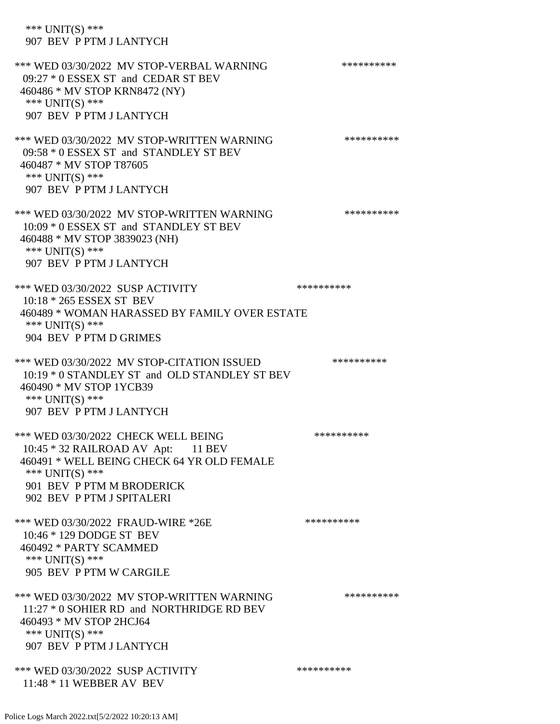\*\*\* UNIT(S) \*\*\* 907 BEV P PTM J LANTYCH \*\*\* WED 03/30/2022 MV STOP-VERBAL WARNING \*\*\*\*\*\*\*\*\*\*\*\* 09:27 \* 0 ESSEX ST and CEDAR ST BEV 460486 \* MV STOP KRN8472 (NY) \*\*\* UNIT(S) \*\*\* 907 BEV P PTM J LANTYCH \*\*\* WED 03/30/2022 MV STOP-WRITTEN WARNING \*\*\*\*\*\*\*\*\*\*\*\*\* 09:58 \* 0 ESSEX ST and STANDLEY ST BEV 460487 \* MV STOP T87605 \*\*\* UNIT(S) \*\*\* 907 BEV P PTM J LANTYCH \*\*\* WED 03/30/2022 MV STOP-WRITTEN WARNING \*\*\*\*\*\*\*\*\*\*\*\* 10:09 \* 0 ESSEX ST and STANDLEY ST BEV 460488 \* MV STOP 3839023 (NH) \*\*\* UNIT(S) \*\*\* 907 BEV P PTM J LANTYCH \*\*\* WED 03/30/2022 SUSP ACTIVITY \*\*\*\*\*\*\*\*\*\*\*\* 10:18 \* 265 ESSEX ST BEV 460489 \* WOMAN HARASSED BY FAMILY OVER ESTATE \*\*\* UNIT(S) \*\*\* 904 BEV P PTM D GRIMES \*\*\* WED 03/30/2022 MV STOP-CITATION ISSUED \*\*\*\*\*\*\*\*\*\* 10:19 \* 0 STANDLEY ST and OLD STANDLEY ST BEV 460490 \* MV STOP 1YCB39 \*\*\* UNIT(S) \*\*\* 907 BEV P PTM J LANTYCH \*\*\* WED 03/30/2022 CHECK WELL BEING \*\*\*\*\*\*\*\*\*\* 10:45 \* 32 RAILROAD AV Apt: 11 BEV 460491 \* WELL BEING CHECK 64 YR OLD FEMALE \*\*\* UNIT(S) \*\*\* 901 BEV P PTM M BRODERICK 902 BEV P PTM J SPITALERI \*\*\* WED 03/30/2022 FRAUD-WIRE \*26E \*\*\*\*\*\*\*\*\*\* 10:46 \* 129 DODGE ST BEV 460492 \* PARTY SCAMMED \*\*\* UNIT(S) \*\*\* 905 BEV P PTM W CARGILE \*\*\* WED 03/30/2022 MV STOP-WRITTEN WARNING \*\*\*\*\*\*\*\*\*\*\*\* 11:27 \* 0 SOHIER RD and NORTHRIDGE RD BEV 460493 \* MV STOP 2HCJ64 \*\*\* UNIT(S) \*\*\* 907 BEV P PTM J LANTYCH \*\*\* WED 03/30/2022 SUSP ACTIVITY \*\*\*\*\*\*\*\*\*\*\*\*\*\* 11:48 \* 11 WEBBER AV BEV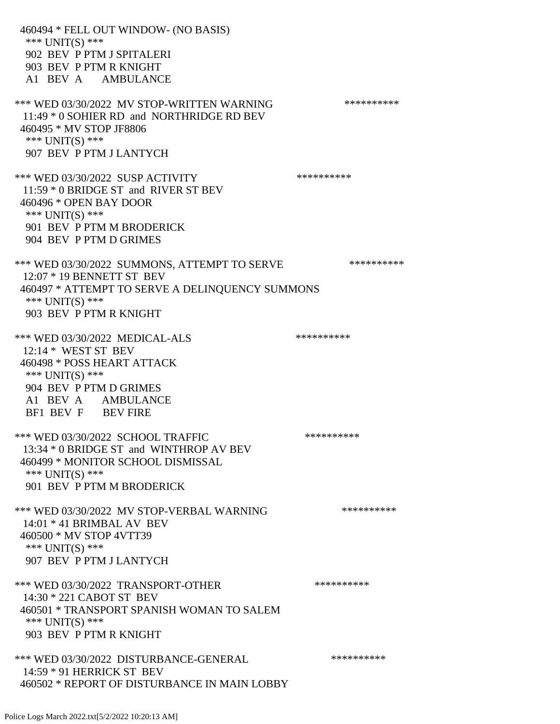460494 \* FELL OUT WINDOW- (NO BASIS) \*\*\* UNIT(S) \*\*\* 902 BEV P PTM J SPITALERI 903 BEV P PTM R KNIGHT A1 BEV A AMBULANCE \*\*\* WED 03/30/2022 MV STOP-WRITTEN WARNING \*\*\*\*\*\*\*\*\*\*\*\*\* 11:49 \* 0 SOHIER RD and NORTHRIDGE RD BEV 460495 \* MV STOP JF8806 \*\*\* UNIT(S) \*\*\* 907 BEV P PTM J LANTYCH \*\*\* WED 03/30/2022 SUSP ACTIVITY \*\*\*\*\*\*\*\*\*\*\*\* 11:59 \* 0 BRIDGE ST and RIVER ST BEV 460496 \* OPEN BAY DOOR \*\*\* UNIT(S) \*\*\* 901 BEV P PTM M BRODERICK 904 BEV P PTM D GRIMES \*\*\* WED 03/30/2022 SUMMONS, ATTEMPT TO SERVE \*\*\*\*\*\*\*\*\*\*\*\*\* 12:07 \* 19 BENNETT ST BEV 460497 \* ATTEMPT TO SERVE A DELINQUENCY SUMMONS \*\*\* UNIT(S) \*\*\* 903 BEV P PTM R KNIGHT \*\*\* WED 03/30/2022 MEDICAL-ALS \*\*\*\*\*\*\*\*\*\*\*\*\* 12:14 \* WEST ST BEV 460498 \* POSS HEART ATTACK \*\*\* UNIT(S) \*\*\* 904 BEV P PTM D GRIMES A1 BEV A AMBULANCE BF1 BEV F BEV FIRE \*\*\* WED 03/30/2022 SCHOOL TRAFFIC \*\*\*\*\*\*\*\*\*\*\*\*\*\* 13:34 \* 0 BRIDGE ST and WINTHROP AV BEV 460499 \* MONITOR SCHOOL DISMISSAL \*\*\* UNIT(S) \*\*\* 901 BEV P PTM M BRODERICK \*\*\* WED 03/30/2022 MV STOP-VERBAL WARNING \*\*\*\*\*\*\*\*\*\*\*\* 14:01 \* 41 BRIMBAL AV BEV 460500 \* MV STOP 4VTT39 \*\*\* UNIT(S) \*\*\* 907 BEV P PTM J LANTYCH \*\*\* WED 03/30/2022 TRANSPORT-OTHER \*\*\*\*\*\*\*\*\*\* 14:30 \* 221 CABOT ST BEV 460501 \* TRANSPORT SPANISH WOMAN TO SALEM \*\*\* UNIT(S) \*\*\* 903 BEV P PTM R KNIGHT \*\*\* WED 03/30/2022 DISTURBANCE-GENERAL \*\*\*\*\*\*\*\*\*\* 14:59 \* 91 HERRICK ST BEV 460502 \* REPORT OF DISTURBANCE IN MAIN LOBBY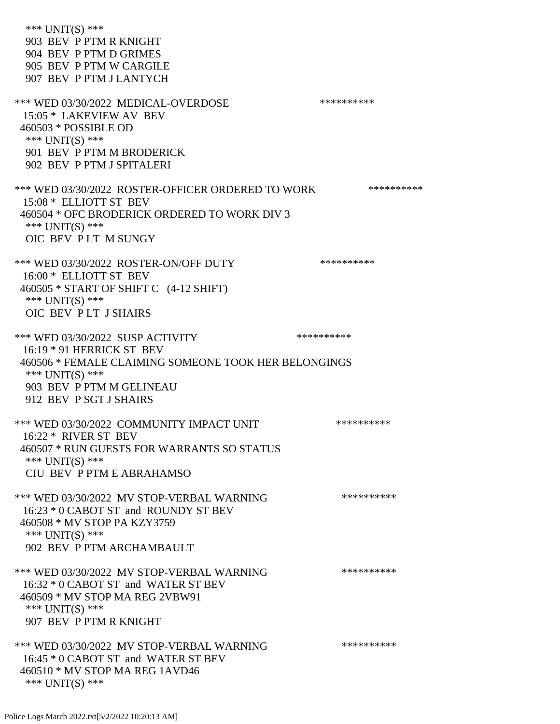\*\*\* UNIT(S) \*\*\* 903 BEV P PTM R KNIGHT 904 BEV P PTM D GRIMES 905 BEV P PTM W CARGILE 907 BEV P PTM J LANTYCH \*\*\* WED 03/30/2022 MEDICAL-OVERDOSE \*\*\*\*\*\*\*\*\*\* 15:05 \* LAKEVIEW AV BEV 460503 \* POSSIBLE OD \*\*\* UNIT(S) \*\*\* 901 BEV P PTM M BRODERICK 902 BEV P PTM J SPITALERI \*\*\* WED 03/30/2022 ROSTER-OFFICER ORDERED TO WORK \*\*\*\*\*\*\*\*\*\*\* 15:08 \* ELLIOTT ST BEV 460504 \* OFC BRODERICK ORDERED TO WORK DIV 3 \*\*\* UNIT(S) \*\*\* OIC BEV P LT M SUNGY \*\*\* WED 03/30/2022 ROSTER-ON/OFF DUTY \*\*\*\*\*\*\*\*\*\* 16:00 \* ELLIOTT ST BEV 460505 \* START OF SHIFT C (4-12 SHIFT) \*\*\* UNIT(S) \*\*\* OIC BEV P LT J SHAIRS \*\*\* WED 03/30/2022 SUSP ACTIVITY \*\*\*\*\*\*\*\*\*\*\*\* 16:19 \* 91 HERRICK ST BEV 460506 \* FEMALE CLAIMING SOMEONE TOOK HER BELONGINGS \*\*\* UNIT(S) \*\*\* 903 BEV P PTM M GELINEAU 912 BEV P SGT J SHAIRS \*\*\* WED 03/30/2022 COMMUNITY IMPACT UNIT \*\*\*\*\*\*\*\*\*\*\*\* 16:22 \* RIVER ST BEV 460507 \* RUN GUESTS FOR WARRANTS SO STATUS \*\*\* UNIT(S) \*\*\* CIU BEV P PTM E ABRAHAMSO \*\*\* WED 03/30/2022 MV STOP-VERBAL WARNING \*\*\*\*\*\*\*\*\*\*\*\* 16:23 \* 0 CABOT ST and ROUNDY ST BEV 460508 \* MV STOP PA KZY3759 \*\*\* UNIT(S) \*\*\* 902 BEV P PTM ARCHAMBAULT \*\*\* WED 03/30/2022 MV STOP-VERBAL WARNING \*\*\*\*\*\*\*\*\*\*\*\*\* 16:32 \* 0 CABOT ST and WATER ST BEV 460509 \* MV STOP MA REG 2VBW91 \*\*\* UNIT(S) \*\*\* 907 BEV P PTM R KNIGHT \*\*\* WED 03/30/2022 MV STOP-VERBAL WARNING \*\*\*\*\*\*\*\*\*\*\*\* 16:45 \* 0 CABOT ST and WATER ST BEV 460510 \* MV STOP MA REG 1AVD46 \*\*\* UNIT(S) \*\*\*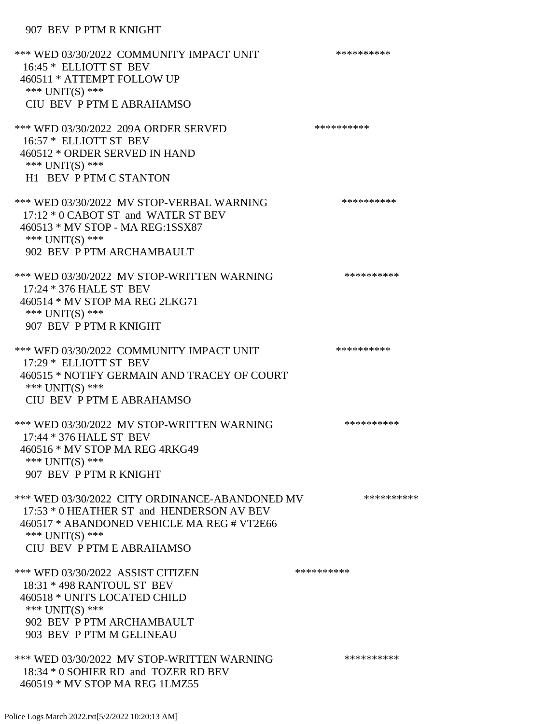## 907 BEV P PTM R KNIGHT

| *** WED 03/30/2022 COMMUNITY IMPACT UNIT<br>16:45 * ELLIOTT ST BEV<br>460511 * ATTEMPT FOLLOW UP<br>*** UNIT(S) ***<br>CIU BEV P PTM E ABRAHAMSO                                          | ********** |
|-------------------------------------------------------------------------------------------------------------------------------------------------------------------------------------------|------------|
| *** WED 03/30/2022 209A ORDER SERVED<br>16:57 * ELLIOTT ST BEV<br>460512 * ORDER SERVED IN HAND<br>*** UNIT(S) ***<br>H1 BEV P PTM C STANTON                                              | ********** |
| *** WED 03/30/2022 MV STOP-VERBAL WARNING<br>17:12 * 0 CABOT ST and WATER ST BEV<br>460513 * MV STOP - MA REG:1SSX87<br>*** UNIT(S) ***<br>902 BEV P PTM ARCHAMBAULT                      | ********** |
| *** WED 03/30/2022 MV STOP-WRITTEN WARNING<br>17:24 * 376 HALE ST BEV<br>460514 * MV STOP MA REG 2LKG71<br>*** UNIT(S) ***<br>907 BEV P PTM R KNIGHT                                      | ********** |
| *** WED 03/30/2022 COMMUNITY IMPACT UNIT<br>17:29 * ELLIOTT ST BEV<br>460515 * NOTIFY GERMAIN AND TRACEY OF COURT<br>*** UNIT(S) ***<br>CIU BEV P PTM E ABRAHAMSO                         | ********** |
| *** WED 03/30/2022 MV STOP-WRITTEN WARNING<br>17:44 * 376 HALE ST BEV<br>460516 * MV STOP MA REG 4RKG49<br>*** $UNIT(S)$ ***<br>907 BEV P PTM R KNIGHT                                    | ********** |
| *** WED 03/30/2022 CITY ORDINANCE-ABANDONED MV<br>17:53 * 0 HEATHER ST and HENDERSON AV BEV<br>460517 * ABANDONED VEHICLE MA REG # VT2E66<br>*** UNIT(S) ***<br>CIU BEV P PTM E ABRAHAMSO | ********** |
| *** WED 03/30/2022 ASSIST CITIZEN<br>18:31 * 498 RANTOUL ST BEV<br>460518 * UNITS LOCATED CHILD<br>*** UNIT(S) ***<br>902 BEV P PTM ARCHAMBAULT<br>903 BEV P PTM M GELINEAU               | ********** |
| *** WED 03/30/2022 MV STOP-WRITTEN WARNING<br>18:34 * 0 SOHIER RD and TOZER RD BEV<br>460519 * MV STOP MA REG 1LMZ55                                                                      | ********** |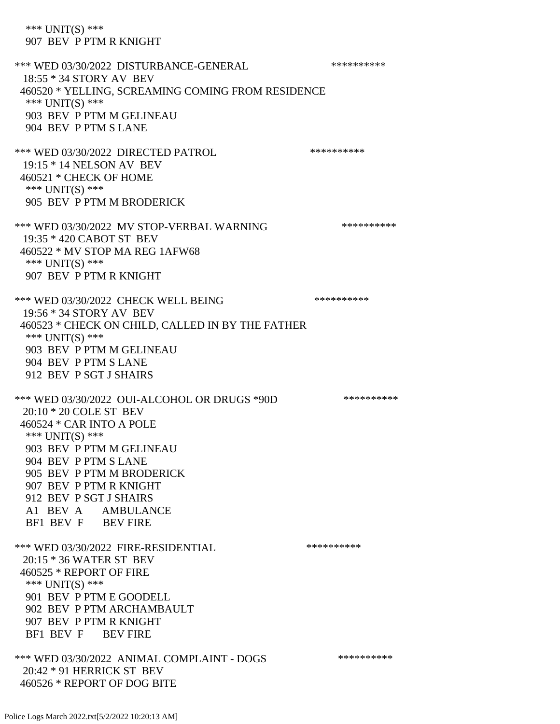\*\*\* UNIT(S) \*\*\* 907 BEV P PTM R KNIGHT \*\*\* WED 03/30/2022 DISTURBANCE-GENERAL \*\*\*\*\*\*\*\*\*\*\*\* 18:55 \* 34 STORY AV BEV 460520 \* YELLING, SCREAMING COMING FROM RESIDENCE \*\*\* UNIT(S) \*\*\* 903 BEV P PTM M GELINEAU 904 BEV P PTM S LANE \*\*\* WED 03/30/2022 DIRECTED PATROL \*\*\*\*\*\*\*\*\*\* 19:15 \* 14 NELSON AV BEV 460521 \* CHECK OF HOME \*\*\* UNIT(S) \*\*\* 905 BEV P PTM M BRODERICK \*\*\* WED 03/30/2022 MV STOP-VERBAL WARNING \*\*\*\*\*\*\*\*\*\*\*\*\* 19:35 \* 420 CABOT ST BEV 460522 \* MV STOP MA REG 1AFW68 \*\*\* UNIT(S) \*\*\* 907 BEV P PTM R KNIGHT \*\*\* WED 03/30/2022 CHECK WELL BEING \*\*\*\*\*\*\*\*\*\* 19:56 \* 34 STORY AV BEV 460523 \* CHECK ON CHILD, CALLED IN BY THE FATHER \*\*\* UNIT(S) \*\*\* 903 BEV P PTM M GELINEAU 904 BEV P PTM S LANE 912 BEV P SGT J SHAIRS \*\*\* WED 03/30/2022 OUI-ALCOHOL OR DRUGS \*90D \*\*\*\*\*\*\*\*\*\* 20:10 \* 20 COLE ST BEV 460524 \* CAR INTO A POLE \*\*\* UNIT(S) \*\*\* 903 BEV P PTM M GELINEAU 904 BEV P PTM S LANE 905 BEV P PTM M BRODERICK 907 BEV P PTM R KNIGHT 912 BEV P SGT J SHAIRS A1 BEV A AMBULANCE BF1 BEV F BEV FIRE \*\*\* WED 03/30/2022 FIRE-RESIDENTIAL \*\*\*\*\*\*\*\*\*\* 20:15 \* 36 WATER ST BEV 460525 \* REPORT OF FIRE \*\*\* UNIT(S) \*\*\* 901 BEV P PTM E GOODELL 902 BEV P PTM ARCHAMBAULT 907 BEV P PTM R KNIGHT BF1 BEV F BEV FIRE \*\*\* WED 03/30/2022 ANIMAL COMPLAINT - DOGS \*\*\*\*\*\*\*\*\*\*\*\*

 20:42 \* 91 HERRICK ST BEV 460526 \* REPORT OF DOG BITE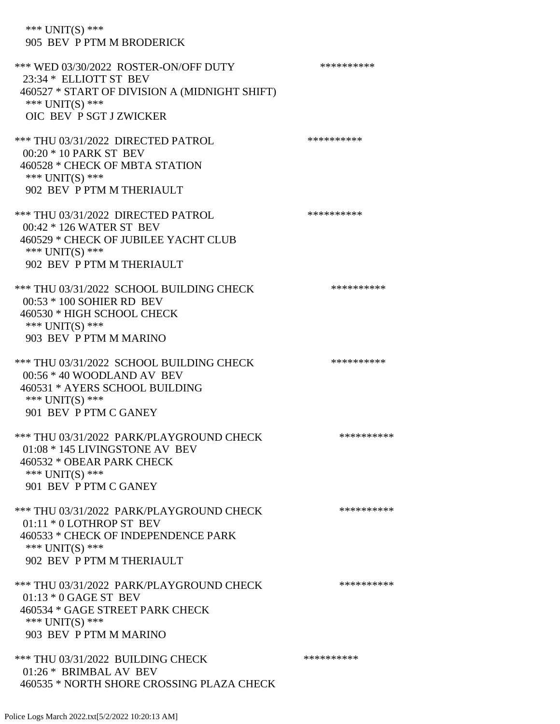\*\*\* UNIT(S) \*\*\* 905 BEV P PTM M BRODERICK

\*\*\* WED 03/30/2022 ROSTER-ON/OFF DUTY \*\*\*\*\*\*\*\*\*\* 23:34 \* ELLIOTT ST BEV 460527 \* START OF DIVISION A (MIDNIGHT SHIFT) \*\*\* UNIT(S) \*\*\* OIC BEV P SGT J ZWICKER \*\*\* THU 03/31/2022 DIRECTED PATROL \*\*\*\*\*\*\*\*\*\* 00:20 \* 10 PARK ST BEV 460528 \* CHECK OF MBTA STATION \*\*\* UNIT(S) \*\*\* 902 BEV P PTM M THERIAULT \*\*\* THU 03/31/2022 DIRECTED PATROL 00:42 \* 126 WATER ST BEV 460529 \* CHECK OF JUBILEE YACHT CLUB \*\*\* UNIT(S) \*\*\* 902 BEV P PTM M THERIAULT \*\*\* THU 03/31/2022 SCHOOL BUILDING CHECK \*\*\*\*\*\*\*\*\*\*\* 00:53 \* 100 SOHIER RD BEV 460530 \* HIGH SCHOOL CHECK \*\*\* UNIT(S) \*\*\* 903 BEV P PTM M MARINO \*\*\* THU 03/31/2022 SCHOOL BUILDING CHECK \*\*\*\*\*\*\*\*\*\*\* 00:56 \* 40 WOODLAND AV BEV 460531 \* AYERS SCHOOL BUILDING \*\*\* UNIT(S) \*\*\* 901 BEV P PTM C GANEY \*\*\* THU 03/31/2022 PARK/PLAYGROUND CHECK \*\*\*\*\*\*\*\*\*\*\*\* 01:08 \* 145 LIVINGSTONE AV BEV 460532 \* OBEAR PARK CHECK \*\*\* UNIT(S) \*\*\* 901 BEV P PTM C GANEY \*\*\* THU 03/31/2022 PARK/PLAYGROUND CHECK \*\*\*\*\*\*\*\*\*\*\*\* 01:11 \* 0 LOTHROP ST BEV 460533 \* CHECK OF INDEPENDENCE PARK \*\*\* UNIT(S) \*\*\* 902 BEV P PTM M THERIAULT \*\*\* THU 03/31/2022 PARK/PLAYGROUND CHECK \*\*\*\*\*\*\*\*\*\*\*\* 01:13 \* 0 GAGE ST BEV 460534 \* GAGE STREET PARK CHECK \*\*\* UNIT(S) \*\*\* 903 BEV P PTM M MARINO \*\*\* THU 03/31/2022 BUILDING CHECK \*\*\*\*\*\*\*\*\*\*\*\*\*\* 01:26 \* BRIMBAL AV BEV 460535 \* NORTH SHORE CROSSING PLAZA CHECK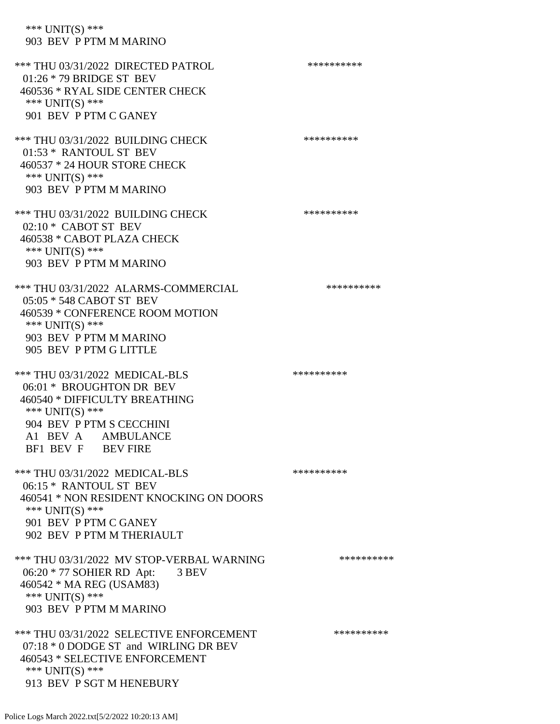\*\*\* UNIT(S) \*\*\* 903 BEV P PTM M MARINO

\*\*\* THU 03/31/2022 DIRECTED PATROL \*\*\*\*\*\*\*\*\*\* 01:26 \* 79 BRIDGE ST BEV 460536 \* RYAL SIDE CENTER CHECK \*\*\* UNIT(S) \*\*\* 901 BEV P PTM C GANEY \*\*\* THU 03/31/2022 BUILDING CHECK \*\*\*\*\*\*\*\*\*\*\*\*\*\* 01:53 \* RANTOUL ST BEV 460537 \* 24 HOUR STORE CHECK \*\*\* UNIT(S) \*\*\* 903 BEV P PTM M MARINO \*\*\* THU 03/31/2022 BUILDING CHECK \*\*\*\*\*\*\*\*\*\* 02:10 \* CABOT ST BEV 460538 \* CABOT PLAZA CHECK \*\*\* UNIT(S) \*\*\* 903 BEV P PTM M MARINO \*\*\* THU 03/31/2022 ALARMS-COMMERCIAL \*\*\*\*\*\*\*\*\*\*\*\* 05:05 \* 548 CABOT ST BEV 460539 \* CONFERENCE ROOM MOTION \*\*\* UNIT(S) \*\*\* 903 BEV P PTM M MARINO 905 BEV P PTM G LITTLE \*\*\* THU 03/31/2022 MEDICAL-BLS \*\*\*\*\*\*\*\*\*\* 06:01 \* BROUGHTON DR BEV 460540 \* DIFFICULTY BREATHING \*\*\* UNIT(S) \*\*\* 904 BEV P PTM S CECCHINI A1 BEV A AMBULANCE BF1 BEV F BEV FIRE \*\*\* THU 03/31/2022 MEDICAL-BLS \*\*\*\*\*\*\*\*\*\* 06:15 \* RANTOUL ST BEV 460541 \* NON RESIDENT KNOCKING ON DOORS \*\*\* UNIT(S) \*\*\* 901 BEV P PTM C GANEY 902 BEV P PTM M THERIAULT \*\*\* THU 03/31/2022 MV STOP-VERBAL WARNING \*\*\*\*\*\*\*\*\*\*\*\* 06:20 \* 77 SOHIER RD Apt: 3 BEV 460542 \* MA REG (USAM83) \*\*\* UNIT(S) \*\*\* 903 BEV P PTM M MARINO \*\*\* THU 03/31/2022 SELECTIVE ENFORCEMENT \*\*\*\*\*\*\*\*\*\*\*\* 07:18 \* 0 DODGE ST and WIRLING DR BEV 460543 \* SELECTIVE ENFORCEMENT \*\*\* UNIT(S) \*\*\* 913 BEV P SGT M HENEBURY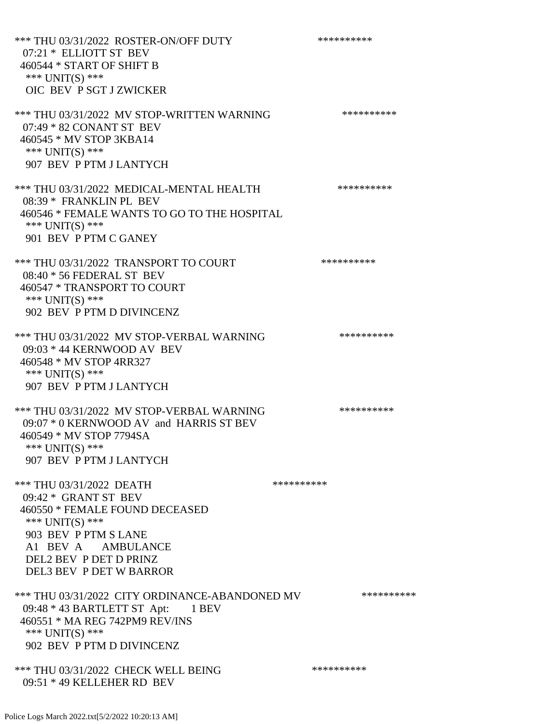\*\*\* THU 03/31/2022 ROSTER-ON/OFF DUTY \*\*\*\*\*\*\*\*\*\* 07:21 \* ELLIOTT ST BEV 460544 \* START OF SHIFT B \*\*\* UNIT(S) \*\*\* OIC BEV P SGT J ZWICKER \*\*\* THU 03/31/2022 MV STOP-WRITTEN WARNING \*\*\*\*\*\*\*\*\*\*\*\* 07:49 \* 82 CONANT ST BEV 460545 \* MV STOP 3KBA14 \*\*\* UNIT(S) \*\*\* 907 BEV P PTM J LANTYCH \*\*\* THU 03/31/2022 MEDICAL-MENTAL HEALTH \*\*\*\*\*\*\*\*\*\* 08:39 \* FRANKLIN PL BEV 460546 \* FEMALE WANTS TO GO TO THE HOSPITAL \*\*\* UNIT(S) \*\*\* 901 BEV P PTM C GANEY \*\*\* THU 03/31/2022 TRANSPORT TO COURT \*\*\*\*\*\*\*\*\*\* 08:40 \* 56 FEDERAL ST BEV 460547 \* TRANSPORT TO COURT \*\*\* UNIT(S) \*\*\* 902 BEV P PTM D DIVINCENZ \*\*\* THU 03/31/2022 MV STOP-VERBAL WARNING \*\*\*\*\*\*\*\*\*\*\*\*\* 09:03 \* 44 KERNWOOD AV BEV 460548 \* MV STOP 4RR327 \*\*\* UNIT(S) \*\*\* 907 BEV P PTM J LANTYCH \*\*\* THU 03/31/2022 MV STOP-VERBAL WARNING \*\*\*\*\*\*\*\*\*\*\*\* 09:07 \* 0 KERNWOOD AV and HARRIS ST BEV 460549 \* MV STOP 7794SA \*\*\* UNIT(S) \*\*\* 907 BEV P PTM J LANTYCH \*\*\* THU 03/31/2022 DEATH \*\*\*\*\*\*\*\*\*\*\*\* 09:42 \* GRANT ST BEV 460550 \* FEMALE FOUND DECEASED \*\*\* UNIT(S) \*\*\* 903 BEV P PTM S LANE A1 BEV A AMBULANCE DEL2 BEV P DET D PRINZ DEL3 BEV P DET W BARROR \*\*\* THU 03/31/2022 CITY ORDINANCE-ABANDONED MV \*\*\*\*\*\*\*\*\*\* 09:48 \* 43 BARTLETT ST Apt: 1 BEV 460551 \* MA REG 742PM9 REV/INS \*\*\* UNIT(S) \*\*\* 902 BEV P PTM D DIVINCENZ \*\*\* THU 03/31/2022 CHECK WELL BEING \*\*\*\*\*\*\*\*\*\* 09:51 \* 49 KELLEHER RD BEV

Police Logs March 2022.txt[5/2/2022 10:20:13 AM]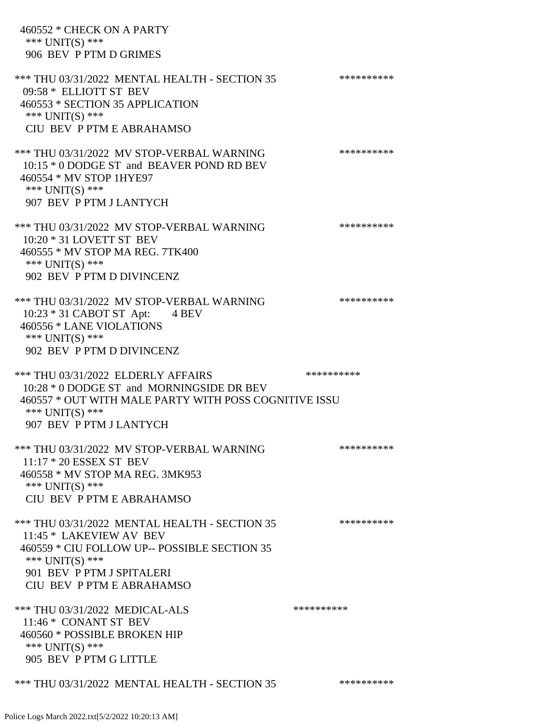460552 \* CHECK ON A PARTY \*\*\* UNIT(S) \*\*\* 906 BEV P PTM D GRIMES \*\*\* THU 03/31/2022 MENTAL HEALTH - SECTION 35 \*\*\*\*\*\*\*\*\*\*\*\* 09:58 \* ELLIOTT ST BEV 460553 \* SECTION 35 APPLICATION \*\*\* UNIT(S) \*\*\* CIU BEV P PTM E ABRAHAMSO \*\*\* THU 03/31/2022 MV STOP-VERBAL WARNING \*\*\*\*\*\*\*\*\*\*\*\*\* 10:15 \* 0 DODGE ST and BEAVER POND RD BEV 460554 \* MV STOP 1HYE97 \*\*\* UNIT(S) \*\*\* 907 BEV P PTM J LANTYCH \*\*\* THU 03/31/2022 MV STOP-VERBAL WARNING \*\*\*\*\*\*\*\*\*\*\*\*\* 10:20 \* 31 LOVETT ST BEV 460555 \* MV STOP MA REG. 7TK400 \*\*\* UNIT(S) \*\*\* 902 BEV P PTM D DIVINCENZ \*\*\* THU 03/31/2022 MV STOP-VERBAL WARNING \*\*\*\*\*\*\*\*\*\*\*\*\* 10:23 \* 31 CABOT ST Apt: 4 BEV 460556 \* LANE VIOLATIONS \*\*\* UNIT(S) \*\*\* 902 BEV P PTM D DIVINCENZ \*\*\* THU 03/31/2022 ELDERLY AFFAIRS \*\*\*\*\*\*\*\*\*\*\*\*\*\*\* 10:28 \* 0 DODGE ST and MORNINGSIDE DR BEV 460557 \* OUT WITH MALE PARTY WITH POSS COGNITIVE ISSU \*\*\* UNIT(S) \*\*\* 907 BEV P PTM J LANTYCH \*\*\* THU 03/31/2022 MV STOP-VERBAL WARNING \*\*\*\*\*\*\*\*\*\*\*\*\*\* 11:17 \* 20 ESSEX ST BEV 460558 \* MV STOP MA REG. 3MK953 \*\*\* UNIT(S) \*\*\* CIU BEV P PTM E ABRAHAMSO \*\*\* THU 03/31/2022 MENTAL HEALTH - SECTION 35 \*\*\*\*\*\*\*\*\*\*\*\* 11:45 \* LAKEVIEW AV BEV 460559 \* CIU FOLLOW UP-- POSSIBLE SECTION 35 \*\*\* UNIT(S) \*\*\* 901 BEV P PTM J SPITALERI CIU BEV P PTM E ABRAHAMSO \*\*\* THU 03/31/2022 MEDICAL-ALS \*\*\*\*\*\*\*\*\*\* 11:46 \* CONANT ST BEV 460560 \* POSSIBLE BROKEN HIP \*\*\* UNIT(S) \*\*\* 905 BEV P PTM G LITTLE

\*\*\* THU 03/31/2022 MENTAL HEALTH - SECTION 35 \*\*\*\*\*\*\*\*\*\*\*\*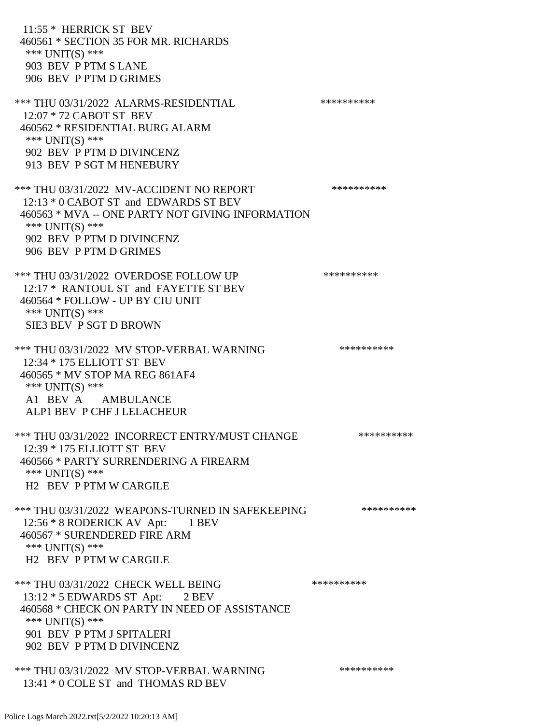11:55 \* HERRICK ST BEV 460561 \* SECTION 35 FOR MR. RICHARDS \*\*\* UNIT(S) \*\*\* 903 BEV P PTM S LANE 906 BEV P PTM D GRIMES \*\*\* THU 03/31/2022 ALARMS-RESIDENTIAL \*\*\*\*\*\*\*\*\*\* 12:07 \* 72 CABOT ST BEV 460562 \* RESIDENTIAL BURG ALARM \*\*\* UNIT(S) \*\*\* 902 BEV P PTM D DIVINCENZ 913 BEV P SGT M HENEBURY \*\*\* THU 03/31/2022 MV-ACCIDENT NO REPORT \*\*\*\*\*\*\*\*\*\*\*\* 12:13 \* 0 CABOT ST and EDWARDS ST BEV 460563 \* MVA -- ONE PARTY NOT GIVING INFORMATION \*\*\* UNIT(S) \*\*\* 902 BEV P PTM D DIVINCENZ 906 BEV P PTM D GRIMES \*\*\* THU 03/31/2022 OVERDOSE FOLLOW UP \*\*\*\*\*\*\*\*\*\* 12:17 \* RANTOUL ST and FAYETTE ST BEV 460564 \* FOLLOW - UP BY CIU UNIT \*\*\* UNIT(S) \*\*\* SIE3 BEV P SGT D BROWN \*\*\* THU 03/31/2022 MV STOP-VERBAL WARNING \*\*\*\*\*\*\*\*\*\*\*\*\*\*\* 12:34 \* 175 ELLIOTT ST BEV 460565 \* MV STOP MA REG 861AF4 \*\*\* UNIT(S) \*\*\* A1 BEV A AMBULANCE ALP1 BEV P CHF J LELACHEUR \*\*\* THU 03/31/2022 INCORRECT ENTRY/MUST CHANGE \*\*\*\*\*\*\*\*\*\* 12:39 \* 175 ELLIOTT ST BEV 460566 \* PARTY SURRENDERING A FIREARM \*\*\* UNIT(S) \*\*\* H2 BEV P PTM W CARGILE \*\*\* THU 03/31/2022 WEAPONS-TURNED IN SAFEKEEPING \*\*\*\*\*\*\*\*\*\* 12:56 \* 8 RODERICK AV Apt: 1 BEV 460567 \* SURENDERED FIRE ARM \*\*\* UNIT(S) \*\*\* H2 BEV P PTM W CARGILE \*\*\* THU 03/31/2022 CHECK WELL BEING \*\*\*\*\*\*\*\*\*\* 13:12 \* 5 EDWARDS ST Apt: 2 BEV 460568 \* CHECK ON PARTY IN NEED OF ASSISTANCE \*\*\* UNIT(S) \*\*\* 901 BEV P PTM J SPITALERI 902 BEV P PTM D DIVINCENZ \*\*\* THU 03/31/2022 MV STOP-VERBAL WARNING \*\*\*\*\*\*\*\*\*\*\*\*\*\*

13:41 \* 0 COLE ST and THOMAS RD BEV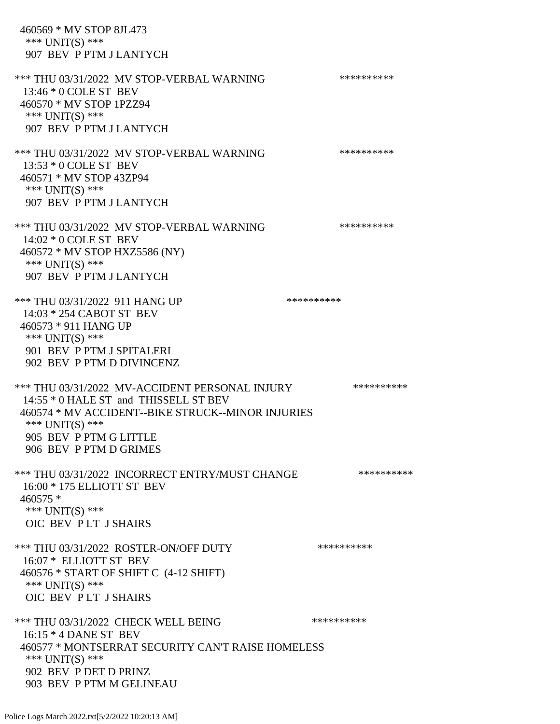460569 \* MV STOP 8JL473 \*\*\* UNIT(S) \*\*\* 907 BEV P PTM J LANTYCH \*\*\* THU 03/31/2022 MV STOP-VERBAL WARNING \*\*\*\*\*\*\*\*\*\*\*\*\* 13:46 \* 0 COLE ST BEV 460570 \* MV STOP 1PZZ94 \*\*\* UNIT(S) \*\*\* 907 BEV P PTM J LANTYCH \*\*\* THU 03/31/2022 MV STOP-VERBAL WARNING \*\*\*\*\*\*\*\*\*\*\*\*\* 13:53 \* 0 COLE ST BEV 460571 \* MV STOP 43ZP94 \*\*\* UNIT(S) \*\*\* 907 BEV P PTM J LANTYCH \*\*\* THU 03/31/2022 MV STOP-VERBAL WARNING \*\*\*\*\*\*\*\*\*\*\*\* 14:02 \* 0 COLE ST BEV 460572 \* MV STOP HXZ5586 (NY) \*\*\* UNIT(S) \*\*\* 907 BEV P PTM J LANTYCH \*\*\* THU 03/31/2022 911 HANG UP \*\*\*\*\*\*\*\*\*\*\*\*\* 14:03 \* 254 CABOT ST BEV 460573 \* 911 HANG UP \*\*\* UNIT(S) \*\*\* 901 BEV P PTM J SPITALERI 902 BEV P PTM D DIVINCENZ \*\*\* THU 03/31/2022 MV-ACCIDENT PERSONAL INJURY \*\*\*\*\*\*\*\*\*\*\* 14:55 \* 0 HALE ST and THISSELL ST BEV 460574 \* MV ACCIDENT--BIKE STRUCK--MINOR INJURIES \*\*\* UNIT(S) \*\*\* 905 BEV P PTM G LITTLE 906 BEV P PTM D GRIMES \*\*\* THU 03/31/2022 INCORRECT ENTRY/MUST CHANGE \*\*\*\*\*\*\*\*\*\*\*\* 16:00 \* 175 ELLIOTT ST BEV 460575 \* \*\*\* UNIT(S) \*\*\* OIC BEV P LT J SHAIRS \*\*\* THU 03/31/2022 ROSTER-ON/OFF DUTY \*\*\*\*\*\*\*\*\*\* 16:07 \* ELLIOTT ST BEV 460576 \* START OF SHIFT C (4-12 SHIFT) \*\*\* UNIT(S) \*\*\* OIC BEV P LT J SHAIRS \*\*\* THU 03/31/2022 CHECK WELL BEING \*\*\*\*\*\*\*\*\*\* 16:15 \* 4 DANE ST BEV 460577 \* MONTSERRAT SECURITY CAN'T RAISE HOMELESS \*\*\* UNIT(S) \*\*\* 902 BEV P DET D PRINZ 903 BEV P PTM M GELINEAU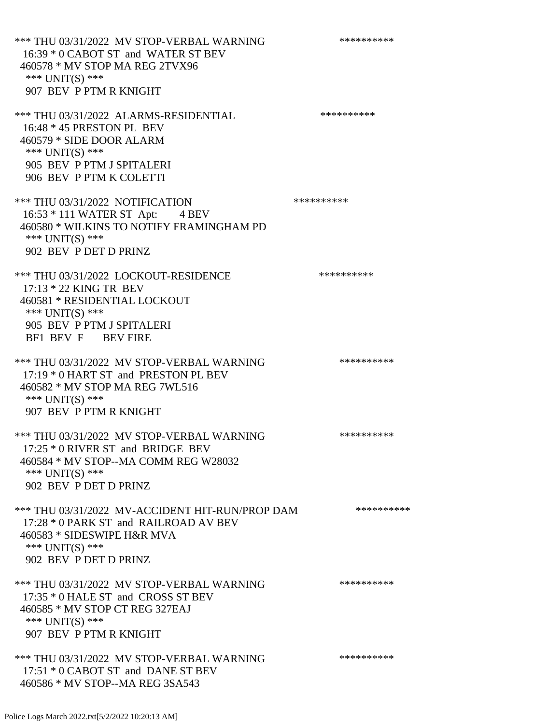\*\*\* THU 03/31/2022 MV STOP-VERBAL WARNING \*\*\*\*\*\*\*\*\*\*\*\*\* 16:39 \* 0 CABOT ST and WATER ST BEV 460578 \* MV STOP MA REG 2TVX96 \*\*\* UNIT(S) \*\*\* 907 BEV P PTM R KNIGHT \*\*\* THU 03/31/2022 ALARMS-RESIDENTIAL \*\*\*\*\*\*\*\*\*\* 16:48 \* 45 PRESTON PL BEV 460579 \* SIDE DOOR ALARM \*\*\* UNIT(S) \*\*\* 905 BEV P PTM J SPITALERI 906 BEV P PTM K COLETTI \*\*\* THU 03/31/2022 NOTIFICATION \*\*\*\*\*\*\*\*\*\*\* 16:53 \* 111 WATER ST Apt: 4 BEV 460580 \* WILKINS TO NOTIFY FRAMINGHAM PD \*\*\* UNIT(S) \*\*\* 902 BEV P DET D PRINZ \*\*\* THU 03/31/2022 LOCKOUT-RESIDENCE \*\*\*\*\*\*\*\*\*\* 17:13 \* 22 KING TR BEV 460581 \* RESIDENTIAL LOCKOUT \*\*\* UNIT(S) \*\*\* 905 BEV P PTM J SPITALERI BF1 BEV F BEV FIRE \*\*\* THU 03/31/2022 MV STOP-VERBAL WARNING \*\*\*\*\*\*\*\*\*\*\*\*\* 17:19 \* 0 HART ST and PRESTON PL BEV 460582 \* MV STOP MA REG 7WL516 \*\*\* UNIT(S) \*\*\* 907 BEV P PTM R KNIGHT \*\*\* THU 03/31/2022 MV STOP-VERBAL WARNING \*\*\*\*\*\*\*\*\*\*\*\* 17:25 \* 0 RIVER ST and BRIDGE BEV 460584 \* MV STOP--MA COMM REG W28032 \*\*\* UNIT(S) \*\*\* 902 BEV P DET D PRINZ \*\*\* THU 03/31/2022 MV-ACCIDENT HIT-RUN/PROP DAM \*\*\*\*\*\*\*\*\*\* 17:28 \* 0 PARK ST and RAILROAD AV BEV 460583 \* SIDESWIPE H&R MVA \*\*\* UNIT(S) \*\*\* 902 BEV P DET D PRINZ \*\*\* THU 03/31/2022 MV STOP-VERBAL WARNING \*\*\*\*\*\*\*\*\*\*\*\*\* 17:35 \* 0 HALE ST and CROSS ST BEV 460585 \* MV STOP CT REG 327EAJ \*\*\* UNIT(S) \*\*\* 907 BEV P PTM R KNIGHT \*\*\* THU 03/31/2022 MV STOP-VERBAL WARNING \*\*\*\*\*\*\*\*\*\*\*\*\* 17:51 \* 0 CABOT ST and DANE ST BEV

460586 \* MV STOP--MA REG 3SA543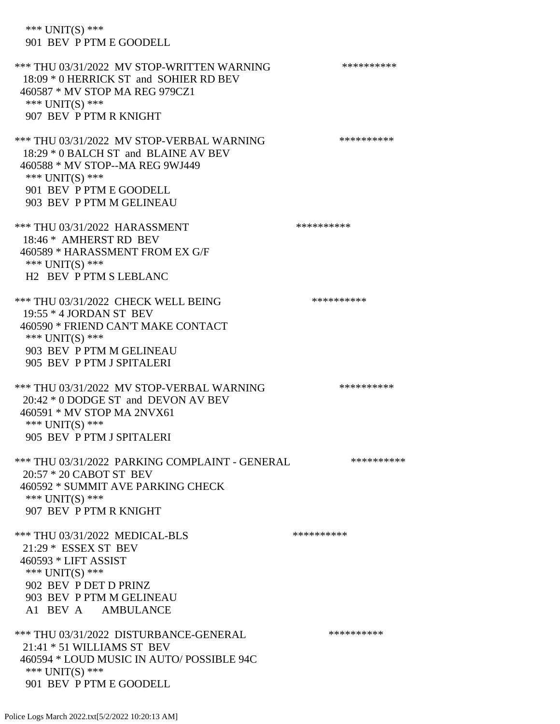\*\*\* UNIT(S) \*\*\* 901 BEV P PTM E GOODELL \*\*\* THU 03/31/2022 MV STOP-WRITTEN WARNING \*\*\*\*\*\*\*\*\*\*\*\*\* 18:09 \* 0 HERRICK ST and SOHIER RD BEV 460587 \* MV STOP MA REG 979CZ1 \*\*\* UNIT(S) \*\*\* 907 BEV P PTM R KNIGHT \*\*\* THU 03/31/2022 MV STOP-VERBAL WARNING \*\*\*\*\*\*\*\*\*\*\*\*\* 18:29 \* 0 BALCH ST and BLAINE AV BEV 460588 \* MV STOP--MA REG 9WJ449 \*\*\* UNIT(S) \*\*\* 901 BEV P PTM E GOODELL 903 BEV P PTM M GELINEAU \*\*\* THU 03/31/2022 HARASSMENT \*\*\*\*\*\*\*\*\*\*\*\*\*\*\*\*\*\*\*\*\*\* 18:46 \* AMHERST RD BEV 460589 \* HARASSMENT FROM EX G/F \*\*\* UNIT(S) \*\*\* H2 BEV P PTM S LEBLANC \*\*\* THU 03/31/2022 CHECK WELL BEING \*\*\*\*\*\*\*\*\*\*\*\*\* 19:55 \* 4 JORDAN ST BEV 460590 \* FRIEND CAN'T MAKE CONTACT \*\*\* UNIT(S) \*\*\* 903 BEV P PTM M GELINEAU 905 BEV P PTM J SPITALERI \*\*\* THU 03/31/2022 MV STOP-VERBAL WARNING \*\*\*\*\*\*\*\*\*\*\*\*\* 20:42 \* 0 DODGE ST and DEVON AV BEV 460591 \* MV STOP MA 2NVX61 \*\*\* UNIT(S) \*\*\* 905 BEV P PTM J SPITALERI \*\*\* THU 03/31/2022 PARKING COMPLAINT - GENERAL \*\*\*\*\*\*\*\*\*\* 20:57 \* 20 CABOT ST BEV 460592 \* SUMMIT AVE PARKING CHECK \*\*\* UNIT(S) \*\*\* 907 BEV P PTM R KNIGHT \*\*\* THU 03/31/2022 MEDICAL-BLS \*\*\*\*\*\*\*\*\*\* 21:29 \* ESSEX ST BEV 460593 \* LIFT ASSIST \*\*\* UNIT(S) \*\*\* 902 BEV P DET D PRINZ 903 BEV P PTM M GELINEAU A1 BEV A AMBULANCE \*\*\* THU 03/31/2022 DISTURBANCE-GENERAL \*\*\*\*\*\*\*\*\*\* 21:41 \* 51 WILLIAMS ST BEV 460594 \* LOUD MUSIC IN AUTO/ POSSIBLE 94C \*\*\* UNIT(S) \*\*\* 901 BEV P PTM E GOODELL